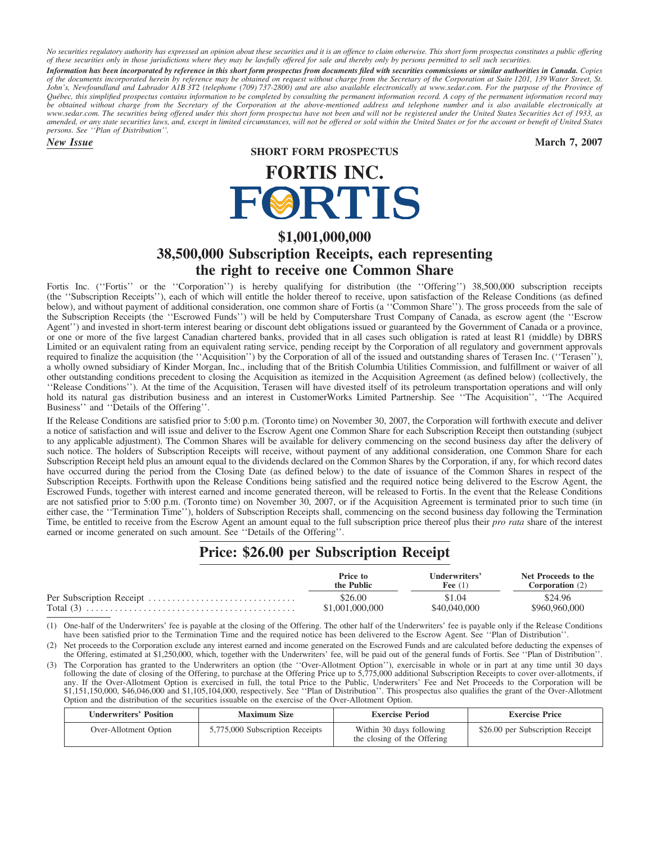*No securities regulatory authority has expressed an opinion about these securities and it is an offence to claim otherwise. This short form prospectus constitutes a public offering of these securities only in those jurisdictions where they may be lawfully offered for sale and thereby only by persons permitted to sell such securities.*

*Information has been incorporated by reference in this short form prospectus from documents filed with securities commissions or similar authorities in Canada. Copies of the documents incorporated herein by reference may be obtained on request without charge from the Secretary of the Corporation at Suite 1201, 139 Water Street, St. John's, Newfoundland and Labrador A1B 3T2 (telephone (709) 737-2800) and are also available electronically at www.sedar.com. For the purpose of the Province of Qu´ebec, this simplified prospectus contains information to be completed by consulting the permanent information record. A copy of the permanent information record may be obtained without charge from the Secretary of the Corporation at the above-mentioned address and telephone number and is also available electronically at www.sedar.com. The securities being offered under this short form prospectus have not been and will not be registered under the United States Securities Act of 1933, as amended, or any state securities laws, and, except in limited circumstances, will not be offered or sold within the United States or for the account or benefit of United States persons. See ''Plan of Distribution''.*

# **SHORT FORM PROSPECTUS**

*New Issue* **March 7, 2007**

# **FORTIS INC.**<br>FORTIS

# **\$1,001,000,000**

# **38,500,000 Subscription Receipts, each representing the right to receive one Common Share**

Fortis Inc. (''Fortis'' or the ''Corporation'') is hereby qualifying for distribution (the ''Offering'') 38,500,000 subscription receipts (the ''Subscription Receipts''), each of which will entitle the holder thereof to receive, upon satisfaction of the Release Conditions (as defined below), and without payment of additional consideration, one common share of Fortis (a ''Common Share''). The gross proceeds from the sale of the Subscription Receipts (the ''Escrowed Funds'') will be held by Computershare Trust Company of Canada, as escrow agent (the ''Escrow Agent'') and invested in short-term interest bearing or discount debt obligations issued or guaranteed by the Government of Canada or a province, or one or more of the five largest Canadian chartered banks, provided that in all cases such obligation is rated at least R1 (middle) by DBRS Limited or an equivalent rating from an equivalent rating service, pending receipt by the Corporation of all regulatory and government approvals required to finalize the acquisition (the ''Acquisition'') by the Corporation of all of the issued and outstanding shares of Terasen Inc. (''Terasen''), a wholly owned subsidiary of Kinder Morgan, Inc., including that of the British Columbia Utilities Commission, and fulfillment or waiver of all other outstanding conditions precedent to closing the Acquisition as itemized in the Acquisition Agreement (as defined below) (collectively, the ''Release Conditions''). At the time of the Acquisition, Terasen will have divested itself of its petroleum transportation operations and will only hold its natural gas distribution business and an interest in CustomerWorks Limited Partnership. See ''The Acquisition'', ''The Acquired Business'' and ''Details of the Offering''.

If the Release Conditions are satisfied prior to 5:00 p.m. (Toronto time) on November 30, 2007, the Corporation will forthwith execute and deliver a notice of satisfaction and will issue and deliver to the Escrow Agent one Common Share for each Subscription Receipt then outstanding (subject to any applicable adjustment). The Common Shares will be available for delivery commencing on the second business day after the delivery of such notice. The holders of Subscription Receipts will receive, without payment of any additional consideration, one Common Share for each Subscription Receipt held plus an amount equal to the dividends declared on the Common Shares by the Corporation, if any, for which record dates have occurred during the period from the Closing Date (as defined below) to the date of issuance of the Common Shares in respect of the Subscription Receipts. Forthwith upon the Release Conditions being satisfied and the required notice being delivered to the Escrow Agent, the Escrowed Funds, together with interest earned and income generated thereon, will be released to Fortis. In the event that the Release Conditions are not satisfied prior to 5:00 p.m. (Toronto time) on November 30, 2007, or if the Acquisition Agreement is terminated prior to such time (in either case, the ''Termination Time''), holders of Subscription Receipts shall, commencing on the second business day following the Termination Time, be entitled to receive from the Escrow Agent an amount equal to the full subscription price thereof plus their *pro rata* share of the interest earned or income generated on such amount. See ''Details of the Offering''.

# **Price: \$26.00 per Subscription Receipt**

| Price to        | Underwriters' | Net Proceeds to the    |
|-----------------|---------------|------------------------|
| the Public      | Fee $(1)$     | <b>Corporation</b> (2) |
| \$26.00         | \$1.04        | \$24.96                |
| \$1.001.000.000 | \$40,040,000  | \$960,960,000          |

(1) One-half of the Underwriters' fee is payable at the closing of the Offering. The other half of the Underwriters' fee is payable only if the Release Conditions have been satisfied prior to the Termination Time and the required notice has been delivered to the Escrow Agent. See ''Plan of Distribution''.

Net proceeds to the Corporation exclude any interest earned and income generated on the Escrowed Funds and are calculated before deducting the expenses of the Offering, estimated at \$1,250,000, which, together with the Underwriters' fee, will be paid out of the general funds of Fortis. See ''Plan of Distribution''.

(3) The Corporation has granted to the Underwriters an option (the ''Over-Allotment Option''), exercisable in whole or in part at any time until 30 days following the date of closing of the Offering, to purchase at the Offering Price up to 5,775,000 additional Subscription Receipts to cover over-allotments, if any. If the Over-Allotment Option is exercised in full, the total Price to the Public, Underwriters' Fee and Net Proceeds to the Corporation will be \$1,151,150,000, \$46,046,000 and \$1,105,104,000, respectively. See ''Plan of Distribution''. This prospectus also qualifies the grant of the Over-Allotment Option and the distribution of the securities issuable on the exercise of the Over-Allotment Option.

| <b>Underwriters' Position</b> | <b>Maximum Size</b>             | <b>Exercise Period</b>                                  | <b>Exercise Price</b>            |
|-------------------------------|---------------------------------|---------------------------------------------------------|----------------------------------|
| Over-Allotment Option         | 5,775,000 Subscription Receipts | Within 30 days following<br>the closing of the Offering | \$26.00 per Subscription Receipt |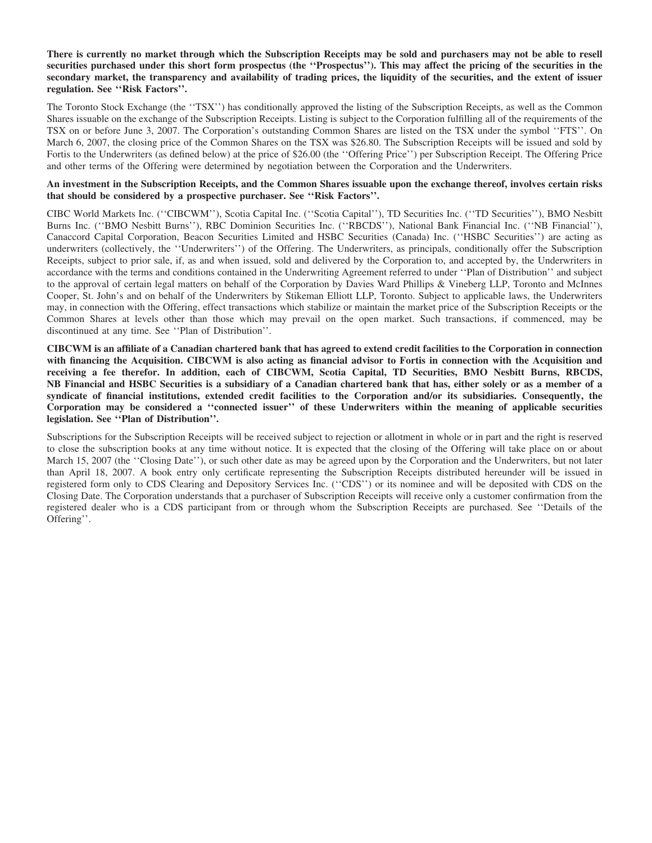# **There is currently no market through which the Subscription Receipts may be sold and purchasers may not be able to resell securities purchased under this short form prospectus (the ''Prospectus''). This may affect the pricing of the securities in the secondary market, the transparency and availability of trading prices, the liquidity of the securities, and the extent of issuer regulation. See ''Risk Factors''.**

The Toronto Stock Exchange (the ''TSX'') has conditionally approved the listing of the Subscription Receipts, as well as the Common Shares issuable on the exchange of the Subscription Receipts. Listing is subject to the Corporation fulfilling all of the requirements of the TSX on or before June 3, 2007. The Corporation's outstanding Common Shares are listed on the TSX under the symbol ''FTS''. On March 6, 2007, the closing price of the Common Shares on the TSX was \$26.80. The Subscription Receipts will be issued and sold by Fortis to the Underwriters (as defined below) at the price of \$26.00 (the ''Offering Price'') per Subscription Receipt. The Offering Price and other terms of the Offering were determined by negotiation between the Corporation and the Underwriters.

# **An investment in the Subscription Receipts, and the Common Shares issuable upon the exchange thereof, involves certain risks that should be considered by a prospective purchaser. See ''Risk Factors''.**

CIBC World Markets Inc. (''CIBCWM''), Scotia Capital Inc. (''Scotia Capital''), TD Securities Inc. (''TD Securities''), BMO Nesbitt Burns Inc. (''BMO Nesbitt Burns''), RBC Dominion Securities Inc. (''RBCDS''), National Bank Financial Inc. (''NB Financial''), Canaccord Capital Corporation, Beacon Securities Limited and HSBC Securities (Canada) Inc. (''HSBC Securities'') are acting as underwriters (collectively, the ''Underwriters'') of the Offering. The Underwriters, as principals, conditionally offer the Subscription Receipts, subject to prior sale, if, as and when issued, sold and delivered by the Corporation to, and accepted by, the Underwriters in accordance with the terms and conditions contained in the Underwriting Agreement referred to under ''Plan of Distribution'' and subject to the approval of certain legal matters on behalf of the Corporation by Davies Ward Phillips & Vineberg LLP, Toronto and McInnes Cooper, St. John's and on behalf of the Underwriters by Stikeman Elliott LLP, Toronto. Subject to applicable laws, the Underwriters may, in connection with the Offering, effect transactions which stabilize or maintain the market price of the Subscription Receipts or the Common Shares at levels other than those which may prevail on the open market. Such transactions, if commenced, may be discontinued at any time. See ''Plan of Distribution''.

**CIBCWM is an affiliate of a Canadian chartered bank that has agreed to extend credit facilities to the Corporation in connection with financing the Acquisition. CIBCWM is also acting as financial advisor to Fortis in connection with the Acquisition and receiving a fee therefor. In addition, each of CIBCWM, Scotia Capital, TD Securities, BMO Nesbitt Burns, RBCDS, NB Financial and HSBC Securities is a subsidiary of a Canadian chartered bank that has, either solely or as a member of a syndicate of financial institutions, extended credit facilities to the Corporation and/or its subsidiaries. Consequently, the Corporation may be considered a ''connected issuer'' of these Underwriters within the meaning of applicable securities legislation. See ''Plan of Distribution''.**

Subscriptions for the Subscription Receipts will be received subject to rejection or allotment in whole or in part and the right is reserved to close the subscription books at any time without notice. It is expected that the closing of the Offering will take place on or about March 15, 2007 (the "Closing Date"), or such other date as may be agreed upon by the Corporation and the Underwriters, but not later than April 18, 2007. A book entry only certificate representing the Subscription Receipts distributed hereunder will be issued in registered form only to CDS Clearing and Depository Services Inc. (''CDS'') or its nominee and will be deposited with CDS on the Closing Date. The Corporation understands that a purchaser of Subscription Receipts will receive only a customer confirmation from the registered dealer who is a CDS participant from or through whom the Subscription Receipts are purchased. See ''Details of the Offering''.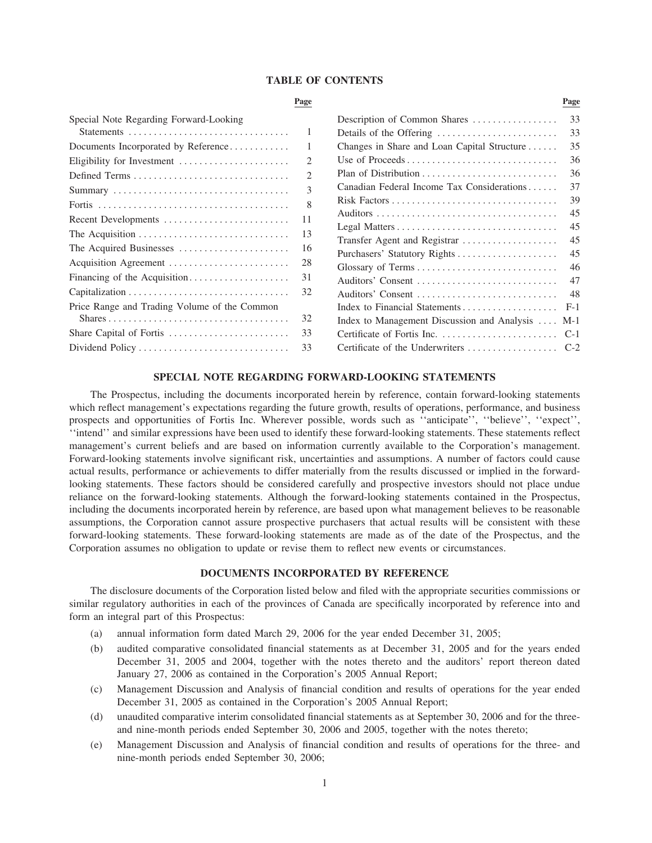#### **TABLE OF CONTENTS**

|                                              | Page                  |                                                  | Page  |
|----------------------------------------------|-----------------------|--------------------------------------------------|-------|
| Special Note Regarding Forward-Looking       |                       | Description of Common Shares                     | 33    |
|                                              | 1                     | Details of the Offering                          | 33    |
| Documents Incorporated by Reference          |                       | Changes in Share and Loan Capital Structure      | 35    |
| Eligibility for Investment                   | 2                     | Use of Proceeds                                  | 36    |
|                                              | $\mathcal{D}_{\cdot}$ |                                                  | 36    |
|                                              | 3                     | Canadian Federal Income Tax Considerations       | 37    |
|                                              | 8                     |                                                  | 39    |
| Recent Developments                          | 11                    |                                                  | 45    |
| The Acquisition                              | 13                    |                                                  | 45    |
|                                              | 16                    | Transfer Agent and Registrar                     | 45    |
| The Acquired Businesses                      |                       |                                                  | 45    |
| Acquisition Agreement                        | 28                    |                                                  | 46    |
| Financing of the Acquisition                 | 31                    | Auditors' Consent                                | 47    |
|                                              | 32                    | Auditors' Consent                                | 48    |
| Price Range and Trading Volume of the Common |                       | Index to Financial Statements                    | $F-1$ |
|                                              | 32                    | Index to Management Discussion and Analysis  M-1 |       |
| Share Capital of Fortis                      | 33                    |                                                  |       |
| Dividend Policy                              | 33                    |                                                  |       |
|                                              |                       |                                                  |       |

# **SPECIAL NOTE REGARDING FORWARD-LOOKING STATEMENTS**

The Prospectus, including the documents incorporated herein by reference, contain forward-looking statements which reflect management's expectations regarding the future growth, results of operations, performance, and business prospects and opportunities of Fortis Inc. Wherever possible, words such as ''anticipate'', ''believe'', ''expect'', ''intend'' and similar expressions have been used to identify these forward-looking statements. These statements reflect management's current beliefs and are based on information currently available to the Corporation's management. Forward-looking statements involve significant risk, uncertainties and assumptions. A number of factors could cause actual results, performance or achievements to differ materially from the results discussed or implied in the forwardlooking statements. These factors should be considered carefully and prospective investors should not place undue reliance on the forward-looking statements. Although the forward-looking statements contained in the Prospectus, including the documents incorporated herein by reference, are based upon what management believes to be reasonable assumptions, the Corporation cannot assure prospective purchasers that actual results will be consistent with these forward-looking statements. These forward-looking statements are made as of the date of the Prospectus, and the Corporation assumes no obligation to update or revise them to reflect new events or circumstances.

# **DOCUMENTS INCORPORATED BY REFERENCE**

The disclosure documents of the Corporation listed below and filed with the appropriate securities commissions or similar regulatory authorities in each of the provinces of Canada are specifically incorporated by reference into and form an integral part of this Prospectus:

- (a) annual information form dated March 29, 2006 for the year ended December 31, 2005;
- (b) audited comparative consolidated financial statements as at December 31, 2005 and for the years ended December 31, 2005 and 2004, together with the notes thereto and the auditors' report thereon dated January 27, 2006 as contained in the Corporation's 2005 Annual Report;
- (c) Management Discussion and Analysis of financial condition and results of operations for the year ended December 31, 2005 as contained in the Corporation's 2005 Annual Report;
- (d) unaudited comparative interim consolidated financial statements as at September 30, 2006 and for the threeand nine-month periods ended September 30, 2006 and 2005, together with the notes thereto;
- (e) Management Discussion and Analysis of financial condition and results of operations for the three- and nine-month periods ended September 30, 2006;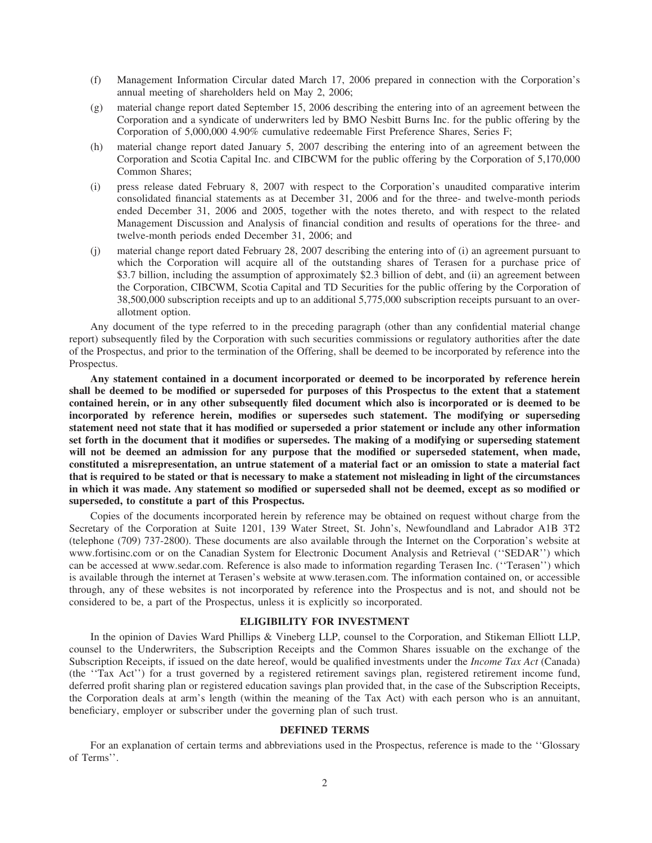- (f) Management Information Circular dated March 17, 2006 prepared in connection with the Corporation's annual meeting of shareholders held on May 2, 2006;
- (g) material change report dated September 15, 2006 describing the entering into of an agreement between the Corporation and a syndicate of underwriters led by BMO Nesbitt Burns Inc. for the public offering by the Corporation of 5,000,000 4.90% cumulative redeemable First Preference Shares, Series F;
- (h) material change report dated January 5, 2007 describing the entering into of an agreement between the Corporation and Scotia Capital Inc. and CIBCWM for the public offering by the Corporation of 5,170,000 Common Shares;
- (i) press release dated February 8, 2007 with respect to the Corporation's unaudited comparative interim consolidated financial statements as at December 31, 2006 and for the three- and twelve-month periods ended December 31, 2006 and 2005, together with the notes thereto, and with respect to the related Management Discussion and Analysis of financial condition and results of operations for the three- and twelve-month periods ended December 31, 2006; and
- (j) material change report dated February 28, 2007 describing the entering into of (i) an agreement pursuant to which the Corporation will acquire all of the outstanding shares of Terasen for a purchase price of \$3.7 billion, including the assumption of approximately \$2.3 billion of debt, and (ii) an agreement between the Corporation, CIBCWM, Scotia Capital and TD Securities for the public offering by the Corporation of 38,500,000 subscription receipts and up to an additional 5,775,000 subscription receipts pursuant to an overallotment option.

Any document of the type referred to in the preceding paragraph (other than any confidential material change report) subsequently filed by the Corporation with such securities commissions or regulatory authorities after the date of the Prospectus, and prior to the termination of the Offering, shall be deemed to be incorporated by reference into the Prospectus.

**Any statement contained in a document incorporated or deemed to be incorporated by reference herein shall be deemed to be modified or superseded for purposes of this Prospectus to the extent that a statement contained herein, or in any other subsequently filed document which also is incorporated or is deemed to be incorporated by reference herein, modifies or supersedes such statement. The modifying or superseding statement need not state that it has modified or superseded a prior statement or include any other information set forth in the document that it modifies or supersedes. The making of a modifying or superseding statement will not be deemed an admission for any purpose that the modified or superseded statement, when made, constituted a misrepresentation, an untrue statement of a material fact or an omission to state a material fact that is required to be stated or that is necessary to make a statement not misleading in light of the circumstances in which it was made. Any statement so modified or superseded shall not be deemed, except as so modified or superseded, to constitute a part of this Prospectus.**

Copies of the documents incorporated herein by reference may be obtained on request without charge from the Secretary of the Corporation at Suite 1201, 139 Water Street, St. John's, Newfoundland and Labrador A1B 3T2 (telephone (709) 737-2800). These documents are also available through the Internet on the Corporation's website at www.fortisinc.com or on the Canadian System for Electronic Document Analysis and Retrieval (''SEDAR'') which can be accessed at www.sedar.com. Reference is also made to information regarding Terasen Inc. (''Terasen'') which is available through the internet at Terasen's website at www.terasen.com. The information contained on, or accessible through, any of these websites is not incorporated by reference into the Prospectus and is not, and should not be considered to be, a part of the Prospectus, unless it is explicitly so incorporated.

# **ELIGIBILITY FOR INVESTMENT**

In the opinion of Davies Ward Phillips & Vineberg LLP, counsel to the Corporation, and Stikeman Elliott LLP, counsel to the Underwriters, the Subscription Receipts and the Common Shares issuable on the exchange of the Subscription Receipts, if issued on the date hereof, would be qualified investments under the *Income Tax Act* (Canada) (the ''Tax Act'') for a trust governed by a registered retirement savings plan, registered retirement income fund, deferred profit sharing plan or registered education savings plan provided that, in the case of the Subscription Receipts, the Corporation deals at arm's length (within the meaning of the Tax Act) with each person who is an annuitant, beneficiary, employer or subscriber under the governing plan of such trust.

#### **DEFINED TERMS**

For an explanation of certain terms and abbreviations used in the Prospectus, reference is made to the ''Glossary of Terms''.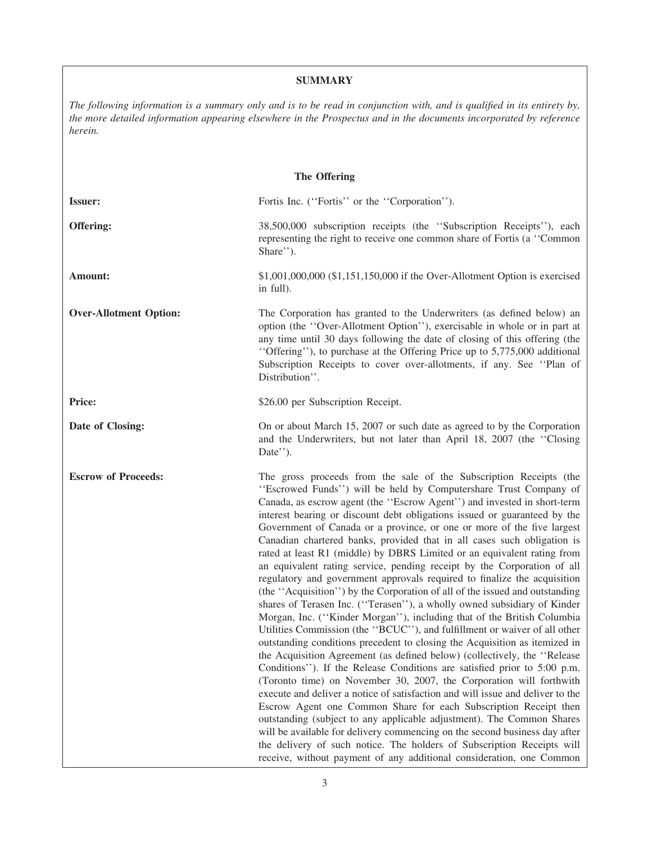# **SUMMARY**

*The following information is a summary only and is to be read in conjunction with, and is qualified in its entirety by, the more detailed information appearing elsewhere in the Prospectus and in the documents incorporated by reference herein.*

| <b>The Offering</b>           |                                                                                                                                                                                                                                                                                                                                                                                                                                                                                                                                                                                                                                                                                                                                                                                                                                                                                                                                                                                                                                                                                                                                                                                                                                                                                                                                                                                                                                                                                                                                                                                                                                                                                                                                                                                     |  |  |  |
|-------------------------------|-------------------------------------------------------------------------------------------------------------------------------------------------------------------------------------------------------------------------------------------------------------------------------------------------------------------------------------------------------------------------------------------------------------------------------------------------------------------------------------------------------------------------------------------------------------------------------------------------------------------------------------------------------------------------------------------------------------------------------------------------------------------------------------------------------------------------------------------------------------------------------------------------------------------------------------------------------------------------------------------------------------------------------------------------------------------------------------------------------------------------------------------------------------------------------------------------------------------------------------------------------------------------------------------------------------------------------------------------------------------------------------------------------------------------------------------------------------------------------------------------------------------------------------------------------------------------------------------------------------------------------------------------------------------------------------------------------------------------------------------------------------------------------------|--|--|--|
| <b>Issuer:</b>                | Fortis Inc. ("Fortis" or the "Corporation").                                                                                                                                                                                                                                                                                                                                                                                                                                                                                                                                                                                                                                                                                                                                                                                                                                                                                                                                                                                                                                                                                                                                                                                                                                                                                                                                                                                                                                                                                                                                                                                                                                                                                                                                        |  |  |  |
| Offering:                     | 38,500,000 subscription receipts (the "Subscription Receipts"), each<br>representing the right to receive one common share of Fortis (a "Common"<br>Share").                                                                                                                                                                                                                                                                                                                                                                                                                                                                                                                                                                                                                                                                                                                                                                                                                                                                                                                                                                                                                                                                                                                                                                                                                                                                                                                                                                                                                                                                                                                                                                                                                        |  |  |  |
| Amount:                       | $$1,001,000,000$ (\$1,151,150,000 if the Over-Allotment Option is exercised<br>in full).                                                                                                                                                                                                                                                                                                                                                                                                                                                                                                                                                                                                                                                                                                                                                                                                                                                                                                                                                                                                                                                                                                                                                                                                                                                                                                                                                                                                                                                                                                                                                                                                                                                                                            |  |  |  |
| <b>Over-Allotment Option:</b> | The Corporation has granted to the Underwriters (as defined below) an<br>option (the "Over-Allotment Option"), exercisable in whole or in part at<br>any time until 30 days following the date of closing of this offering (the<br>"Offering"), to purchase at the Offering Price up to 5,775,000 additional<br>Subscription Receipts to cover over-allotments, if any. See "Plan of<br>Distribution".                                                                                                                                                                                                                                                                                                                                                                                                                                                                                                                                                                                                                                                                                                                                                                                                                                                                                                                                                                                                                                                                                                                                                                                                                                                                                                                                                                              |  |  |  |
| Price:                        | \$26.00 per Subscription Receipt.                                                                                                                                                                                                                                                                                                                                                                                                                                                                                                                                                                                                                                                                                                                                                                                                                                                                                                                                                                                                                                                                                                                                                                                                                                                                                                                                                                                                                                                                                                                                                                                                                                                                                                                                                   |  |  |  |
| Date of Closing:              | On or about March 15, 2007 or such date as agreed to by the Corporation<br>and the Underwriters, but not later than April 18, 2007 (the "Closing<br>Date'').                                                                                                                                                                                                                                                                                                                                                                                                                                                                                                                                                                                                                                                                                                                                                                                                                                                                                                                                                                                                                                                                                                                                                                                                                                                                                                                                                                                                                                                                                                                                                                                                                        |  |  |  |
| <b>Escrow of Proceeds:</b>    | The gross proceeds from the sale of the Subscription Receipts (the<br>"Escrowed Funds") will be held by Computershare Trust Company of<br>Canada, as escrow agent (the "Escrow Agent") and invested in short-term<br>interest bearing or discount debt obligations issued or guaranteed by the<br>Government of Canada or a province, or one or more of the five largest<br>Canadian chartered banks, provided that in all cases such obligation is<br>rated at least R1 (middle) by DBRS Limited or an equivalent rating from<br>an equivalent rating service, pending receipt by the Corporation of all<br>regulatory and government approvals required to finalize the acquisition<br>(the "Acquisition") by the Corporation of all of the issued and outstanding<br>shares of Terasen Inc. ("Terasen"), a wholly owned subsidiary of Kinder<br>Morgan, Inc. ("Kinder Morgan"), including that of the British Columbia<br>Utilities Commission (the "BCUC"), and fulfillment or waiver of all other<br>outstanding conditions precedent to closing the Acquisition as itemized in<br>the Acquisition Agreement (as defined below) (collectively, the "Release"<br>Conditions"). If the Release Conditions are satisfied prior to 5:00 p.m.<br>(Toronto time) on November 30, 2007, the Corporation will forthwith<br>execute and deliver a notice of satisfaction and will issue and deliver to the<br>Escrow Agent one Common Share for each Subscription Receipt then<br>outstanding (subject to any applicable adjustment). The Common Shares<br>will be available for delivery commencing on the second business day after<br>the delivery of such notice. The holders of Subscription Receipts will<br>receive, without payment of any additional consideration, one Common |  |  |  |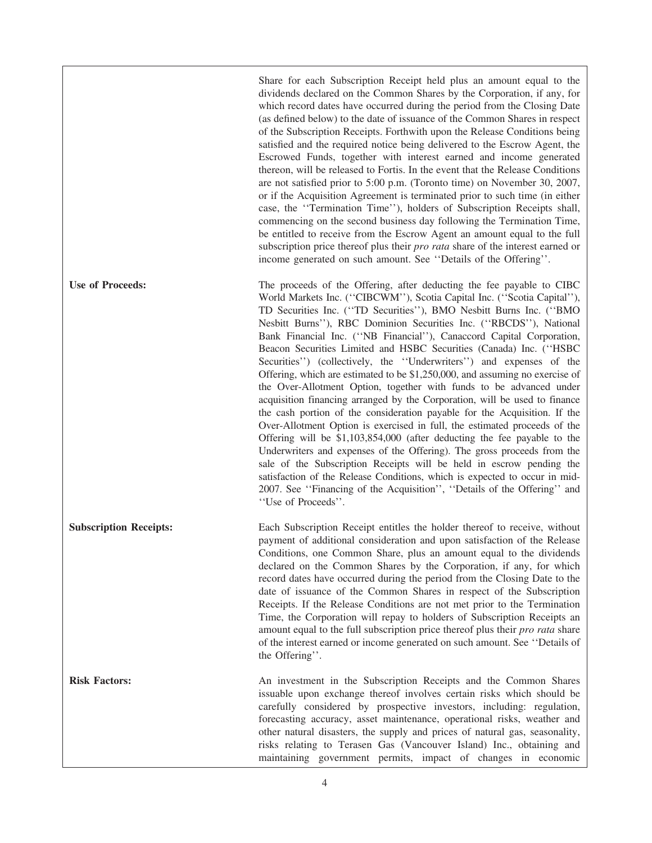Share for each Subscription Receipt held plus an amount equal to the dividends declared on the Common Shares by the Corporation, if any, for which record dates have occurred during the period from the Closing Date (as defined below) to the date of issuance of the Common Shares in respect of the Subscription Receipts. Forthwith upon the Release Conditions being satisfied and the required notice being delivered to the Escrow Agent, the Escrowed Funds, together with interest earned and income generated thereon, will be released to Fortis. In the event that the Release Conditions are not satisfied prior to 5:00 p.m. (Toronto time) on November 30, 2007, or if the Acquisition Agreement is terminated prior to such time (in either case, the ''Termination Time''), holders of Subscription Receipts shall, commencing on the second business day following the Termination Time, be entitled to receive from the Escrow Agent an amount equal to the full subscription price thereof plus their *pro rata* share of the interest earned or income generated on such amount. See ''Details of the Offering''.

**Use of Proceeds:** The proceeds of the Offering, after deducting the fee payable to CIBC World Markets Inc. (''CIBCWM''), Scotia Capital Inc. (''Scotia Capital''), TD Securities Inc. (''TD Securities''), BMO Nesbitt Burns Inc. (''BMO Nesbitt Burns''), RBC Dominion Securities Inc. (''RBCDS''), National Bank Financial Inc. (''NB Financial''), Canaccord Capital Corporation, Beacon Securities Limited and HSBC Securities (Canada) Inc. (''HSBC Securities'') (collectively, the "Underwriters") and expenses of the Offering, which are estimated to be \$1,250,000, and assuming no exercise of the Over-Allotment Option, together with funds to be advanced under acquisition financing arranged by the Corporation, will be used to finance the cash portion of the consideration payable for the Acquisition. If the Over-Allotment Option is exercised in full, the estimated proceeds of the Offering will be \$1,103,854,000 (after deducting the fee payable to the Underwriters and expenses of the Offering). The gross proceeds from the sale of the Subscription Receipts will be held in escrow pending the satisfaction of the Release Conditions, which is expected to occur in mid-2007. See ''Financing of the Acquisition'', ''Details of the Offering'' and ''Use of Proceeds''.

**Subscription Receipts:** Each Subscription Receipt entitles the holder thereof to receive, without payment of additional consideration and upon satisfaction of the Release Conditions, one Common Share, plus an amount equal to the dividends declared on the Common Shares by the Corporation, if any, for which record dates have occurred during the period from the Closing Date to the date of issuance of the Common Shares in respect of the Subscription Receipts. If the Release Conditions are not met prior to the Termination Time, the Corporation will repay to holders of Subscription Receipts an amount equal to the full subscription price thereof plus their *pro rata* share of the interest earned or income generated on such amount. See ''Details of the Offering''.

**Risk Factors:** An investment in the Subscription Receipts and the Common Shares issuable upon exchange thereof involves certain risks which should be carefully considered by prospective investors, including: regulation, forecasting accuracy, asset maintenance, operational risks, weather and other natural disasters, the supply and prices of natural gas, seasonality, risks relating to Terasen Gas (Vancouver Island) Inc., obtaining and maintaining government permits, impact of changes in economic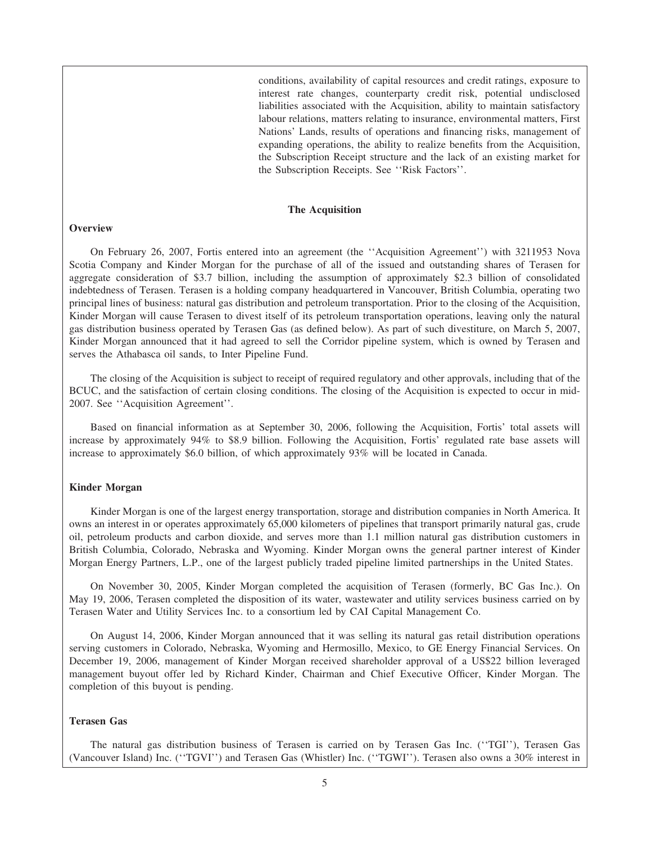conditions, availability of capital resources and credit ratings, exposure to interest rate changes, counterparty credit risk, potential undisclosed liabilities associated with the Acquisition, ability to maintain satisfactory labour relations, matters relating to insurance, environmental matters, First Nations' Lands, results of operations and financing risks, management of expanding operations, the ability to realize benefits from the Acquisition, the Subscription Receipt structure and the lack of an existing market for the Subscription Receipts. See ''Risk Factors''.

#### **The Acquisition**

# **Overview**

On February 26, 2007, Fortis entered into an agreement (the ''Acquisition Agreement'') with 3211953 Nova Scotia Company and Kinder Morgan for the purchase of all of the issued and outstanding shares of Terasen for aggregate consideration of \$3.7 billion, including the assumption of approximately \$2.3 billion of consolidated indebtedness of Terasen. Terasen is a holding company headquartered in Vancouver, British Columbia, operating two principal lines of business: natural gas distribution and petroleum transportation. Prior to the closing of the Acquisition, Kinder Morgan will cause Terasen to divest itself of its petroleum transportation operations, leaving only the natural gas distribution business operated by Terasen Gas (as defined below). As part of such divestiture, on March 5, 2007, Kinder Morgan announced that it had agreed to sell the Corridor pipeline system, which is owned by Terasen and serves the Athabasca oil sands, to Inter Pipeline Fund.

The closing of the Acquisition is subject to receipt of required regulatory and other approvals, including that of the BCUC, and the satisfaction of certain closing conditions. The closing of the Acquisition is expected to occur in mid-2007. See ''Acquisition Agreement''.

Based on financial information as at September 30, 2006, following the Acquisition, Fortis' total assets will increase by approximately 94% to \$8.9 billion. Following the Acquisition, Fortis' regulated rate base assets will increase to approximately \$6.0 billion, of which approximately 93% will be located in Canada.

# **Kinder Morgan**

Kinder Morgan is one of the largest energy transportation, storage and distribution companies in North America. It owns an interest in or operates approximately 65,000 kilometers of pipelines that transport primarily natural gas, crude oil, petroleum products and carbon dioxide, and serves more than 1.1 million natural gas distribution customers in British Columbia, Colorado, Nebraska and Wyoming. Kinder Morgan owns the general partner interest of Kinder Morgan Energy Partners, L.P., one of the largest publicly traded pipeline limited partnerships in the United States.

On November 30, 2005, Kinder Morgan completed the acquisition of Terasen (formerly, BC Gas Inc.). On May 19, 2006, Terasen completed the disposition of its water, wastewater and utility services business carried on by Terasen Water and Utility Services Inc. to a consortium led by CAI Capital Management Co.

On August 14, 2006, Kinder Morgan announced that it was selling its natural gas retail distribution operations serving customers in Colorado, Nebraska, Wyoming and Hermosillo, Mexico, to GE Energy Financial Services. On December 19, 2006, management of Kinder Morgan received shareholder approval of a US\$22 billion leveraged management buyout offer led by Richard Kinder, Chairman and Chief Executive Officer, Kinder Morgan. The completion of this buyout is pending.

# **Terasen Gas**

The natural gas distribution business of Terasen is carried on by Terasen Gas Inc. (''TGI''), Terasen Gas (Vancouver Island) Inc. (''TGVI'') and Terasen Gas (Whistler) Inc. (''TGWI''). Terasen also owns a 30% interest in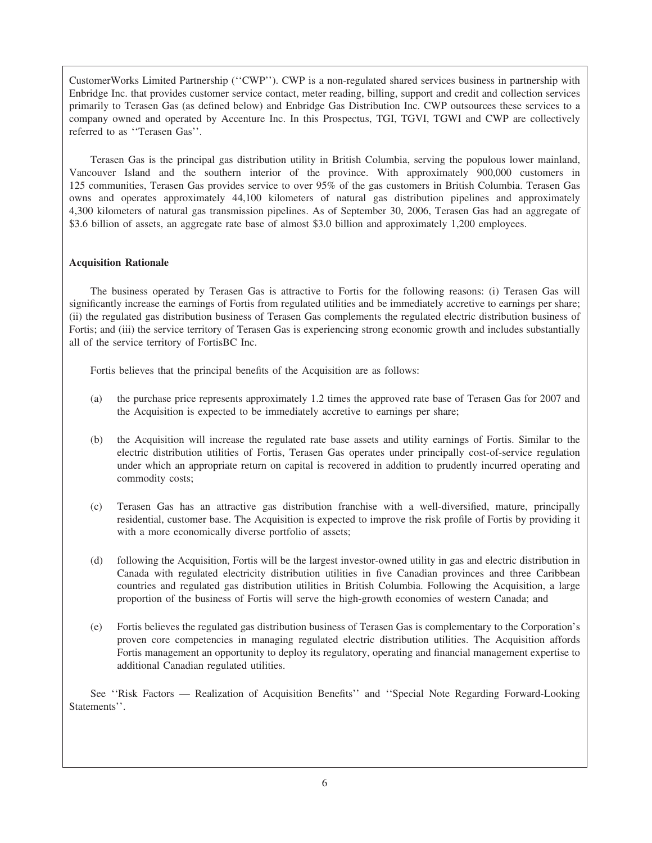CustomerWorks Limited Partnership (''CWP''). CWP is a non-regulated shared services business in partnership with Enbridge Inc. that provides customer service contact, meter reading, billing, support and credit and collection services primarily to Terasen Gas (as defined below) and Enbridge Gas Distribution Inc. CWP outsources these services to a company owned and operated by Accenture Inc. In this Prospectus, TGI, TGVI, TGWI and CWP are collectively referred to as ''Terasen Gas''.

Terasen Gas is the principal gas distribution utility in British Columbia, serving the populous lower mainland, Vancouver Island and the southern interior of the province. With approximately 900,000 customers in 125 communities, Terasen Gas provides service to over 95% of the gas customers in British Columbia. Terasen Gas owns and operates approximately 44,100 kilometers of natural gas distribution pipelines and approximately 4,300 kilometers of natural gas transmission pipelines. As of September 30, 2006, Terasen Gas had an aggregate of \$3.6 billion of assets, an aggregate rate base of almost \$3.0 billion and approximately 1,200 employees.

# **Acquisition Rationale**

The business operated by Terasen Gas is attractive to Fortis for the following reasons: (i) Terasen Gas will significantly increase the earnings of Fortis from regulated utilities and be immediately accretive to earnings per share; (ii) the regulated gas distribution business of Terasen Gas complements the regulated electric distribution business of Fortis; and (iii) the service territory of Terasen Gas is experiencing strong economic growth and includes substantially all of the service territory of FortisBC Inc.

Fortis believes that the principal benefits of the Acquisition are as follows:

- (a) the purchase price represents approximately 1.2 times the approved rate base of Terasen Gas for 2007 and the Acquisition is expected to be immediately accretive to earnings per share;
- (b) the Acquisition will increase the regulated rate base assets and utility earnings of Fortis. Similar to the electric distribution utilities of Fortis, Terasen Gas operates under principally cost-of-service regulation under which an appropriate return on capital is recovered in addition to prudently incurred operating and commodity costs;
- (c) Terasen Gas has an attractive gas distribution franchise with a well-diversified, mature, principally residential, customer base. The Acquisition is expected to improve the risk profile of Fortis by providing it with a more economically diverse portfolio of assets;
- (d) following the Acquisition, Fortis will be the largest investor-owned utility in gas and electric distribution in Canada with regulated electricity distribution utilities in five Canadian provinces and three Caribbean countries and regulated gas distribution utilities in British Columbia. Following the Acquisition, a large proportion of the business of Fortis will serve the high-growth economies of western Canada; and
- (e) Fortis believes the regulated gas distribution business of Terasen Gas is complementary to the Corporation's proven core competencies in managing regulated electric distribution utilities. The Acquisition affords Fortis management an opportunity to deploy its regulatory, operating and financial management expertise to additional Canadian regulated utilities.

See ''Risk Factors — Realization of Acquisition Benefits'' and ''Special Note Regarding Forward-Looking Statements''.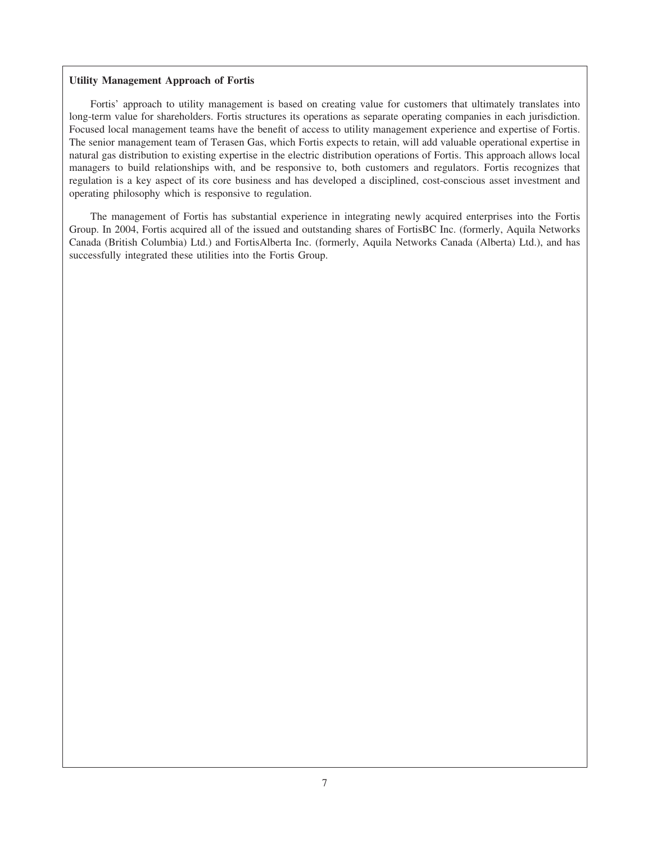# **Utility Management Approach of Fortis**

Fortis' approach to utility management is based on creating value for customers that ultimately translates into long-term value for shareholders. Fortis structures its operations as separate operating companies in each jurisdiction. Focused local management teams have the benefit of access to utility management experience and expertise of Fortis. The senior management team of Terasen Gas, which Fortis expects to retain, will add valuable operational expertise in natural gas distribution to existing expertise in the electric distribution operations of Fortis. This approach allows local managers to build relationships with, and be responsive to, both customers and regulators. Fortis recognizes that regulation is a key aspect of its core business and has developed a disciplined, cost-conscious asset investment and operating philosophy which is responsive to regulation.

The management of Fortis has substantial experience in integrating newly acquired enterprises into the Fortis Group. In 2004, Fortis acquired all of the issued and outstanding shares of FortisBC Inc. (formerly, Aquila Networks Canada (British Columbia) Ltd.) and FortisAlberta Inc. (formerly, Aquila Networks Canada (Alberta) Ltd.), and has successfully integrated these utilities into the Fortis Group.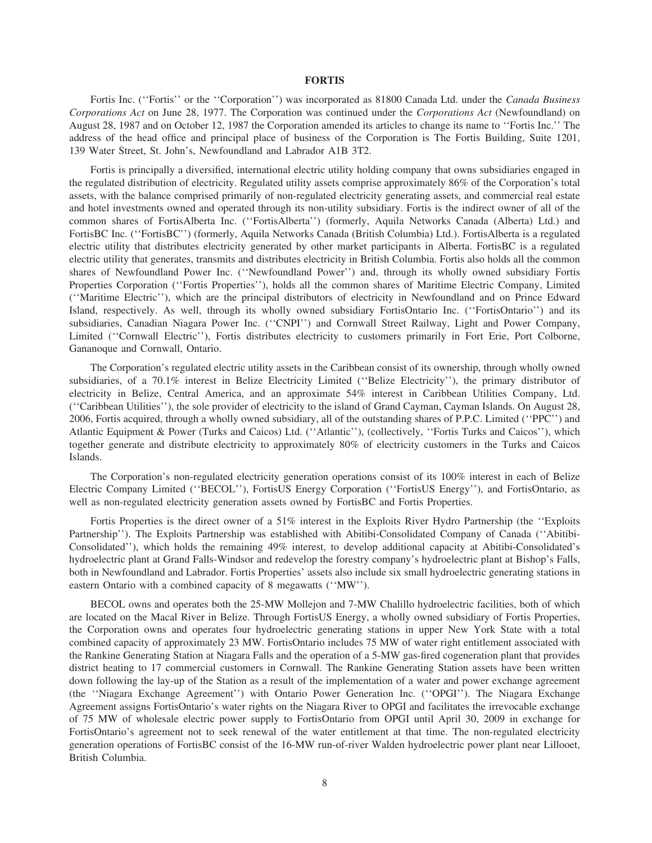#### **FORTIS**

Fortis Inc. (''Fortis'' or the ''Corporation'') was incorporated as 81800 Canada Ltd. under the *Canada Business Corporations Act* on June 28, 1977. The Corporation was continued under the *Corporations Act* (Newfoundland) on August 28, 1987 and on October 12, 1987 the Corporation amended its articles to change its name to ''Fortis Inc.'' The address of the head office and principal place of business of the Corporation is The Fortis Building, Suite 1201, 139 Water Street, St. John's, Newfoundland and Labrador A1B 3T2.

Fortis is principally a diversified, international electric utility holding company that owns subsidiaries engaged in the regulated distribution of electricity. Regulated utility assets comprise approximately 86% of the Corporation's total assets, with the balance comprised primarily of non-regulated electricity generating assets, and commercial real estate and hotel investments owned and operated through its non-utility subsidiary. Fortis is the indirect owner of all of the common shares of FortisAlberta Inc. (''FortisAlberta'') (formerly, Aquila Networks Canada (Alberta) Ltd.) and FortisBC Inc. (''FortisBC'') (formerly, Aquila Networks Canada (British Columbia) Ltd.). FortisAlberta is a regulated electric utility that distributes electricity generated by other market participants in Alberta. FortisBC is a regulated electric utility that generates, transmits and distributes electricity in British Columbia. Fortis also holds all the common shares of Newfoundland Power Inc. (''Newfoundland Power'') and, through its wholly owned subsidiary Fortis Properties Corporation (''Fortis Properties''), holds all the common shares of Maritime Electric Company, Limited (''Maritime Electric''), which are the principal distributors of electricity in Newfoundland and on Prince Edward Island, respectively. As well, through its wholly owned subsidiary FortisOntario Inc. (''FortisOntario'') and its subsidiaries, Canadian Niagara Power Inc. (''CNPI'') and Cornwall Street Railway, Light and Power Company, Limited (''Cornwall Electric''), Fortis distributes electricity to customers primarily in Fort Erie, Port Colborne, Gananoque and Cornwall, Ontario.

The Corporation's regulated electric utility assets in the Caribbean consist of its ownership, through wholly owned subsidiaries, of a 70.1% interest in Belize Electricity Limited (''Belize Electricity''), the primary distributor of electricity in Belize, Central America, and an approximate 54% interest in Caribbean Utilities Company, Ltd. (''Caribbean Utilities''), the sole provider of electricity to the island of Grand Cayman, Cayman Islands. On August 28, 2006, Fortis acquired, through a wholly owned subsidiary, all of the outstanding shares of P.P.C. Limited (''PPC'') and Atlantic Equipment & Power (Turks and Caicos) Ltd. (''Atlantic''), (collectively, ''Fortis Turks and Caicos''), which together generate and distribute electricity to approximately 80% of electricity customers in the Turks and Caicos Islands.

The Corporation's non-regulated electricity generation operations consist of its 100% interest in each of Belize Electric Company Limited (''BECOL''), FortisUS Energy Corporation (''FortisUS Energy''), and FortisOntario, as well as non-regulated electricity generation assets owned by FortisBC and Fortis Properties.

Fortis Properties is the direct owner of a 51% interest in the Exploits River Hydro Partnership (the ''Exploits Partnership''). The Exploits Partnership was established with Abitibi-Consolidated Company of Canada (''Abitibi-Consolidated''), which holds the remaining 49% interest, to develop additional capacity at Abitibi-Consolidated's hydroelectric plant at Grand Falls-Windsor and redevelop the forestry company's hydroelectric plant at Bishop's Falls, both in Newfoundland and Labrador. Fortis Properties' assets also include six small hydroelectric generating stations in eastern Ontario with a combined capacity of 8 megawatts (''MW'').

BECOL owns and operates both the 25-MW Mollejon and 7-MW Chalillo hydroelectric facilities, both of which are located on the Macal River in Belize. Through FortisUS Energy, a wholly owned subsidiary of Fortis Properties, the Corporation owns and operates four hydroelectric generating stations in upper New York State with a total combined capacity of approximately 23 MW. FortisOntario includes 75 MW of water right entitlement associated with the Rankine Generating Station at Niagara Falls and the operation of a 5-MW gas-fired cogeneration plant that provides district heating to 17 commercial customers in Cornwall. The Rankine Generating Station assets have been written down following the lay-up of the Station as a result of the implementation of a water and power exchange agreement (the ''Niagara Exchange Agreement'') with Ontario Power Generation Inc. (''OPGI''). The Niagara Exchange Agreement assigns FortisOntario's water rights on the Niagara River to OPGI and facilitates the irrevocable exchange of 75 MW of wholesale electric power supply to FortisOntario from OPGI until April 30, 2009 in exchange for FortisOntario's agreement not to seek renewal of the water entitlement at that time. The non-regulated electricity generation operations of FortisBC consist of the 16-MW run-of-river Walden hydroelectric power plant near Lillooet, British Columbia.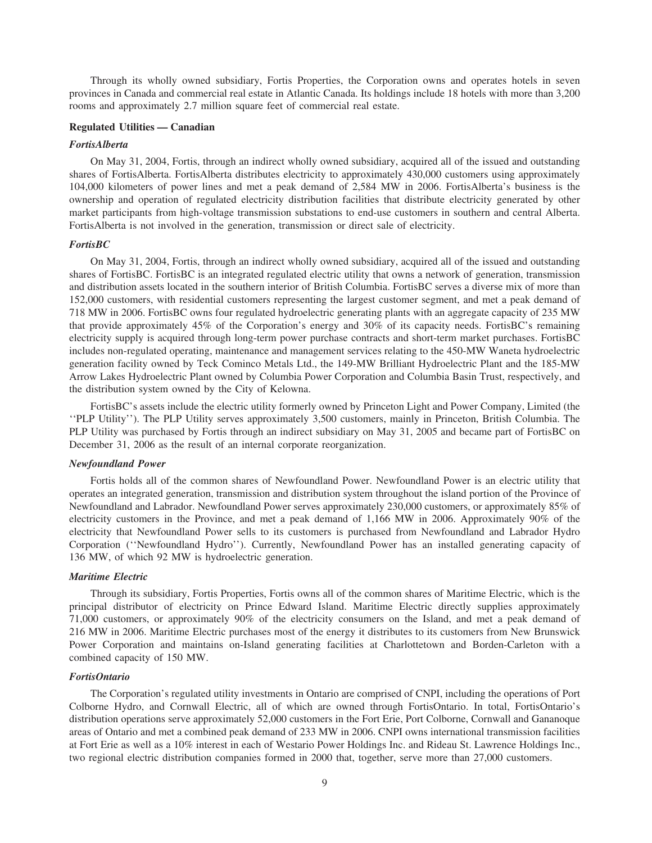Through its wholly owned subsidiary, Fortis Properties, the Corporation owns and operates hotels in seven provinces in Canada and commercial real estate in Atlantic Canada. Its holdings include 18 hotels with more than 3,200 rooms and approximately 2.7 million square feet of commercial real estate.

# **Regulated Utilities — Canadian**

#### *FortisAlberta*

On May 31, 2004, Fortis, through an indirect wholly owned subsidiary, acquired all of the issued and outstanding shares of FortisAlberta. FortisAlberta distributes electricity to approximately 430,000 customers using approximately 104,000 kilometers of power lines and met a peak demand of 2,584 MW in 2006. FortisAlberta's business is the ownership and operation of regulated electricity distribution facilities that distribute electricity generated by other market participants from high-voltage transmission substations to end-use customers in southern and central Alberta. FortisAlberta is not involved in the generation, transmission or direct sale of electricity.

# *FortisBC*

On May 31, 2004, Fortis, through an indirect wholly owned subsidiary, acquired all of the issued and outstanding shares of FortisBC. FortisBC is an integrated regulated electric utility that owns a network of generation, transmission and distribution assets located in the southern interior of British Columbia. FortisBC serves a diverse mix of more than 152,000 customers, with residential customers representing the largest customer segment, and met a peak demand of 718 MW in 2006. FortisBC owns four regulated hydroelectric generating plants with an aggregate capacity of 235 MW that provide approximately 45% of the Corporation's energy and 30% of its capacity needs. FortisBC's remaining electricity supply is acquired through long-term power purchase contracts and short-term market purchases. FortisBC includes non-regulated operating, maintenance and management services relating to the 450-MW Waneta hydroelectric generation facility owned by Teck Cominco Metals Ltd., the 149-MW Brilliant Hydroelectric Plant and the 185-MW Arrow Lakes Hydroelectric Plant owned by Columbia Power Corporation and Columbia Basin Trust, respectively, and the distribution system owned by the City of Kelowna.

FortisBC's assets include the electric utility formerly owned by Princeton Light and Power Company, Limited (the ''PLP Utility''). The PLP Utility serves approximately 3,500 customers, mainly in Princeton, British Columbia. The PLP Utility was purchased by Fortis through an indirect subsidiary on May 31, 2005 and became part of FortisBC on December 31, 2006 as the result of an internal corporate reorganization.

# *Newfoundland Power*

Fortis holds all of the common shares of Newfoundland Power. Newfoundland Power is an electric utility that operates an integrated generation, transmission and distribution system throughout the island portion of the Province of Newfoundland and Labrador. Newfoundland Power serves approximately 230,000 customers, or approximately 85% of electricity customers in the Province, and met a peak demand of 1,166 MW in 2006. Approximately 90% of the electricity that Newfoundland Power sells to its customers is purchased from Newfoundland and Labrador Hydro Corporation (''Newfoundland Hydro''). Currently, Newfoundland Power has an installed generating capacity of 136 MW, of which 92 MW is hydroelectric generation.

#### *Maritime Electric*

Through its subsidiary, Fortis Properties, Fortis owns all of the common shares of Maritime Electric, which is the principal distributor of electricity on Prince Edward Island. Maritime Electric directly supplies approximately 71,000 customers, or approximately 90% of the electricity consumers on the Island, and met a peak demand of 216 MW in 2006. Maritime Electric purchases most of the energy it distributes to its customers from New Brunswick Power Corporation and maintains on-Island generating facilities at Charlottetown and Borden-Carleton with a combined capacity of 150 MW.

#### *FortisOntario*

The Corporation's regulated utility investments in Ontario are comprised of CNPI, including the operations of Port Colborne Hydro, and Cornwall Electric, all of which are owned through FortisOntario. In total, FortisOntario's distribution operations serve approximately 52,000 customers in the Fort Erie, Port Colborne, Cornwall and Gananoque areas of Ontario and met a combined peak demand of 233 MW in 2006. CNPI owns international transmission facilities at Fort Erie as well as a 10% interest in each of Westario Power Holdings Inc. and Rideau St. Lawrence Holdings Inc., two regional electric distribution companies formed in 2000 that, together, serve more than 27,000 customers.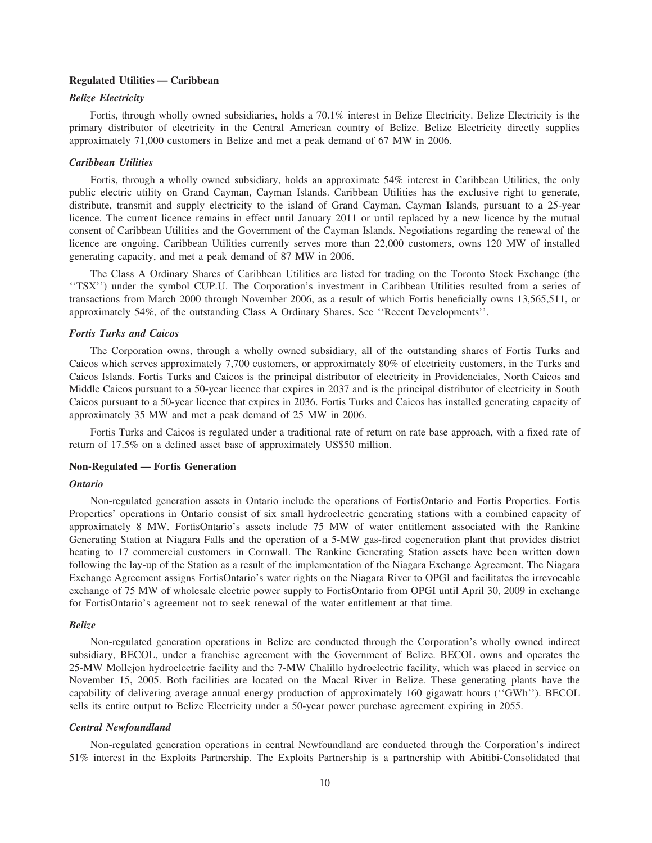# **Regulated Utilities — Caribbean**

# *Belize Electricity*

Fortis, through wholly owned subsidiaries, holds a 70.1% interest in Belize Electricity. Belize Electricity is the primary distributor of electricity in the Central American country of Belize. Belize Electricity directly supplies approximately 71,000 customers in Belize and met a peak demand of 67 MW in 2006.

# *Caribbean Utilities*

Fortis, through a wholly owned subsidiary, holds an approximate 54% interest in Caribbean Utilities, the only public electric utility on Grand Cayman, Cayman Islands. Caribbean Utilities has the exclusive right to generate, distribute, transmit and supply electricity to the island of Grand Cayman, Cayman Islands, pursuant to a 25-year licence. The current licence remains in effect until January 2011 or until replaced by a new licence by the mutual consent of Caribbean Utilities and the Government of the Cayman Islands. Negotiations regarding the renewal of the licence are ongoing. Caribbean Utilities currently serves more than 22,000 customers, owns 120 MW of installed generating capacity, and met a peak demand of 87 MW in 2006.

The Class A Ordinary Shares of Caribbean Utilities are listed for trading on the Toronto Stock Exchange (the ''TSX'') under the symbol CUP.U. The Corporation's investment in Caribbean Utilities resulted from a series of transactions from March 2000 through November 2006, as a result of which Fortis beneficially owns 13,565,511, or approximately 54%, of the outstanding Class A Ordinary Shares. See ''Recent Developments''.

# *Fortis Turks and Caicos*

The Corporation owns, through a wholly owned subsidiary, all of the outstanding shares of Fortis Turks and Caicos which serves approximately 7,700 customers, or approximately 80% of electricity customers, in the Turks and Caicos Islands. Fortis Turks and Caicos is the principal distributor of electricity in Providenciales, North Caicos and Middle Caicos pursuant to a 50-year licence that expires in 2037 and is the principal distributor of electricity in South Caicos pursuant to a 50-year licence that expires in 2036. Fortis Turks and Caicos has installed generating capacity of approximately 35 MW and met a peak demand of 25 MW in 2006.

Fortis Turks and Caicos is regulated under a traditional rate of return on rate base approach, with a fixed rate of return of 17.5% on a defined asset base of approximately US\$50 million.

#### **Non-Regulated — Fortis Generation**

#### *Ontario*

Non-regulated generation assets in Ontario include the operations of FortisOntario and Fortis Properties. Fortis Properties' operations in Ontario consist of six small hydroelectric generating stations with a combined capacity of approximately 8 MW. FortisOntario's assets include 75 MW of water entitlement associated with the Rankine Generating Station at Niagara Falls and the operation of a 5-MW gas-fired cogeneration plant that provides district heating to 17 commercial customers in Cornwall. The Rankine Generating Station assets have been written down following the lay-up of the Station as a result of the implementation of the Niagara Exchange Agreement. The Niagara Exchange Agreement assigns FortisOntario's water rights on the Niagara River to OPGI and facilitates the irrevocable exchange of 75 MW of wholesale electric power supply to FortisOntario from OPGI until April 30, 2009 in exchange for FortisOntario's agreement not to seek renewal of the water entitlement at that time.

#### *Belize*

Non-regulated generation operations in Belize are conducted through the Corporation's wholly owned indirect subsidiary, BECOL, under a franchise agreement with the Government of Belize. BECOL owns and operates the 25-MW Mollejon hydroelectric facility and the 7-MW Chalillo hydroelectric facility, which was placed in service on November 15, 2005. Both facilities are located on the Macal River in Belize. These generating plants have the capability of delivering average annual energy production of approximately 160 gigawatt hours (''GWh''). BECOL sells its entire output to Belize Electricity under a 50-year power purchase agreement expiring in 2055.

#### *Central Newfoundland*

Non-regulated generation operations in central Newfoundland are conducted through the Corporation's indirect 51% interest in the Exploits Partnership. The Exploits Partnership is a partnership with Abitibi-Consolidated that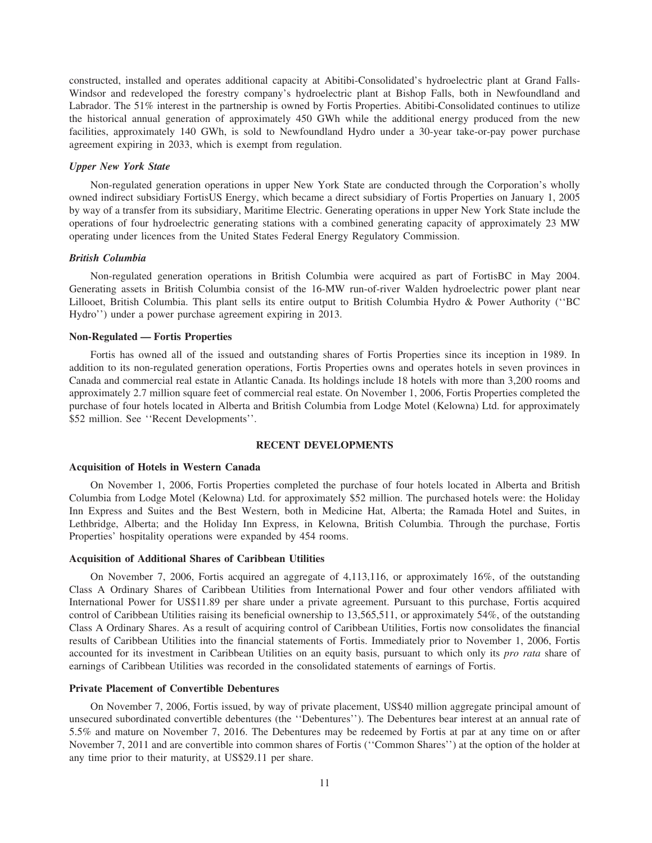constructed, installed and operates additional capacity at Abitibi-Consolidated's hydroelectric plant at Grand Falls-Windsor and redeveloped the forestry company's hydroelectric plant at Bishop Falls, both in Newfoundland and Labrador. The 51% interest in the partnership is owned by Fortis Properties. Abitibi-Consolidated continues to utilize the historical annual generation of approximately 450 GWh while the additional energy produced from the new facilities, approximately 140 GWh, is sold to Newfoundland Hydro under a 30-year take-or-pay power purchase agreement expiring in 2033, which is exempt from regulation.

#### *Upper New York State*

Non-regulated generation operations in upper New York State are conducted through the Corporation's wholly owned indirect subsidiary FortisUS Energy, which became a direct subsidiary of Fortis Properties on January 1, 2005 by way of a transfer from its subsidiary, Maritime Electric. Generating operations in upper New York State include the operations of four hydroelectric generating stations with a combined generating capacity of approximately 23 MW operating under licences from the United States Federal Energy Regulatory Commission.

#### *British Columbia*

Non-regulated generation operations in British Columbia were acquired as part of FortisBC in May 2004. Generating assets in British Columbia consist of the 16-MW run-of-river Walden hydroelectric power plant near Lillooet, British Columbia. This plant sells its entire output to British Columbia Hydro & Power Authority (''BC Hydro'') under a power purchase agreement expiring in 2013.

#### **Non-Regulated — Fortis Properties**

Fortis has owned all of the issued and outstanding shares of Fortis Properties since its inception in 1989. In addition to its non-regulated generation operations, Fortis Properties owns and operates hotels in seven provinces in Canada and commercial real estate in Atlantic Canada. Its holdings include 18 hotels with more than 3,200 rooms and approximately 2.7 million square feet of commercial real estate. On November 1, 2006, Fortis Properties completed the purchase of four hotels located in Alberta and British Columbia from Lodge Motel (Kelowna) Ltd. for approximately \$52 million. See ''Recent Developments''.

# **RECENT DEVELOPMENTS**

#### **Acquisition of Hotels in Western Canada**

On November 1, 2006, Fortis Properties completed the purchase of four hotels located in Alberta and British Columbia from Lodge Motel (Kelowna) Ltd. for approximately \$52 million. The purchased hotels were: the Holiday Inn Express and Suites and the Best Western, both in Medicine Hat, Alberta; the Ramada Hotel and Suites, in Lethbridge, Alberta; and the Holiday Inn Express, in Kelowna, British Columbia. Through the purchase, Fortis Properties' hospitality operations were expanded by 454 rooms.

#### **Acquisition of Additional Shares of Caribbean Utilities**

On November 7, 2006, Fortis acquired an aggregate of 4,113,116, or approximately 16%, of the outstanding Class A Ordinary Shares of Caribbean Utilities from International Power and four other vendors affiliated with International Power for US\$11.89 per share under a private agreement. Pursuant to this purchase, Fortis acquired control of Caribbean Utilities raising its beneficial ownership to 13,565,511, or approximately 54%, of the outstanding Class A Ordinary Shares. As a result of acquiring control of Caribbean Utilities, Fortis now consolidates the financial results of Caribbean Utilities into the financial statements of Fortis. Immediately prior to November 1, 2006, Fortis accounted for its investment in Caribbean Utilities on an equity basis, pursuant to which only its *pro rata* share of earnings of Caribbean Utilities was recorded in the consolidated statements of earnings of Fortis.

#### **Private Placement of Convertible Debentures**

On November 7, 2006, Fortis issued, by way of private placement, US\$40 million aggregate principal amount of unsecured subordinated convertible debentures (the ''Debentures''). The Debentures bear interest at an annual rate of 5.5% and mature on November 7, 2016. The Debentures may be redeemed by Fortis at par at any time on or after November 7, 2011 and are convertible into common shares of Fortis (''Common Shares'') at the option of the holder at any time prior to their maturity, at US\$29.11 per share.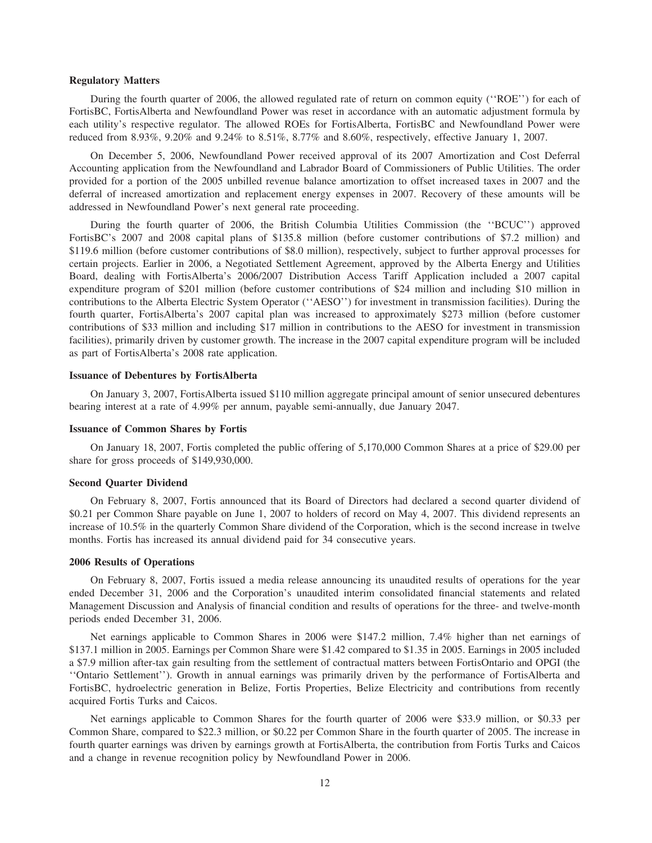#### **Regulatory Matters**

During the fourth quarter of 2006, the allowed regulated rate of return on common equity (''ROE'') for each of FortisBC, FortisAlberta and Newfoundland Power was reset in accordance with an automatic adjustment formula by each utility's respective regulator. The allowed ROEs for FortisAlberta, FortisBC and Newfoundland Power were reduced from 8.93%, 9.20% and 9.24% to 8.51%, 8.77% and 8.60%, respectively, effective January 1, 2007.

On December 5, 2006, Newfoundland Power received approval of its 2007 Amortization and Cost Deferral Accounting application from the Newfoundland and Labrador Board of Commissioners of Public Utilities. The order provided for a portion of the 2005 unbilled revenue balance amortization to offset increased taxes in 2007 and the deferral of increased amortization and replacement energy expenses in 2007. Recovery of these amounts will be addressed in Newfoundland Power's next general rate proceeding.

During the fourth quarter of 2006, the British Columbia Utilities Commission (the ''BCUC'') approved FortisBC's 2007 and 2008 capital plans of \$135.8 million (before customer contributions of \$7.2 million) and \$119.6 million (before customer contributions of \$8.0 million), respectively, subject to further approval processes for certain projects. Earlier in 2006, a Negotiated Settlement Agreement, approved by the Alberta Energy and Utilities Board, dealing with FortisAlberta's 2006/2007 Distribution Access Tariff Application included a 2007 capital expenditure program of \$201 million (before customer contributions of \$24 million and including \$10 million in contributions to the Alberta Electric System Operator (''AESO'') for investment in transmission facilities). During the fourth quarter, FortisAlberta's 2007 capital plan was increased to approximately \$273 million (before customer contributions of \$33 million and including \$17 million in contributions to the AESO for investment in transmission facilities), primarily driven by customer growth. The increase in the 2007 capital expenditure program will be included as part of FortisAlberta's 2008 rate application.

#### **Issuance of Debentures by FortisAlberta**

On January 3, 2007, FortisAlberta issued \$110 million aggregate principal amount of senior unsecured debentures bearing interest at a rate of 4.99% per annum, payable semi-annually, due January 2047.

#### **Issuance of Common Shares by Fortis**

On January 18, 2007, Fortis completed the public offering of 5,170,000 Common Shares at a price of \$29.00 per share for gross proceeds of \$149,930,000.

#### **Second Quarter Dividend**

On February 8, 2007, Fortis announced that its Board of Directors had declared a second quarter dividend of \$0.21 per Common Share payable on June 1, 2007 to holders of record on May 4, 2007. This dividend represents an increase of 10.5% in the quarterly Common Share dividend of the Corporation, which is the second increase in twelve months. Fortis has increased its annual dividend paid for 34 consecutive years.

#### **2006 Results of Operations**

On February 8, 2007, Fortis issued a media release announcing its unaudited results of operations for the year ended December 31, 2006 and the Corporation's unaudited interim consolidated financial statements and related Management Discussion and Analysis of financial condition and results of operations for the three- and twelve-month periods ended December 31, 2006.

Net earnings applicable to Common Shares in 2006 were \$147.2 million, 7.4% higher than net earnings of \$137.1 million in 2005. Earnings per Common Share were \$1.42 compared to \$1.35 in 2005. Earnings in 2005 included a \$7.9 million after-tax gain resulting from the settlement of contractual matters between FortisOntario and OPGI (the ''Ontario Settlement''). Growth in annual earnings was primarily driven by the performance of FortisAlberta and FortisBC, hydroelectric generation in Belize, Fortis Properties, Belize Electricity and contributions from recently acquired Fortis Turks and Caicos.

Net earnings applicable to Common Shares for the fourth quarter of 2006 were \$33.9 million, or \$0.33 per Common Share, compared to \$22.3 million, or \$0.22 per Common Share in the fourth quarter of 2005. The increase in fourth quarter earnings was driven by earnings growth at FortisAlberta, the contribution from Fortis Turks and Caicos and a change in revenue recognition policy by Newfoundland Power in 2006.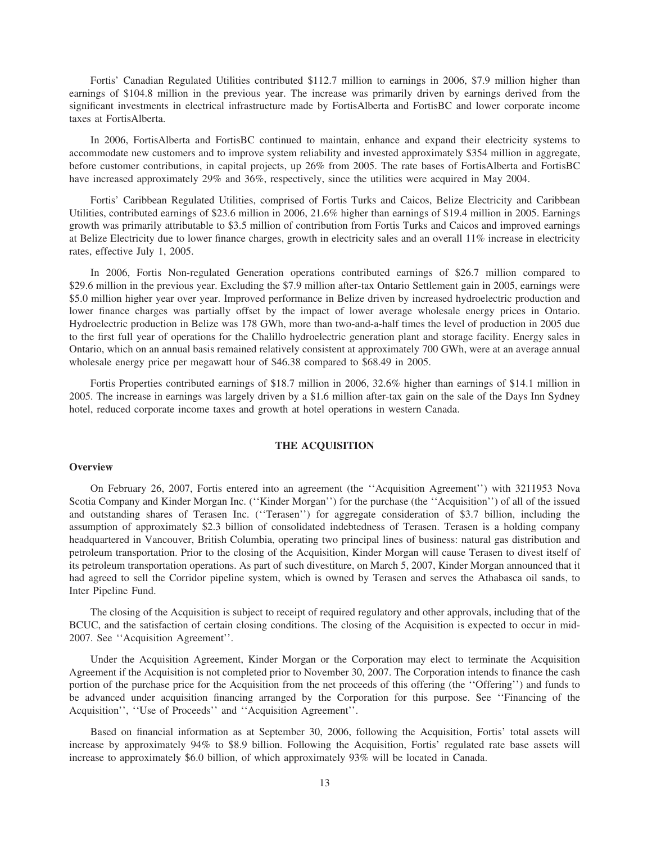Fortis' Canadian Regulated Utilities contributed \$112.7 million to earnings in 2006, \$7.9 million higher than earnings of \$104.8 million in the previous year. The increase was primarily driven by earnings derived from the significant investments in electrical infrastructure made by FortisAlberta and FortisBC and lower corporate income taxes at FortisAlberta.

In 2006, FortisAlberta and FortisBC continued to maintain, enhance and expand their electricity systems to accommodate new customers and to improve system reliability and invested approximately \$354 million in aggregate, before customer contributions, in capital projects, up 26% from 2005. The rate bases of FortisAlberta and FortisBC have increased approximately 29% and 36%, respectively, since the utilities were acquired in May 2004.

Fortis' Caribbean Regulated Utilities, comprised of Fortis Turks and Caicos, Belize Electricity and Caribbean Utilities, contributed earnings of \$23.6 million in 2006, 21.6% higher than earnings of \$19.4 million in 2005. Earnings growth was primarily attributable to \$3.5 million of contribution from Fortis Turks and Caicos and improved earnings at Belize Electricity due to lower finance charges, growth in electricity sales and an overall 11% increase in electricity rates, effective July 1, 2005.

In 2006, Fortis Non-regulated Generation operations contributed earnings of \$26.7 million compared to \$29.6 million in the previous year. Excluding the \$7.9 million after-tax Ontario Settlement gain in 2005, earnings were \$5.0 million higher year over year. Improved performance in Belize driven by increased hydroelectric production and lower finance charges was partially offset by the impact of lower average wholesale energy prices in Ontario. Hydroelectric production in Belize was 178 GWh, more than two-and-a-half times the level of production in 2005 due to the first full year of operations for the Chalillo hydroelectric generation plant and storage facility. Energy sales in Ontario, which on an annual basis remained relatively consistent at approximately 700 GWh, were at an average annual wholesale energy price per megawatt hour of \$46.38 compared to \$68.49 in 2005.

Fortis Properties contributed earnings of \$18.7 million in 2006, 32.6% higher than earnings of \$14.1 million in 2005. The increase in earnings was largely driven by a \$1.6 million after-tax gain on the sale of the Days Inn Sydney hotel, reduced corporate income taxes and growth at hotel operations in western Canada.

## **THE ACQUISITION**

# **Overview**

On February 26, 2007, Fortis entered into an agreement (the ''Acquisition Agreement'') with 3211953 Nova Scotia Company and Kinder Morgan Inc. (''Kinder Morgan'') for the purchase (the ''Acquisition'') of all of the issued and outstanding shares of Terasen Inc. (''Terasen'') for aggregate consideration of \$3.7 billion, including the assumption of approximately \$2.3 billion of consolidated indebtedness of Terasen. Terasen is a holding company headquartered in Vancouver, British Columbia, operating two principal lines of business: natural gas distribution and petroleum transportation. Prior to the closing of the Acquisition, Kinder Morgan will cause Terasen to divest itself of its petroleum transportation operations. As part of such divestiture, on March 5, 2007, Kinder Morgan announced that it had agreed to sell the Corridor pipeline system, which is owned by Terasen and serves the Athabasca oil sands, to Inter Pipeline Fund.

The closing of the Acquisition is subject to receipt of required regulatory and other approvals, including that of the BCUC, and the satisfaction of certain closing conditions. The closing of the Acquisition is expected to occur in mid-2007. See ''Acquisition Agreement''.

Under the Acquisition Agreement, Kinder Morgan or the Corporation may elect to terminate the Acquisition Agreement if the Acquisition is not completed prior to November 30, 2007. The Corporation intends to finance the cash portion of the purchase price for the Acquisition from the net proceeds of this offering (the ''Offering'') and funds to be advanced under acquisition financing arranged by the Corporation for this purpose. See ''Financing of the Acquisition'', ''Use of Proceeds'' and ''Acquisition Agreement''.

Based on financial information as at September 30, 2006, following the Acquisition, Fortis' total assets will increase by approximately 94% to \$8.9 billion. Following the Acquisition, Fortis' regulated rate base assets will increase to approximately \$6.0 billion, of which approximately 93% will be located in Canada.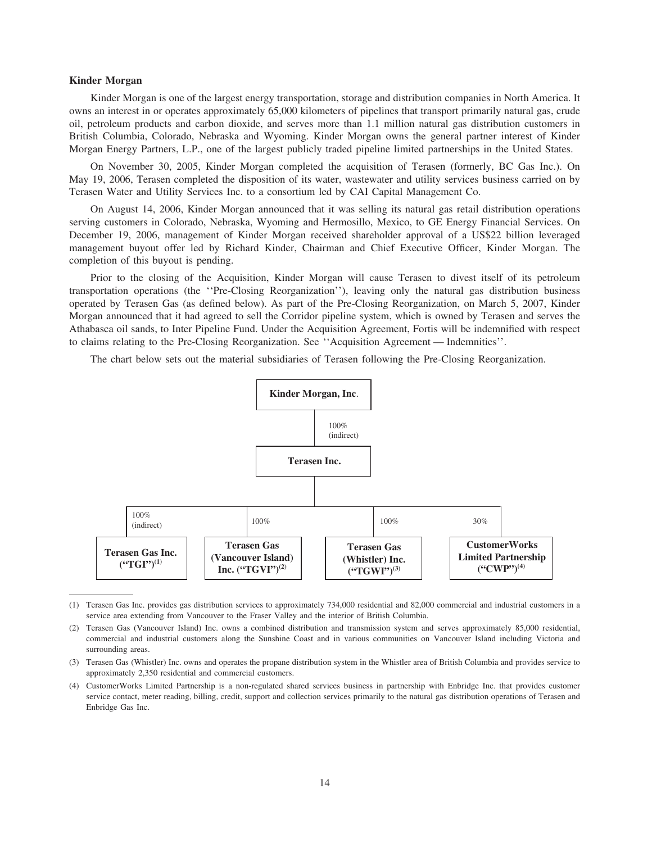## **Kinder Morgan**

Kinder Morgan is one of the largest energy transportation, storage and distribution companies in North America. It owns an interest in or operates approximately 65,000 kilometers of pipelines that transport primarily natural gas, crude oil, petroleum products and carbon dioxide, and serves more than 1.1 million natural gas distribution customers in British Columbia, Colorado, Nebraska and Wyoming. Kinder Morgan owns the general partner interest of Kinder Morgan Energy Partners, L.P., one of the largest publicly traded pipeline limited partnerships in the United States.

On November 30, 2005, Kinder Morgan completed the acquisition of Terasen (formerly, BC Gas Inc.). On May 19, 2006, Terasen completed the disposition of its water, wastewater and utility services business carried on by Terasen Water and Utility Services Inc. to a consortium led by CAI Capital Management Co.

On August 14, 2006, Kinder Morgan announced that it was selling its natural gas retail distribution operations serving customers in Colorado, Nebraska, Wyoming and Hermosillo, Mexico, to GE Energy Financial Services. On December 19, 2006, management of Kinder Morgan received shareholder approval of a US\$22 billion leveraged management buyout offer led by Richard Kinder, Chairman and Chief Executive Officer, Kinder Morgan. The completion of this buyout is pending.

Prior to the closing of the Acquisition, Kinder Morgan will cause Terasen to divest itself of its petroleum transportation operations (the ''Pre-Closing Reorganization''), leaving only the natural gas distribution business operated by Terasen Gas (as defined below). As part of the Pre-Closing Reorganization, on March 5, 2007, Kinder Morgan announced that it had agreed to sell the Corridor pipeline system, which is owned by Terasen and serves the Athabasca oil sands, to Inter Pipeline Fund. Under the Acquisition Agreement, Fortis will be indemnified with respect to claims relating to the Pre-Closing Reorganization. See ''Acquisition Agreement — Indemnities''.

The chart below sets out the material subsidiaries of Terasen following the Pre-Closing Reorganization.



<sup>(1)</sup> Terasen Gas Inc. provides gas distribution services to approximately 734,000 residential and 82,000 commercial and industrial customers in a service area extending from Vancouver to the Fraser Valley and the interior of British Columbia.

<sup>(2)</sup> Terasen Gas (Vancouver Island) Inc. owns a combined distribution and transmission system and serves approximately 85,000 residential, commercial and industrial customers along the Sunshine Coast and in various communities on Vancouver Island including Victoria and surrounding areas.

<sup>(3)</sup> Terasen Gas (Whistler) Inc. owns and operates the propane distribution system in the Whistler area of British Columbia and provides service to approximately 2,350 residential and commercial customers.

<sup>(4)</sup> CustomerWorks Limited Partnership is a non-regulated shared services business in partnership with Enbridge Inc. that provides customer service contact, meter reading, billing, credit, support and collection services primarily to the natural gas distribution operations of Terasen and Enbridge Gas Inc.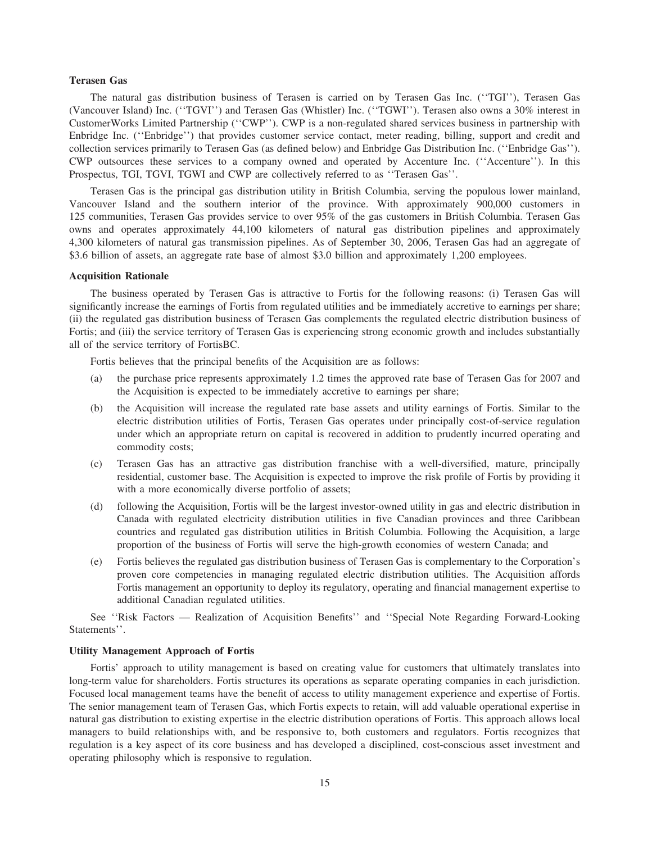# **Terasen Gas**

The natural gas distribution business of Terasen is carried on by Terasen Gas Inc. (''TGI''), Terasen Gas (Vancouver Island) Inc. (''TGVI'') and Terasen Gas (Whistler) Inc. (''TGWI''). Terasen also owns a 30% interest in CustomerWorks Limited Partnership (''CWP''). CWP is a non-regulated shared services business in partnership with Enbridge Inc. (''Enbridge'') that provides customer service contact, meter reading, billing, support and credit and collection services primarily to Terasen Gas (as defined below) and Enbridge Gas Distribution Inc. (''Enbridge Gas''). CWP outsources these services to a company owned and operated by Accenture Inc. (''Accenture''). In this Prospectus, TGI, TGVI, TGWI and CWP are collectively referred to as ''Terasen Gas''.

Terasen Gas is the principal gas distribution utility in British Columbia, serving the populous lower mainland, Vancouver Island and the southern interior of the province. With approximately 900,000 customers in 125 communities, Terasen Gas provides service to over 95% of the gas customers in British Columbia. Terasen Gas owns and operates approximately 44,100 kilometers of natural gas distribution pipelines and approximately 4,300 kilometers of natural gas transmission pipelines. As of September 30, 2006, Terasen Gas had an aggregate of \$3.6 billion of assets, an aggregate rate base of almost \$3.0 billion and approximately 1,200 employees.

# **Acquisition Rationale**

The business operated by Terasen Gas is attractive to Fortis for the following reasons: (i) Terasen Gas will significantly increase the earnings of Fortis from regulated utilities and be immediately accretive to earnings per share; (ii) the regulated gas distribution business of Terasen Gas complements the regulated electric distribution business of Fortis; and (iii) the service territory of Terasen Gas is experiencing strong economic growth and includes substantially all of the service territory of FortisBC.

Fortis believes that the principal benefits of the Acquisition are as follows:

- (a) the purchase price represents approximately 1.2 times the approved rate base of Terasen Gas for 2007 and the Acquisition is expected to be immediately accretive to earnings per share;
- (b) the Acquisition will increase the regulated rate base assets and utility earnings of Fortis. Similar to the electric distribution utilities of Fortis, Terasen Gas operates under principally cost-of-service regulation under which an appropriate return on capital is recovered in addition to prudently incurred operating and commodity costs;
- (c) Terasen Gas has an attractive gas distribution franchise with a well-diversified, mature, principally residential, customer base. The Acquisition is expected to improve the risk profile of Fortis by providing it with a more economically diverse portfolio of assets;
- (d) following the Acquisition, Fortis will be the largest investor-owned utility in gas and electric distribution in Canada with regulated electricity distribution utilities in five Canadian provinces and three Caribbean countries and regulated gas distribution utilities in British Columbia. Following the Acquisition, a large proportion of the business of Fortis will serve the high-growth economies of western Canada; and
- (e) Fortis believes the regulated gas distribution business of Terasen Gas is complementary to the Corporation's proven core competencies in managing regulated electric distribution utilities. The Acquisition affords Fortis management an opportunity to deploy its regulatory, operating and financial management expertise to additional Canadian regulated utilities.

See ''Risk Factors — Realization of Acquisition Benefits'' and ''Special Note Regarding Forward-Looking Statements''.

#### **Utility Management Approach of Fortis**

Fortis' approach to utility management is based on creating value for customers that ultimately translates into long-term value for shareholders. Fortis structures its operations as separate operating companies in each jurisdiction. Focused local management teams have the benefit of access to utility management experience and expertise of Fortis. The senior management team of Terasen Gas, which Fortis expects to retain, will add valuable operational expertise in natural gas distribution to existing expertise in the electric distribution operations of Fortis. This approach allows local managers to build relationships with, and be responsive to, both customers and regulators. Fortis recognizes that regulation is a key aspect of its core business and has developed a disciplined, cost-conscious asset investment and operating philosophy which is responsive to regulation.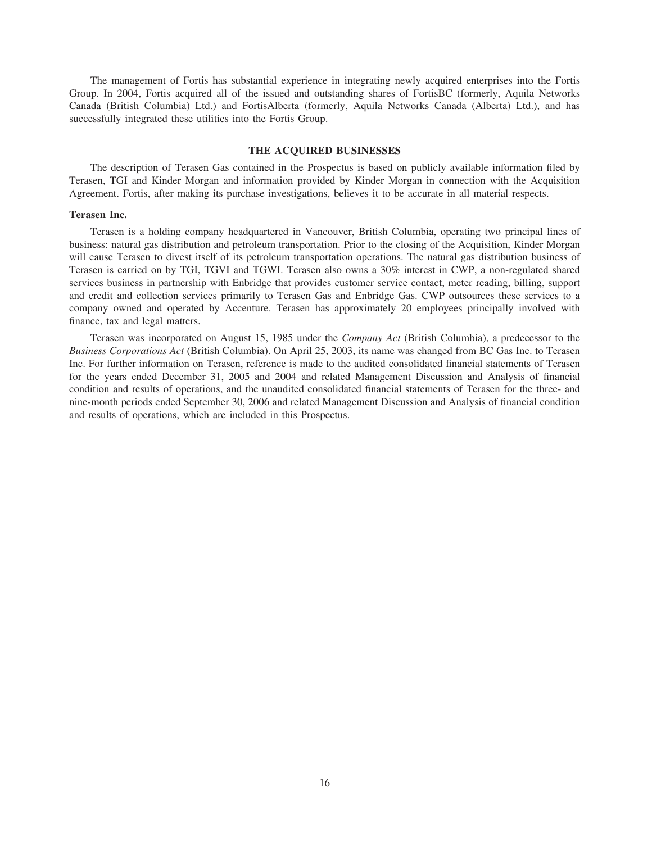The management of Fortis has substantial experience in integrating newly acquired enterprises into the Fortis Group. In 2004, Fortis acquired all of the issued and outstanding shares of FortisBC (formerly, Aquila Networks Canada (British Columbia) Ltd.) and FortisAlberta (formerly, Aquila Networks Canada (Alberta) Ltd.), and has successfully integrated these utilities into the Fortis Group.

#### **THE ACQUIRED BUSINESSES**

The description of Terasen Gas contained in the Prospectus is based on publicly available information filed by Terasen, TGI and Kinder Morgan and information provided by Kinder Morgan in connection with the Acquisition Agreement. Fortis, after making its purchase investigations, believes it to be accurate in all material respects.

#### **Terasen Inc.**

Terasen is a holding company headquartered in Vancouver, British Columbia, operating two principal lines of business: natural gas distribution and petroleum transportation. Prior to the closing of the Acquisition, Kinder Morgan will cause Terasen to divest itself of its petroleum transportation operations. The natural gas distribution business of Terasen is carried on by TGI, TGVI and TGWI. Terasen also owns a 30% interest in CWP, a non-regulated shared services business in partnership with Enbridge that provides customer service contact, meter reading, billing, support and credit and collection services primarily to Terasen Gas and Enbridge Gas. CWP outsources these services to a company owned and operated by Accenture. Terasen has approximately 20 employees principally involved with finance, tax and legal matters.

Terasen was incorporated on August 15, 1985 under the *Company Act* (British Columbia), a predecessor to the *Business Corporations Act* (British Columbia). On April 25, 2003, its name was changed from BC Gas Inc. to Terasen Inc. For further information on Terasen, reference is made to the audited consolidated financial statements of Terasen for the years ended December 31, 2005 and 2004 and related Management Discussion and Analysis of financial condition and results of operations, and the unaudited consolidated financial statements of Terasen for the three- and nine-month periods ended September 30, 2006 and related Management Discussion and Analysis of financial condition and results of operations, which are included in this Prospectus.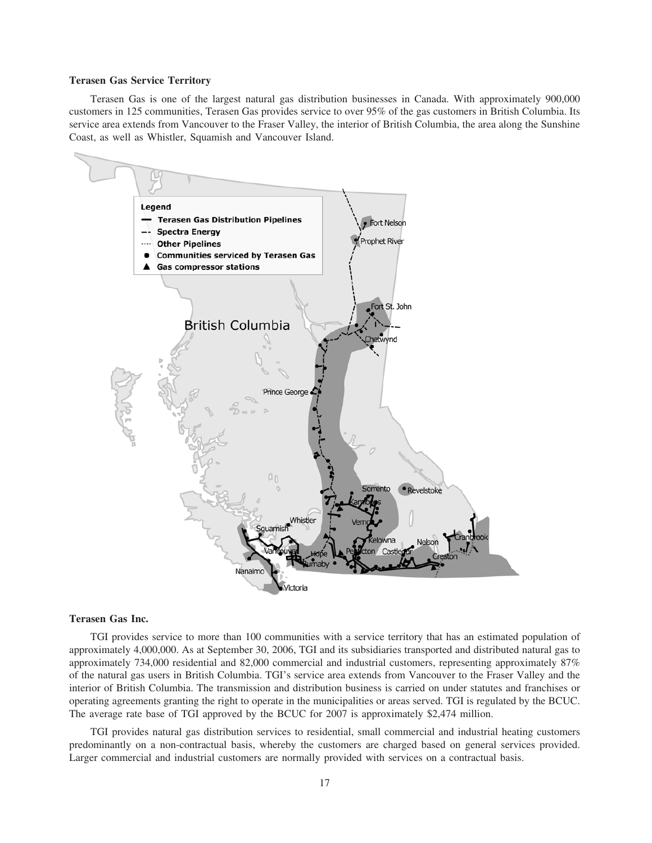#### **Terasen Gas Service Territory**

Terasen Gas is one of the largest natural gas distribution businesses in Canada. With approximately 900,000 customers in 125 communities, Terasen Gas provides service to over 95% of the gas customers in British Columbia. Its service area extends from Vancouver to the Fraser Valley, the interior of British Columbia, the area along the Sunshine Coast, as well as Whistler, Squamish and Vancouver Island.



#### **Terasen Gas Inc.**

TGI provides service to more than 100 communities with a service territory that has an estimated population of approximately 4,000,000. As at September 30, 2006, TGI and its subsidiaries transported and distributed natural gas to approximately 734,000 residential and 82,000 commercial and industrial customers, representing approximately 87% of the natural gas users in British Columbia. TGI's service area extends from Vancouver to the Fraser Valley and the interior of British Columbia. The transmission and distribution business is carried on under statutes and franchises or operating agreements granting the right to operate in the municipalities or areas served. TGI is regulated by the BCUC. The average rate base of TGI approved by the BCUC for 2007 is approximately \$2,474 million.

TGI provides natural gas distribution services to residential, small commercial and industrial heating customers predominantly on a non-contractual basis, whereby the customers are charged based on general services provided. Larger commercial and industrial customers are normally provided with services on a contractual basis.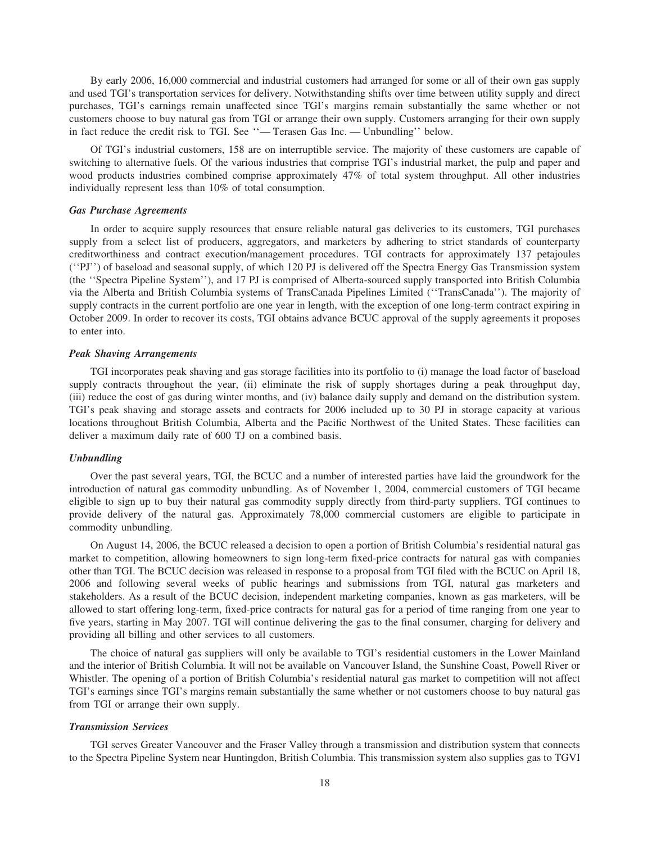By early 2006, 16,000 commercial and industrial customers had arranged for some or all of their own gas supply and used TGI's transportation services for delivery. Notwithstanding shifts over time between utility supply and direct purchases, TGI's earnings remain unaffected since TGI's margins remain substantially the same whether or not customers choose to buy natural gas from TGI or arrange their own supply. Customers arranging for their own supply in fact reduce the credit risk to TGI. See ''— Terasen Gas Inc. — Unbundling'' below.

Of TGI's industrial customers, 158 are on interruptible service. The majority of these customers are capable of switching to alternative fuels. Of the various industries that comprise TGI's industrial market, the pulp and paper and wood products industries combined comprise approximately 47% of total system throughput. All other industries individually represent less than 10% of total consumption.

#### *Gas Purchase Agreements*

In order to acquire supply resources that ensure reliable natural gas deliveries to its customers, TGI purchases supply from a select list of producers, aggregators, and marketers by adhering to strict standards of counterparty creditworthiness and contract execution/management procedures. TGI contracts for approximately 137 petajoules (''PJ'') of baseload and seasonal supply, of which 120 PJ is delivered off the Spectra Energy Gas Transmission system (the ''Spectra Pipeline System''), and 17 PJ is comprised of Alberta-sourced supply transported into British Columbia via the Alberta and British Columbia systems of TransCanada Pipelines Limited (''TransCanada''). The majority of supply contracts in the current portfolio are one year in length, with the exception of one long-term contract expiring in October 2009. In order to recover its costs, TGI obtains advance BCUC approval of the supply agreements it proposes to enter into.

#### *Peak Shaving Arrangements*

TGI incorporates peak shaving and gas storage facilities into its portfolio to (i) manage the load factor of baseload supply contracts throughout the year, (ii) eliminate the risk of supply shortages during a peak throughput day, (iii) reduce the cost of gas during winter months, and (iv) balance daily supply and demand on the distribution system. TGI's peak shaving and storage assets and contracts for 2006 included up to 30 PJ in storage capacity at various locations throughout British Columbia, Alberta and the Pacific Northwest of the United States. These facilities can deliver a maximum daily rate of 600 TJ on a combined basis.

# *Unbundling*

Over the past several years, TGI, the BCUC and a number of interested parties have laid the groundwork for the introduction of natural gas commodity unbundling. As of November 1, 2004, commercial customers of TGI became eligible to sign up to buy their natural gas commodity supply directly from third-party suppliers. TGI continues to provide delivery of the natural gas. Approximately 78,000 commercial customers are eligible to participate in commodity unbundling.

On August 14, 2006, the BCUC released a decision to open a portion of British Columbia's residential natural gas market to competition, allowing homeowners to sign long-term fixed-price contracts for natural gas with companies other than TGI. The BCUC decision was released in response to a proposal from TGI filed with the BCUC on April 18, 2006 and following several weeks of public hearings and submissions from TGI, natural gas marketers and stakeholders. As a result of the BCUC decision, independent marketing companies, known as gas marketers, will be allowed to start offering long-term, fixed-price contracts for natural gas for a period of time ranging from one year to five years, starting in May 2007. TGI will continue delivering the gas to the final consumer, charging for delivery and providing all billing and other services to all customers.

The choice of natural gas suppliers will only be available to TGI's residential customers in the Lower Mainland and the interior of British Columbia. It will not be available on Vancouver Island, the Sunshine Coast, Powell River or Whistler. The opening of a portion of British Columbia's residential natural gas market to competition will not affect TGI's earnings since TGI's margins remain substantially the same whether or not customers choose to buy natural gas from TGI or arrange their own supply.

#### *Transmission Services*

TGI serves Greater Vancouver and the Fraser Valley through a transmission and distribution system that connects to the Spectra Pipeline System near Huntingdon, British Columbia. This transmission system also supplies gas to TGVI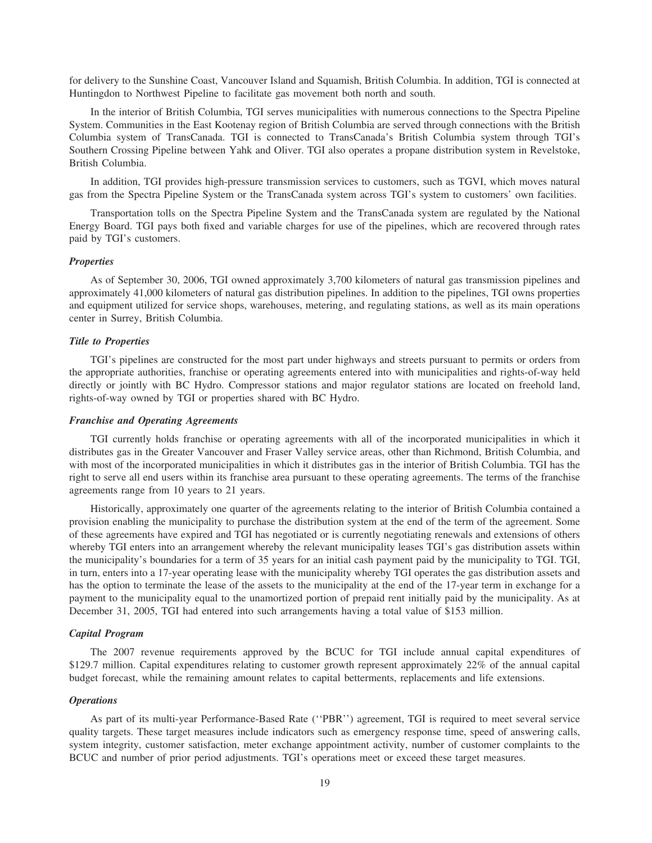for delivery to the Sunshine Coast, Vancouver Island and Squamish, British Columbia. In addition, TGI is connected at Huntingdon to Northwest Pipeline to facilitate gas movement both north and south.

In the interior of British Columbia, TGI serves municipalities with numerous connections to the Spectra Pipeline System. Communities in the East Kootenay region of British Columbia are served through connections with the British Columbia system of TransCanada. TGI is connected to TransCanada's British Columbia system through TGI's Southern Crossing Pipeline between Yahk and Oliver. TGI also operates a propane distribution system in Revelstoke, British Columbia.

In addition, TGI provides high-pressure transmission services to customers, such as TGVI, which moves natural gas from the Spectra Pipeline System or the TransCanada system across TGI's system to customers' own facilities.

Transportation tolls on the Spectra Pipeline System and the TransCanada system are regulated by the National Energy Board. TGI pays both fixed and variable charges for use of the pipelines, which are recovered through rates paid by TGI's customers.

#### *Properties*

As of September 30, 2006, TGI owned approximately 3,700 kilometers of natural gas transmission pipelines and approximately 41,000 kilometers of natural gas distribution pipelines. In addition to the pipelines, TGI owns properties and equipment utilized for service shops, warehouses, metering, and regulating stations, as well as its main operations center in Surrey, British Columbia.

#### *Title to Properties*

TGI's pipelines are constructed for the most part under highways and streets pursuant to permits or orders from the appropriate authorities, franchise or operating agreements entered into with municipalities and rights-of-way held directly or jointly with BC Hydro. Compressor stations and major regulator stations are located on freehold land, rights-of-way owned by TGI or properties shared with BC Hydro.

## *Franchise and Operating Agreements*

TGI currently holds franchise or operating agreements with all of the incorporated municipalities in which it distributes gas in the Greater Vancouver and Fraser Valley service areas, other than Richmond, British Columbia, and with most of the incorporated municipalities in which it distributes gas in the interior of British Columbia. TGI has the right to serve all end users within its franchise area pursuant to these operating agreements. The terms of the franchise agreements range from 10 years to 21 years.

Historically, approximately one quarter of the agreements relating to the interior of British Columbia contained a provision enabling the municipality to purchase the distribution system at the end of the term of the agreement. Some of these agreements have expired and TGI has negotiated or is currently negotiating renewals and extensions of others whereby TGI enters into an arrangement whereby the relevant municipality leases TGI's gas distribution assets within the municipality's boundaries for a term of 35 years for an initial cash payment paid by the municipality to TGI. TGI, in turn, enters into a 17-year operating lease with the municipality whereby TGI operates the gas distribution assets and has the option to terminate the lease of the assets to the municipality at the end of the 17-year term in exchange for a payment to the municipality equal to the unamortized portion of prepaid rent initially paid by the municipality. As at December 31, 2005, TGI had entered into such arrangements having a total value of \$153 million.

# *Capital Program*

The 2007 revenue requirements approved by the BCUC for TGI include annual capital expenditures of \$129.7 million. Capital expenditures relating to customer growth represent approximately 22% of the annual capital budget forecast, while the remaining amount relates to capital betterments, replacements and life extensions.

# *Operations*

As part of its multi-year Performance-Based Rate (''PBR'') agreement, TGI is required to meet several service quality targets. These target measures include indicators such as emergency response time, speed of answering calls, system integrity, customer satisfaction, meter exchange appointment activity, number of customer complaints to the BCUC and number of prior period adjustments. TGI's operations meet or exceed these target measures.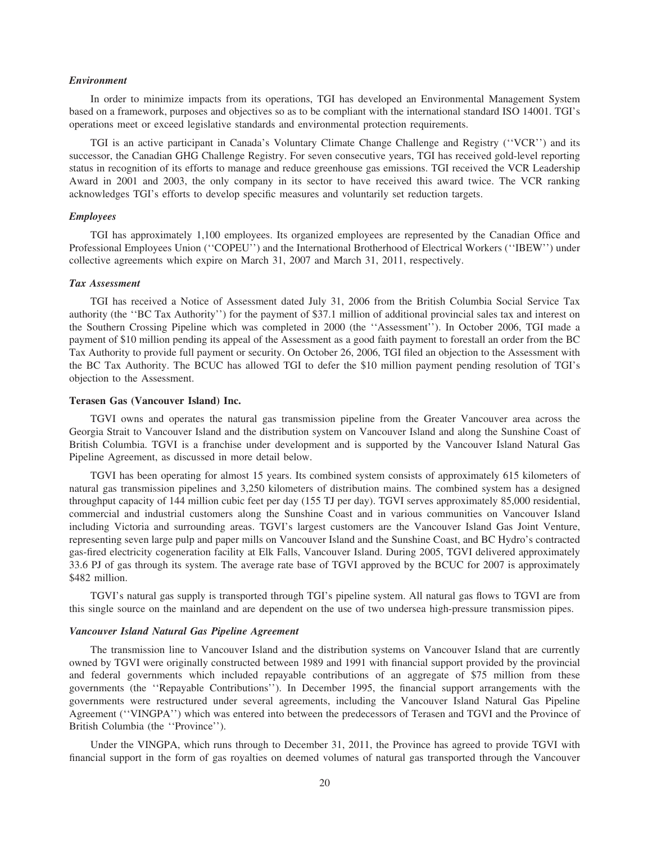# *Environment*

In order to minimize impacts from its operations, TGI has developed an Environmental Management System based on a framework, purposes and objectives so as to be compliant with the international standard ISO 14001. TGI's operations meet or exceed legislative standards and environmental protection requirements.

TGI is an active participant in Canada's Voluntary Climate Change Challenge and Registry (''VCR'') and its successor, the Canadian GHG Challenge Registry. For seven consecutive years, TGI has received gold-level reporting status in recognition of its efforts to manage and reduce greenhouse gas emissions. TGI received the VCR Leadership Award in 2001 and 2003, the only company in its sector to have received this award twice. The VCR ranking acknowledges TGI's efforts to develop specific measures and voluntarily set reduction targets.

# *Employees*

TGI has approximately 1,100 employees. Its organized employees are represented by the Canadian Office and Professional Employees Union (''COPEU'') and the International Brotherhood of Electrical Workers (''IBEW'') under collective agreements which expire on March 31, 2007 and March 31, 2011, respectively.

#### *Tax Assessment*

TGI has received a Notice of Assessment dated July 31, 2006 from the British Columbia Social Service Tax authority (the ''BC Tax Authority'') for the payment of \$37.1 million of additional provincial sales tax and interest on the Southern Crossing Pipeline which was completed in 2000 (the ''Assessment''). In October 2006, TGI made a payment of \$10 million pending its appeal of the Assessment as a good faith payment to forestall an order from the BC Tax Authority to provide full payment or security. On October 26, 2006, TGI filed an objection to the Assessment with the BC Tax Authority. The BCUC has allowed TGI to defer the \$10 million payment pending resolution of TGI's objection to the Assessment.

#### **Terasen Gas (Vancouver Island) Inc.**

TGVI owns and operates the natural gas transmission pipeline from the Greater Vancouver area across the Georgia Strait to Vancouver Island and the distribution system on Vancouver Island and along the Sunshine Coast of British Columbia. TGVI is a franchise under development and is supported by the Vancouver Island Natural Gas Pipeline Agreement, as discussed in more detail below.

TGVI has been operating for almost 15 years. Its combined system consists of approximately 615 kilometers of natural gas transmission pipelines and 3,250 kilometers of distribution mains. The combined system has a designed throughput capacity of 144 million cubic feet per day (155 TJ per day). TGVI serves approximately 85,000 residential, commercial and industrial customers along the Sunshine Coast and in various communities on Vancouver Island including Victoria and surrounding areas. TGVI's largest customers are the Vancouver Island Gas Joint Venture, representing seven large pulp and paper mills on Vancouver Island and the Sunshine Coast, and BC Hydro's contracted gas-fired electricity cogeneration facility at Elk Falls, Vancouver Island. During 2005, TGVI delivered approximately 33.6 PJ of gas through its system. The average rate base of TGVI approved by the BCUC for 2007 is approximately \$482 million.

TGVI's natural gas supply is transported through TGI's pipeline system. All natural gas flows to TGVI are from this single source on the mainland and are dependent on the use of two undersea high-pressure transmission pipes.

## *Vancouver Island Natural Gas Pipeline Agreement*

The transmission line to Vancouver Island and the distribution systems on Vancouver Island that are currently owned by TGVI were originally constructed between 1989 and 1991 with financial support provided by the provincial and federal governments which included repayable contributions of an aggregate of \$75 million from these governments (the ''Repayable Contributions''). In December 1995, the financial support arrangements with the governments were restructured under several agreements, including the Vancouver Island Natural Gas Pipeline Agreement (''VINGPA'') which was entered into between the predecessors of Terasen and TGVI and the Province of British Columbia (the ''Province'').

Under the VINGPA, which runs through to December 31, 2011, the Province has agreed to provide TGVI with financial support in the form of gas royalties on deemed volumes of natural gas transported through the Vancouver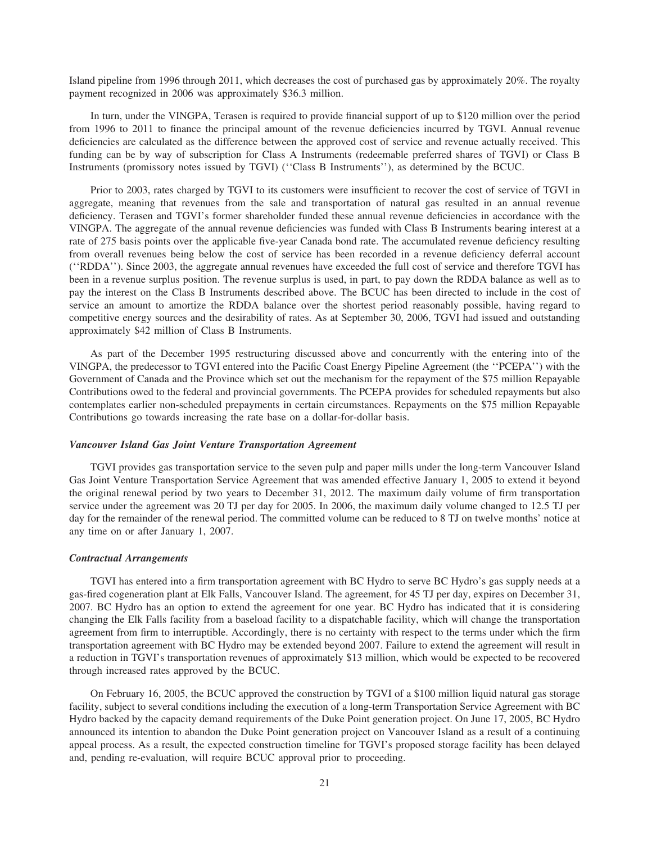Island pipeline from 1996 through 2011, which decreases the cost of purchased gas by approximately 20%. The royalty payment recognized in 2006 was approximately \$36.3 million.

In turn, under the VINGPA, Terasen is required to provide financial support of up to \$120 million over the period from 1996 to 2011 to finance the principal amount of the revenue deficiencies incurred by TGVI. Annual revenue deficiencies are calculated as the difference between the approved cost of service and revenue actually received. This funding can be by way of subscription for Class A Instruments (redeemable preferred shares of TGVI) or Class B Instruments (promissory notes issued by TGVI) (''Class B Instruments''), as determined by the BCUC.

Prior to 2003, rates charged by TGVI to its customers were insufficient to recover the cost of service of TGVI in aggregate, meaning that revenues from the sale and transportation of natural gas resulted in an annual revenue deficiency. Terasen and TGVI's former shareholder funded these annual revenue deficiencies in accordance with the VINGPA. The aggregate of the annual revenue deficiencies was funded with Class B Instruments bearing interest at a rate of 275 basis points over the applicable five-year Canada bond rate. The accumulated revenue deficiency resulting from overall revenues being below the cost of service has been recorded in a revenue deficiency deferral account (''RDDA''). Since 2003, the aggregate annual revenues have exceeded the full cost of service and therefore TGVI has been in a revenue surplus position. The revenue surplus is used, in part, to pay down the RDDA balance as well as to pay the interest on the Class B Instruments described above. The BCUC has been directed to include in the cost of service an amount to amortize the RDDA balance over the shortest period reasonably possible, having regard to competitive energy sources and the desirability of rates. As at September 30, 2006, TGVI had issued and outstanding approximately \$42 million of Class B Instruments.

As part of the December 1995 restructuring discussed above and concurrently with the entering into of the VINGPA, the predecessor to TGVI entered into the Pacific Coast Energy Pipeline Agreement (the ''PCEPA'') with the Government of Canada and the Province which set out the mechanism for the repayment of the \$75 million Repayable Contributions owed to the federal and provincial governments. The PCEPA provides for scheduled repayments but also contemplates earlier non-scheduled prepayments in certain circumstances. Repayments on the \$75 million Repayable Contributions go towards increasing the rate base on a dollar-for-dollar basis.

#### *Vancouver Island Gas Joint Venture Transportation Agreement*

TGVI provides gas transportation service to the seven pulp and paper mills under the long-term Vancouver Island Gas Joint Venture Transportation Service Agreement that was amended effective January 1, 2005 to extend it beyond the original renewal period by two years to December 31, 2012. The maximum daily volume of firm transportation service under the agreement was 20 TJ per day for 2005. In 2006, the maximum daily volume changed to 12.5 TJ per day for the remainder of the renewal period. The committed volume can be reduced to 8 TJ on twelve months' notice at any time on or after January 1, 2007.

#### *Contractual Arrangements*

TGVI has entered into a firm transportation agreement with BC Hydro to serve BC Hydro's gas supply needs at a gas-fired cogeneration plant at Elk Falls, Vancouver Island. The agreement, for 45 TJ per day, expires on December 31, 2007. BC Hydro has an option to extend the agreement for one year. BC Hydro has indicated that it is considering changing the Elk Falls facility from a baseload facility to a dispatchable facility, which will change the transportation agreement from firm to interruptible. Accordingly, there is no certainty with respect to the terms under which the firm transportation agreement with BC Hydro may be extended beyond 2007. Failure to extend the agreement will result in a reduction in TGVI's transportation revenues of approximately \$13 million, which would be expected to be recovered through increased rates approved by the BCUC.

On February 16, 2005, the BCUC approved the construction by TGVI of a \$100 million liquid natural gas storage facility, subject to several conditions including the execution of a long-term Transportation Service Agreement with BC Hydro backed by the capacity demand requirements of the Duke Point generation project. On June 17, 2005, BC Hydro announced its intention to abandon the Duke Point generation project on Vancouver Island as a result of a continuing appeal process. As a result, the expected construction timeline for TGVI's proposed storage facility has been delayed and, pending re-evaluation, will require BCUC approval prior to proceeding.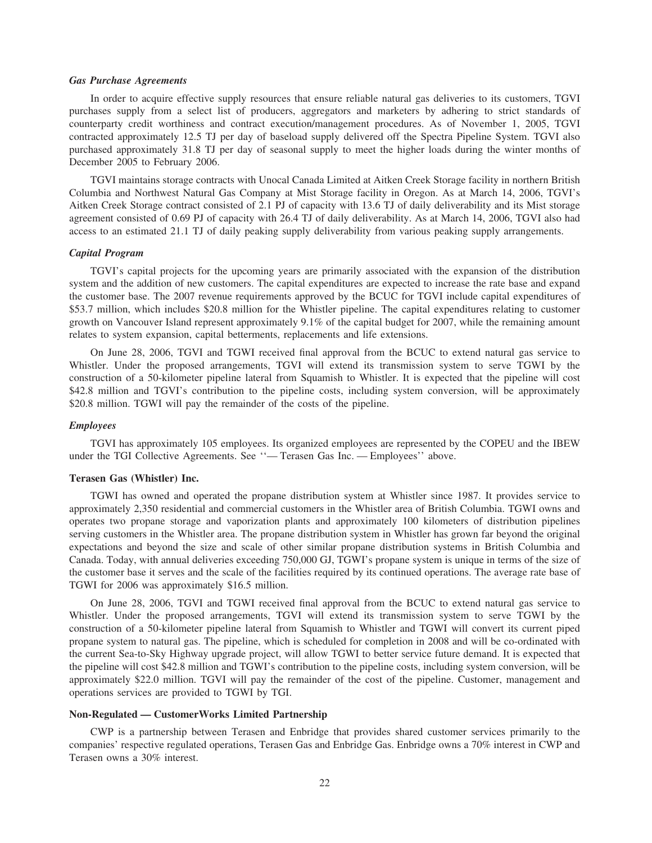# *Gas Purchase Agreements*

In order to acquire effective supply resources that ensure reliable natural gas deliveries to its customers, TGVI purchases supply from a select list of producers, aggregators and marketers by adhering to strict standards of counterparty credit worthiness and contract execution/management procedures. As of November 1, 2005, TGVI contracted approximately 12.5 TJ per day of baseload supply delivered off the Spectra Pipeline System. TGVI also purchased approximately 31.8 TJ per day of seasonal supply to meet the higher loads during the winter months of December 2005 to February 2006.

TGVI maintains storage contracts with Unocal Canada Limited at Aitken Creek Storage facility in northern British Columbia and Northwest Natural Gas Company at Mist Storage facility in Oregon. As at March 14, 2006, TGVI's Aitken Creek Storage contract consisted of 2.1 PJ of capacity with 13.6 TJ of daily deliverability and its Mist storage agreement consisted of 0.69 PJ of capacity with 26.4 TJ of daily deliverability. As at March 14, 2006, TGVI also had access to an estimated 21.1 TJ of daily peaking supply deliverability from various peaking supply arrangements.

#### *Capital Program*

TGVI's capital projects for the upcoming years are primarily associated with the expansion of the distribution system and the addition of new customers. The capital expenditures are expected to increase the rate base and expand the customer base. The 2007 revenue requirements approved by the BCUC for TGVI include capital expenditures of \$53.7 million, which includes \$20.8 million for the Whistler pipeline. The capital expenditures relating to customer growth on Vancouver Island represent approximately 9.1% of the capital budget for 2007, while the remaining amount relates to system expansion, capital betterments, replacements and life extensions.

On June 28, 2006, TGVI and TGWI received final approval from the BCUC to extend natural gas service to Whistler. Under the proposed arrangements, TGVI will extend its transmission system to serve TGWI by the construction of a 50-kilometer pipeline lateral from Squamish to Whistler. It is expected that the pipeline will cost \$42.8 million and TGVI's contribution to the pipeline costs, including system conversion, will be approximately \$20.8 million. TGWI will pay the remainder of the costs of the pipeline.

#### *Employees*

TGVI has approximately 105 employees. Its organized employees are represented by the COPEU and the IBEW under the TGI Collective Agreements. See ''— Terasen Gas Inc. — Employees'' above.

# **Terasen Gas (Whistler) Inc.**

TGWI has owned and operated the propane distribution system at Whistler since 1987. It provides service to approximately 2,350 residential and commercial customers in the Whistler area of British Columbia. TGWI owns and operates two propane storage and vaporization plants and approximately 100 kilometers of distribution pipelines serving customers in the Whistler area. The propane distribution system in Whistler has grown far beyond the original expectations and beyond the size and scale of other similar propane distribution systems in British Columbia and Canada. Today, with annual deliveries exceeding 750,000 GJ, TGWI's propane system is unique in terms of the size of the customer base it serves and the scale of the facilities required by its continued operations. The average rate base of TGWI for 2006 was approximately \$16.5 million.

On June 28, 2006, TGVI and TGWI received final approval from the BCUC to extend natural gas service to Whistler. Under the proposed arrangements, TGVI will extend its transmission system to serve TGWI by the construction of a 50-kilometer pipeline lateral from Squamish to Whistler and TGWI will convert its current piped propane system to natural gas. The pipeline, which is scheduled for completion in 2008 and will be co-ordinated with the current Sea-to-Sky Highway upgrade project, will allow TGWI to better service future demand. It is expected that the pipeline will cost \$42.8 million and TGWI's contribution to the pipeline costs, including system conversion, will be approximately \$22.0 million. TGVI will pay the remainder of the cost of the pipeline. Customer, management and operations services are provided to TGWI by TGI.

# **Non-Regulated — CustomerWorks Limited Partnership**

CWP is a partnership between Terasen and Enbridge that provides shared customer services primarily to the companies' respective regulated operations, Terasen Gas and Enbridge Gas. Enbridge owns a 70% interest in CWP and Terasen owns a 30% interest.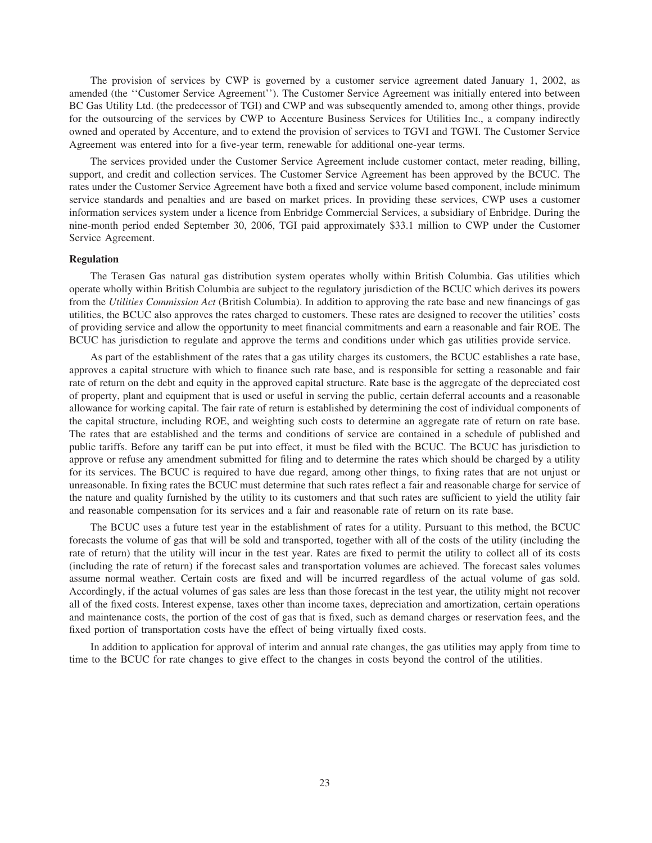The provision of services by CWP is governed by a customer service agreement dated January 1, 2002, as amended (the ''Customer Service Agreement''). The Customer Service Agreement was initially entered into between BC Gas Utility Ltd. (the predecessor of TGI) and CWP and was subsequently amended to, among other things, provide for the outsourcing of the services by CWP to Accenture Business Services for Utilities Inc., a company indirectly owned and operated by Accenture, and to extend the provision of services to TGVI and TGWI. The Customer Service Agreement was entered into for a five-year term, renewable for additional one-year terms.

The services provided under the Customer Service Agreement include customer contact, meter reading, billing, support, and credit and collection services. The Customer Service Agreement has been approved by the BCUC. The rates under the Customer Service Agreement have both a fixed and service volume based component, include minimum service standards and penalties and are based on market prices. In providing these services, CWP uses a customer information services system under a licence from Enbridge Commercial Services, a subsidiary of Enbridge. During the nine-month period ended September 30, 2006, TGI paid approximately \$33.1 million to CWP under the Customer Service Agreement.

#### **Regulation**

The Terasen Gas natural gas distribution system operates wholly within British Columbia. Gas utilities which operate wholly within British Columbia are subject to the regulatory jurisdiction of the BCUC which derives its powers from the *Utilities Commission Act* (British Columbia). In addition to approving the rate base and new financings of gas utilities, the BCUC also approves the rates charged to customers. These rates are designed to recover the utilities' costs of providing service and allow the opportunity to meet financial commitments and earn a reasonable and fair ROE. The BCUC has jurisdiction to regulate and approve the terms and conditions under which gas utilities provide service.

As part of the establishment of the rates that a gas utility charges its customers, the BCUC establishes a rate base, approves a capital structure with which to finance such rate base, and is responsible for setting a reasonable and fair rate of return on the debt and equity in the approved capital structure. Rate base is the aggregate of the depreciated cost of property, plant and equipment that is used or useful in serving the public, certain deferral accounts and a reasonable allowance for working capital. The fair rate of return is established by determining the cost of individual components of the capital structure, including ROE, and weighting such costs to determine an aggregate rate of return on rate base. The rates that are established and the terms and conditions of service are contained in a schedule of published and public tariffs. Before any tariff can be put into effect, it must be filed with the BCUC. The BCUC has jurisdiction to approve or refuse any amendment submitted for filing and to determine the rates which should be charged by a utility for its services. The BCUC is required to have due regard, among other things, to fixing rates that are not unjust or unreasonable. In fixing rates the BCUC must determine that such rates reflect a fair and reasonable charge for service of the nature and quality furnished by the utility to its customers and that such rates are sufficient to yield the utility fair and reasonable compensation for its services and a fair and reasonable rate of return on its rate base.

The BCUC uses a future test year in the establishment of rates for a utility. Pursuant to this method, the BCUC forecasts the volume of gas that will be sold and transported, together with all of the costs of the utility (including the rate of return) that the utility will incur in the test year. Rates are fixed to permit the utility to collect all of its costs (including the rate of return) if the forecast sales and transportation volumes are achieved. The forecast sales volumes assume normal weather. Certain costs are fixed and will be incurred regardless of the actual volume of gas sold. Accordingly, if the actual volumes of gas sales are less than those forecast in the test year, the utility might not recover all of the fixed costs. Interest expense, taxes other than income taxes, depreciation and amortization, certain operations and maintenance costs, the portion of the cost of gas that is fixed, such as demand charges or reservation fees, and the fixed portion of transportation costs have the effect of being virtually fixed costs.

In addition to application for approval of interim and annual rate changes, the gas utilities may apply from time to time to the BCUC for rate changes to give effect to the changes in costs beyond the control of the utilities.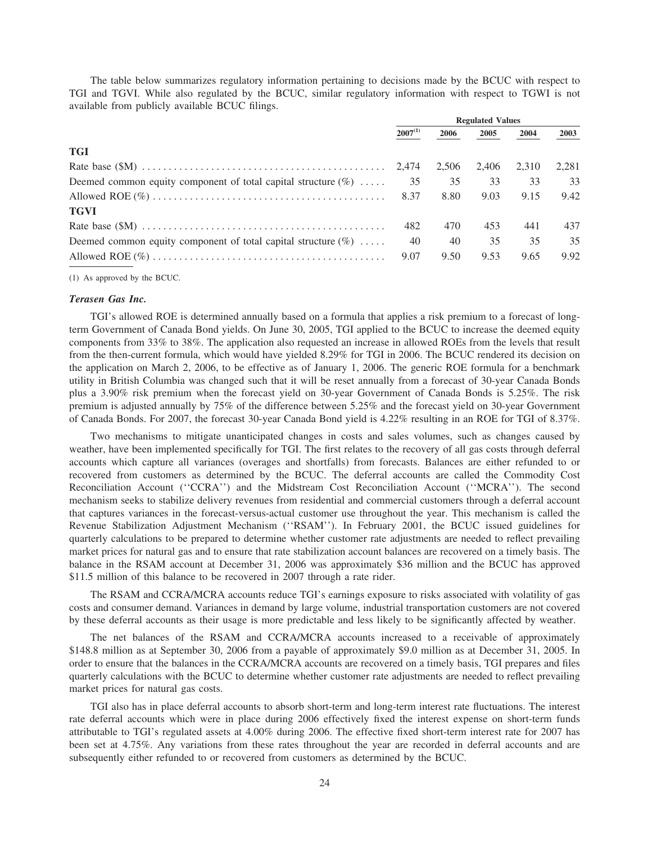The table below summarizes regulatory information pertaining to decisions made by the BCUC with respect to TGI and TGVI. While also regulated by the BCUC, similar regulatory information with respect to TGWI is not available from publicly available BCUC filings.

|                                                                   | <b>Regulated Values</b> |       |       |       |       |
|-------------------------------------------------------------------|-------------------------|-------|-------|-------|-------|
|                                                                   | $2007^{(1)}$            | 2006  | 2005  | 2004  | 2003  |
| <b>TGI</b>                                                        |                         |       |       |       |       |
|                                                                   |                         | 2.506 | 2.406 | 2.310 | 2.281 |
| Deemed common equity component of total capital structure $(\% )$ | 35                      | 35    | 33    | 33    | 33    |
|                                                                   |                         | 8.80  | 9.03  | 9.15  | 9.42  |
| <b>TGVI</b>                                                       |                         |       |       |       |       |
|                                                                   | 482                     | 470   | 453   | 441   | 437   |
| Deemed common equity component of total capital structure $(\% )$ | 40                      | 40    | 35    | 35    | 35    |
|                                                                   | 9.07                    | 9.50  | 9.53  | 9.65  | 9.92  |
|                                                                   |                         |       |       |       |       |

(1) As approved by the BCUC.

# *Terasen Gas Inc.*

TGI's allowed ROE is determined annually based on a formula that applies a risk premium to a forecast of longterm Government of Canada Bond yields. On June 30, 2005, TGI applied to the BCUC to increase the deemed equity components from 33% to 38%. The application also requested an increase in allowed ROEs from the levels that result from the then-current formula, which would have yielded 8.29% for TGI in 2006. The BCUC rendered its decision on the application on March 2, 2006, to be effective as of January 1, 2006. The generic ROE formula for a benchmark utility in British Columbia was changed such that it will be reset annually from a forecast of 30-year Canada Bonds plus a 3.90% risk premium when the forecast yield on 30-year Government of Canada Bonds is 5.25%. The risk premium is adjusted annually by 75% of the difference between 5.25% and the forecast yield on 30-year Government of Canada Bonds. For 2007, the forecast 30-year Canada Bond yield is 4.22% resulting in an ROE for TGI of 8.37%.

Two mechanisms to mitigate unanticipated changes in costs and sales volumes, such as changes caused by weather, have been implemented specifically for TGI. The first relates to the recovery of all gas costs through deferral accounts which capture all variances (overages and shortfalls) from forecasts. Balances are either refunded to or recovered from customers as determined by the BCUC. The deferral accounts are called the Commodity Cost Reconciliation Account (''CCRA'') and the Midstream Cost Reconciliation Account (''MCRA''). The second mechanism seeks to stabilize delivery revenues from residential and commercial customers through a deferral account that captures variances in the forecast-versus-actual customer use throughout the year. This mechanism is called the Revenue Stabilization Adjustment Mechanism (''RSAM''). In February 2001, the BCUC issued guidelines for quarterly calculations to be prepared to determine whether customer rate adjustments are needed to reflect prevailing market prices for natural gas and to ensure that rate stabilization account balances are recovered on a timely basis. The balance in the RSAM account at December 31, 2006 was approximately \$36 million and the BCUC has approved \$11.5 million of this balance to be recovered in 2007 through a rate rider.

The RSAM and CCRA/MCRA accounts reduce TGI's earnings exposure to risks associated with volatility of gas costs and consumer demand. Variances in demand by large volume, industrial transportation customers are not covered by these deferral accounts as their usage is more predictable and less likely to be significantly affected by weather.

The net balances of the RSAM and CCRA/MCRA accounts increased to a receivable of approximately \$148.8 million as at September 30, 2006 from a payable of approximately \$9.0 million as at December 31, 2005. In order to ensure that the balances in the CCRA/MCRA accounts are recovered on a timely basis, TGI prepares and files quarterly calculations with the BCUC to determine whether customer rate adjustments are needed to reflect prevailing market prices for natural gas costs.

TGI also has in place deferral accounts to absorb short-term and long-term interest rate fluctuations. The interest rate deferral accounts which were in place during 2006 effectively fixed the interest expense on short-term funds attributable to TGI's regulated assets at 4.00% during 2006. The effective fixed short-term interest rate for 2007 has been set at 4.75%. Any variations from these rates throughout the year are recorded in deferral accounts and are subsequently either refunded to or recovered from customers as determined by the BCUC.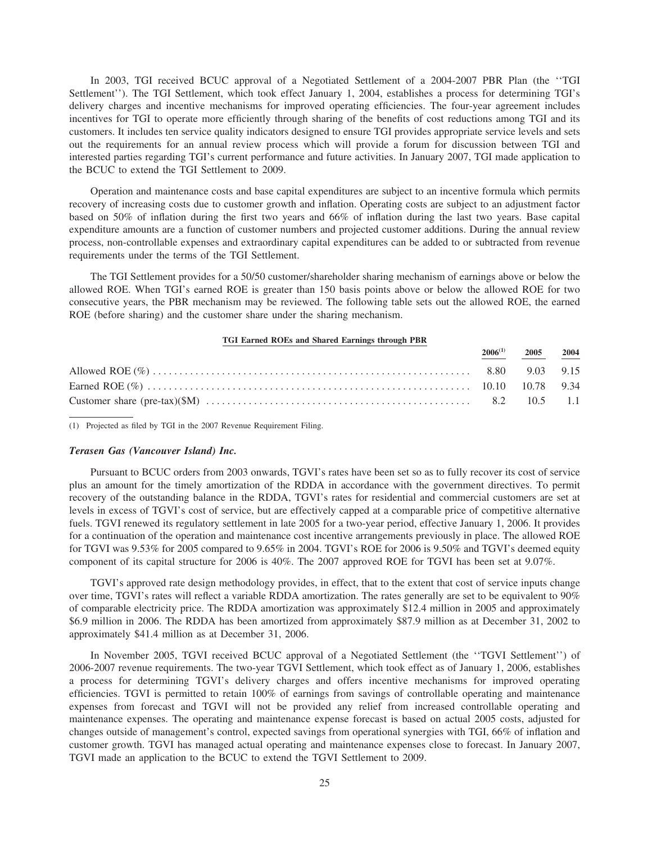In 2003, TGI received BCUC approval of a Negotiated Settlement of a 2004-2007 PBR Plan (the ''TGI Settlement''). The TGI Settlement, which took effect January 1, 2004, establishes a process for determining TGI's delivery charges and incentive mechanisms for improved operating efficiencies. The four-year agreement includes incentives for TGI to operate more efficiently through sharing of the benefits of cost reductions among TGI and its customers. It includes ten service quality indicators designed to ensure TGI provides appropriate service levels and sets out the requirements for an annual review process which will provide a forum for discussion between TGI and interested parties regarding TGI's current performance and future activities. In January 2007, TGI made application to the BCUC to extend the TGI Settlement to 2009.

Operation and maintenance costs and base capital expenditures are subject to an incentive formula which permits recovery of increasing costs due to customer growth and inflation. Operating costs are subject to an adjustment factor based on 50% of inflation during the first two years and 66% of inflation during the last two years. Base capital expenditure amounts are a function of customer numbers and projected customer additions. During the annual review process, non-controllable expenses and extraordinary capital expenditures can be added to or subtracted from revenue requirements under the terms of the TGI Settlement.

The TGI Settlement provides for a 50/50 customer/shareholder sharing mechanism of earnings above or below the allowed ROE. When TGI's earned ROE is greater than 150 basis points above or below the allowed ROE for two consecutive years, the PBR mechanism may be reviewed. The following table sets out the allowed ROE, the earned ROE (before sharing) and the customer share under the sharing mechanism.

#### **TGI Earned ROEs and Shared Earnings through PBR**

|  | $\frac{2006^{(1)}}{2005}$ $\frac{2005}{2004}$ |  |
|--|-----------------------------------------------|--|
|  |                                               |  |
|  |                                               |  |
|  |                                               |  |

(1) Projected as filed by TGI in the 2007 Revenue Requirement Filing.

#### *Terasen Gas (Vancouver Island) Inc.*

Pursuant to BCUC orders from 2003 onwards, TGVI's rates have been set so as to fully recover its cost of service plus an amount for the timely amortization of the RDDA in accordance with the government directives. To permit recovery of the outstanding balance in the RDDA, TGVI's rates for residential and commercial customers are set at levels in excess of TGVI's cost of service, but are effectively capped at a comparable price of competitive alternative fuels. TGVI renewed its regulatory settlement in late 2005 for a two-year period, effective January 1, 2006. It provides for a continuation of the operation and maintenance cost incentive arrangements previously in place. The allowed ROE for TGVI was 9.53% for 2005 compared to 9.65% in 2004. TGVI's ROE for 2006 is 9.50% and TGVI's deemed equity component of its capital structure for 2006 is 40%. The 2007 approved ROE for TGVI has been set at 9.07%.

TGVI's approved rate design methodology provides, in effect, that to the extent that cost of service inputs change over time, TGVI's rates will reflect a variable RDDA amortization. The rates generally are set to be equivalent to 90% of comparable electricity price. The RDDA amortization was approximately \$12.4 million in 2005 and approximately \$6.9 million in 2006. The RDDA has been amortized from approximately \$87.9 million as at December 31, 2002 to approximately \$41.4 million as at December 31, 2006.

In November 2005, TGVI received BCUC approval of a Negotiated Settlement (the ''TGVI Settlement'') of 2006-2007 revenue requirements. The two-year TGVI Settlement, which took effect as of January 1, 2006, establishes a process for determining TGVI's delivery charges and offers incentive mechanisms for improved operating efficiencies. TGVI is permitted to retain 100% of earnings from savings of controllable operating and maintenance expenses from forecast and TGVI will not be provided any relief from increased controllable operating and maintenance expenses. The operating and maintenance expense forecast is based on actual 2005 costs, adjusted for changes outside of management's control, expected savings from operational synergies with TGI, 66% of inflation and customer growth. TGVI has managed actual operating and maintenance expenses close to forecast. In January 2007, TGVI made an application to the BCUC to extend the TGVI Settlement to 2009.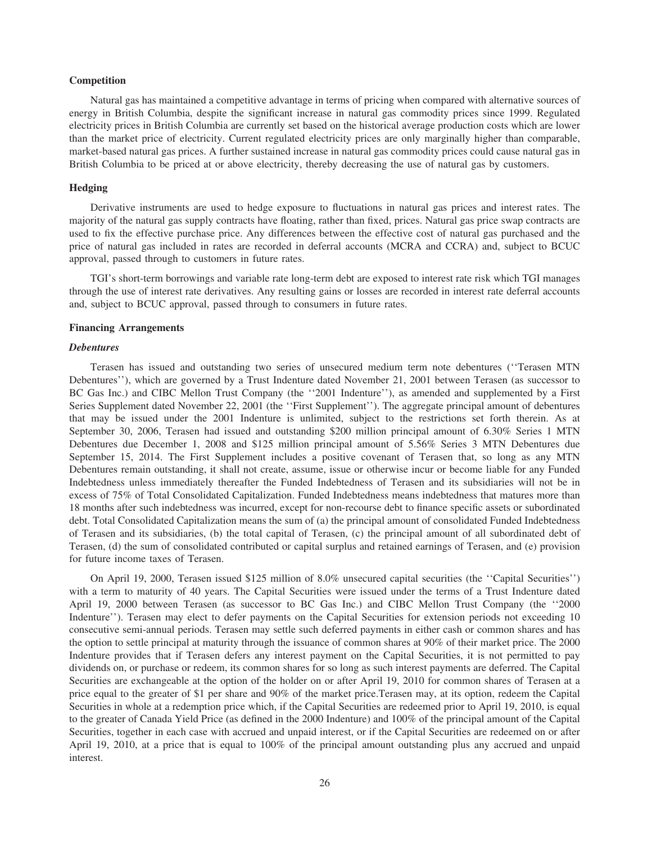# **Competition**

Natural gas has maintained a competitive advantage in terms of pricing when compared with alternative sources of energy in British Columbia, despite the significant increase in natural gas commodity prices since 1999. Regulated electricity prices in British Columbia are currently set based on the historical average production costs which are lower than the market price of electricity. Current regulated electricity prices are only marginally higher than comparable, market-based natural gas prices. A further sustained increase in natural gas commodity prices could cause natural gas in British Columbia to be priced at or above electricity, thereby decreasing the use of natural gas by customers.

#### **Hedging**

Derivative instruments are used to hedge exposure to fluctuations in natural gas prices and interest rates. The majority of the natural gas supply contracts have floating, rather than fixed, prices. Natural gas price swap contracts are used to fix the effective purchase price. Any differences between the effective cost of natural gas purchased and the price of natural gas included in rates are recorded in deferral accounts (MCRA and CCRA) and, subject to BCUC approval, passed through to customers in future rates.

TGI's short-term borrowings and variable rate long-term debt are exposed to interest rate risk which TGI manages through the use of interest rate derivatives. Any resulting gains or losses are recorded in interest rate deferral accounts and, subject to BCUC approval, passed through to consumers in future rates.

#### **Financing Arrangements**

#### *Debentures*

Terasen has issued and outstanding two series of unsecured medium term note debentures (''Terasen MTN Debentures''), which are governed by a Trust Indenture dated November 21, 2001 between Terasen (as successor to BC Gas Inc.) and CIBC Mellon Trust Company (the ''2001 Indenture''), as amended and supplemented by a First Series Supplement dated November 22, 2001 (the "First Supplement"). The aggregate principal amount of debentures that may be issued under the 2001 Indenture is unlimited, subject to the restrictions set forth therein. As at September 30, 2006, Terasen had issued and outstanding \$200 million principal amount of 6.30% Series 1 MTN Debentures due December 1, 2008 and \$125 million principal amount of 5.56% Series 3 MTN Debentures due September 15, 2014. The First Supplement includes a positive covenant of Terasen that, so long as any MTN Debentures remain outstanding, it shall not create, assume, issue or otherwise incur or become liable for any Funded Indebtedness unless immediately thereafter the Funded Indebtedness of Terasen and its subsidiaries will not be in excess of 75% of Total Consolidated Capitalization. Funded Indebtedness means indebtedness that matures more than 18 months after such indebtedness was incurred, except for non-recourse debt to finance specific assets or subordinated debt. Total Consolidated Capitalization means the sum of (a) the principal amount of consolidated Funded Indebtedness of Terasen and its subsidiaries, (b) the total capital of Terasen, (c) the principal amount of all subordinated debt of Terasen, (d) the sum of consolidated contributed or capital surplus and retained earnings of Terasen, and (e) provision for future income taxes of Terasen.

On April 19, 2000, Terasen issued \$125 million of 8.0% unsecured capital securities (the ''Capital Securities'') with a term to maturity of 40 years. The Capital Securities were issued under the terms of a Trust Indenture dated April 19, 2000 between Terasen (as successor to BC Gas Inc.) and CIBC Mellon Trust Company (the ''2000 Indenture''). Terasen may elect to defer payments on the Capital Securities for extension periods not exceeding 10 consecutive semi-annual periods. Terasen may settle such deferred payments in either cash or common shares and has the option to settle principal at maturity through the issuance of common shares at 90% of their market price. The 2000 Indenture provides that if Terasen defers any interest payment on the Capital Securities, it is not permitted to pay dividends on, or purchase or redeem, its common shares for so long as such interest payments are deferred. The Capital Securities are exchangeable at the option of the holder on or after April 19, 2010 for common shares of Terasen at a price equal to the greater of \$1 per share and 90% of the market price.Terasen may, at its option, redeem the Capital Securities in whole at a redemption price which, if the Capital Securities are redeemed prior to April 19, 2010, is equal to the greater of Canada Yield Price (as defined in the 2000 Indenture) and 100% of the principal amount of the Capital Securities, together in each case with accrued and unpaid interest, or if the Capital Securities are redeemed on or after April 19, 2010, at a price that is equal to 100% of the principal amount outstanding plus any accrued and unpaid interest.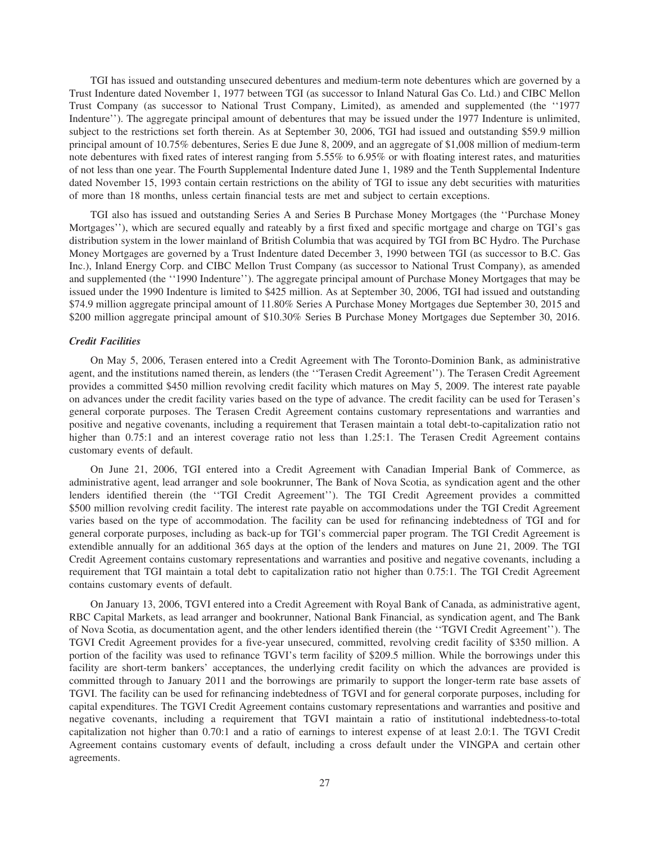TGI has issued and outstanding unsecured debentures and medium-term note debentures which are governed by a Trust Indenture dated November 1, 1977 between TGI (as successor to Inland Natural Gas Co. Ltd.) and CIBC Mellon Trust Company (as successor to National Trust Company, Limited), as amended and supplemented (the ''1977 Indenture''). The aggregate principal amount of debentures that may be issued under the 1977 Indenture is unlimited, subject to the restrictions set forth therein. As at September 30, 2006, TGI had issued and outstanding \$59.9 million principal amount of 10.75% debentures, Series E due June 8, 2009, and an aggregate of \$1,008 million of medium-term note debentures with fixed rates of interest ranging from 5.55% to 6.95% or with floating interest rates, and maturities of not less than one year. The Fourth Supplemental Indenture dated June 1, 1989 and the Tenth Supplemental Indenture dated November 15, 1993 contain certain restrictions on the ability of TGI to issue any debt securities with maturities of more than 18 months, unless certain financial tests are met and subject to certain exceptions.

TGI also has issued and outstanding Series A and Series B Purchase Money Mortgages (the ''Purchase Money Mortgages''), which are secured equally and rateably by a first fixed and specific mortgage and charge on TGI's gas distribution system in the lower mainland of British Columbia that was acquired by TGI from BC Hydro. The Purchase Money Mortgages are governed by a Trust Indenture dated December 3, 1990 between TGI (as successor to B.C. Gas Inc.), Inland Energy Corp. and CIBC Mellon Trust Company (as successor to National Trust Company), as amended and supplemented (the ''1990 Indenture''). The aggregate principal amount of Purchase Money Mortgages that may be issued under the 1990 Indenture is limited to \$425 million. As at September 30, 2006, TGI had issued and outstanding \$74.9 million aggregate principal amount of 11.80% Series A Purchase Money Mortgages due September 30, 2015 and \$200 million aggregate principal amount of \$10.30% Series B Purchase Money Mortgages due September 30, 2016.

# *Credit Facilities*

On May 5, 2006, Terasen entered into a Credit Agreement with The Toronto-Dominion Bank, as administrative agent, and the institutions named therein, as lenders (the ''Terasen Credit Agreement''). The Terasen Credit Agreement provides a committed \$450 million revolving credit facility which matures on May 5, 2009. The interest rate payable on advances under the credit facility varies based on the type of advance. The credit facility can be used for Terasen's general corporate purposes. The Terasen Credit Agreement contains customary representations and warranties and positive and negative covenants, including a requirement that Terasen maintain a total debt-to-capitalization ratio not higher than 0.75:1 and an interest coverage ratio not less than 1.25:1. The Terasen Credit Agreement contains customary events of default.

On June 21, 2006, TGI entered into a Credit Agreement with Canadian Imperial Bank of Commerce, as administrative agent, lead arranger and sole bookrunner, The Bank of Nova Scotia, as syndication agent and the other lenders identified therein (the ''TGI Credit Agreement''). The TGI Credit Agreement provides a committed \$500 million revolving credit facility. The interest rate payable on accommodations under the TGI Credit Agreement varies based on the type of accommodation. The facility can be used for refinancing indebtedness of TGI and for general corporate purposes, including as back-up for TGI's commercial paper program. The TGI Credit Agreement is extendible annually for an additional 365 days at the option of the lenders and matures on June 21, 2009. The TGI Credit Agreement contains customary representations and warranties and positive and negative covenants, including a requirement that TGI maintain a total debt to capitalization ratio not higher than 0.75:1. The TGI Credit Agreement contains customary events of default.

On January 13, 2006, TGVI entered into a Credit Agreement with Royal Bank of Canada, as administrative agent, RBC Capital Markets, as lead arranger and bookrunner, National Bank Financial, as syndication agent, and The Bank of Nova Scotia, as documentation agent, and the other lenders identified therein (the ''TGVI Credit Agreement''). The TGVI Credit Agreement provides for a five-year unsecured, committed, revolving credit facility of \$350 million. A portion of the facility was used to refinance TGVI's term facility of \$209.5 million. While the borrowings under this facility are short-term bankers' acceptances, the underlying credit facility on which the advances are provided is committed through to January 2011 and the borrowings are primarily to support the longer-term rate base assets of TGVI. The facility can be used for refinancing indebtedness of TGVI and for general corporate purposes, including for capital expenditures. The TGVI Credit Agreement contains customary representations and warranties and positive and negative covenants, including a requirement that TGVI maintain a ratio of institutional indebtedness-to-total capitalization not higher than 0.70:1 and a ratio of earnings to interest expense of at least 2.0:1. The TGVI Credit Agreement contains customary events of default, including a cross default under the VINGPA and certain other agreements.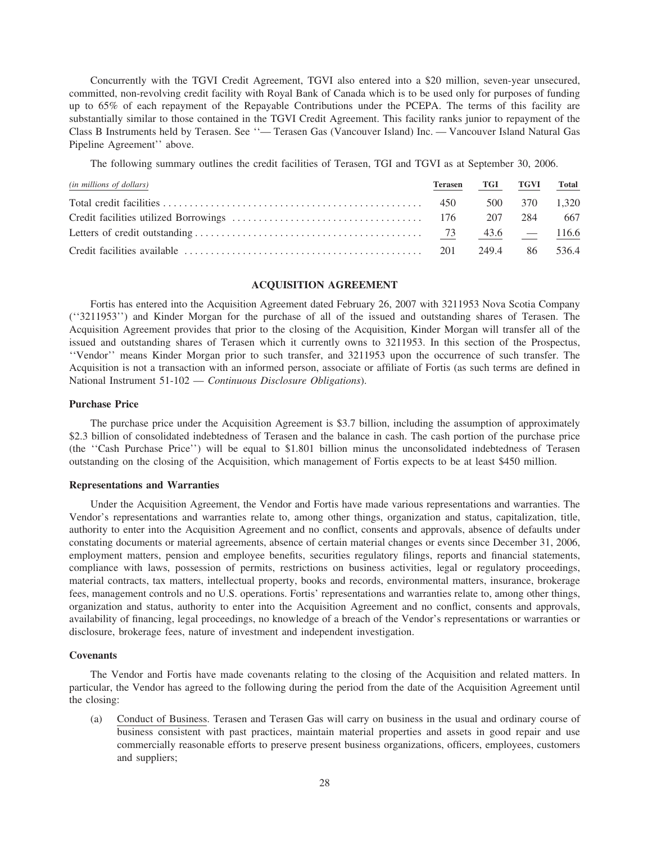Concurrently with the TGVI Credit Agreement, TGVI also entered into a \$20 million, seven-year unsecured, committed, non-revolving credit facility with Royal Bank of Canada which is to be used only for purposes of funding up to 65% of each repayment of the Repayable Contributions under the PCEPA. The terms of this facility are substantially similar to those contained in the TGVI Credit Agreement. This facility ranks junior to repayment of the Class B Instruments held by Terasen. See ''— Terasen Gas (Vancouver Island) Inc. — Vancouver Island Natural Gas Pipeline Agreement'' above.

The following summary outlines the credit facilities of Terasen, TGI and TGVI as at September 30, 2006.

| (in millions of dollars) | Terasen TGI TGVI Total |               |  |
|--------------------------|------------------------|---------------|--|
|                          |                        | 500 370 1.320 |  |
|                          |                        |               |  |
|                          |                        |               |  |
|                          |                        |               |  |

# **ACQUISITION AGREEMENT**

Fortis has entered into the Acquisition Agreement dated February 26, 2007 with 3211953 Nova Scotia Company (''3211953'') and Kinder Morgan for the purchase of all of the issued and outstanding shares of Terasen. The Acquisition Agreement provides that prior to the closing of the Acquisition, Kinder Morgan will transfer all of the issued and outstanding shares of Terasen which it currently owns to 3211953. In this section of the Prospectus, ''Vendor'' means Kinder Morgan prior to such transfer, and 3211953 upon the occurrence of such transfer. The Acquisition is not a transaction with an informed person, associate or affiliate of Fortis (as such terms are defined in National Instrument 51-102 — *Continuous Disclosure Obligations*).

#### **Purchase Price**

The purchase price under the Acquisition Agreement is \$3.7 billion, including the assumption of approximately \$2.3 billion of consolidated indebtedness of Terasen and the balance in cash. The cash portion of the purchase price (the ''Cash Purchase Price'') will be equal to \$1.801 billion minus the unconsolidated indebtedness of Terasen outstanding on the closing of the Acquisition, which management of Fortis expects to be at least \$450 million.

#### **Representations and Warranties**

Under the Acquisition Agreement, the Vendor and Fortis have made various representations and warranties. The Vendor's representations and warranties relate to, among other things, organization and status, capitalization, title, authority to enter into the Acquisition Agreement and no conflict, consents and approvals, absence of defaults under constating documents or material agreements, absence of certain material changes or events since December 31, 2006, employment matters, pension and employee benefits, securities regulatory filings, reports and financial statements, compliance with laws, possession of permits, restrictions on business activities, legal or regulatory proceedings, material contracts, tax matters, intellectual property, books and records, environmental matters, insurance, brokerage fees, management controls and no U.S. operations. Fortis' representations and warranties relate to, among other things, organization and status, authority to enter into the Acquisition Agreement and no conflict, consents and approvals, availability of financing, legal proceedings, no knowledge of a breach of the Vendor's representations or warranties or disclosure, brokerage fees, nature of investment and independent investigation.

# **Covenants**

The Vendor and Fortis have made covenants relating to the closing of the Acquisition and related matters. In particular, the Vendor has agreed to the following during the period from the date of the Acquisition Agreement until the closing:

(a) Conduct of Business. Terasen and Terasen Gas will carry on business in the usual and ordinary course of business consistent with past practices, maintain material properties and assets in good repair and use commercially reasonable efforts to preserve present business organizations, officers, employees, customers and suppliers;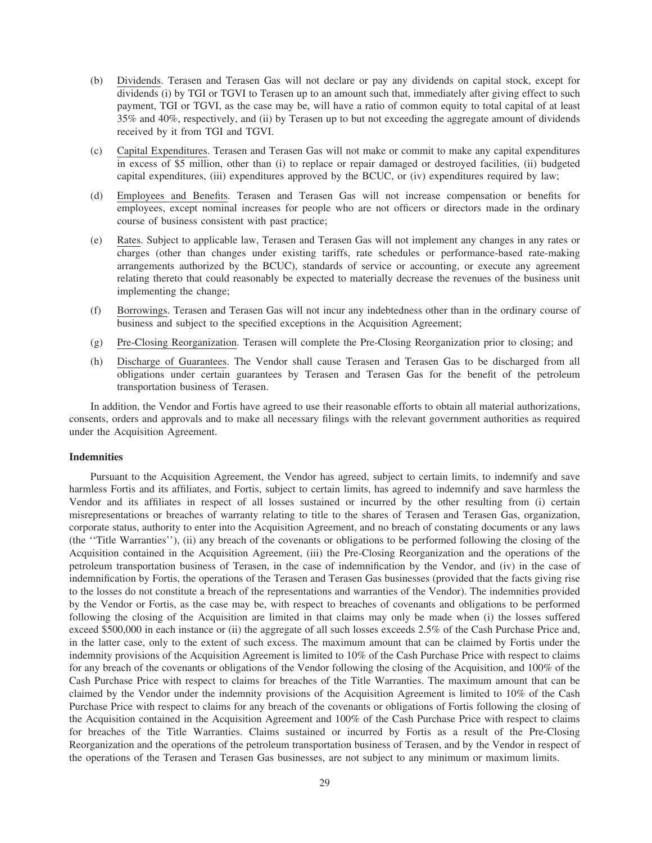- (b) Dividends. Terasen and Terasen Gas will not declare or pay any dividends on capital stock, except for dividends (i) by TGI or TGVI to Terasen up to an amount such that, immediately after giving effect to such payment, TGI or TGVI, as the case may be, will have a ratio of common equity to total capital of at least 35% and 40%, respectively, and (ii) by Terasen up to but not exceeding the aggregate amount of dividends received by it from TGI and TGVI.
- (c) Capital Expenditures. Terasen and Terasen Gas will not make or commit to make any capital expenditures in excess of \$5 million, other than (i) to replace or repair damaged or destroyed facilities, (ii) budgeted capital expenditures, (iii) expenditures approved by the BCUC, or (iv) expenditures required by law;
- (d) Employees and Benefits. Terasen and Terasen Gas will not increase compensation or benefits for employees, except nominal increases for people who are not officers or directors made in the ordinary course of business consistent with past practice;
- (e) Rates. Subject to applicable law, Terasen and Terasen Gas will not implement any changes in any rates or charges (other than changes under existing tariffs, rate schedules or performance-based rate-making arrangements authorized by the BCUC), standards of service or accounting, or execute any agreement relating thereto that could reasonably be expected to materially decrease the revenues of the business unit implementing the change;
- (f) Borrowings. Terasen and Terasen Gas will not incur any indebtedness other than in the ordinary course of business and subject to the specified exceptions in the Acquisition Agreement;
- (g) Pre-Closing Reorganization. Terasen will complete the Pre-Closing Reorganization prior to closing; and
- (h) Discharge of Guarantees. The Vendor shall cause Terasen and Terasen Gas to be discharged from all obligations under certain guarantees by Terasen and Terasen Gas for the benefit of the petroleum transportation business of Terasen.

In addition, the Vendor and Fortis have agreed to use their reasonable efforts to obtain all material authorizations, consents, orders and approvals and to make all necessary filings with the relevant government authorities as required under the Acquisition Agreement.

#### **Indemnities**

Pursuant to the Acquisition Agreement, the Vendor has agreed, subject to certain limits, to indemnify and save harmless Fortis and its affiliates, and Fortis, subject to certain limits, has agreed to indemnify and save harmless the Vendor and its affiliates in respect of all losses sustained or incurred by the other resulting from (i) certain misrepresentations or breaches of warranty relating to title to the shares of Terasen and Terasen Gas, organization, corporate status, authority to enter into the Acquisition Agreement, and no breach of constating documents or any laws (the ''Title Warranties''), (ii) any breach of the covenants or obligations to be performed following the closing of the Acquisition contained in the Acquisition Agreement, (iii) the Pre-Closing Reorganization and the operations of the petroleum transportation business of Terasen, in the case of indemnification by the Vendor, and (iv) in the case of indemnification by Fortis, the operations of the Terasen and Terasen Gas businesses (provided that the facts giving rise to the losses do not constitute a breach of the representations and warranties of the Vendor). The indemnities provided by the Vendor or Fortis, as the case may be, with respect to breaches of covenants and obligations to be performed following the closing of the Acquisition are limited in that claims may only be made when (i) the losses suffered exceed \$500,000 in each instance or (ii) the aggregate of all such losses exceeds 2.5% of the Cash Purchase Price and, in the latter case, only to the extent of such excess. The maximum amount that can be claimed by Fortis under the indemnity provisions of the Acquisition Agreement is limited to 10% of the Cash Purchase Price with respect to claims for any breach of the covenants or obligations of the Vendor following the closing of the Acquisition, and 100% of the Cash Purchase Price with respect to claims for breaches of the Title Warranties. The maximum amount that can be claimed by the Vendor under the indemnity provisions of the Acquisition Agreement is limited to 10% of the Cash Purchase Price with respect to claims for any breach of the covenants or obligations of Fortis following the closing of the Acquisition contained in the Acquisition Agreement and 100% of the Cash Purchase Price with respect to claims for breaches of the Title Warranties. Claims sustained or incurred by Fortis as a result of the Pre-Closing Reorganization and the operations of the petroleum transportation business of Terasen, and by the Vendor in respect of the operations of the Terasen and Terasen Gas businesses, are not subject to any minimum or maximum limits.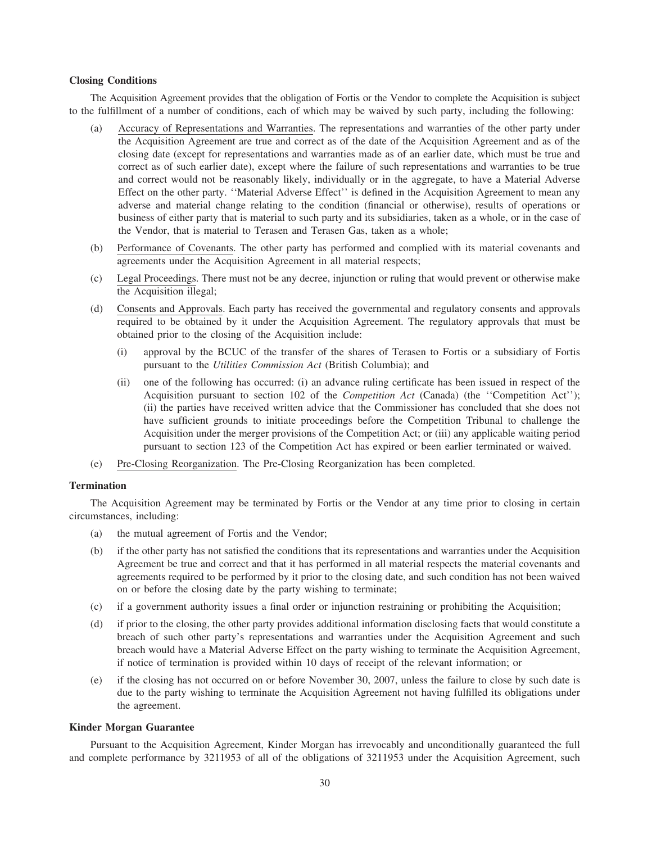## **Closing Conditions**

The Acquisition Agreement provides that the obligation of Fortis or the Vendor to complete the Acquisition is subject to the fulfillment of a number of conditions, each of which may be waived by such party, including the following:

- (a) Accuracy of Representations and Warranties. The representations and warranties of the other party under the Acquisition Agreement are true and correct as of the date of the Acquisition Agreement and as of the closing date (except for representations and warranties made as of an earlier date, which must be true and correct as of such earlier date), except where the failure of such representations and warranties to be true and correct would not be reasonably likely, individually or in the aggregate, to have a Material Adverse Effect on the other party. ''Material Adverse Effect'' is defined in the Acquisition Agreement to mean any adverse and material change relating to the condition (financial or otherwise), results of operations or business of either party that is material to such party and its subsidiaries, taken as a whole, or in the case of the Vendor, that is material to Terasen and Terasen Gas, taken as a whole;
- (b) Performance of Covenants. The other party has performed and complied with its material covenants and agreements under the Acquisition Agreement in all material respects;
- (c) Legal Proceedings. There must not be any decree, injunction or ruling that would prevent or otherwise make the Acquisition illegal;
- (d) Consents and Approvals. Each party has received the governmental and regulatory consents and approvals required to be obtained by it under the Acquisition Agreement. The regulatory approvals that must be obtained prior to the closing of the Acquisition include:
	- (i) approval by the BCUC of the transfer of the shares of Terasen to Fortis or a subsidiary of Fortis pursuant to the *Utilities Commission Act* (British Columbia); and
	- (ii) one of the following has occurred: (i) an advance ruling certificate has been issued in respect of the Acquisition pursuant to section 102 of the *Competition Act* (Canada) (the ''Competition Act''); (ii) the parties have received written advice that the Commissioner has concluded that she does not have sufficient grounds to initiate proceedings before the Competition Tribunal to challenge the Acquisition under the merger provisions of the Competition Act; or (iii) any applicable waiting period pursuant to section 123 of the Competition Act has expired or been earlier terminated or waived.
- (e) Pre-Closing Reorganization. The Pre-Closing Reorganization has been completed.

#### **Termination**

The Acquisition Agreement may be terminated by Fortis or the Vendor at any time prior to closing in certain circumstances, including:

- (a) the mutual agreement of Fortis and the Vendor;
- (b) if the other party has not satisfied the conditions that its representations and warranties under the Acquisition Agreement be true and correct and that it has performed in all material respects the material covenants and agreements required to be performed by it prior to the closing date, and such condition has not been waived on or before the closing date by the party wishing to terminate;
- (c) if a government authority issues a final order or injunction restraining or prohibiting the Acquisition;
- (d) if prior to the closing, the other party provides additional information disclosing facts that would constitute a breach of such other party's representations and warranties under the Acquisition Agreement and such breach would have a Material Adverse Effect on the party wishing to terminate the Acquisition Agreement, if notice of termination is provided within 10 days of receipt of the relevant information; or
- (e) if the closing has not occurred on or before November 30, 2007, unless the failure to close by such date is due to the party wishing to terminate the Acquisition Agreement not having fulfilled its obligations under the agreement.

# **Kinder Morgan Guarantee**

Pursuant to the Acquisition Agreement, Kinder Morgan has irrevocably and unconditionally guaranteed the full and complete performance by 3211953 of all of the obligations of 3211953 under the Acquisition Agreement, such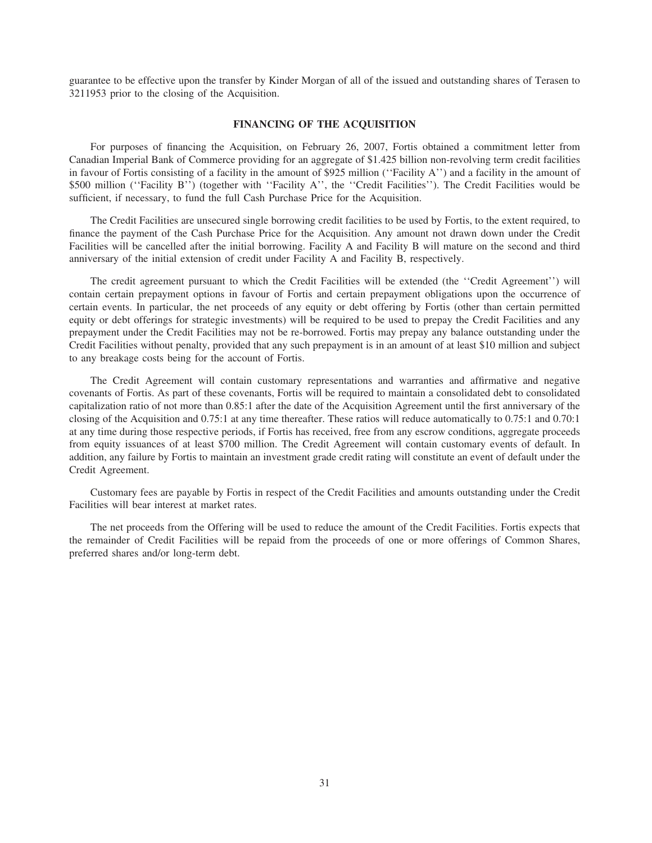guarantee to be effective upon the transfer by Kinder Morgan of all of the issued and outstanding shares of Terasen to 3211953 prior to the closing of the Acquisition.

# **FINANCING OF THE ACQUISITION**

For purposes of financing the Acquisition, on February 26, 2007, Fortis obtained a commitment letter from Canadian Imperial Bank of Commerce providing for an aggregate of \$1.425 billion non-revolving term credit facilities in favour of Fortis consisting of a facility in the amount of \$925 million (''Facility A'') and a facility in the amount of \$500 million (''Facility B'') (together with ''Facility A'', the ''Credit Facilities''). The Credit Facilities would be sufficient, if necessary, to fund the full Cash Purchase Price for the Acquisition.

The Credit Facilities are unsecured single borrowing credit facilities to be used by Fortis, to the extent required, to finance the payment of the Cash Purchase Price for the Acquisition. Any amount not drawn down under the Credit Facilities will be cancelled after the initial borrowing. Facility A and Facility B will mature on the second and third anniversary of the initial extension of credit under Facility A and Facility B, respectively.

The credit agreement pursuant to which the Credit Facilities will be extended (the ''Credit Agreement'') will contain certain prepayment options in favour of Fortis and certain prepayment obligations upon the occurrence of certain events. In particular, the net proceeds of any equity or debt offering by Fortis (other than certain permitted equity or debt offerings for strategic investments) will be required to be used to prepay the Credit Facilities and any prepayment under the Credit Facilities may not be re-borrowed. Fortis may prepay any balance outstanding under the Credit Facilities without penalty, provided that any such prepayment is in an amount of at least \$10 million and subject to any breakage costs being for the account of Fortis.

The Credit Agreement will contain customary representations and warranties and affirmative and negative covenants of Fortis. As part of these covenants, Fortis will be required to maintain a consolidated debt to consolidated capitalization ratio of not more than 0.85:1 after the date of the Acquisition Agreement until the first anniversary of the closing of the Acquisition and 0.75:1 at any time thereafter. These ratios will reduce automatically to 0.75:1 and 0.70:1 at any time during those respective periods, if Fortis has received, free from any escrow conditions, aggregate proceeds from equity issuances of at least \$700 million. The Credit Agreement will contain customary events of default. In addition, any failure by Fortis to maintain an investment grade credit rating will constitute an event of default under the Credit Agreement.

Customary fees are payable by Fortis in respect of the Credit Facilities and amounts outstanding under the Credit Facilities will bear interest at market rates.

The net proceeds from the Offering will be used to reduce the amount of the Credit Facilities. Fortis expects that the remainder of Credit Facilities will be repaid from the proceeds of one or more offerings of Common Shares, preferred shares and/or long-term debt.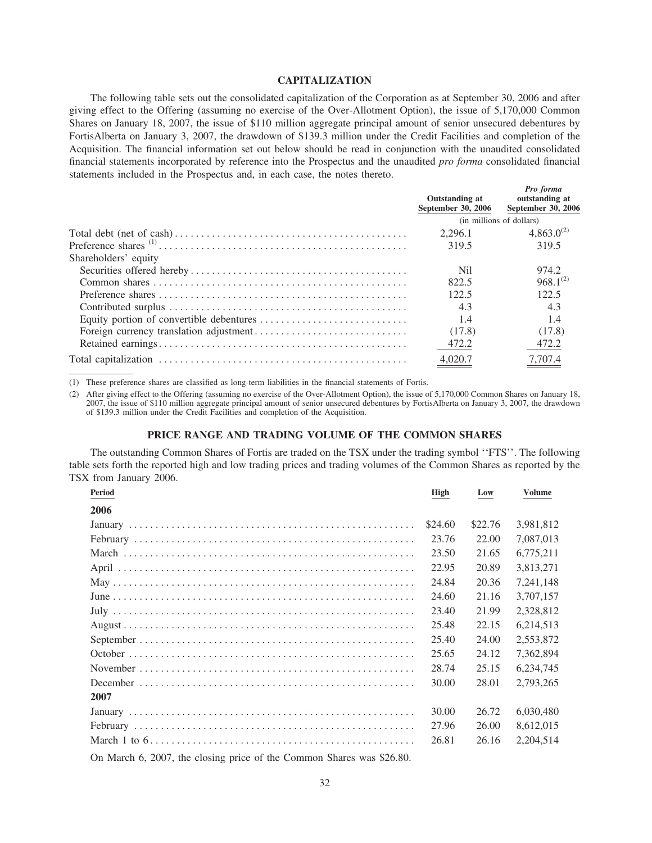# **CAPITALIZATION**

The following table sets out the consolidated capitalization of the Corporation as at September 30, 2006 and after giving effect to the Offering (assuming no exercise of the Over-Allotment Option), the issue of 5,170,000 Common Shares on January 18, 2007, the issue of \$110 million aggregate principal amount of senior unsecured debentures by FortisAlberta on January 3, 2007, the drawdown of \$139.3 million under the Credit Facilities and completion of the Acquisition. The financial information set out below should be read in conjunction with the unaudited consolidated financial statements incorporated by reference into the Prospectus and the unaudited *pro forma* consolidated financial statements included in the Prospectus and, in each case, the notes thereto.

|                      | Outstanding at<br>September 30, 2006 | Pro forma<br>outstanding at<br>September 30, 2006 |
|----------------------|--------------------------------------|---------------------------------------------------|
|                      |                                      | (in millions of dollars)                          |
|                      | 2.296.1                              | $4,863.0^{(2)}$                                   |
|                      | 319.5                                | 319.5                                             |
| Shareholders' equity |                                      |                                                   |
|                      | Nil                                  | 974.2                                             |
|                      | 822.5                                | $968.1^{(2)}$                                     |
|                      | 122.5                                | 122.5                                             |
|                      | 4.3                                  | 4.3                                               |
|                      | 1.4                                  | 1.4                                               |
|                      | (17.8)                               | (17.8)                                            |
|                      | 472.2                                | 472.2                                             |
|                      | 4,020.7                              | 7,707.4                                           |
|                      |                                      |                                                   |

(1) These preference shares are classified as long-term liabilities in the financial statements of Fortis.

(2) After giving effect to the Offering (assuming no exercise of the Over-Allotment Option), the issue of 5,170,000 Common Shares on January 18, 2007, the issue of \$110 million aggregate principal amount of senior unsecured debentures by FortisAlberta on January 3, 2007, the drawdown of \$139.3 million under the Credit Facilities and completion of the Acquisition.

#### **PRICE RANGE AND TRADING VOLUME OF THE COMMON SHARES**

The outstanding Common Shares of Fortis are traded on the TSX under the trading symbol ''FTS''. The following table sets forth the reported high and low trading prices and trading volumes of the Common Shares as reported by the TSX from January 2006.

| Period                                                           | High    | Low     | <b>Volume</b> |
|------------------------------------------------------------------|---------|---------|---------------|
| 2006                                                             |         |         |               |
|                                                                  | \$24.60 | \$22.76 | 3.981.812     |
|                                                                  | 23.76   | 22.00   | 7,087,013     |
|                                                                  | 23.50   | 21.65   | 6,775,211     |
|                                                                  | 22.95   | 20.89   | 3,813,271     |
|                                                                  | 24.84   | 20.36   | 7,241,148     |
|                                                                  | 24.60   | 21.16   | 3,707,157     |
|                                                                  | 23.40   | 21.99   | 2,328,812     |
|                                                                  | 25.48   | 22.15   | 6,214,513     |
|                                                                  | 25.40   | 24.00   | 2,553,872     |
|                                                                  | 25.65   | 24.12   | 7.362.894     |
|                                                                  | 28.74   | 25.15   | 6.234.745     |
|                                                                  | 30.00   | 28.01   | 2.793.265     |
| 2007                                                             |         |         |               |
|                                                                  | 30.00   | 26.72   | 6,030,480     |
|                                                                  | 27.96   | 26.00   | 8,612,015     |
|                                                                  | 26.81   | 26.16   | 2,204,514     |
| $0.11 \pm 0.007$ $1 \pm 1$ $1 \pm 0.1$ $0 \pm 0.1$ $01 \pm 0.00$ |         |         |               |

On March 6, 2007, the closing price of the Common Shares was \$26.80.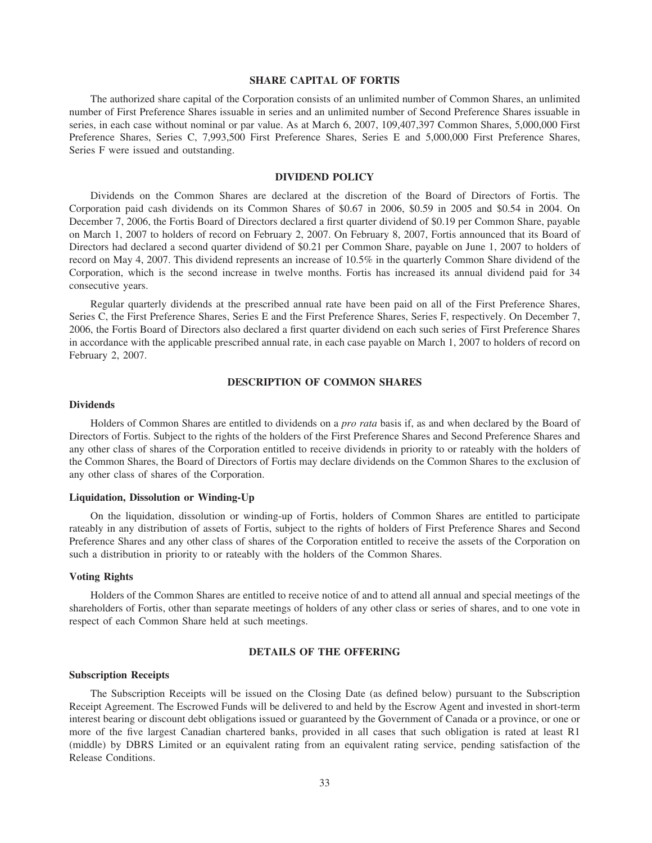#### **SHARE CAPITAL OF FORTIS**

The authorized share capital of the Corporation consists of an unlimited number of Common Shares, an unlimited number of First Preference Shares issuable in series and an unlimited number of Second Preference Shares issuable in series, in each case without nominal or par value. As at March 6, 2007, 109,407,397 Common Shares, 5,000,000 First Preference Shares, Series C, 7,993,500 First Preference Shares, Series E and 5,000,000 First Preference Shares, Series F were issued and outstanding.

# **DIVIDEND POLICY**

Dividends on the Common Shares are declared at the discretion of the Board of Directors of Fortis. The Corporation paid cash dividends on its Common Shares of \$0.67 in 2006, \$0.59 in 2005 and \$0.54 in 2004. On December 7, 2006, the Fortis Board of Directors declared a first quarter dividend of \$0.19 per Common Share, payable on March 1, 2007 to holders of record on February 2, 2007. On February 8, 2007, Fortis announced that its Board of Directors had declared a second quarter dividend of \$0.21 per Common Share, payable on June 1, 2007 to holders of record on May 4, 2007. This dividend represents an increase of 10.5% in the quarterly Common Share dividend of the Corporation, which is the second increase in twelve months. Fortis has increased its annual dividend paid for 34 consecutive years.

Regular quarterly dividends at the prescribed annual rate have been paid on all of the First Preference Shares, Series C, the First Preference Shares, Series E and the First Preference Shares, Series F, respectively. On December 7, 2006, the Fortis Board of Directors also declared a first quarter dividend on each such series of First Preference Shares in accordance with the applicable prescribed annual rate, in each case payable on March 1, 2007 to holders of record on February 2, 2007.

#### **DESCRIPTION OF COMMON SHARES**

# **Dividends**

Holders of Common Shares are entitled to dividends on a *pro rata* basis if, as and when declared by the Board of Directors of Fortis. Subject to the rights of the holders of the First Preference Shares and Second Preference Shares and any other class of shares of the Corporation entitled to receive dividends in priority to or rateably with the holders of the Common Shares, the Board of Directors of Fortis may declare dividends on the Common Shares to the exclusion of any other class of shares of the Corporation.

# **Liquidation, Dissolution or Winding-Up**

On the liquidation, dissolution or winding-up of Fortis, holders of Common Shares are entitled to participate rateably in any distribution of assets of Fortis, subject to the rights of holders of First Preference Shares and Second Preference Shares and any other class of shares of the Corporation entitled to receive the assets of the Corporation on such a distribution in priority to or rateably with the holders of the Common Shares.

# **Voting Rights**

Holders of the Common Shares are entitled to receive notice of and to attend all annual and special meetings of the shareholders of Fortis, other than separate meetings of holders of any other class or series of shares, and to one vote in respect of each Common Share held at such meetings.

#### **DETAILS OF THE OFFERING**

#### **Subscription Receipts**

The Subscription Receipts will be issued on the Closing Date (as defined below) pursuant to the Subscription Receipt Agreement. The Escrowed Funds will be delivered to and held by the Escrow Agent and invested in short-term interest bearing or discount debt obligations issued or guaranteed by the Government of Canada or a province, or one or more of the five largest Canadian chartered banks, provided in all cases that such obligation is rated at least R1 (middle) by DBRS Limited or an equivalent rating from an equivalent rating service, pending satisfaction of the Release Conditions.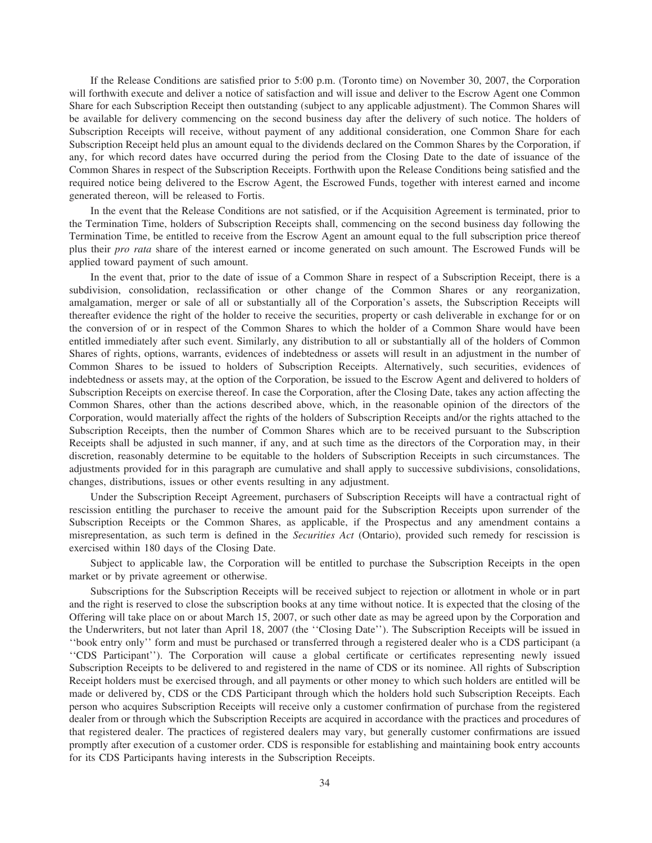If the Release Conditions are satisfied prior to 5:00 p.m. (Toronto time) on November 30, 2007, the Corporation will forthwith execute and deliver a notice of satisfaction and will issue and deliver to the Escrow Agent one Common Share for each Subscription Receipt then outstanding (subject to any applicable adjustment). The Common Shares will be available for delivery commencing on the second business day after the delivery of such notice. The holders of Subscription Receipts will receive, without payment of any additional consideration, one Common Share for each Subscription Receipt held plus an amount equal to the dividends declared on the Common Shares by the Corporation, if any, for which record dates have occurred during the period from the Closing Date to the date of issuance of the Common Shares in respect of the Subscription Receipts. Forthwith upon the Release Conditions being satisfied and the required notice being delivered to the Escrow Agent, the Escrowed Funds, together with interest earned and income generated thereon, will be released to Fortis.

In the event that the Release Conditions are not satisfied, or if the Acquisition Agreement is terminated, prior to the Termination Time, holders of Subscription Receipts shall, commencing on the second business day following the Termination Time, be entitled to receive from the Escrow Agent an amount equal to the full subscription price thereof plus their *pro rata* share of the interest earned or income generated on such amount. The Escrowed Funds will be applied toward payment of such amount.

In the event that, prior to the date of issue of a Common Share in respect of a Subscription Receipt, there is a subdivision, consolidation, reclassification or other change of the Common Shares or any reorganization, amalgamation, merger or sale of all or substantially all of the Corporation's assets, the Subscription Receipts will thereafter evidence the right of the holder to receive the securities, property or cash deliverable in exchange for or on the conversion of or in respect of the Common Shares to which the holder of a Common Share would have been entitled immediately after such event. Similarly, any distribution to all or substantially all of the holders of Common Shares of rights, options, warrants, evidences of indebtedness or assets will result in an adjustment in the number of Common Shares to be issued to holders of Subscription Receipts. Alternatively, such securities, evidences of indebtedness or assets may, at the option of the Corporation, be issued to the Escrow Agent and delivered to holders of Subscription Receipts on exercise thereof. In case the Corporation, after the Closing Date, takes any action affecting the Common Shares, other than the actions described above, which, in the reasonable opinion of the directors of the Corporation, would materially affect the rights of the holders of Subscription Receipts and/or the rights attached to the Subscription Receipts, then the number of Common Shares which are to be received pursuant to the Subscription Receipts shall be adjusted in such manner, if any, and at such time as the directors of the Corporation may, in their discretion, reasonably determine to be equitable to the holders of Subscription Receipts in such circumstances. The adjustments provided for in this paragraph are cumulative and shall apply to successive subdivisions, consolidations, changes, distributions, issues or other events resulting in any adjustment.

Under the Subscription Receipt Agreement, purchasers of Subscription Receipts will have a contractual right of rescission entitling the purchaser to receive the amount paid for the Subscription Receipts upon surrender of the Subscription Receipts or the Common Shares, as applicable, if the Prospectus and any amendment contains a misrepresentation, as such term is defined in the *Securities Act* (Ontario), provided such remedy for rescission is exercised within 180 days of the Closing Date.

Subject to applicable law, the Corporation will be entitled to purchase the Subscription Receipts in the open market or by private agreement or otherwise.

Subscriptions for the Subscription Receipts will be received subject to rejection or allotment in whole or in part and the right is reserved to close the subscription books at any time without notice. It is expected that the closing of the Offering will take place on or about March 15, 2007, or such other date as may be agreed upon by the Corporation and the Underwriters, but not later than April 18, 2007 (the ''Closing Date''). The Subscription Receipts will be issued in ''book entry only'' form and must be purchased or transferred through a registered dealer who is a CDS participant (a ''CDS Participant''). The Corporation will cause a global certificate or certificates representing newly issued Subscription Receipts to be delivered to and registered in the name of CDS or its nominee. All rights of Subscription Receipt holders must be exercised through, and all payments or other money to which such holders are entitled will be made or delivered by, CDS or the CDS Participant through which the holders hold such Subscription Receipts. Each person who acquires Subscription Receipts will receive only a customer confirmation of purchase from the registered dealer from or through which the Subscription Receipts are acquired in accordance with the practices and procedures of that registered dealer. The practices of registered dealers may vary, but generally customer confirmations are issued promptly after execution of a customer order. CDS is responsible for establishing and maintaining book entry accounts for its CDS Participants having interests in the Subscription Receipts.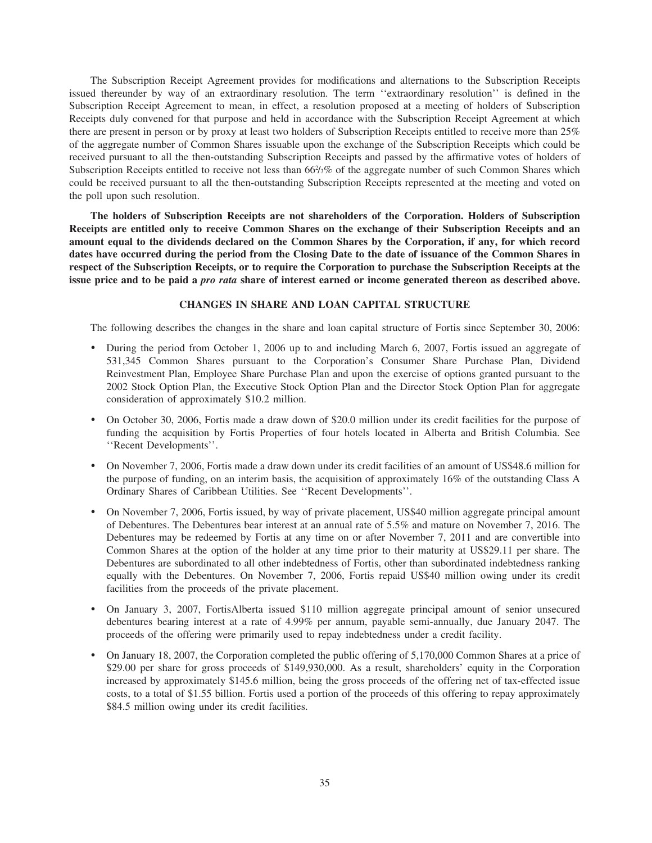The Subscription Receipt Agreement provides for modifications and alternations to the Subscription Receipts issued thereunder by way of an extraordinary resolution. The term ''extraordinary resolution'' is defined in the Subscription Receipt Agreement to mean, in effect, a resolution proposed at a meeting of holders of Subscription Receipts duly convened for that purpose and held in accordance with the Subscription Receipt Agreement at which there are present in person or by proxy at least two holders of Subscription Receipts entitled to receive more than 25% of the aggregate number of Common Shares issuable upon the exchange of the Subscription Receipts which could be received pursuant to all the then-outstanding Subscription Receipts and passed by the affirmative votes of holders of Subscription Receipts entitled to receive not less than 66<sup>2</sup>/<sub>3</sub>% of the aggregate number of such Common Shares which could be received pursuant to all the then-outstanding Subscription Receipts represented at the meeting and voted on the poll upon such resolution.

**The holders of Subscription Receipts are not shareholders of the Corporation. Holders of Subscription Receipts are entitled only to receive Common Shares on the exchange of their Subscription Receipts and an amount equal to the dividends declared on the Common Shares by the Corporation, if any, for which record dates have occurred during the period from the Closing Date to the date of issuance of the Common Shares in respect of the Subscription Receipts, or to require the Corporation to purchase the Subscription Receipts at the issue price and to be paid a** *pro rata* **share of interest earned or income generated thereon as described above.**

# **CHANGES IN SHARE AND LOAN CAPITAL STRUCTURE**

The following describes the changes in the share and loan capital structure of Fortis since September 30, 2006:

- ) During the period from October 1, 2006 up to and including March 6, 2007, Fortis issued an aggregate of 531,345 Common Shares pursuant to the Corporation's Consumer Share Purchase Plan, Dividend Reinvestment Plan, Employee Share Purchase Plan and upon the exercise of options granted pursuant to the 2002 Stock Option Plan, the Executive Stock Option Plan and the Director Stock Option Plan for aggregate consideration of approximately \$10.2 million.
- ) On October 30, 2006, Fortis made a draw down of \$20.0 million under its credit facilities for the purpose of funding the acquisition by Fortis Properties of four hotels located in Alberta and British Columbia. See ''Recent Developments''.
- ) On November 7, 2006, Fortis made a draw down under its credit facilities of an amount of US\$48.6 million for the purpose of funding, on an interim basis, the acquisition of approximately 16% of the outstanding Class A Ordinary Shares of Caribbean Utilities. See ''Recent Developments''.
- ) On November 7, 2006, Fortis issued, by way of private placement, US\$40 million aggregate principal amount of Debentures. The Debentures bear interest at an annual rate of 5.5% and mature on November 7, 2016. The Debentures may be redeemed by Fortis at any time on or after November 7, 2011 and are convertible into Common Shares at the option of the holder at any time prior to their maturity at US\$29.11 per share. The Debentures are subordinated to all other indebtedness of Fortis, other than subordinated indebtedness ranking equally with the Debentures. On November 7, 2006, Fortis repaid US\$40 million owing under its credit facilities from the proceeds of the private placement.
- ) On January 3, 2007, FortisAlberta issued \$110 million aggregate principal amount of senior unsecured debentures bearing interest at a rate of 4.99% per annum, payable semi-annually, due January 2047. The proceeds of the offering were primarily used to repay indebtedness under a credit facility.
- ) On January 18, 2007, the Corporation completed the public offering of 5,170,000 Common Shares at a price of \$29.00 per share for gross proceeds of \$149,930,000. As a result, shareholders' equity in the Corporation increased by approximately \$145.6 million, being the gross proceeds of the offering net of tax-effected issue costs, to a total of \$1.55 billion. Fortis used a portion of the proceeds of this offering to repay approximately \$84.5 million owing under its credit facilities.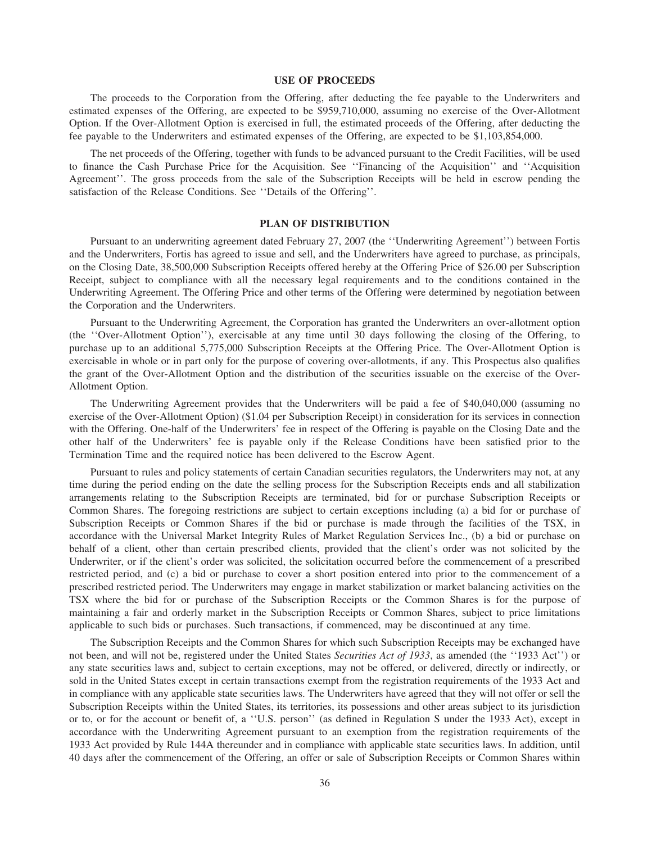# **USE OF PROCEEDS**

The proceeds to the Corporation from the Offering, after deducting the fee payable to the Underwriters and estimated expenses of the Offering, are expected to be \$959,710,000, assuming no exercise of the Over-Allotment Option. If the Over-Allotment Option is exercised in full, the estimated proceeds of the Offering, after deducting the fee payable to the Underwriters and estimated expenses of the Offering, are expected to be \$1,103,854,000.

The net proceeds of the Offering, together with funds to be advanced pursuant to the Credit Facilities, will be used to finance the Cash Purchase Price for the Acquisition. See ''Financing of the Acquisition'' and ''Acquisition Agreement''. The gross proceeds from the sale of the Subscription Receipts will be held in escrow pending the satisfaction of the Release Conditions. See ''Details of the Offering''.

## **PLAN OF DISTRIBUTION**

Pursuant to an underwriting agreement dated February 27, 2007 (the ''Underwriting Agreement'') between Fortis and the Underwriters, Fortis has agreed to issue and sell, and the Underwriters have agreed to purchase, as principals, on the Closing Date, 38,500,000 Subscription Receipts offered hereby at the Offering Price of \$26.00 per Subscription Receipt, subject to compliance with all the necessary legal requirements and to the conditions contained in the Underwriting Agreement. The Offering Price and other terms of the Offering were determined by negotiation between the Corporation and the Underwriters.

Pursuant to the Underwriting Agreement, the Corporation has granted the Underwriters an over-allotment option (the ''Over-Allotment Option''), exercisable at any time until 30 days following the closing of the Offering, to purchase up to an additional 5,775,000 Subscription Receipts at the Offering Price. The Over-Allotment Option is exercisable in whole or in part only for the purpose of covering over-allotments, if any. This Prospectus also qualifies the grant of the Over-Allotment Option and the distribution of the securities issuable on the exercise of the Over-Allotment Option.

The Underwriting Agreement provides that the Underwriters will be paid a fee of \$40,040,000 (assuming no exercise of the Over-Allotment Option) (\$1.04 per Subscription Receipt) in consideration for its services in connection with the Offering. One-half of the Underwriters' fee in respect of the Offering is payable on the Closing Date and the other half of the Underwriters' fee is payable only if the Release Conditions have been satisfied prior to the Termination Time and the required notice has been delivered to the Escrow Agent.

Pursuant to rules and policy statements of certain Canadian securities regulators, the Underwriters may not, at any time during the period ending on the date the selling process for the Subscription Receipts ends and all stabilization arrangements relating to the Subscription Receipts are terminated, bid for or purchase Subscription Receipts or Common Shares. The foregoing restrictions are subject to certain exceptions including (a) a bid for or purchase of Subscription Receipts or Common Shares if the bid or purchase is made through the facilities of the TSX, in accordance with the Universal Market Integrity Rules of Market Regulation Services Inc., (b) a bid or purchase on behalf of a client, other than certain prescribed clients, provided that the client's order was not solicited by the Underwriter, or if the client's order was solicited, the solicitation occurred before the commencement of a prescribed restricted period, and (c) a bid or purchase to cover a short position entered into prior to the commencement of a prescribed restricted period. The Underwriters may engage in market stabilization or market balancing activities on the TSX where the bid for or purchase of the Subscription Receipts or the Common Shares is for the purpose of maintaining a fair and orderly market in the Subscription Receipts or Common Shares, subject to price limitations applicable to such bids or purchases. Such transactions, if commenced, may be discontinued at any time.

The Subscription Receipts and the Common Shares for which such Subscription Receipts may be exchanged have not been, and will not be, registered under the United States *Securities Act of 1933*, as amended (the ''1933 Act'') or any state securities laws and, subject to certain exceptions, may not be offered, or delivered, directly or indirectly, or sold in the United States except in certain transactions exempt from the registration requirements of the 1933 Act and in compliance with any applicable state securities laws. The Underwriters have agreed that they will not offer or sell the Subscription Receipts within the United States, its territories, its possessions and other areas subject to its jurisdiction or to, or for the account or benefit of, a ''U.S. person'' (as defined in Regulation S under the 1933 Act), except in accordance with the Underwriting Agreement pursuant to an exemption from the registration requirements of the 1933 Act provided by Rule 144A thereunder and in compliance with applicable state securities laws. In addition, until 40 days after the commencement of the Offering, an offer or sale of Subscription Receipts or Common Shares within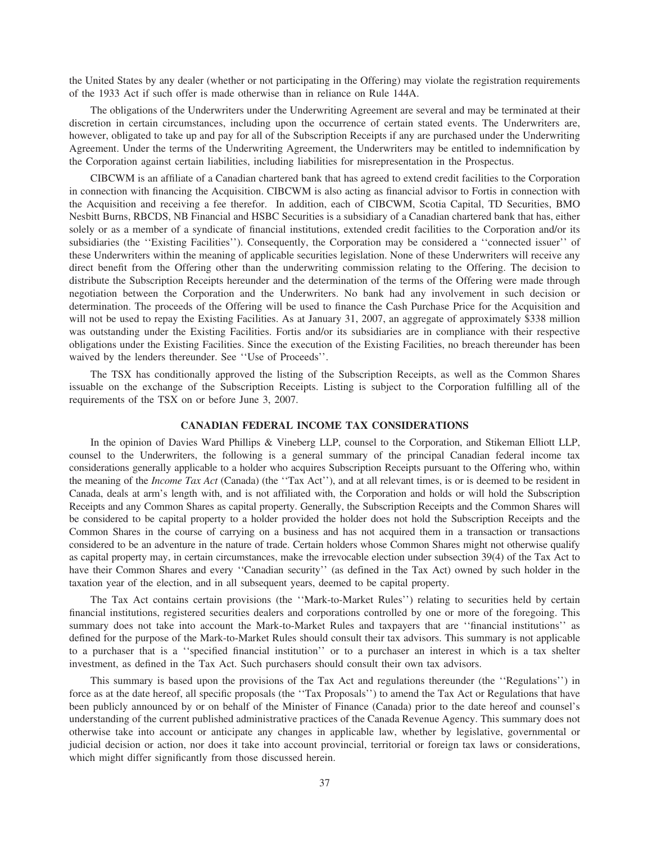the United States by any dealer (whether or not participating in the Offering) may violate the registration requirements of the 1933 Act if such offer is made otherwise than in reliance on Rule 144A.

The obligations of the Underwriters under the Underwriting Agreement are several and may be terminated at their discretion in certain circumstances, including upon the occurrence of certain stated events. The Underwriters are, however, obligated to take up and pay for all of the Subscription Receipts if any are purchased under the Underwriting Agreement. Under the terms of the Underwriting Agreement, the Underwriters may be entitled to indemnification by the Corporation against certain liabilities, including liabilities for misrepresentation in the Prospectus.

CIBCWM is an affiliate of a Canadian chartered bank that has agreed to extend credit facilities to the Corporation in connection with financing the Acquisition. CIBCWM is also acting as financial advisor to Fortis in connection with the Acquisition and receiving a fee therefor. In addition, each of CIBCWM, Scotia Capital, TD Securities, BMO Nesbitt Burns, RBCDS, NB Financial and HSBC Securities is a subsidiary of a Canadian chartered bank that has, either solely or as a member of a syndicate of financial institutions, extended credit facilities to the Corporation and/or its subsidiaries (the "Existing Facilities"). Consequently, the Corporation may be considered a "connected issuer" of these Underwriters within the meaning of applicable securities legislation. None of these Underwriters will receive any direct benefit from the Offering other than the underwriting commission relating to the Offering. The decision to distribute the Subscription Receipts hereunder and the determination of the terms of the Offering were made through negotiation between the Corporation and the Underwriters. No bank had any involvement in such decision or determination. The proceeds of the Offering will be used to finance the Cash Purchase Price for the Acquisition and will not be used to repay the Existing Facilities. As at January 31, 2007, an aggregate of approximately \$338 million was outstanding under the Existing Facilities. Fortis and/or its subsidiaries are in compliance with their respective obligations under the Existing Facilities. Since the execution of the Existing Facilities, no breach thereunder has been waived by the lenders thereunder. See ''Use of Proceeds''.

The TSX has conditionally approved the listing of the Subscription Receipts, as well as the Common Shares issuable on the exchange of the Subscription Receipts. Listing is subject to the Corporation fulfilling all of the requirements of the TSX on or before June 3, 2007.

# **CANADIAN FEDERAL INCOME TAX CONSIDERATIONS**

In the opinion of Davies Ward Phillips & Vineberg LLP, counsel to the Corporation, and Stikeman Elliott LLP, counsel to the Underwriters, the following is a general summary of the principal Canadian federal income tax considerations generally applicable to a holder who acquires Subscription Receipts pursuant to the Offering who, within the meaning of the *Income Tax Act* (Canada) (the ''Tax Act''), and at all relevant times, is or is deemed to be resident in Canada, deals at arm's length with, and is not affiliated with, the Corporation and holds or will hold the Subscription Receipts and any Common Shares as capital property. Generally, the Subscription Receipts and the Common Shares will be considered to be capital property to a holder provided the holder does not hold the Subscription Receipts and the Common Shares in the course of carrying on a business and has not acquired them in a transaction or transactions considered to be an adventure in the nature of trade. Certain holders whose Common Shares might not otherwise qualify as capital property may, in certain circumstances, make the irrevocable election under subsection 39(4) of the Tax Act to have their Common Shares and every "Canadian security" (as defined in the Tax Act) owned by such holder in the taxation year of the election, and in all subsequent years, deemed to be capital property.

The Tax Act contains certain provisions (the ''Mark-to-Market Rules'') relating to securities held by certain financial institutions, registered securities dealers and corporations controlled by one or more of the foregoing. This summary does not take into account the Mark-to-Market Rules and taxpayers that are "financial institutions" as defined for the purpose of the Mark-to-Market Rules should consult their tax advisors. This summary is not applicable to a purchaser that is a ''specified financial institution'' or to a purchaser an interest in which is a tax shelter investment, as defined in the Tax Act. Such purchasers should consult their own tax advisors.

This summary is based upon the provisions of the Tax Act and regulations thereunder (the ''Regulations'') in force as at the date hereof, all specific proposals (the ''Tax Proposals'') to amend the Tax Act or Regulations that have been publicly announced by or on behalf of the Minister of Finance (Canada) prior to the date hereof and counsel's understanding of the current published administrative practices of the Canada Revenue Agency. This summary does not otherwise take into account or anticipate any changes in applicable law, whether by legislative, governmental or judicial decision or action, nor does it take into account provincial, territorial or foreign tax laws or considerations, which might differ significantly from those discussed herein.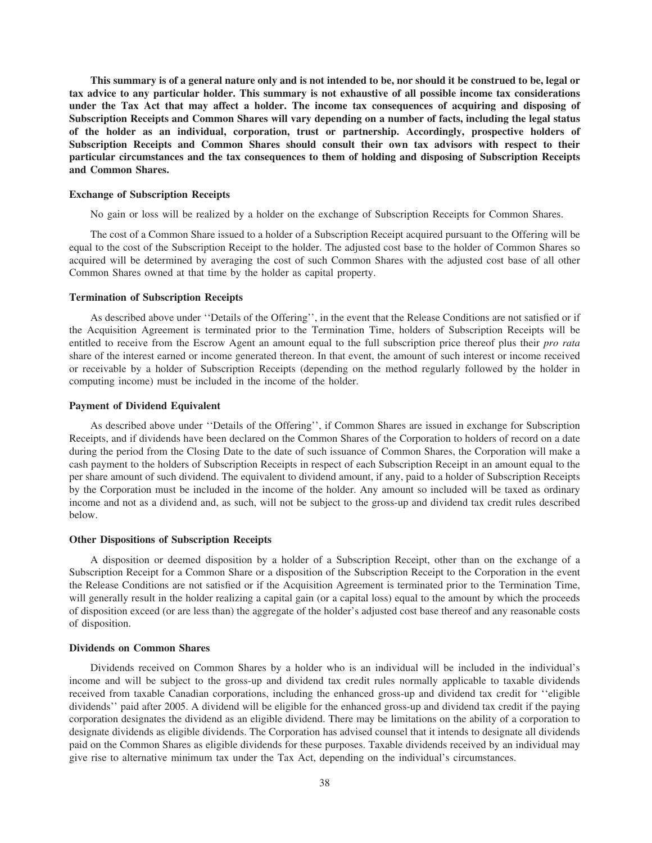**This summary is of a general nature only and is not intended to be, nor should it be construed to be, legal or tax advice to any particular holder. This summary is not exhaustive of all possible income tax considerations under the Tax Act that may affect a holder. The income tax consequences of acquiring and disposing of Subscription Receipts and Common Shares will vary depending on a number of facts, including the legal status of the holder as an individual, corporation, trust or partnership. Accordingly, prospective holders of Subscription Receipts and Common Shares should consult their own tax advisors with respect to their particular circumstances and the tax consequences to them of holding and disposing of Subscription Receipts and Common Shares.**

# **Exchange of Subscription Receipts**

No gain or loss will be realized by a holder on the exchange of Subscription Receipts for Common Shares.

The cost of a Common Share issued to a holder of a Subscription Receipt acquired pursuant to the Offering will be equal to the cost of the Subscription Receipt to the holder. The adjusted cost base to the holder of Common Shares so acquired will be determined by averaging the cost of such Common Shares with the adjusted cost base of all other Common Shares owned at that time by the holder as capital property.

# **Termination of Subscription Receipts**

As described above under ''Details of the Offering'', in the event that the Release Conditions are not satisfied or if the Acquisition Agreement is terminated prior to the Termination Time, holders of Subscription Receipts will be entitled to receive from the Escrow Agent an amount equal to the full subscription price thereof plus their *pro rata* share of the interest earned or income generated thereon. In that event, the amount of such interest or income received or receivable by a holder of Subscription Receipts (depending on the method regularly followed by the holder in computing income) must be included in the income of the holder.

#### **Payment of Dividend Equivalent**

As described above under ''Details of the Offering'', if Common Shares are issued in exchange for Subscription Receipts, and if dividends have been declared on the Common Shares of the Corporation to holders of record on a date during the period from the Closing Date to the date of such issuance of Common Shares, the Corporation will make a cash payment to the holders of Subscription Receipts in respect of each Subscription Receipt in an amount equal to the per share amount of such dividend. The equivalent to dividend amount, if any, paid to a holder of Subscription Receipts by the Corporation must be included in the income of the holder. Any amount so included will be taxed as ordinary income and not as a dividend and, as such, will not be subject to the gross-up and dividend tax credit rules described below.

# **Other Dispositions of Subscription Receipts**

A disposition or deemed disposition by a holder of a Subscription Receipt, other than on the exchange of a Subscription Receipt for a Common Share or a disposition of the Subscription Receipt to the Corporation in the event the Release Conditions are not satisfied or if the Acquisition Agreement is terminated prior to the Termination Time, will generally result in the holder realizing a capital gain (or a capital loss) equal to the amount by which the proceeds of disposition exceed (or are less than) the aggregate of the holder's adjusted cost base thereof and any reasonable costs of disposition.

# **Dividends on Common Shares**

Dividends received on Common Shares by a holder who is an individual will be included in the individual's income and will be subject to the gross-up and dividend tax credit rules normally applicable to taxable dividends received from taxable Canadian corporations, including the enhanced gross-up and dividend tax credit for ''eligible dividends'' paid after 2005. A dividend will be eligible for the enhanced gross-up and dividend tax credit if the paying corporation designates the dividend as an eligible dividend. There may be limitations on the ability of a corporation to designate dividends as eligible dividends. The Corporation has advised counsel that it intends to designate all dividends paid on the Common Shares as eligible dividends for these purposes. Taxable dividends received by an individual may give rise to alternative minimum tax under the Tax Act, depending on the individual's circumstances.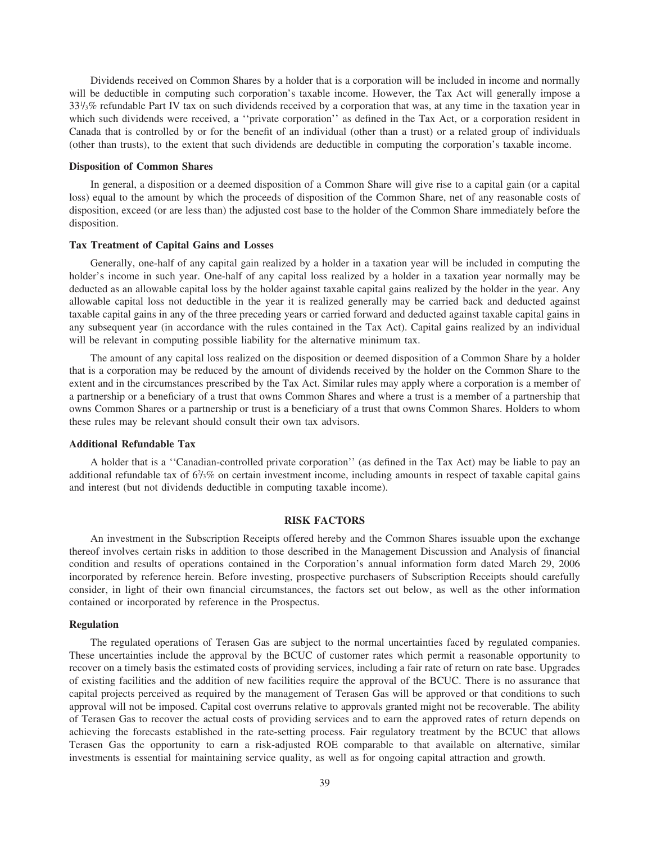Dividends received on Common Shares by a holder that is a corporation will be included in income and normally will be deductible in computing such corporation's taxable income. However, the Tax Act will generally impose a 331 /3% refundable Part IV tax on such dividends received by a corporation that was, at any time in the taxation year in which such dividends were received, a "private corporation" as defined in the Tax Act, or a corporation resident in Canada that is controlled by or for the benefit of an individual (other than a trust) or a related group of individuals (other than trusts), to the extent that such dividends are deductible in computing the corporation's taxable income.

# **Disposition of Common Shares**

In general, a disposition or a deemed disposition of a Common Share will give rise to a capital gain (or a capital loss) equal to the amount by which the proceeds of disposition of the Common Share, net of any reasonable costs of disposition, exceed (or are less than) the adjusted cost base to the holder of the Common Share immediately before the disposition.

# **Tax Treatment of Capital Gains and Losses**

Generally, one-half of any capital gain realized by a holder in a taxation year will be included in computing the holder's income in such year. One-half of any capital loss realized by a holder in a taxation year normally may be deducted as an allowable capital loss by the holder against taxable capital gains realized by the holder in the year. Any allowable capital loss not deductible in the year it is realized generally may be carried back and deducted against taxable capital gains in any of the three preceding years or carried forward and deducted against taxable capital gains in any subsequent year (in accordance with the rules contained in the Tax Act). Capital gains realized by an individual will be relevant in computing possible liability for the alternative minimum tax.

The amount of any capital loss realized on the disposition or deemed disposition of a Common Share by a holder that is a corporation may be reduced by the amount of dividends received by the holder on the Common Share to the extent and in the circumstances prescribed by the Tax Act. Similar rules may apply where a corporation is a member of a partnership or a beneficiary of a trust that owns Common Shares and where a trust is a member of a partnership that owns Common Shares or a partnership or trust is a beneficiary of a trust that owns Common Shares. Holders to whom these rules may be relevant should consult their own tax advisors.

# **Additional Refundable Tax**

A holder that is a ''Canadian-controlled private corporation'' (as defined in the Tax Act) may be liable to pay an additional refundable tax of 6<sup>2</sup>/<sub>3</sub>% on certain investment income, including amounts in respect of taxable capital gains and interest (but not dividends deductible in computing taxable income).

# **RISK FACTORS**

An investment in the Subscription Receipts offered hereby and the Common Shares issuable upon the exchange thereof involves certain risks in addition to those described in the Management Discussion and Analysis of financial condition and results of operations contained in the Corporation's annual information form dated March 29, 2006 incorporated by reference herein. Before investing, prospective purchasers of Subscription Receipts should carefully consider, in light of their own financial circumstances, the factors set out below, as well as the other information contained or incorporated by reference in the Prospectus.

### **Regulation**

The regulated operations of Terasen Gas are subject to the normal uncertainties faced by regulated companies. These uncertainties include the approval by the BCUC of customer rates which permit a reasonable opportunity to recover on a timely basis the estimated costs of providing services, including a fair rate of return on rate base. Upgrades of existing facilities and the addition of new facilities require the approval of the BCUC. There is no assurance that capital projects perceived as required by the management of Terasen Gas will be approved or that conditions to such approval will not be imposed. Capital cost overruns relative to approvals granted might not be recoverable. The ability of Terasen Gas to recover the actual costs of providing services and to earn the approved rates of return depends on achieving the forecasts established in the rate-setting process. Fair regulatory treatment by the BCUC that allows Terasen Gas the opportunity to earn a risk-adjusted ROE comparable to that available on alternative, similar investments is essential for maintaining service quality, as well as for ongoing capital attraction and growth.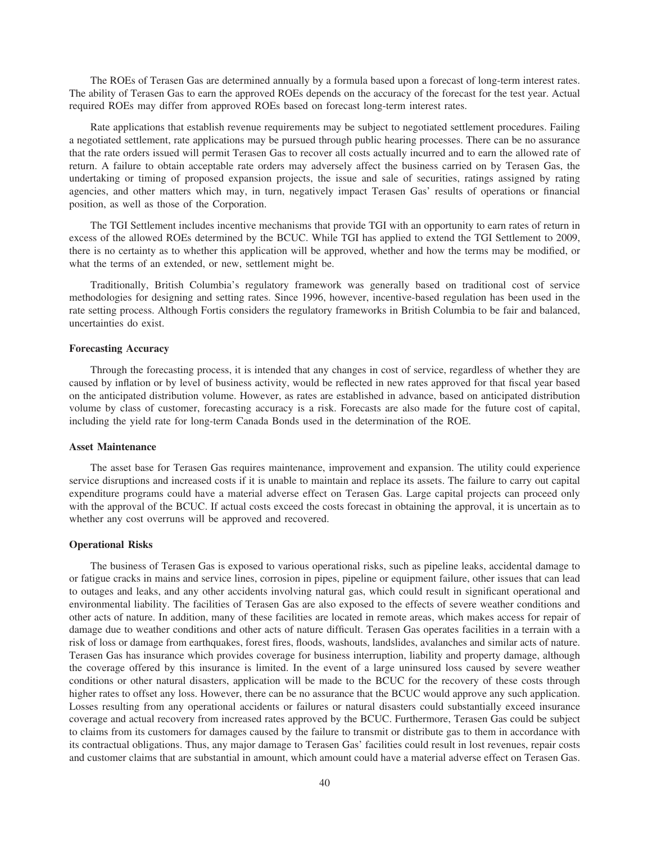The ROEs of Terasen Gas are determined annually by a formula based upon a forecast of long-term interest rates. The ability of Terasen Gas to earn the approved ROEs depends on the accuracy of the forecast for the test year. Actual required ROEs may differ from approved ROEs based on forecast long-term interest rates.

Rate applications that establish revenue requirements may be subject to negotiated settlement procedures. Failing a negotiated settlement, rate applications may be pursued through public hearing processes. There can be no assurance that the rate orders issued will permit Terasen Gas to recover all costs actually incurred and to earn the allowed rate of return. A failure to obtain acceptable rate orders may adversely affect the business carried on by Terasen Gas, the undertaking or timing of proposed expansion projects, the issue and sale of securities, ratings assigned by rating agencies, and other matters which may, in turn, negatively impact Terasen Gas' results of operations or financial position, as well as those of the Corporation.

The TGI Settlement includes incentive mechanisms that provide TGI with an opportunity to earn rates of return in excess of the allowed ROEs determined by the BCUC. While TGI has applied to extend the TGI Settlement to 2009, there is no certainty as to whether this application will be approved, whether and how the terms may be modified, or what the terms of an extended, or new, settlement might be.

Traditionally, British Columbia's regulatory framework was generally based on traditional cost of service methodologies for designing and setting rates. Since 1996, however, incentive-based regulation has been used in the rate setting process. Although Fortis considers the regulatory frameworks in British Columbia to be fair and balanced, uncertainties do exist.

# **Forecasting Accuracy**

Through the forecasting process, it is intended that any changes in cost of service, regardless of whether they are caused by inflation or by level of business activity, would be reflected in new rates approved for that fiscal year based on the anticipated distribution volume. However, as rates are established in advance, based on anticipated distribution volume by class of customer, forecasting accuracy is a risk. Forecasts are also made for the future cost of capital, including the yield rate for long-term Canada Bonds used in the determination of the ROE.

# **Asset Maintenance**

The asset base for Terasen Gas requires maintenance, improvement and expansion. The utility could experience service disruptions and increased costs if it is unable to maintain and replace its assets. The failure to carry out capital expenditure programs could have a material adverse effect on Terasen Gas. Large capital projects can proceed only with the approval of the BCUC. If actual costs exceed the costs forecast in obtaining the approval, it is uncertain as to whether any cost overruns will be approved and recovered.

# **Operational Risks**

The business of Terasen Gas is exposed to various operational risks, such as pipeline leaks, accidental damage to or fatigue cracks in mains and service lines, corrosion in pipes, pipeline or equipment failure, other issues that can lead to outages and leaks, and any other accidents involving natural gas, which could result in significant operational and environmental liability. The facilities of Terasen Gas are also exposed to the effects of severe weather conditions and other acts of nature. In addition, many of these facilities are located in remote areas, which makes access for repair of damage due to weather conditions and other acts of nature difficult. Terasen Gas operates facilities in a terrain with a risk of loss or damage from earthquakes, forest fires, floods, washouts, landslides, avalanches and similar acts of nature. Terasen Gas has insurance which provides coverage for business interruption, liability and property damage, although the coverage offered by this insurance is limited. In the event of a large uninsured loss caused by severe weather conditions or other natural disasters, application will be made to the BCUC for the recovery of these costs through higher rates to offset any loss. However, there can be no assurance that the BCUC would approve any such application. Losses resulting from any operational accidents or failures or natural disasters could substantially exceed insurance coverage and actual recovery from increased rates approved by the BCUC. Furthermore, Terasen Gas could be subject to claims from its customers for damages caused by the failure to transmit or distribute gas to them in accordance with its contractual obligations. Thus, any major damage to Terasen Gas' facilities could result in lost revenues, repair costs and customer claims that are substantial in amount, which amount could have a material adverse effect on Terasen Gas.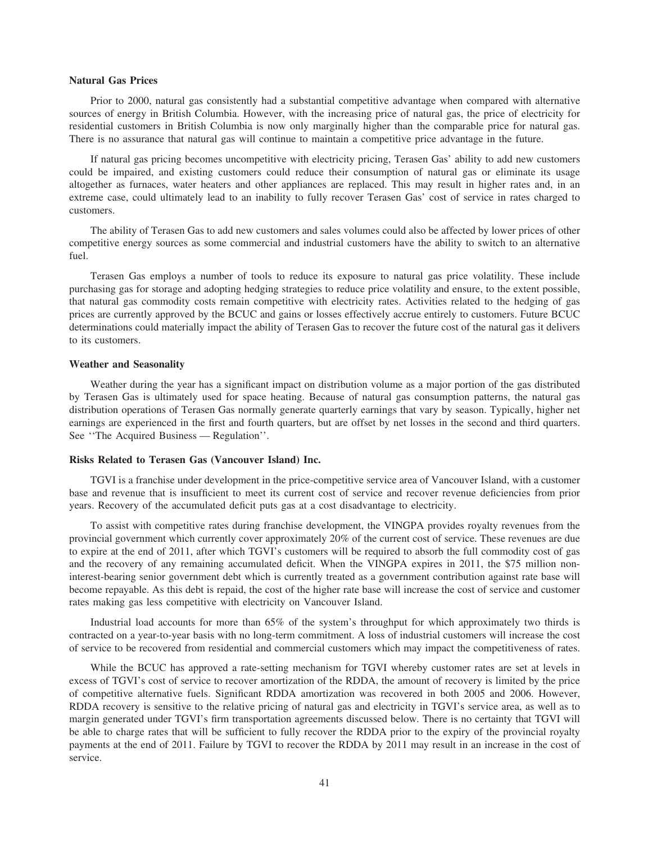# **Natural Gas Prices**

Prior to 2000, natural gas consistently had a substantial competitive advantage when compared with alternative sources of energy in British Columbia. However, with the increasing price of natural gas, the price of electricity for residential customers in British Columbia is now only marginally higher than the comparable price for natural gas. There is no assurance that natural gas will continue to maintain a competitive price advantage in the future.

If natural gas pricing becomes uncompetitive with electricity pricing, Terasen Gas' ability to add new customers could be impaired, and existing customers could reduce their consumption of natural gas or eliminate its usage altogether as furnaces, water heaters and other appliances are replaced. This may result in higher rates and, in an extreme case, could ultimately lead to an inability to fully recover Terasen Gas' cost of service in rates charged to customers.

The ability of Terasen Gas to add new customers and sales volumes could also be affected by lower prices of other competitive energy sources as some commercial and industrial customers have the ability to switch to an alternative fuel.

Terasen Gas employs a number of tools to reduce its exposure to natural gas price volatility. These include purchasing gas for storage and adopting hedging strategies to reduce price volatility and ensure, to the extent possible, that natural gas commodity costs remain competitive with electricity rates. Activities related to the hedging of gas prices are currently approved by the BCUC and gains or losses effectively accrue entirely to customers. Future BCUC determinations could materially impact the ability of Terasen Gas to recover the future cost of the natural gas it delivers to its customers.

#### **Weather and Seasonality**

Weather during the year has a significant impact on distribution volume as a major portion of the gas distributed by Terasen Gas is ultimately used for space heating. Because of natural gas consumption patterns, the natural gas distribution operations of Terasen Gas normally generate quarterly earnings that vary by season. Typically, higher net earnings are experienced in the first and fourth quarters, but are offset by net losses in the second and third quarters. See ''The Acquired Business — Regulation''.

### **Risks Related to Terasen Gas (Vancouver Island) Inc.**

TGVI is a franchise under development in the price-competitive service area of Vancouver Island, with a customer base and revenue that is insufficient to meet its current cost of service and recover revenue deficiencies from prior years. Recovery of the accumulated deficit puts gas at a cost disadvantage to electricity.

To assist with competitive rates during franchise development, the VINGPA provides royalty revenues from the provincial government which currently cover approximately 20% of the current cost of service. These revenues are due to expire at the end of 2011, after which TGVI's customers will be required to absorb the full commodity cost of gas and the recovery of any remaining accumulated deficit. When the VINGPA expires in 2011, the \$75 million noninterest-bearing senior government debt which is currently treated as a government contribution against rate base will become repayable. As this debt is repaid, the cost of the higher rate base will increase the cost of service and customer rates making gas less competitive with electricity on Vancouver Island.

Industrial load accounts for more than 65% of the system's throughput for which approximately two thirds is contracted on a year-to-year basis with no long-term commitment. A loss of industrial customers will increase the cost of service to be recovered from residential and commercial customers which may impact the competitiveness of rates.

While the BCUC has approved a rate-setting mechanism for TGVI whereby customer rates are set at levels in excess of TGVI's cost of service to recover amortization of the RDDA, the amount of recovery is limited by the price of competitive alternative fuels. Significant RDDA amortization was recovered in both 2005 and 2006. However, RDDA recovery is sensitive to the relative pricing of natural gas and electricity in TGVI's service area, as well as to margin generated under TGVI's firm transportation agreements discussed below. There is no certainty that TGVI will be able to charge rates that will be sufficient to fully recover the RDDA prior to the expiry of the provincial royalty payments at the end of 2011. Failure by TGVI to recover the RDDA by 2011 may result in an increase in the cost of service.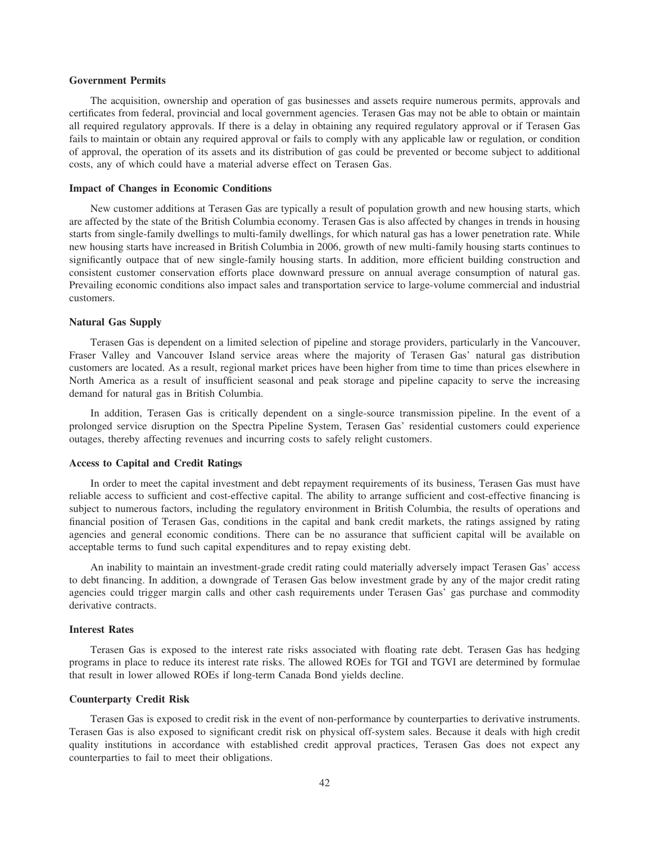# **Government Permits**

The acquisition, ownership and operation of gas businesses and assets require numerous permits, approvals and certificates from federal, provincial and local government agencies. Terasen Gas may not be able to obtain or maintain all required regulatory approvals. If there is a delay in obtaining any required regulatory approval or if Terasen Gas fails to maintain or obtain any required approval or fails to comply with any applicable law or regulation, or condition of approval, the operation of its assets and its distribution of gas could be prevented or become subject to additional costs, any of which could have a material adverse effect on Terasen Gas.

### **Impact of Changes in Economic Conditions**

New customer additions at Terasen Gas are typically a result of population growth and new housing starts, which are affected by the state of the British Columbia economy. Terasen Gas is also affected by changes in trends in housing starts from single-family dwellings to multi-family dwellings, for which natural gas has a lower penetration rate. While new housing starts have increased in British Columbia in 2006, growth of new multi-family housing starts continues to significantly outpace that of new single-family housing starts. In addition, more efficient building construction and consistent customer conservation efforts place downward pressure on annual average consumption of natural gas. Prevailing economic conditions also impact sales and transportation service to large-volume commercial and industrial customers.

# **Natural Gas Supply**

Terasen Gas is dependent on a limited selection of pipeline and storage providers, particularly in the Vancouver, Fraser Valley and Vancouver Island service areas where the majority of Terasen Gas' natural gas distribution customers are located. As a result, regional market prices have been higher from time to time than prices elsewhere in North America as a result of insufficient seasonal and peak storage and pipeline capacity to serve the increasing demand for natural gas in British Columbia.

In addition, Terasen Gas is critically dependent on a single-source transmission pipeline. In the event of a prolonged service disruption on the Spectra Pipeline System, Terasen Gas' residential customers could experience outages, thereby affecting revenues and incurring costs to safely relight customers.

# **Access to Capital and Credit Ratings**

In order to meet the capital investment and debt repayment requirements of its business, Terasen Gas must have reliable access to sufficient and cost-effective capital. The ability to arrange sufficient and cost-effective financing is subject to numerous factors, including the regulatory environment in British Columbia, the results of operations and financial position of Terasen Gas, conditions in the capital and bank credit markets, the ratings assigned by rating agencies and general economic conditions. There can be no assurance that sufficient capital will be available on acceptable terms to fund such capital expenditures and to repay existing debt.

An inability to maintain an investment-grade credit rating could materially adversely impact Terasen Gas' access to debt financing. In addition, a downgrade of Terasen Gas below investment grade by any of the major credit rating agencies could trigger margin calls and other cash requirements under Terasen Gas' gas purchase and commodity derivative contracts.

# **Interest Rates**

Terasen Gas is exposed to the interest rate risks associated with floating rate debt. Terasen Gas has hedging programs in place to reduce its interest rate risks. The allowed ROEs for TGI and TGVI are determined by formulae that result in lower allowed ROEs if long-term Canada Bond yields decline.

### **Counterparty Credit Risk**

Terasen Gas is exposed to credit risk in the event of non-performance by counterparties to derivative instruments. Terasen Gas is also exposed to significant credit risk on physical off-system sales. Because it deals with high credit quality institutions in accordance with established credit approval practices, Terasen Gas does not expect any counterparties to fail to meet their obligations.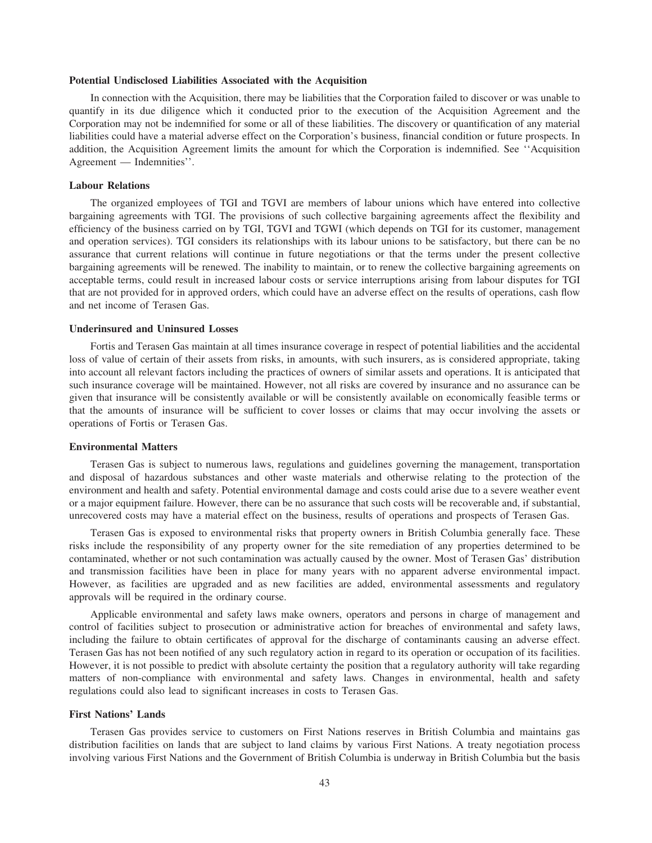# **Potential Undisclosed Liabilities Associated with the Acquisition**

In connection with the Acquisition, there may be liabilities that the Corporation failed to discover or was unable to quantify in its due diligence which it conducted prior to the execution of the Acquisition Agreement and the Corporation may not be indemnified for some or all of these liabilities. The discovery or quantification of any material liabilities could have a material adverse effect on the Corporation's business, financial condition or future prospects. In addition, the Acquisition Agreement limits the amount for which the Corporation is indemnified. See ''Acquisition Agreement — Indemnities''.

# **Labour Relations**

The organized employees of TGI and TGVI are members of labour unions which have entered into collective bargaining agreements with TGI. The provisions of such collective bargaining agreements affect the flexibility and efficiency of the business carried on by TGI, TGVI and TGWI (which depends on TGI for its customer, management and operation services). TGI considers its relationships with its labour unions to be satisfactory, but there can be no assurance that current relations will continue in future negotiations or that the terms under the present collective bargaining agreements will be renewed. The inability to maintain, or to renew the collective bargaining agreements on acceptable terms, could result in increased labour costs or service interruptions arising from labour disputes for TGI that are not provided for in approved orders, which could have an adverse effect on the results of operations, cash flow and net income of Terasen Gas.

# **Underinsured and Uninsured Losses**

Fortis and Terasen Gas maintain at all times insurance coverage in respect of potential liabilities and the accidental loss of value of certain of their assets from risks, in amounts, with such insurers, as is considered appropriate, taking into account all relevant factors including the practices of owners of similar assets and operations. It is anticipated that such insurance coverage will be maintained. However, not all risks are covered by insurance and no assurance can be given that insurance will be consistently available or will be consistently available on economically feasible terms or that the amounts of insurance will be sufficient to cover losses or claims that may occur involving the assets or operations of Fortis or Terasen Gas.

# **Environmental Matters**

Terasen Gas is subject to numerous laws, regulations and guidelines governing the management, transportation and disposal of hazardous substances and other waste materials and otherwise relating to the protection of the environment and health and safety. Potential environmental damage and costs could arise due to a severe weather event or a major equipment failure. However, there can be no assurance that such costs will be recoverable and, if substantial, unrecovered costs may have a material effect on the business, results of operations and prospects of Terasen Gas.

Terasen Gas is exposed to environmental risks that property owners in British Columbia generally face. These risks include the responsibility of any property owner for the site remediation of any properties determined to be contaminated, whether or not such contamination was actually caused by the owner. Most of Terasen Gas' distribution and transmission facilities have been in place for many years with no apparent adverse environmental impact. However, as facilities are upgraded and as new facilities are added, environmental assessments and regulatory approvals will be required in the ordinary course.

Applicable environmental and safety laws make owners, operators and persons in charge of management and control of facilities subject to prosecution or administrative action for breaches of environmental and safety laws, including the failure to obtain certificates of approval for the discharge of contaminants causing an adverse effect. Terasen Gas has not been notified of any such regulatory action in regard to its operation or occupation of its facilities. However, it is not possible to predict with absolute certainty the position that a regulatory authority will take regarding matters of non-compliance with environmental and safety laws. Changes in environmental, health and safety regulations could also lead to significant increases in costs to Terasen Gas.

# **First Nations' Lands**

Terasen Gas provides service to customers on First Nations reserves in British Columbia and maintains gas distribution facilities on lands that are subject to land claims by various First Nations. A treaty negotiation process involving various First Nations and the Government of British Columbia is underway in British Columbia but the basis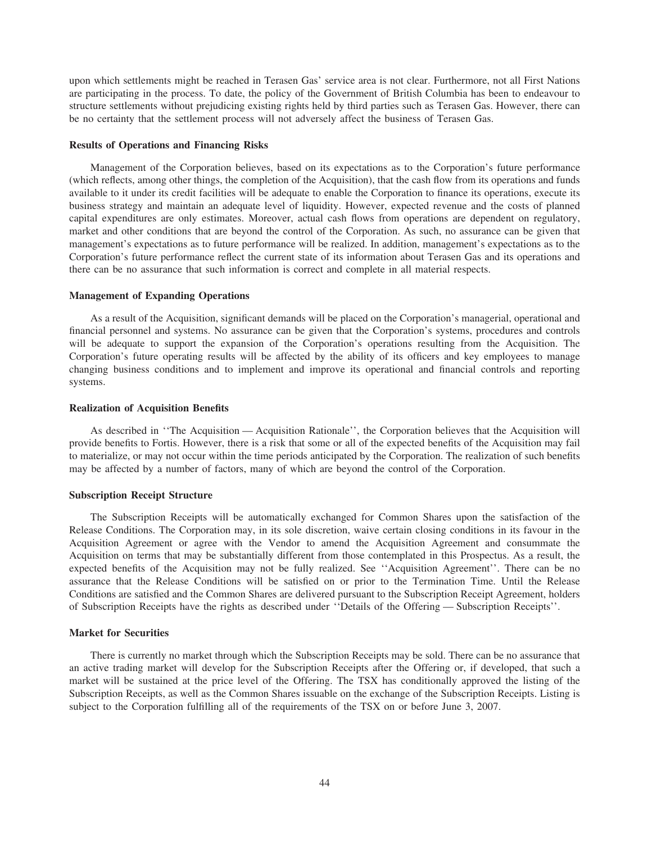upon which settlements might be reached in Terasen Gas' service area is not clear. Furthermore, not all First Nations are participating in the process. To date, the policy of the Government of British Columbia has been to endeavour to structure settlements without prejudicing existing rights held by third parties such as Terasen Gas. However, there can be no certainty that the settlement process will not adversely affect the business of Terasen Gas.

# **Results of Operations and Financing Risks**

Management of the Corporation believes, based on its expectations as to the Corporation's future performance (which reflects, among other things, the completion of the Acquisition), that the cash flow from its operations and funds available to it under its credit facilities will be adequate to enable the Corporation to finance its operations, execute its business strategy and maintain an adequate level of liquidity. However, expected revenue and the costs of planned capital expenditures are only estimates. Moreover, actual cash flows from operations are dependent on regulatory, market and other conditions that are beyond the control of the Corporation. As such, no assurance can be given that management's expectations as to future performance will be realized. In addition, management's expectations as to the Corporation's future performance reflect the current state of its information about Terasen Gas and its operations and there can be no assurance that such information is correct and complete in all material respects.

## **Management of Expanding Operations**

As a result of the Acquisition, significant demands will be placed on the Corporation's managerial, operational and financial personnel and systems. No assurance can be given that the Corporation's systems, procedures and controls will be adequate to support the expansion of the Corporation's operations resulting from the Acquisition. The Corporation's future operating results will be affected by the ability of its officers and key employees to manage changing business conditions and to implement and improve its operational and financial controls and reporting systems.

# **Realization of Acquisition Benefits**

As described in ''The Acquisition — Acquisition Rationale'', the Corporation believes that the Acquisition will provide benefits to Fortis. However, there is a risk that some or all of the expected benefits of the Acquisition may fail to materialize, or may not occur within the time periods anticipated by the Corporation. The realization of such benefits may be affected by a number of factors, many of which are beyond the control of the Corporation.

# **Subscription Receipt Structure**

The Subscription Receipts will be automatically exchanged for Common Shares upon the satisfaction of the Release Conditions. The Corporation may, in its sole discretion, waive certain closing conditions in its favour in the Acquisition Agreement or agree with the Vendor to amend the Acquisition Agreement and consummate the Acquisition on terms that may be substantially different from those contemplated in this Prospectus. As a result, the expected benefits of the Acquisition may not be fully realized. See ''Acquisition Agreement''. There can be no assurance that the Release Conditions will be satisfied on or prior to the Termination Time. Until the Release Conditions are satisfied and the Common Shares are delivered pursuant to the Subscription Receipt Agreement, holders of Subscription Receipts have the rights as described under ''Details of the Offering — Subscription Receipts''.

# **Market for Securities**

There is currently no market through which the Subscription Receipts may be sold. There can be no assurance that an active trading market will develop for the Subscription Receipts after the Offering or, if developed, that such a market will be sustained at the price level of the Offering. The TSX has conditionally approved the listing of the Subscription Receipts, as well as the Common Shares issuable on the exchange of the Subscription Receipts. Listing is subject to the Corporation fulfilling all of the requirements of the TSX on or before June 3, 2007.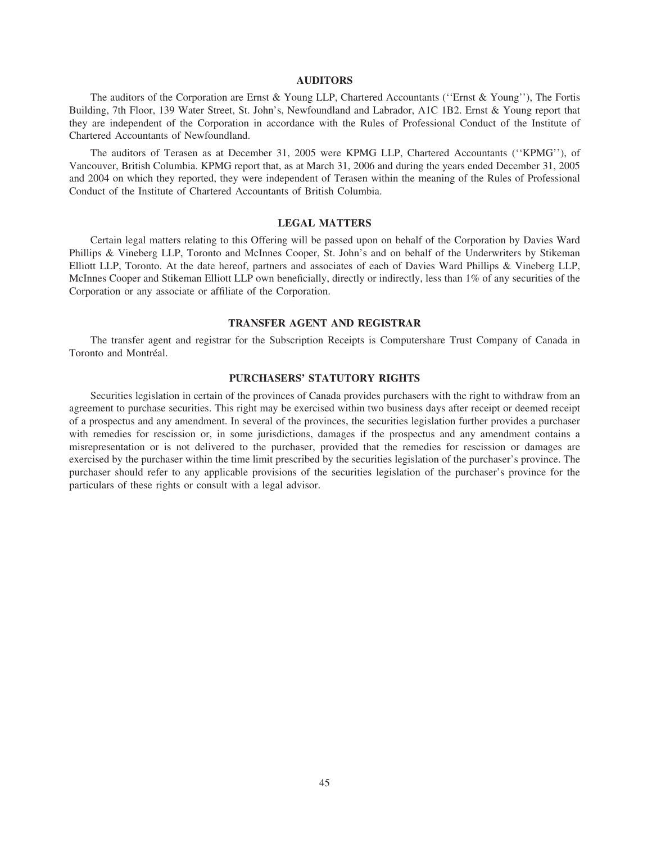# **AUDITORS**

The auditors of the Corporation are Ernst & Young LLP, Chartered Accountants (''Ernst & Young''), The Fortis Building, 7th Floor, 139 Water Street, St. John's, Newfoundland and Labrador, A1C 1B2. Ernst & Young report that they are independent of the Corporation in accordance with the Rules of Professional Conduct of the Institute of Chartered Accountants of Newfoundland.

The auditors of Terasen as at December 31, 2005 were KPMG LLP, Chartered Accountants (''KPMG''), of Vancouver, British Columbia. KPMG report that, as at March 31, 2006 and during the years ended December 31, 2005 and 2004 on which they reported, they were independent of Terasen within the meaning of the Rules of Professional Conduct of the Institute of Chartered Accountants of British Columbia.

# **LEGAL MATTERS**

Certain legal matters relating to this Offering will be passed upon on behalf of the Corporation by Davies Ward Phillips & Vineberg LLP, Toronto and McInnes Cooper, St. John's and on behalf of the Underwriters by Stikeman Elliott LLP, Toronto. At the date hereof, partners and associates of each of Davies Ward Phillips & Vineberg LLP, McInnes Cooper and Stikeman Elliott LLP own beneficially, directly or indirectly, less than 1% of any securities of the Corporation or any associate or affiliate of the Corporation.

# **TRANSFER AGENT AND REGISTRAR**

The transfer agent and registrar for the Subscription Receipts is Computershare Trust Company of Canada in Toronto and Montréal.

## **PURCHASERS' STATUTORY RIGHTS**

Securities legislation in certain of the provinces of Canada provides purchasers with the right to withdraw from an agreement to purchase securities. This right may be exercised within two business days after receipt or deemed receipt of a prospectus and any amendment. In several of the provinces, the securities legislation further provides a purchaser with remedies for rescission or, in some jurisdictions, damages if the prospectus and any amendment contains a misrepresentation or is not delivered to the purchaser, provided that the remedies for rescission or damages are exercised by the purchaser within the time limit prescribed by the securities legislation of the purchaser's province. The purchaser should refer to any applicable provisions of the securities legislation of the purchaser's province for the particulars of these rights or consult with a legal advisor.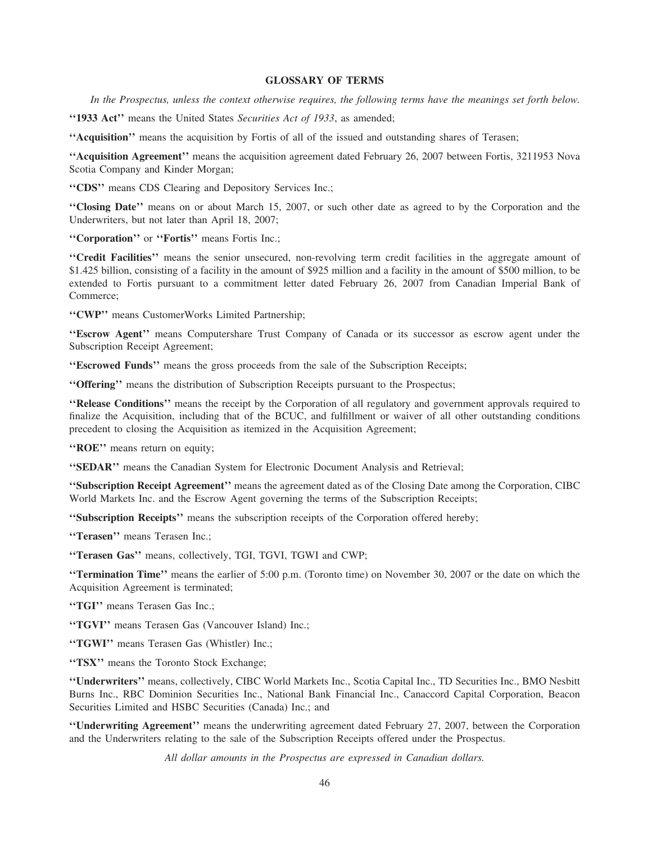# **GLOSSARY OF TERMS**

*In the Prospectus, unless the context otherwise requires, the following terms have the meanings set forth below.*

**''1933 Act''** means the United States *Securities Act of 1933*, as amended;

**''Acquisition''** means the acquisition by Fortis of all of the issued and outstanding shares of Terasen;

**''Acquisition Agreement''** means the acquisition agreement dated February 26, 2007 between Fortis, 3211953 Nova Scotia Company and Kinder Morgan;

**''CDS''** means CDS Clearing and Depository Services Inc.;

**''Closing Date''** means on or about March 15, 2007, or such other date as agreed to by the Corporation and the Underwriters, but not later than April 18, 2007;

**''Corporation''** or **''Fortis''** means Fortis Inc.;

**''Credit Facilities''** means the senior unsecured, non-revolving term credit facilities in the aggregate amount of \$1.425 billion, consisting of a facility in the amount of \$925 million and a facility in the amount of \$500 million, to be extended to Fortis pursuant to a commitment letter dated February 26, 2007 from Canadian Imperial Bank of Commerce;

**''CWP''** means CustomerWorks Limited Partnership;

**''Escrow Agent''** means Computershare Trust Company of Canada or its successor as escrow agent under the Subscription Receipt Agreement;

**''Escrowed Funds''** means the gross proceeds from the sale of the Subscription Receipts;

**''Offering''** means the distribution of Subscription Receipts pursuant to the Prospectus;

**''Release Conditions''** means the receipt by the Corporation of all regulatory and government approvals required to finalize the Acquisition, including that of the BCUC, and fulfillment or waiver of all other outstanding conditions precedent to closing the Acquisition as itemized in the Acquisition Agreement;

**''ROE''** means return on equity;

**''SEDAR''** means the Canadian System for Electronic Document Analysis and Retrieval;

**''Subscription Receipt Agreement''** means the agreement dated as of the Closing Date among the Corporation, CIBC World Markets Inc. and the Escrow Agent governing the terms of the Subscription Receipts;

**''Subscription Receipts''** means the subscription receipts of the Corporation offered hereby;

**''Terasen''** means Terasen Inc.;

**''Terasen Gas''** means, collectively, TGI, TGVI, TGWI and CWP;

**''Termination Time''** means the earlier of 5:00 p.m. (Toronto time) on November 30, 2007 or the date on which the Acquisition Agreement is terminated;

**''TGI''** means Terasen Gas Inc.;

**''TGVI''** means Terasen Gas (Vancouver Island) Inc.;

**''TGWI''** means Terasen Gas (Whistler) Inc.;

**''TSX''** means the Toronto Stock Exchange;

**''Underwriters''** means, collectively, CIBC World Markets Inc., Scotia Capital Inc., TD Securities Inc., BMO Nesbitt Burns Inc., RBC Dominion Securities Inc., National Bank Financial Inc., Canaccord Capital Corporation, Beacon Securities Limited and HSBC Securities (Canada) Inc.; and

**''Underwriting Agreement''** means the underwriting agreement dated February 27, 2007, between the Corporation and the Underwriters relating to the sale of the Subscription Receipts offered under the Prospectus.

*All dollar amounts in the Prospectus are expressed in Canadian dollars.*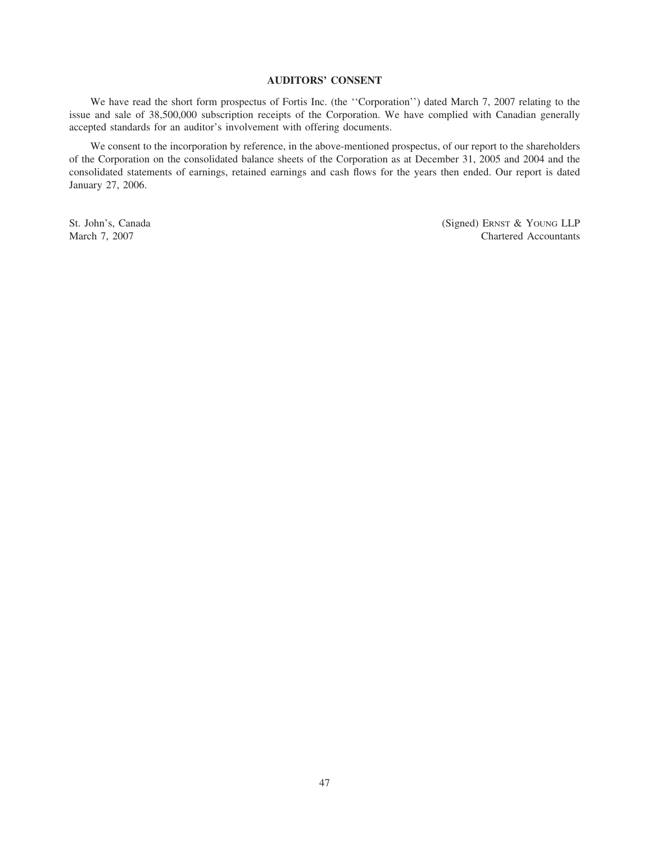# **AUDITORS' CONSENT**

We have read the short form prospectus of Fortis Inc. (the ''Corporation'') dated March 7, 2007 relating to the issue and sale of 38,500,000 subscription receipts of the Corporation. We have complied with Canadian generally accepted standards for an auditor's involvement with offering documents.

We consent to the incorporation by reference, in the above-mentioned prospectus, of our report to the shareholders of the Corporation on the consolidated balance sheets of the Corporation as at December 31, 2005 and 2004 and the consolidated statements of earnings, retained earnings and cash flows for the years then ended. Our report is dated January 27, 2006.

St. John's, Canada (Signed) ERNST & YOUNG LLP March 7, 2007 Chartered Accountants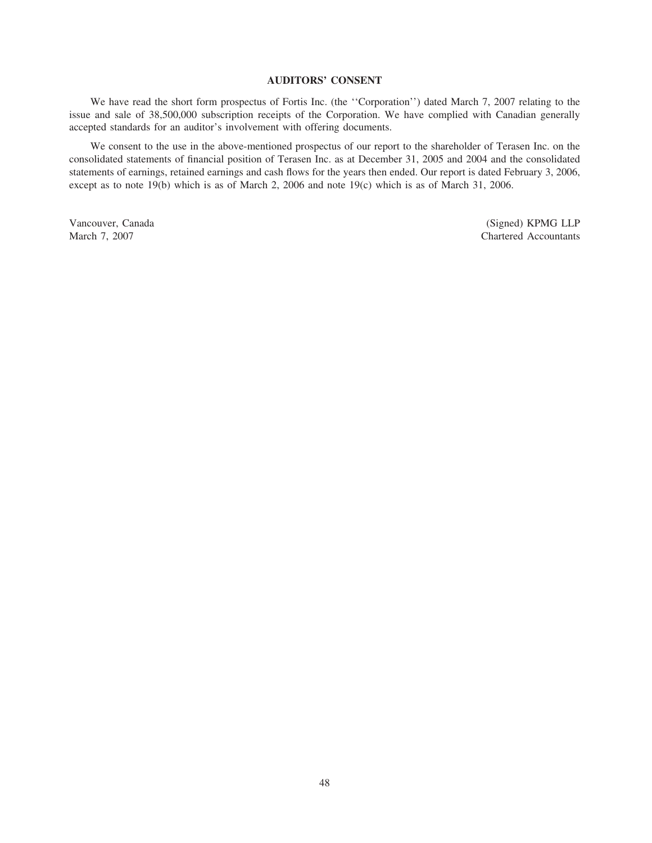# **AUDITORS' CONSENT**

We have read the short form prospectus of Fortis Inc. (the ''Corporation'') dated March 7, 2007 relating to the issue and sale of 38,500,000 subscription receipts of the Corporation. We have complied with Canadian generally accepted standards for an auditor's involvement with offering documents.

We consent to the use in the above-mentioned prospectus of our report to the shareholder of Terasen Inc. on the consolidated statements of financial position of Terasen Inc. as at December 31, 2005 and 2004 and the consolidated statements of earnings, retained earnings and cash flows for the years then ended. Our report is dated February 3, 2006, except as to note 19(b) which is as of March 2, 2006 and note 19(c) which is as of March 31, 2006.

Vancouver, Canada (Signed) KPMG LLP<br>
March 7, 2007<br>
Chartered Accountants Chartered Accountants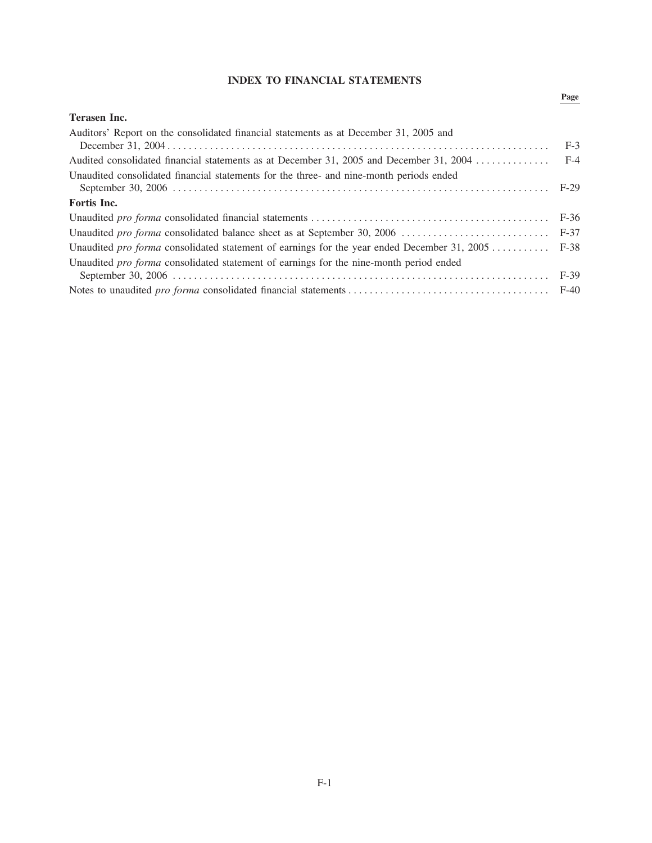# **INDEX TO FINANCIAL STATEMENTS**

# Page

| <b>Terasen Inc.</b>                                                                              |       |
|--------------------------------------------------------------------------------------------------|-------|
| Auditors' Report on the consolidated financial statements as at December 31, 2005 and            |       |
|                                                                                                  | $F-3$ |
|                                                                                                  |       |
| Unaudited consolidated financial statements for the three- and nine-month periods ended          |       |
|                                                                                                  |       |
| Fortis Inc.                                                                                      |       |
|                                                                                                  |       |
|                                                                                                  |       |
| Unaudited pro forma consolidated statement of earnings for the year ended December 31, 2005 F-38 |       |
| Unaudited pro forma consolidated statement of earnings for the nine-month period ended           |       |
|                                                                                                  |       |
|                                                                                                  |       |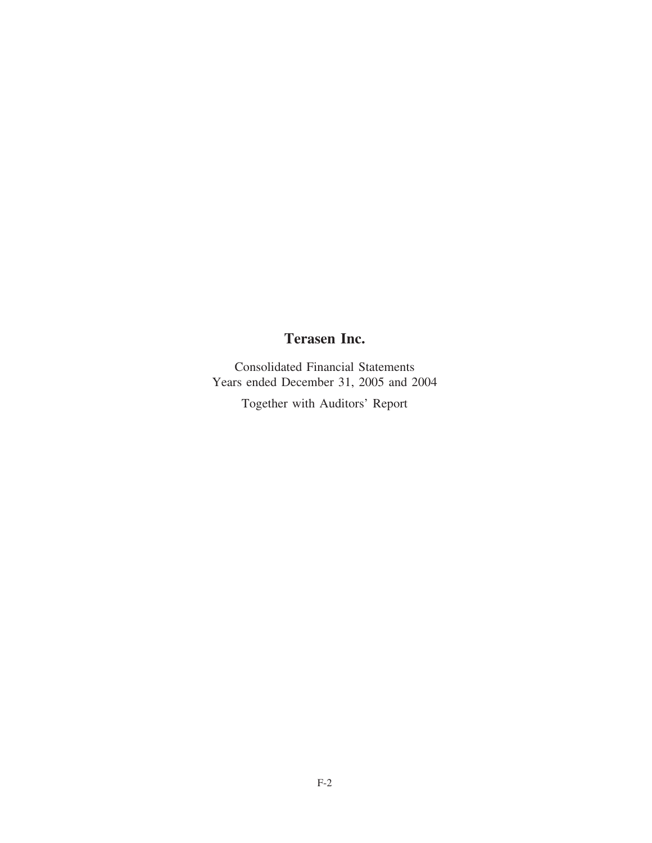# **Terasen Inc.**

Consolidated Financial Statements Years ended December 31, 2005 and 2004

Together with Auditors' Report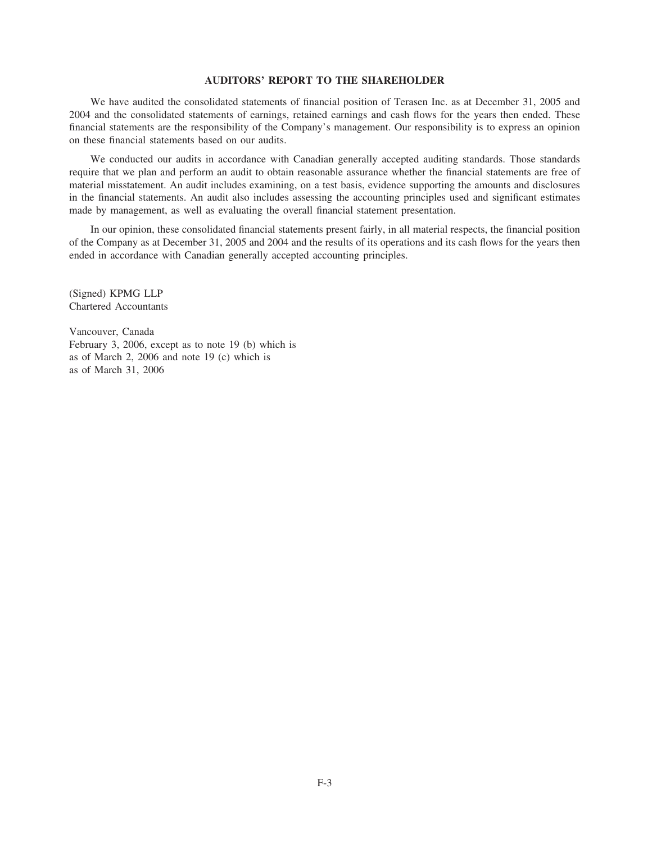# **AUDITORS' REPORT TO THE SHAREHOLDER**

We have audited the consolidated statements of financial position of Terasen Inc. as at December 31, 2005 and 2004 and the consolidated statements of earnings, retained earnings and cash flows for the years then ended. These financial statements are the responsibility of the Company's management. Our responsibility is to express an opinion on these financial statements based on our audits.

We conducted our audits in accordance with Canadian generally accepted auditing standards. Those standards require that we plan and perform an audit to obtain reasonable assurance whether the financial statements are free of material misstatement. An audit includes examining, on a test basis, evidence supporting the amounts and disclosures in the financial statements. An audit also includes assessing the accounting principles used and significant estimates made by management, as well as evaluating the overall financial statement presentation.

In our opinion, these consolidated financial statements present fairly, in all material respects, the financial position of the Company as at December 31, 2005 and 2004 and the results of its operations and its cash flows for the years then ended in accordance with Canadian generally accepted accounting principles.

(Signed) KPMG LLP Chartered Accountants

Vancouver, Canada February 3, 2006, except as to note 19 (b) which is as of March 2, 2006 and note 19 (c) which is as of March 31, 2006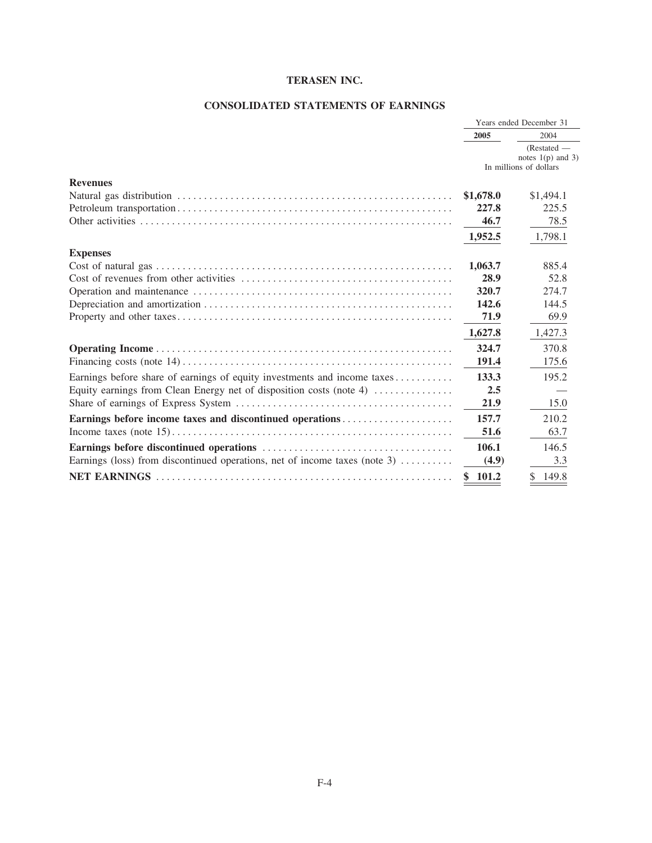# **CONSOLIDATED STATEMENTS OF EARNINGS**

|                                                                                    | Years ended December 31 |                                                              |  |
|------------------------------------------------------------------------------------|-------------------------|--------------------------------------------------------------|--|
|                                                                                    | 2005                    | 2004                                                         |  |
|                                                                                    |                         | (Restated —<br>notes $1(p)$ and 3)<br>In millions of dollars |  |
| <b>Revenues</b>                                                                    |                         |                                                              |  |
|                                                                                    | \$1,678.0               | \$1,494.1                                                    |  |
|                                                                                    | 227.8                   | 225.5                                                        |  |
|                                                                                    | 46.7                    | 78.5                                                         |  |
|                                                                                    | 1,952.5                 | 1,798.1                                                      |  |
| <b>Expenses</b>                                                                    |                         |                                                              |  |
|                                                                                    | 1,063.7                 | 885.4                                                        |  |
|                                                                                    | 28.9                    | 52.8                                                         |  |
|                                                                                    | 320.7                   | 274.7                                                        |  |
|                                                                                    | 142.6                   | 144.5                                                        |  |
|                                                                                    | 71.9                    | 69.9                                                         |  |
|                                                                                    | 1,627.8                 | 1,427.3                                                      |  |
|                                                                                    | 324.7                   | 370.8                                                        |  |
|                                                                                    | 191.4                   | 175.6                                                        |  |
| Earnings before share of earnings of equity investments and income taxes           | 133.3                   | 195.2                                                        |  |
| Equity earnings from Clean Energy net of disposition costs (note 4)                | 2.5                     |                                                              |  |
|                                                                                    | 21.9                    | 15.0                                                         |  |
| Earnings before income taxes and discontinued operations                           | 157.7                   | 210.2                                                        |  |
|                                                                                    | 51.6                    | 63.7                                                         |  |
|                                                                                    | 106.1                   | 146.5                                                        |  |
| Earnings (loss) from discontinued operations, net of income taxes (note 3) $\dots$ | (4.9)                   | 3.3                                                          |  |
|                                                                                    | 101.2                   | 149.8                                                        |  |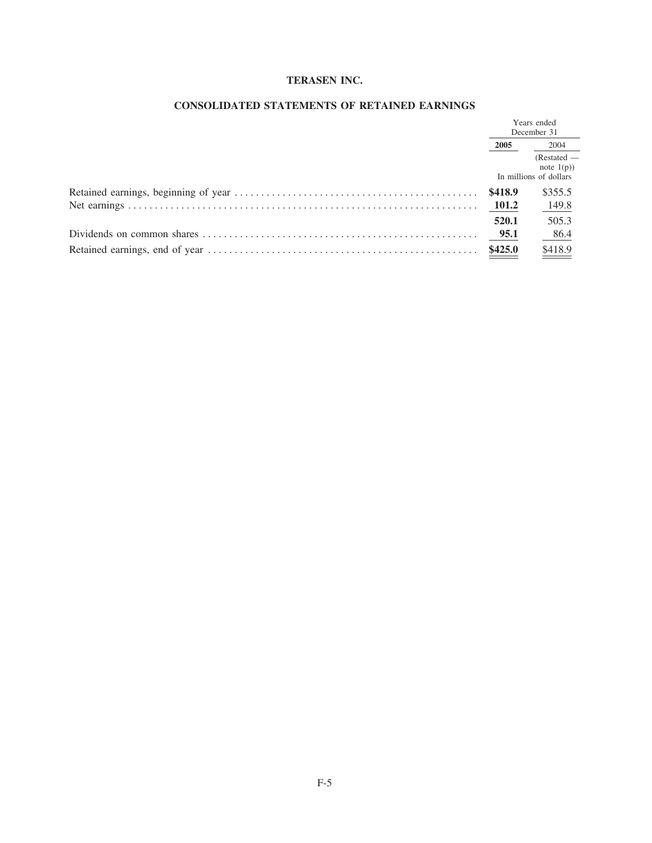| Years ended<br>December 31 |                                                            |
|----------------------------|------------------------------------------------------------|
| 2005                       | 2004                                                       |
|                            | $(Restated - )$<br>note $1(p)$ )<br>In millions of dollars |
|                            | \$355.5                                                    |
| 101.2                      | 149.8                                                      |
| 520.1                      | 505.3                                                      |
| 95.1                       | 86.4                                                       |
| \$425.0                    | \$418.9                                                    |

# CONSOLIDATED STATEMENTS OF RETAINED EARNINGS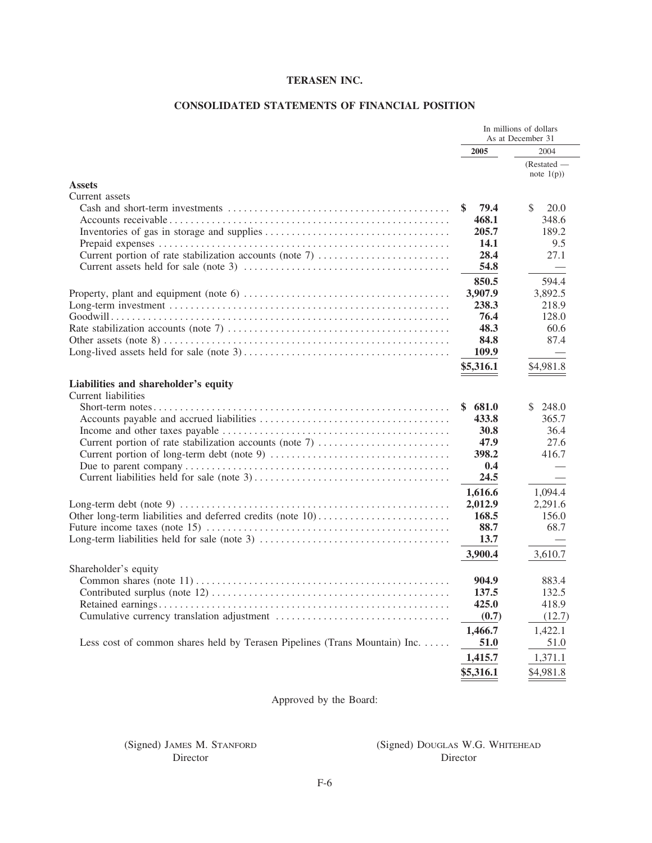# CONSOLIDATED STATEMENTS OF FINANCIAL POSITION

|                                                                                                                                       | In millions of dollars<br>As at December 31 |                 |  |
|---------------------------------------------------------------------------------------------------------------------------------------|---------------------------------------------|-----------------|--|
|                                                                                                                                       | 2005                                        | 2004            |  |
|                                                                                                                                       |                                             | $(Restated - )$ |  |
|                                                                                                                                       |                                             | note $1(p)$ )   |  |
| <b>Assets</b>                                                                                                                         |                                             |                 |  |
| Current assets                                                                                                                        |                                             |                 |  |
|                                                                                                                                       | \$.<br>79.4                                 | \$<br>20.0      |  |
|                                                                                                                                       | 468.1                                       | 348.6           |  |
|                                                                                                                                       | 205.7                                       | 189.2           |  |
|                                                                                                                                       | 14.1                                        | 9.5             |  |
| Current portion of rate stabilization accounts (note 7)                                                                               | 28.4                                        | 27.1            |  |
|                                                                                                                                       | 54.8                                        |                 |  |
|                                                                                                                                       | 850.5                                       | 594.4           |  |
|                                                                                                                                       | 3,907.9                                     | 3,892.5         |  |
|                                                                                                                                       | 238.3                                       | 218.9           |  |
|                                                                                                                                       | 76.4                                        | 128.0           |  |
|                                                                                                                                       | 48.3                                        | 60.6            |  |
|                                                                                                                                       | 84.8                                        | 87.4            |  |
|                                                                                                                                       | 109.9                                       |                 |  |
|                                                                                                                                       | \$5,316.1                                   | \$4,981.8       |  |
| Liabilities and shareholder's equity                                                                                                  |                                             |                 |  |
| Current liabilities                                                                                                                   |                                             |                 |  |
|                                                                                                                                       | 681.0                                       | \$<br>248.0     |  |
|                                                                                                                                       | 433.8                                       | 365.7           |  |
|                                                                                                                                       | 30.8                                        | 36.4            |  |
| Current portion of rate stabilization accounts (note 7)                                                                               | 47.9                                        | 27.6            |  |
|                                                                                                                                       | 398.2                                       | 416.7           |  |
|                                                                                                                                       | 0.4                                         |                 |  |
|                                                                                                                                       | 24.5                                        |                 |  |
|                                                                                                                                       | 1,616.6                                     | 1,094.4         |  |
| Long-term debt (note 9) $\dots \dots \dots \dots \dots \dots \dots \dots \dots \dots \dots \dots \dots \dots \dots \dots \dots \dots$ | 2,012.9                                     | 2,291.6         |  |
|                                                                                                                                       | 168.5                                       | 156.0           |  |
|                                                                                                                                       | 88.7                                        | 68.7            |  |
|                                                                                                                                       | 13.7                                        |                 |  |
|                                                                                                                                       | 3,900.4                                     | 3,610.7         |  |
| Shareholder's equity                                                                                                                  |                                             |                 |  |
|                                                                                                                                       | 904.9                                       | 883.4           |  |
|                                                                                                                                       | 137.5                                       | 132.5           |  |
|                                                                                                                                       | 425.0                                       | 418.9           |  |
|                                                                                                                                       | (0.7)                                       | (12.7)          |  |
|                                                                                                                                       | 1,466.7                                     | 1,422.1         |  |
| Less cost of common shares held by Terasen Pipelines (Trans Mountain) Inc.                                                            | 51.0                                        | 51.0            |  |
|                                                                                                                                       | 1,415.7                                     | 1,371.1         |  |
|                                                                                                                                       | \$5,316.1                                   | \$4,981.8       |  |

Approved by the Board:

(Signed) JAMES M. STANFORD Director

# (Signed) DOUGLAS W.G. WHITEHEAD Director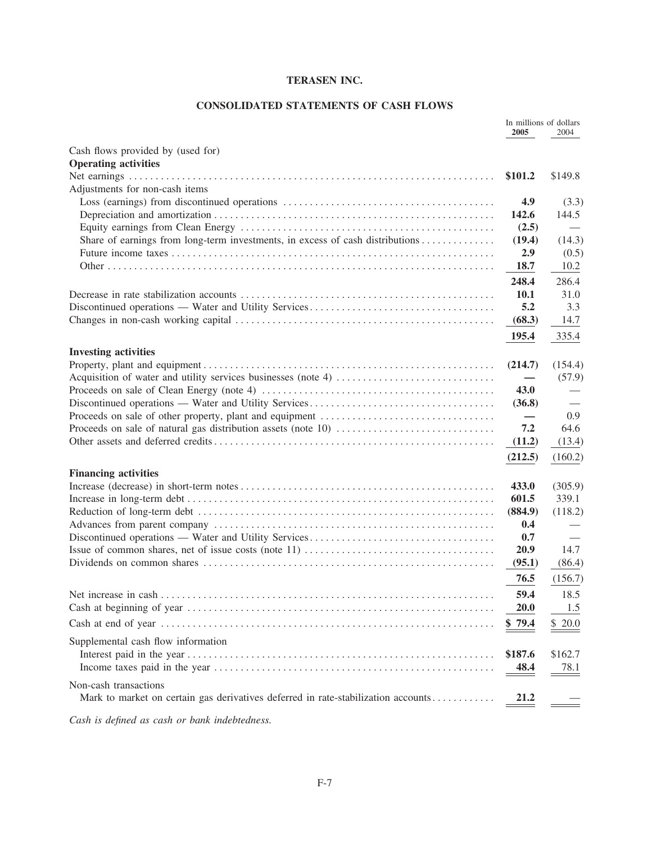# **CONSOLIDATED STATEMENTS OF CASH FLOWS**

|                                                                                   | In millions of dollars<br>2005 | 2004    |
|-----------------------------------------------------------------------------------|--------------------------------|---------|
| Cash flows provided by (used for)                                                 |                                |         |
| <b>Operating activities</b>                                                       |                                |         |
|                                                                                   | \$101.2                        | \$149.8 |
| Adjustments for non-cash items                                                    |                                |         |
|                                                                                   | 4.9                            | (3.3)   |
|                                                                                   | 142.6                          | 144.5   |
|                                                                                   | (2.5)                          |         |
| Share of earnings from long-term investments, in excess of cash distributions     | (19.4)                         | (14.3)  |
|                                                                                   | 2.9                            | (0.5)   |
|                                                                                   | <b>18.7</b>                    | 10.2    |
|                                                                                   | 248.4                          | 286.4   |
|                                                                                   | <b>10.1</b>                    | 31.0    |
|                                                                                   | 5.2                            | 3.3     |
|                                                                                   | (68.3)                         | 14.7    |
|                                                                                   |                                |         |
|                                                                                   | 195.4                          | 335.4   |
| <b>Investing activities</b>                                                       |                                |         |
|                                                                                   | (214.7)                        | (154.4) |
|                                                                                   |                                | (57.9)  |
|                                                                                   | 43.0                           |         |
|                                                                                   | (36.8)                         |         |
|                                                                                   |                                | 0.9     |
|                                                                                   | 7.2                            | 64.6    |
|                                                                                   | (11.2)                         | (13.4)  |
|                                                                                   | (212.5)                        | (160.2) |
| <b>Financing activities</b>                                                       |                                |         |
|                                                                                   | 433.0                          | (305.9) |
|                                                                                   | 601.5                          | 339.1   |
|                                                                                   | (884.9)                        | (118.2) |
|                                                                                   | 0.4                            |         |
|                                                                                   | 0.7                            |         |
|                                                                                   | 20.9                           | 14.7    |
|                                                                                   | (95.1)                         | (86.4)  |
|                                                                                   | 76.5                           | (156.7) |
|                                                                                   | 59.4                           | 18.5    |
|                                                                                   | <b>20.0</b>                    | 1.5     |
|                                                                                   | \$79.4                         | \$20.0  |
| Supplemental cash flow information                                                |                                |         |
|                                                                                   | \$187.6                        | \$162.7 |
|                                                                                   | <u>48.4</u>                    | 78.1    |
|                                                                                   |                                |         |
| Non-cash transactions                                                             |                                |         |
| Mark to market on certain gas derivatives deferred in rate-stabilization accounts | 21.2                           |         |
|                                                                                   |                                |         |

Cash is defined as cash or bank indebtedness.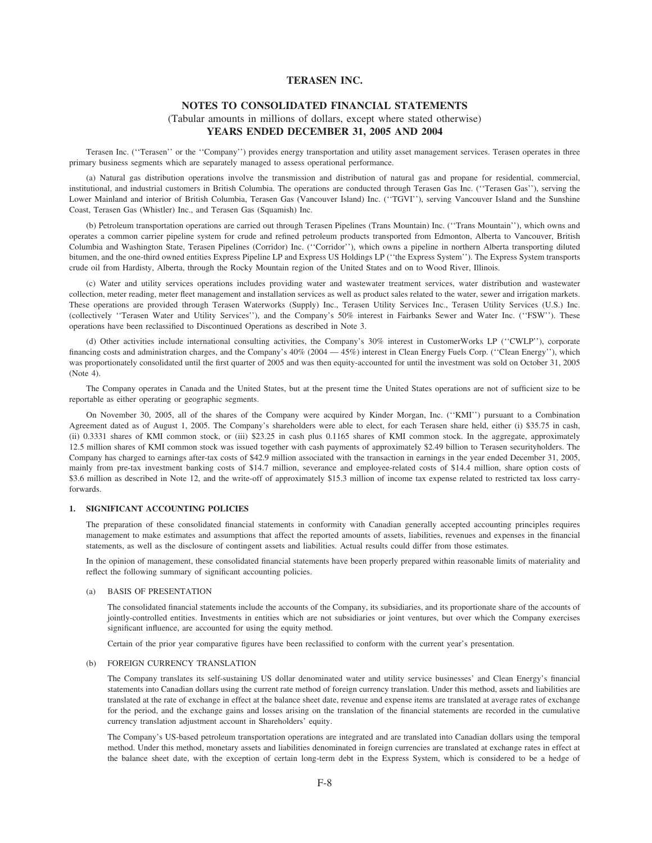# **NOTES TO CONSOLIDATED FINANCIAL STATEMENTS** (Tabular amounts in millions of dollars, except where stated otherwise) **YEARS ENDED DECEMBER 31, 2005 AND 2004**

Terasen Inc. (''Terasen'' or the ''Company'') provides energy transportation and utility asset management services. Terasen operates in three primary business segments which are separately managed to assess operational performance.

(a) Natural gas distribution operations involve the transmission and distribution of natural gas and propane for residential, commercial, institutional, and industrial customers in British Columbia. The operations are conducted through Terasen Gas Inc. (''Terasen Gas''), serving the Lower Mainland and interior of British Columbia, Terasen Gas (Vancouver Island) Inc. (''TGVI''), serving Vancouver Island and the Sunshine Coast, Terasen Gas (Whistler) Inc., and Terasen Gas (Squamish) Inc.

(b) Petroleum transportation operations are carried out through Terasen Pipelines (Trans Mountain) Inc. (''Trans Mountain''), which owns and operates a common carrier pipeline system for crude and refined petroleum products transported from Edmonton, Alberta to Vancouver, British Columbia and Washington State, Terasen Pipelines (Corridor) Inc. (''Corridor''), which owns a pipeline in northern Alberta transporting diluted bitumen, and the one-third owned entities Express Pipeline LP and Express US Holdings LP (''the Express System''). The Express System transports crude oil from Hardisty, Alberta, through the Rocky Mountain region of the United States and on to Wood River, Illinois.

(c) Water and utility services operations includes providing water and wastewater treatment services, water distribution and wastewater collection, meter reading, meter fleet management and installation services as well as product sales related to the water, sewer and irrigation markets. These operations are provided through Terasen Waterworks (Supply) Inc., Terasen Utility Services Inc., Terasen Utility Services (U.S.) Inc. (collectively ''Terasen Water and Utility Services''), and the Company's 50% interest in Fairbanks Sewer and Water Inc. (''FSW''). These operations have been reclassified to Discontinued Operations as described in Note 3.

(d) Other activities include international consulting activities, the Company's 30% interest in CustomerWorks LP (''CWLP''), corporate financing costs and administration charges, and the Company's 40% (2004 — 45%) interest in Clean Energy Fuels Corp. (''Clean Energy''), which was proportionately consolidated until the first quarter of 2005 and was then equity-accounted for until the investment was sold on October 31, 2005 (Note 4).

The Company operates in Canada and the United States, but at the present time the United States operations are not of sufficient size to be reportable as either operating or geographic segments.

On November 30, 2005, all of the shares of the Company were acquired by Kinder Morgan, Inc. (''KMI'') pursuant to a Combination Agreement dated as of August 1, 2005. The Company's shareholders were able to elect, for each Terasen share held, either (i) \$35.75 in cash, (ii) 0.3331 shares of KMI common stock, or (iii) \$23.25 in cash plus 0.1165 shares of KMI common stock. In the aggregate, approximately 12.5 million shares of KMI common stock was issued together with cash payments of approximately \$2.49 billion to Terasen securityholders. The Company has charged to earnings after-tax costs of \$42.9 million associated with the transaction in earnings in the year ended December 31, 2005, mainly from pre-tax investment banking costs of \$14.7 million, severance and employee-related costs of \$14.4 million, share option costs of \$3.6 million as described in Note 12, and the write-off of approximately \$15.3 million of income tax expense related to restricted tax loss carryforwards.

## **1. SIGNIFICANT ACCOUNTING POLICIES**

The preparation of these consolidated financial statements in conformity with Canadian generally accepted accounting principles requires management to make estimates and assumptions that affect the reported amounts of assets, liabilities, revenues and expenses in the financial statements, as well as the disclosure of contingent assets and liabilities. Actual results could differ from those estimates.

In the opinion of management, these consolidated financial statements have been properly prepared within reasonable limits of materiality and reflect the following summary of significant accounting policies.

#### (a) BASIS OF PRESENTATION

The consolidated financial statements include the accounts of the Company, its subsidiaries, and its proportionate share of the accounts of jointly-controlled entities. Investments in entities which are not subsidiaries or joint ventures, but over which the Company exercises significant influence, are accounted for using the equity method.

Certain of the prior year comparative figures have been reclassified to conform with the current year's presentation.

#### (b) FOREIGN CURRENCY TRANSLATION

The Company translates its self-sustaining US dollar denominated water and utility service businesses' and Clean Energy's financial statements into Canadian dollars using the current rate method of foreign currency translation. Under this method, assets and liabilities are translated at the rate of exchange in effect at the balance sheet date, revenue and expense items are translated at average rates of exchange for the period, and the exchange gains and losses arising on the translation of the financial statements are recorded in the cumulative currency translation adjustment account in Shareholders' equity.

The Company's US-based petroleum transportation operations are integrated and are translated into Canadian dollars using the temporal method. Under this method, monetary assets and liabilities denominated in foreign currencies are translated at exchange rates in effect at the balance sheet date, with the exception of certain long-term debt in the Express System, which is considered to be a hedge of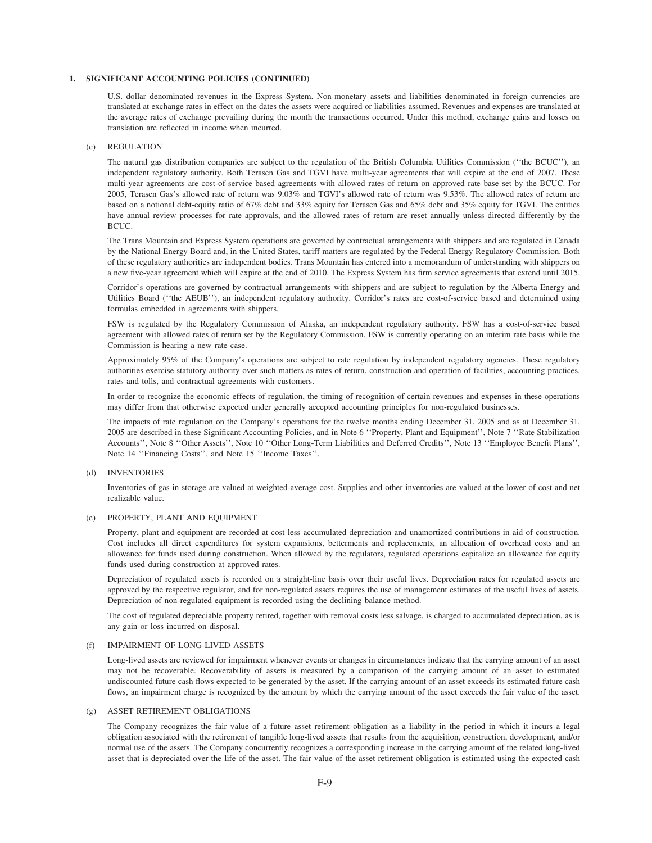U.S. dollar denominated revenues in the Express System. Non-monetary assets and liabilities denominated in foreign currencies are translated at exchange rates in effect on the dates the assets were acquired or liabilities assumed. Revenues and expenses are translated at the average rates of exchange prevailing during the month the transactions occurred. Under this method, exchange gains and losses on translation are reflected in income when incurred.

### (c) REGULATION

The natural gas distribution companies are subject to the regulation of the British Columbia Utilities Commission (''the BCUC''), an independent regulatory authority. Both Terasen Gas and TGVI have multi-year agreements that will expire at the end of 2007. These multi-year agreements are cost-of-service based agreements with allowed rates of return on approved rate base set by the BCUC. For 2005, Terasen Gas's allowed rate of return was 9.03% and TGVI's allowed rate of return was 9.53%. The allowed rates of return are based on a notional debt-equity ratio of 67% debt and 33% equity for Terasen Gas and 65% debt and 35% equity for TGVI. The entities have annual review processes for rate approvals, and the allowed rates of return are reset annually unless directed differently by the BCUC.

The Trans Mountain and Express System operations are governed by contractual arrangements with shippers and are regulated in Canada by the National Energy Board and, in the United States, tariff matters are regulated by the Federal Energy Regulatory Commission. Both of these regulatory authorities are independent bodies. Trans Mountain has entered into a memorandum of understanding with shippers on a new five-year agreement which will expire at the end of 2010. The Express System has firm service agreements that extend until 2015.

Corridor's operations are governed by contractual arrangements with shippers and are subject to regulation by the Alberta Energy and Utilities Board (''the AEUB''), an independent regulatory authority. Corridor's rates are cost-of-service based and determined using formulas embedded in agreements with shippers.

FSW is regulated by the Regulatory Commission of Alaska, an independent regulatory authority. FSW has a cost-of-service based agreement with allowed rates of return set by the Regulatory Commission. FSW is currently operating on an interim rate basis while the Commission is hearing a new rate case.

Approximately 95% of the Company's operations are subject to rate regulation by independent regulatory agencies. These regulatory authorities exercise statutory authority over such matters as rates of return, construction and operation of facilities, accounting practices, rates and tolls, and contractual agreements with customers.

In order to recognize the economic effects of regulation, the timing of recognition of certain revenues and expenses in these operations may differ from that otherwise expected under generally accepted accounting principles for non-regulated businesses.

The impacts of rate regulation on the Company's operations for the twelve months ending December 31, 2005 and as at December 31, 2005 are described in these Significant Accounting Policies, and in Note 6 ''Property, Plant and Equipment'', Note 7 ''Rate Stabilization Accounts'', Note 8 ''Other Assets'', Note 10 ''Other Long-Term Liabilities and Deferred Credits'', Note 13 ''Employee Benefit Plans'', Note 14 ''Financing Costs'', and Note 15 ''Income Taxes''.

#### (d) INVENTORIES

Inventories of gas in storage are valued at weighted-average cost. Supplies and other inventories are valued at the lower of cost and net realizable value.

#### (e) PROPERTY, PLANT AND EQUIPMENT

Property, plant and equipment are recorded at cost less accumulated depreciation and unamortized contributions in aid of construction. Cost includes all direct expenditures for system expansions, betterments and replacements, an allocation of overhead costs and an allowance for funds used during construction. When allowed by the regulators, regulated operations capitalize an allowance for equity funds used during construction at approved rates.

Depreciation of regulated assets is recorded on a straight-line basis over their useful lives. Depreciation rates for regulated assets are approved by the respective regulator, and for non-regulated assets requires the use of management estimates of the useful lives of assets. Depreciation of non-regulated equipment is recorded using the declining balance method.

The cost of regulated depreciable property retired, together with removal costs less salvage, is charged to accumulated depreciation, as is any gain or loss incurred on disposal.

#### (f) IMPAIRMENT OF LONG-LIVED ASSETS

Long-lived assets are reviewed for impairment whenever events or changes in circumstances indicate that the carrying amount of an asset may not be recoverable. Recoverability of assets is measured by a comparison of the carrying amount of an asset to estimated undiscounted future cash flows expected to be generated by the asset. If the carrying amount of an asset exceeds its estimated future cash flows, an impairment charge is recognized by the amount by which the carrying amount of the asset exceeds the fair value of the asset.

## (g) ASSET RETIREMENT OBLIGATIONS

The Company recognizes the fair value of a future asset retirement obligation as a liability in the period in which it incurs a legal obligation associated with the retirement of tangible long-lived assets that results from the acquisition, construction, development, and/or normal use of the assets. The Company concurrently recognizes a corresponding increase in the carrying amount of the related long-lived asset that is depreciated over the life of the asset. The fair value of the asset retirement obligation is estimated using the expected cash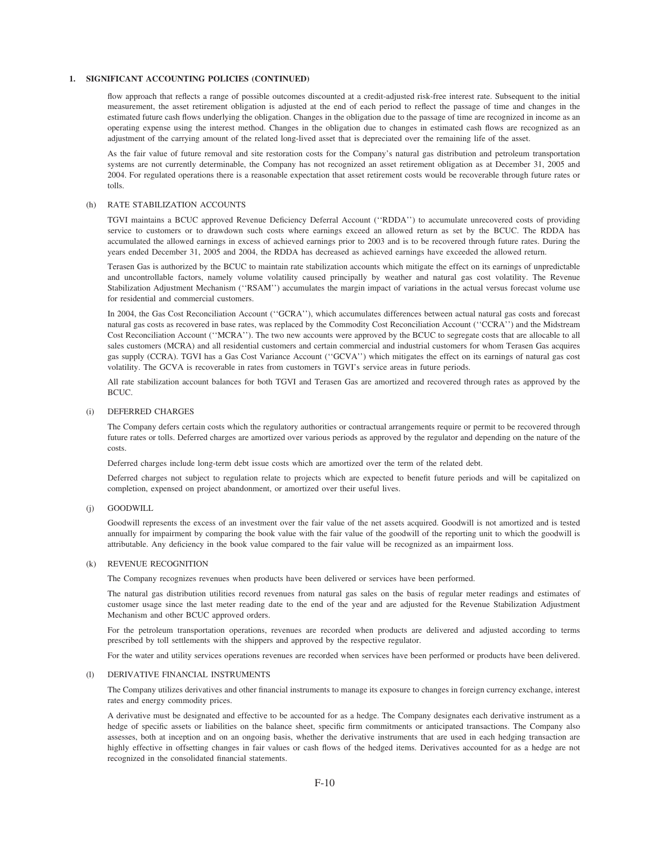flow approach that reflects a range of possible outcomes discounted at a credit-adjusted risk-free interest rate. Subsequent to the initial measurement, the asset retirement obligation is adjusted at the end of each period to reflect the passage of time and changes in the estimated future cash flows underlying the obligation. Changes in the obligation due to the passage of time are recognized in income as an operating expense using the interest method. Changes in the obligation due to changes in estimated cash flows are recognized as an adjustment of the carrying amount of the related long-lived asset that is depreciated over the remaining life of the asset.

As the fair value of future removal and site restoration costs for the Company's natural gas distribution and petroleum transportation systems are not currently determinable, the Company has not recognized an asset retirement obligation as at December 31, 2005 and 2004. For regulated operations there is a reasonable expectation that asset retirement costs would be recoverable through future rates or tolls.

#### (h) RATE STABILIZATION ACCOUNTS

TGVI maintains a BCUC approved Revenue Deficiency Deferral Account (''RDDA'') to accumulate unrecovered costs of providing service to customers or to drawdown such costs where earnings exceed an allowed return as set by the BCUC. The RDDA has accumulated the allowed earnings in excess of achieved earnings prior to 2003 and is to be recovered through future rates. During the years ended December 31, 2005 and 2004, the RDDA has decreased as achieved earnings have exceeded the allowed return.

Terasen Gas is authorized by the BCUC to maintain rate stabilization accounts which mitigate the effect on its earnings of unpredictable and uncontrollable factors, namely volume volatility caused principally by weather and natural gas cost volatility. The Revenue Stabilization Adjustment Mechanism (''RSAM'') accumulates the margin impact of variations in the actual versus forecast volume use for residential and commercial customers.

In 2004, the Gas Cost Reconciliation Account (''GCRA''), which accumulates differences between actual natural gas costs and forecast natural gas costs as recovered in base rates, was replaced by the Commodity Cost Reconciliation Account (''CCRA'') and the Midstream Cost Reconciliation Account (''MCRA''). The two new accounts were approved by the BCUC to segregate costs that are allocable to all sales customers (MCRA) and all residential customers and certain commercial and industrial customers for whom Terasen Gas acquires gas supply (CCRA). TGVI has a Gas Cost Variance Account (''GCVA'') which mitigates the effect on its earnings of natural gas cost volatility. The GCVA is recoverable in rates from customers in TGVI's service areas in future periods.

All rate stabilization account balances for both TGVI and Terasen Gas are amortized and recovered through rates as approved by the BCUC.

#### (i) DEFERRED CHARGES

The Company defers certain costs which the regulatory authorities or contractual arrangements require or permit to be recovered through future rates or tolls. Deferred charges are amortized over various periods as approved by the regulator and depending on the nature of the costs.

Deferred charges include long-term debt issue costs which are amortized over the term of the related debt.

Deferred charges not subject to regulation relate to projects which are expected to benefit future periods and will be capitalized on completion, expensed on project abandonment, or amortized over their useful lives.

(j) GOODWILL

Goodwill represents the excess of an investment over the fair value of the net assets acquired. Goodwill is not amortized and is tested annually for impairment by comparing the book value with the fair value of the goodwill of the reporting unit to which the goodwill is attributable. Any deficiency in the book value compared to the fair value will be recognized as an impairment loss.

#### (k) REVENUE RECOGNITION

The Company recognizes revenues when products have been delivered or services have been performed.

The natural gas distribution utilities record revenues from natural gas sales on the basis of regular meter readings and estimates of customer usage since the last meter reading date to the end of the year and are adjusted for the Revenue Stabilization Adjustment Mechanism and other BCUC approved orders.

For the petroleum transportation operations, revenues are recorded when products are delivered and adjusted according to terms prescribed by toll settlements with the shippers and approved by the respective regulator.

For the water and utility services operations revenues are recorded when services have been performed or products have been delivered.

#### (l) DERIVATIVE FINANCIAL INSTRUMENTS

The Company utilizes derivatives and other financial instruments to manage its exposure to changes in foreign currency exchange, interest rates and energy commodity prices.

A derivative must be designated and effective to be accounted for as a hedge. The Company designates each derivative instrument as a hedge of specific assets or liabilities on the balance sheet, specific firm commitments or anticipated transactions. The Company also assesses, both at inception and on an ongoing basis, whether the derivative instruments that are used in each hedging transaction are highly effective in offsetting changes in fair values or cash flows of the hedged items. Derivatives accounted for as a hedge are not recognized in the consolidated financial statements.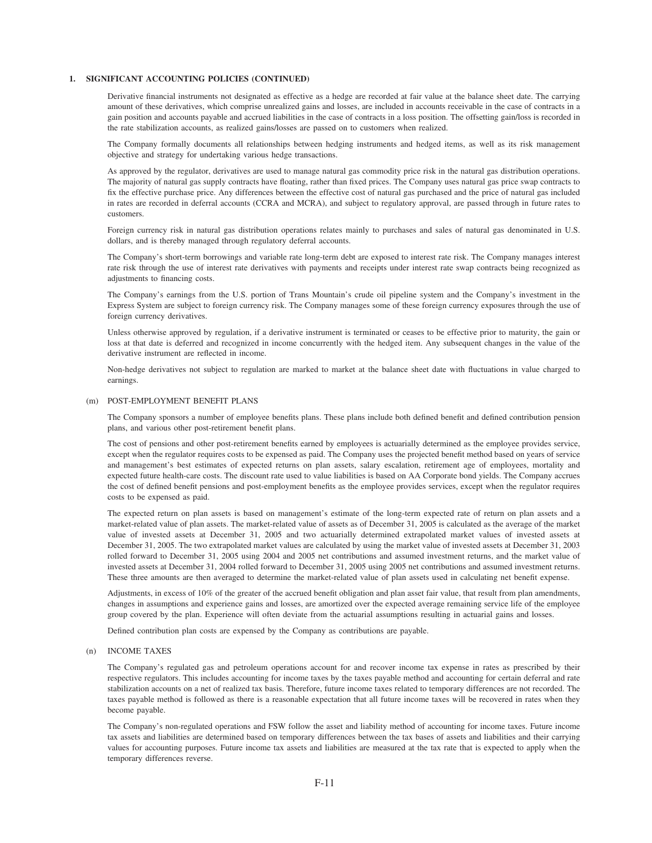Derivative financial instruments not designated as effective as a hedge are recorded at fair value at the balance sheet date. The carrying amount of these derivatives, which comprise unrealized gains and losses, are included in accounts receivable in the case of contracts in a gain position and accounts payable and accrued liabilities in the case of contracts in a loss position. The offsetting gain/loss is recorded in the rate stabilization accounts, as realized gains/losses are passed on to customers when realized.

The Company formally documents all relationships between hedging instruments and hedged items, as well as its risk management objective and strategy for undertaking various hedge transactions.

As approved by the regulator, derivatives are used to manage natural gas commodity price risk in the natural gas distribution operations. The majority of natural gas supply contracts have floating, rather than fixed prices. The Company uses natural gas price swap contracts to fix the effective purchase price. Any differences between the effective cost of natural gas purchased and the price of natural gas included in rates are recorded in deferral accounts (CCRA and MCRA), and subject to regulatory approval, are passed through in future rates to customers.

Foreign currency risk in natural gas distribution operations relates mainly to purchases and sales of natural gas denominated in U.S. dollars, and is thereby managed through regulatory deferral accounts.

The Company's short-term borrowings and variable rate long-term debt are exposed to interest rate risk. The Company manages interest rate risk through the use of interest rate derivatives with payments and receipts under interest rate swap contracts being recognized as adjustments to financing costs.

The Company's earnings from the U.S. portion of Trans Mountain's crude oil pipeline system and the Company's investment in the Express System are subject to foreign currency risk. The Company manages some of these foreign currency exposures through the use of foreign currency derivatives.

Unless otherwise approved by regulation, if a derivative instrument is terminated or ceases to be effective prior to maturity, the gain or loss at that date is deferred and recognized in income concurrently with the hedged item. Any subsequent changes in the value of the derivative instrument are reflected in income.

Non-hedge derivatives not subject to regulation are marked to market at the balance sheet date with fluctuations in value charged to earnings.

#### (m) POST-EMPLOYMENT BENEFIT PLANS

The Company sponsors a number of employee benefits plans. These plans include both defined benefit and defined contribution pension plans, and various other post-retirement benefit plans.

The cost of pensions and other post-retirement benefits earned by employees is actuarially determined as the employee provides service, except when the regulator requires costs to be expensed as paid. The Company uses the projected benefit method based on years of service and management's best estimates of expected returns on plan assets, salary escalation, retirement age of employees, mortality and expected future health-care costs. The discount rate used to value liabilities is based on AA Corporate bond yields. The Company accrues the cost of defined benefit pensions and post-employment benefits as the employee provides services, except when the regulator requires costs to be expensed as paid.

The expected return on plan assets is based on management's estimate of the long-term expected rate of return on plan assets and a market-related value of plan assets. The market-related value of assets as of December 31, 2005 is calculated as the average of the market value of invested assets at December 31, 2005 and two actuarially determined extrapolated market values of invested assets at December 31, 2005. The two extrapolated market values are calculated by using the market value of invested assets at December 31, 2003 rolled forward to December 31, 2005 using 2004 and 2005 net contributions and assumed investment returns, and the market value of invested assets at December 31, 2004 rolled forward to December 31, 2005 using 2005 net contributions and assumed investment returns. These three amounts are then averaged to determine the market-related value of plan assets used in calculating net benefit expense.

Adjustments, in excess of 10% of the greater of the accrued benefit obligation and plan asset fair value, that result from plan amendments, changes in assumptions and experience gains and losses, are amortized over the expected average remaining service life of the employee group covered by the plan. Experience will often deviate from the actuarial assumptions resulting in actuarial gains and losses.

Defined contribution plan costs are expensed by the Company as contributions are payable.

#### (n) INCOME TAXES

The Company's regulated gas and petroleum operations account for and recover income tax expense in rates as prescribed by their respective regulators. This includes accounting for income taxes by the taxes payable method and accounting for certain deferral and rate stabilization accounts on a net of realized tax basis. Therefore, future income taxes related to temporary differences are not recorded. The taxes payable method is followed as there is a reasonable expectation that all future income taxes will be recovered in rates when they become payable.

The Company's non-regulated operations and FSW follow the asset and liability method of accounting for income taxes. Future income tax assets and liabilities are determined based on temporary differences between the tax bases of assets and liabilities and their carrying values for accounting purposes. Future income tax assets and liabilities are measured at the tax rate that is expected to apply when the temporary differences reverse.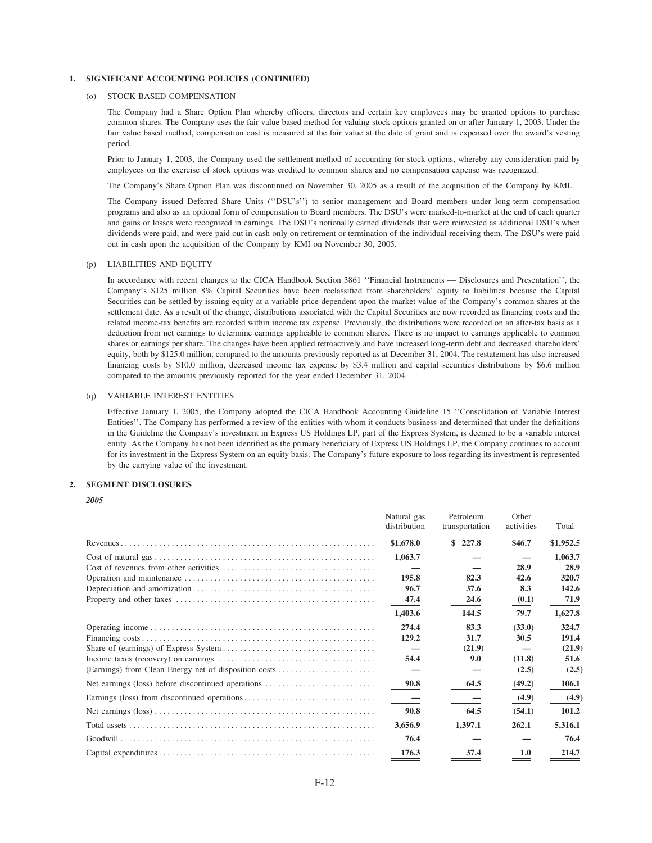#### (o) STOCK-BASED COMPENSATION

The Company had a Share Option Plan whereby officers, directors and certain key employees may be granted options to purchase common shares. The Company uses the fair value based method for valuing stock options granted on or after January 1, 2003. Under the fair value based method, compensation cost is measured at the fair value at the date of grant and is expensed over the award's vesting period.

Prior to January 1, 2003, the Company used the settlement method of accounting for stock options, whereby any consideration paid by employees on the exercise of stock options was credited to common shares and no compensation expense was recognized.

The Company's Share Option Plan was discontinued on November 30, 2005 as a result of the acquisition of the Company by KMI.

The Company issued Deferred Share Units (''DSU's'') to senior management and Board members under long-term compensation programs and also as an optional form of compensation to Board members. The DSU's were marked-to-market at the end of each quarter and gains or losses were recognized in earnings. The DSU's notionally earned dividends that were reinvested as additional DSU's when dividends were paid, and were paid out in cash only on retirement or termination of the individual receiving them. The DSU's were paid out in cash upon the acquisition of the Company by KMI on November 30, 2005.

#### (p) LIABILITIES AND EQUITY

In accordance with recent changes to the CICA Handbook Section 3861 ''Financial Instruments — Disclosures and Presentation'', the Company's \$125 million 8% Capital Securities have been reclassified from shareholders' equity to liabilities because the Capital Securities can be settled by issuing equity at a variable price dependent upon the market value of the Company's common shares at the settlement date. As a result of the change, distributions associated with the Capital Securities are now recorded as financing costs and the related income-tax benefits are recorded within income tax expense. Previously, the distributions were recorded on an after-tax basis as a deduction from net earnings to determine earnings applicable to common shares. There is no impact to earnings applicable to common shares or earnings per share. The changes have been applied retroactively and have increased long-term debt and decreased shareholders' equity, both by \$125.0 million, compared to the amounts previously reported as at December 31, 2004. The restatement has also increased financing costs by \$10.0 million, decreased income tax expense by \$3.4 million and capital securities distributions by \$6.6 million compared to the amounts previously reported for the year ended December 31, 2004.

#### (q) VARIABLE INTEREST ENTITIES

Effective January 1, 2005, the Company adopted the CICA Handbook Accounting Guideline 15 ''Consolidation of Variable Interest Entities''. The Company has performed a review of the entities with whom it conducts business and determined that under the definitions in the Guideline the Company's investment in Express US Holdings LP, part of the Express System, is deemed to be a variable interest entity. As the Company has not been identified as the primary beneficiary of Express US Holdings LP, the Company continues to account for its investment in the Express System on an equity basis. The Company's future exposure to loss regarding its investment is represented by the carrying value of the investment.

## **2. SEGMENT DISCLOSURES**

#### *2005*

|                                                       | Natural gas<br>distribution | Petroleum<br>transportation | Other<br>activities | Total     |
|-------------------------------------------------------|-----------------------------|-----------------------------|---------------------|-----------|
|                                                       | \$1,678.0                   | 227.8<br>\$                 | \$46.7              | \$1,952.5 |
|                                                       | 1,063.7                     |                             |                     | 1,063.7   |
|                                                       |                             |                             | 28.9                | 28.9      |
|                                                       | 195.8                       | 82.3                        | 42.6                | 320.7     |
|                                                       | 96.7                        | 37.6                        | 8.3                 | 142.6     |
|                                                       | 47.4                        | 24.6                        | (0.1)               | 71.9      |
|                                                       | 1,403.6                     | 144.5                       | 79.7                | 1,627.8   |
|                                                       | 274.4                       | 83.3                        | (33.0)              | 324.7     |
|                                                       | 129.2                       | 31.7                        | 30.5                | 191.4     |
|                                                       |                             | (21.9)                      |                     | (21.9)    |
|                                                       | 54.4                        | 9.0                         | (11.8)              | 51.6      |
| (Earnings) from Clean Energy net of disposition costs |                             |                             | (2.5)               | (2.5)     |
| Net earnings (loss) before discontinued operations    | 90.8                        | 64.5                        | (49.2)              | 106.1     |
|                                                       |                             |                             | (4.9)               | (4.9)     |
|                                                       | 90.8                        | 64.5                        | (54.1)              | 101.2     |
|                                                       | 3,656.9                     | 1,397.1                     | 262.1               | 5,316.1   |
|                                                       | 76.4                        |                             |                     | 76.4      |
|                                                       | 176.3                       | 37.4                        | 1.0                 | 214.7     |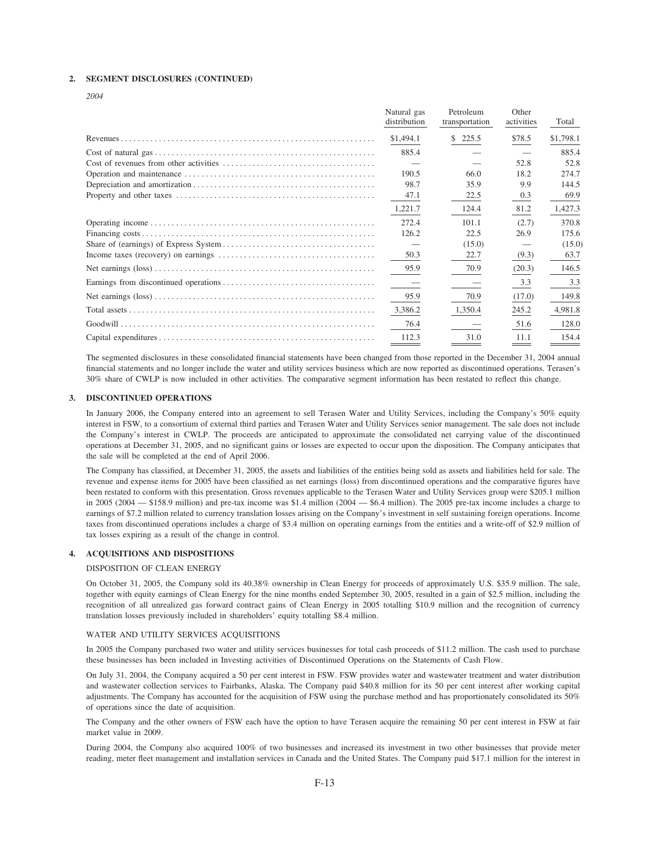#### **2. SEGMENT DISCLOSURES (CONTINUED)**

*2004*

| Natural gas<br>distribution | Petroleum<br>transportation | Other<br>activities | Total     |
|-----------------------------|-----------------------------|---------------------|-----------|
| \$1,494.1                   | \$225.5                     | \$78.5              | \$1,798.1 |
| 885.4                       |                             |                     | 885.4     |
|                             |                             | 52.8                | 52.8      |
| 190.5                       | 66.0                        | 18.2                | 274.7     |
| 98.7                        | 35.9                        | 9.9                 | 144.5     |
| 47.1                        | 22.5                        | 0.3                 | 69.9      |
| 1,221.7                     | 124.4                       | 81.2                | 1,427.3   |
| 272.4                       | 101.1                       | (2.7)               | 370.8     |
| 126.2                       | 22.5                        | 26.9                | 175.6     |
|                             | (15.0)                      |                     | (15.0)    |
| 50.3                        | 22.7                        | (9.3)               | 63.7      |
| 95.9                        | 70.9                        | (20.3)              | 146.5     |
|                             |                             | 3.3                 | 3.3       |
| 95.9                        | 70.9                        | (17.0)              | 149.8     |
| 3,386.2                     | 1,350.4                     | 245.2               | 4,981.8   |
| 76.4                        |                             | 51.6                | 128.0     |
| 112.3                       | 31.0                        | 11.1                | 154.4     |

The segmented disclosures in these consolidated financial statements have been changed from those reported in the December 31, 2004 annual financial statements and no longer include the water and utility services business which are now reported as discontinued operations. Terasen's 30% share of CWLP is now included in other activities. The comparative segment information has been restated to reflect this change.

#### **3. DISCONTINUED OPERATIONS**

In January 2006, the Company entered into an agreement to sell Terasen Water and Utility Services, including the Company's 50% equity interest in FSW, to a consortium of external third parties and Terasen Water and Utility Services senior management. The sale does not include the Company's interest in CWLP. The proceeds are anticipated to approximate the consolidated net carrying value of the discontinued operations at December 31, 2005, and no significant gains or losses are expected to occur upon the disposition. The Company anticipates that the sale will be completed at the end of April 2006.

The Company has classified, at December 31, 2005, the assets and liabilities of the entities being sold as assets and liabilities held for sale. The revenue and expense items for 2005 have been classified as net earnings (loss) from discontinued operations and the comparative figures have been restated to conform with this presentation. Gross revenues applicable to the Terasen Water and Utility Services group were \$205.1 million in 2005 (2004 — \$158.9 million) and pre-tax income was \$1.4 million (2004 — \$6.4 million). The 2005 pre-tax income includes a charge to earnings of \$7.2 million related to currency translation losses arising on the Company's investment in self sustaining foreign operations. Income taxes from discontinued operations includes a charge of \$3.4 million on operating earnings from the entities and a write-off of \$2.9 million of tax losses expiring as a result of the change in control.

#### **4. ACQUISITIONS AND DISPOSITIONS**

# DISPOSITION OF CLEAN ENERGY

On October 31, 2005, the Company sold its 40.38% ownership in Clean Energy for proceeds of approximately U.S. \$35.9 million. The sale, together with equity earnings of Clean Energy for the nine months ended September 30, 2005, resulted in a gain of \$2.5 million, including the recognition of all unrealized gas forward contract gains of Clean Energy in 2005 totalling \$10.9 million and the recognition of currency translation losses previously included in shareholders' equity totalling \$8.4 million.

#### WATER AND UTILITY SERVICES ACQUISITIONS

In 2005 the Company purchased two water and utility services businesses for total cash proceeds of \$11.2 million. The cash used to purchase these businesses has been included in Investing activities of Discontinued Operations on the Statements of Cash Flow.

On July 31, 2004, the Company acquired a 50 per cent interest in FSW. FSW provides water and wastewater treatment and water distribution and wastewater collection services to Fairbanks, Alaska. The Company paid \$40.8 million for its 50 per cent interest after working capital adjustments. The Company has accounted for the acquisition of FSW using the purchase method and has proportionately consolidated its 50% of operations since the date of acquisition.

The Company and the other owners of FSW each have the option to have Terasen acquire the remaining 50 per cent interest in FSW at fair market value in 2009.

During 2004, the Company also acquired 100% of two businesses and increased its investment in two other businesses that provide meter reading, meter fleet management and installation services in Canada and the United States. The Company paid \$17.1 million for the interest in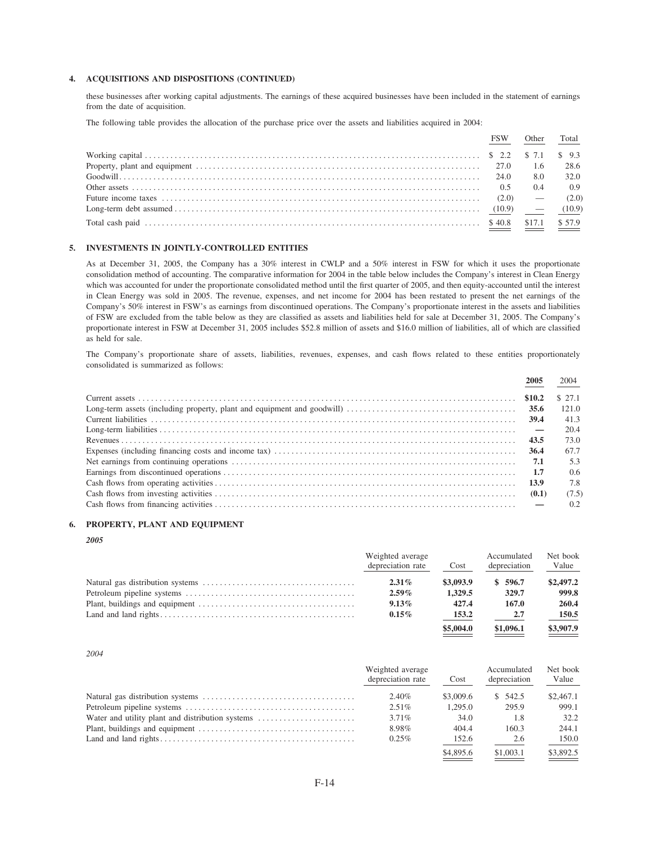# 4. ACQUISITIONS AND DISPOSITIONS (CONTINUED)

these businesses after working capital adjustments. The earnings of these acquired businesses have been included in the statement of earnings from the date of acquisition.

The following table provides the allocation of the purchase price over the assets and liabilities acquired in 2004:

|                                                                                                                                                                            | FSW. | Other | Total                   |
|----------------------------------------------------------------------------------------------------------------------------------------------------------------------------|------|-------|-------------------------|
|                                                                                                                                                                            |      |       |                         |
|                                                                                                                                                                            |      | 1.6   | 28.6                    |
|                                                                                                                                                                            |      | 8.0   | 32.0                    |
| Other assets $\ldots$ and $\ldots$ are $\ldots$ are $\ldots$ are $\ldots$ are $\ldots$ and $\ldots$ are $\ldots$ and $\ldots$ $\ldots$ $\ldots$ $\ldots$ $\ldots$ $\ldots$ |      | 0.4   | 0.9                     |
|                                                                                                                                                                            |      |       |                         |
|                                                                                                                                                                            |      |       |                         |
|                                                                                                                                                                            |      |       | $$17.1$ $$57.9$<br>____ |
|                                                                                                                                                                            |      |       |                         |

### 5. INVESTMENTS IN JOINTLY-CONTROLLED ENTITIES

As at December 31, 2005, the Company has a 30% interest in CWLP and a 50% interest in FSW for which it uses the proportionate consolidation method of accounting. The comparative information for 2004 in the table below includes the Company's interest in Clean Energy which was accounted for under the proportionate consolidated method until the first quarter of 2005, and then equity-accounted until the interest in Clean Energy was sold in 2005. The revenue, expenses, and net income for 2004 has been restated to present the net earnings of the Company's 50% interest in FSW's as earnings from discontinued operations. The Company's proportionate interest in the assets and liabilities of FSW are excluded from the table below as they are classified as assets and liabilities held for sale at December 31, 2005. The Company's proportionate interest in FSW at December 31, 2005 includes \$52.8 million of assets and \$16.0 million of liabilities, all of which are classified as held for sale.

The Company's proportionate share of assets, liabilities, revenues, expenses, and cash flows related to these entities proportionately consolidated is summarized as follows:

| 2005   | 2004   |
|--------|--------|
|        | \$27.1 |
|        | 121.0  |
|        | 41.3   |
|        | 20.4   |
|        | 73.0   |
|        | 67.7   |
|        | 5.3    |
|        | 0.6    |
| - 13.9 | 7.8    |
|        | (7.5)  |
|        | 0.2    |

## 6. PROPERTY, PLANT AND EQUIPMENT

# 2005

| Weighted average<br>depreciation rate | Cost      | Accumulated<br>depreciation | Net book<br>Value |
|---------------------------------------|-----------|-----------------------------|-------------------|
| $2.31\%$                              | \$3,093.9 | \$596.7                     | \$2,497.2         |
| $2.59\%$                              | 1,329.5   | 329.7                       | 999.8             |
| $9.13\%$                              | 427.4     | 167.0                       | 260.4             |
| $0.15\%$                              | 153.2     | 2.7                         | 150.5             |
|                                       | \$5,004.0 | \$1,096.1                   | \$3,907.9         |

2004

|                                                  | Weighted average  |           | Accumulated  | Net book  |
|--------------------------------------------------|-------------------|-----------|--------------|-----------|
|                                                  | depreciation rate | Cost      | depreciation | Value     |
|                                                  | $2.40\%$          | \$3,009.6 | \$542.5      | \$2,467.1 |
|                                                  | $2.51\%$          | 1.295.0   | 295.9        | 999.1     |
| Water and utility plant and distribution systems | $3.71\%$          | 34.0      | 1.8          | 32.2      |
|                                                  | 8.98%             | 404.4     | 160.3        | 244.1     |
|                                                  | $0.25\%$          | 152.6     | 2.6          | 150.0     |
|                                                  |                   | \$4,895.6 | \$1,003.1    | \$3,892.5 |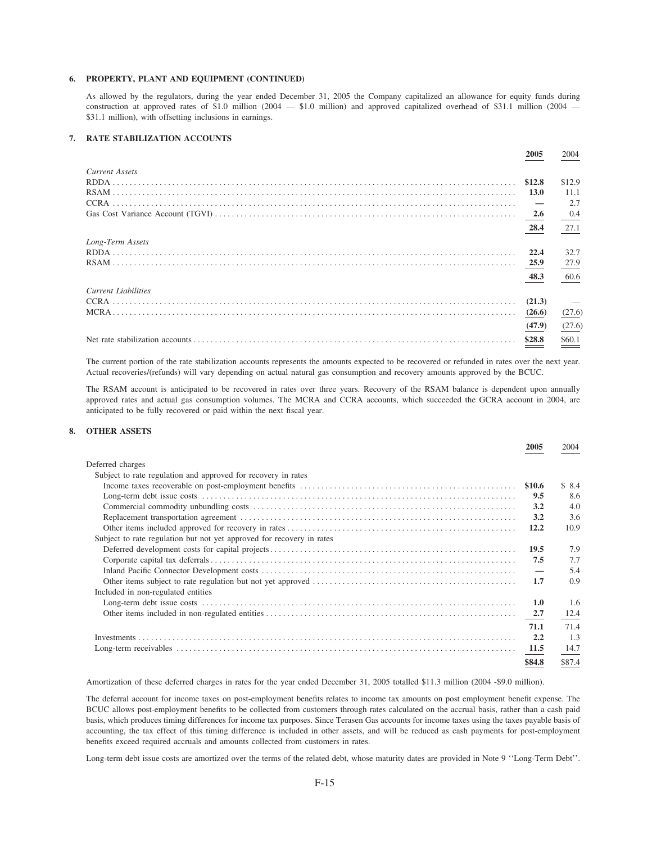# 6. PROPERTY, PLANT AND EQUIPMENT (CONTINUED)

As allowed by the regulators, during the year ended December 31, 2005 the Company capitalized an allowance for equity funds during construction at approved rates of \$1.0 million (2004  $-$  \$1.0 million) and approved capitalized overhead of \$31.1 million (2004  $-$ \$31.1 million), with offsetting inclusions in earnings.

# 7. RATE STABILIZATION ACCOUNTS

|                            | <b>2005</b> | 2004                     |
|----------------------------|-------------|--------------------------|
| <b>Current Assets</b>      |             |                          |
|                            |             | \$12.9                   |
|                            | <b>13.0</b> | 11.1                     |
|                            |             | 2.7                      |
|                            |             | 0.4                      |
|                            | 28.4        | 27.1                     |
| Long-Term Assets           |             |                          |
|                            |             | 32.7                     |
|                            |             | 27.9                     |
|                            | 48.3        | 60.6                     |
| <b>Current Liabilities</b> |             |                          |
|                            |             | $\overline{\phantom{a}}$ |
|                            | (26.6)      | (27.6)                   |
|                            | (47.9)      | (27.6)                   |
|                            | \$28.8      | $\underline{\$60.1}$     |

The current portion of the rate stabilization accounts represents the amounts expected to be recovered or refunded in rates over the next year. Actual recoveries/(refunds) will vary depending on actual natural gas consumption and recovery amounts approved by the BCUC.

The RSAM account is anticipated to be recovered in rates over three years. Recovery of the RSAM balance is dependent upon annually approved rates and actual gas consumption volumes. The MCRA and CCRA accounts, which succeeded the GCRA account in 2004, are anticipated to be fully recovered or paid within the next fiscal year.

# 8. OTHER ASSETS

|                                                                       | 2005   | 2004   |
|-----------------------------------------------------------------------|--------|--------|
| Deferred charges                                                      |        |        |
| Subject to rate regulation and approved for recovery in rates         |        |        |
|                                                                       |        | \$8.4  |
|                                                                       | 9.5    | 8.6    |
|                                                                       | 3.2    | 4.0    |
|                                                                       | 3.2    | 3.6    |
|                                                                       | 12.2   | 10.9   |
| Subject to rate regulation but not yet approved for recovery in rates |        |        |
|                                                                       | 19.5   | 7.9    |
|                                                                       | 7.5    | 7.7    |
|                                                                       |        | 5.4    |
|                                                                       | 1.7    | 0.9    |
| Included in non-regulated entities                                    |        |        |
|                                                                       | 1.0    | 1.6    |
|                                                                       | 2.7    | 12.4   |
|                                                                       | 71.1   | 71.4   |
|                                                                       | 2.2    | 1.3    |
|                                                                       | 11.5   | 14.7   |
|                                                                       | \$84.8 | \$87.4 |
|                                                                       |        |        |

Amortization of these deferred charges in rates for the year ended December 31, 2005 totalled \$11.3 million (2004 -\$9.0 million).

The deferral account for income taxes on post-employment benefits relates to income tax amounts on post employment benefit expense. The BCUC allows post-employment benefits to be collected from customers through rates calculated on the accrual basis, rather than a cash paid basis, which produces timing differences for income tax purposes. Since Terasen Gas accounts for income taxes using the taxes payable basis of accounting, the tax effect of this timing difference is included in other assets, and will be reduced as cash payments for post-employment benefits exceed required accruals and amounts collected from customers in rates.

Long-term debt issue costs are amortized over the terms of the related debt, whose maturity dates are provided in Note 9 "Long-Term Debt".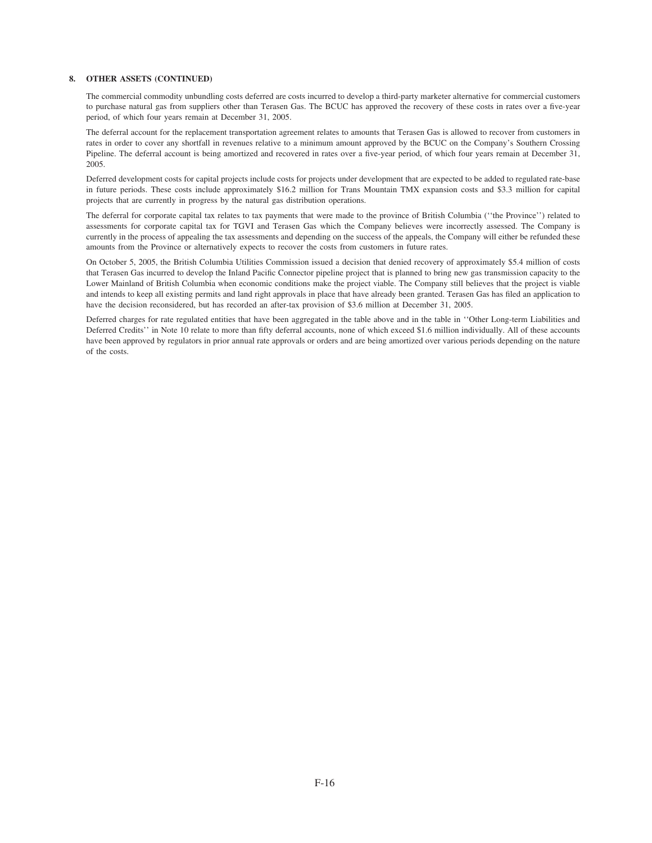# **8. OTHER ASSETS (CONTINUED)**

The commercial commodity unbundling costs deferred are costs incurred to develop a third-party marketer alternative for commercial customers to purchase natural gas from suppliers other than Terasen Gas. The BCUC has approved the recovery of these costs in rates over a five-year period, of which four years remain at December 31, 2005.

The deferral account for the replacement transportation agreement relates to amounts that Terasen Gas is allowed to recover from customers in rates in order to cover any shortfall in revenues relative to a minimum amount approved by the BCUC on the Company's Southern Crossing Pipeline. The deferral account is being amortized and recovered in rates over a five-year period, of which four years remain at December 31, 2005.

Deferred development costs for capital projects include costs for projects under development that are expected to be added to regulated rate-base in future periods. These costs include approximately \$16.2 million for Trans Mountain TMX expansion costs and \$3.3 million for capital projects that are currently in progress by the natural gas distribution operations.

The deferral for corporate capital tax relates to tax payments that were made to the province of British Columbia (''the Province'') related to assessments for corporate capital tax for TGVI and Terasen Gas which the Company believes were incorrectly assessed. The Company is currently in the process of appealing the tax assessments and depending on the success of the appeals, the Company will either be refunded these amounts from the Province or alternatively expects to recover the costs from customers in future rates.

On October 5, 2005, the British Columbia Utilities Commission issued a decision that denied recovery of approximately \$5.4 million of costs that Terasen Gas incurred to develop the Inland Pacific Connector pipeline project that is planned to bring new gas transmission capacity to the Lower Mainland of British Columbia when economic conditions make the project viable. The Company still believes that the project is viable and intends to keep all existing permits and land right approvals in place that have already been granted. Terasen Gas has filed an application to have the decision reconsidered, but has recorded an after-tax provision of \$3.6 million at December 31, 2005.

Deferred charges for rate regulated entities that have been aggregated in the table above and in the table in ''Other Long-term Liabilities and Deferred Credits'' in Note 10 relate to more than fifty deferral accounts, none of which exceed \$1.6 million individually. All of these accounts have been approved by regulators in prior annual rate approvals or orders and are being amortized over various periods depending on the nature of the costs.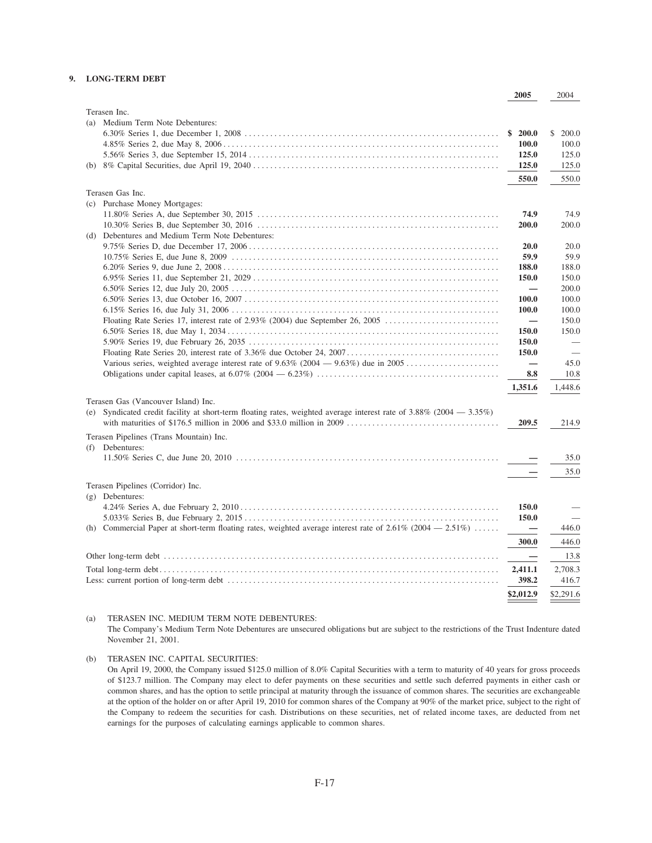# **9. LONG-TERM DEBT**

|                                                                                                                            | 2005                     | 2004           |
|----------------------------------------------------------------------------------------------------------------------------|--------------------------|----------------|
| Terasen Inc.                                                                                                               |                          |                |
| Medium Term Note Debentures:<br>(a)                                                                                        |                          |                |
|                                                                                                                            | \$200.0                  | \$ 200.0       |
|                                                                                                                            | 100.0                    | 100.0          |
|                                                                                                                            | 125.0                    | 125.0          |
|                                                                                                                            | 125.0                    | 125.0          |
|                                                                                                                            | 550.0                    | 550.0          |
|                                                                                                                            |                          |                |
| Terasen Gas Inc.                                                                                                           |                          |                |
| (c) Purchase Money Mortgages:                                                                                              |                          |                |
|                                                                                                                            | 74.9                     | 74.9           |
|                                                                                                                            | 200.0                    | 200.0          |
| (d) Debentures and Medium Term Note Debentures:                                                                            |                          |                |
|                                                                                                                            | 20.0<br>59.9             | 20.0           |
|                                                                                                                            | 188.0                    | 59.9           |
|                                                                                                                            | 150.0                    | 188.0<br>150.0 |
|                                                                                                                            | $\overline{\phantom{0}}$ | 200.0          |
|                                                                                                                            | <b>100.0</b>             | 100.0          |
|                                                                                                                            | 100.0                    | 100.0          |
|                                                                                                                            | $\overline{\phantom{0}}$ | 150.0          |
|                                                                                                                            | 150.0                    | 150.0          |
|                                                                                                                            | 150.0                    |                |
|                                                                                                                            | 150.0                    |                |
|                                                                                                                            | $\overline{\phantom{0}}$ | 45.0           |
|                                                                                                                            | 8.8                      | 10.8           |
|                                                                                                                            |                          |                |
|                                                                                                                            | 1,351.6                  | 1,448.6        |
| Terasen Gas (Vancouver Island) Inc.                                                                                        |                          |                |
| (e) Syndicated credit facility at short-term floating rates, weighted average interest rate of $3.88\%$ (2004 - $3.35\%$ ) |                          |                |
|                                                                                                                            | 209.5                    | 214.9          |
| Terasen Pipelines (Trans Mountain) Inc.                                                                                    |                          |                |
| (f) Debentures:                                                                                                            |                          |                |
|                                                                                                                            |                          | 35.0           |
|                                                                                                                            |                          | 35.0           |
| Terasen Pipelines (Corridor) Inc.                                                                                          |                          |                |
| $(g)$ Debentures:                                                                                                          |                          |                |
|                                                                                                                            | 150.0                    |                |
|                                                                                                                            | 150.0                    |                |
| (h) Commercial Paper at short-term floating rates, weighted average interest rate of $2.61\%$ (2004 - $2.51\%$ )           |                          | 446.0          |
|                                                                                                                            | 300.0                    | 446.0          |
|                                                                                                                            |                          |                |
|                                                                                                                            |                          | 13.8           |
|                                                                                                                            | 2,411.1                  | 2,708.3        |
|                                                                                                                            | 398.2                    | 416.7          |
|                                                                                                                            | \$2,012.9                | \$2,291.6      |

(a) TERASEN INC. MEDIUM TERM NOTE DEBENTURES:

The Company's Medium Term Note Debentures are unsecured obligations but are subject to the restrictions of the Trust Indenture dated November 21, 2001.

(b) TERASEN INC. CAPITAL SECURITIES:

On April 19, 2000, the Company issued \$125.0 million of 8.0% Capital Securities with a term to maturity of 40 years for gross proceeds of \$123.7 million. The Company may elect to defer payments on these securities and settle such deferred payments in either cash or common shares, and has the option to settle principal at maturity through the issuance of common shares. The securities are exchangeable at the option of the holder on or after April 19, 2010 for common shares of the Company at 90% of the market price, subject to the right of the Company to redeem the securities for cash. Distributions on these securities, net of related income taxes, are deducted from net earnings for the purposes of calculating earnings applicable to common shares.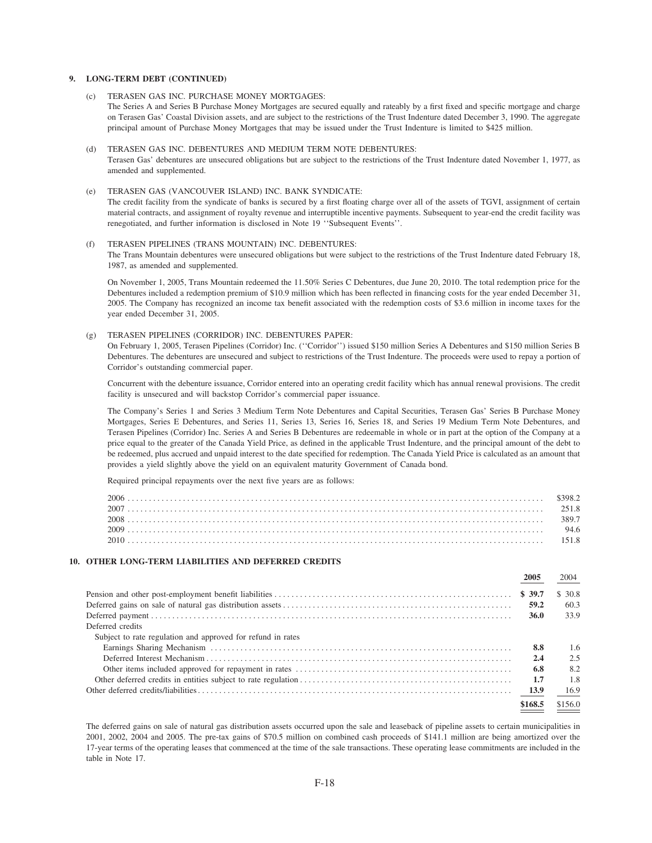# **9. LONG-TERM DEBT (CONTINUED)**

- (c) TERASEN GAS INC. PURCHASE MONEY MORTGAGES: The Series A and Series B Purchase Money Mortgages are secured equally and rateably by a first fixed and specific mortgage and charge on Terasen Gas' Coastal Division assets, and are subject to the restrictions of the Trust Indenture dated December 3, 1990. The aggregate principal amount of Purchase Money Mortgages that may be issued under the Trust Indenture is limited to \$425 million.
- (d) TERASEN GAS INC. DEBENTURES AND MEDIUM TERM NOTE DEBENTURES: Terasen Gas' debentures are unsecured obligations but are subject to the restrictions of the Trust Indenture dated November 1, 1977, as amended and supplemented.
- (e) TERASEN GAS (VANCOUVER ISLAND) INC. BANK SYNDICATE:

The credit facility from the syndicate of banks is secured by a first floating charge over all of the assets of TGVI, assignment of certain material contracts, and assignment of royalty revenue and interruptible incentive payments. Subsequent to year-end the credit facility was renegotiated, and further information is disclosed in Note 19 ''Subsequent Events''.

#### (f) TERASEN PIPELINES (TRANS MOUNTAIN) INC. DEBENTURES:

The Trans Mountain debentures were unsecured obligations but were subject to the restrictions of the Trust Indenture dated February 18, 1987, as amended and supplemented.

On November 1, 2005, Trans Mountain redeemed the 11.50% Series C Debentures, due June 20, 2010. The total redemption price for the Debentures included a redemption premium of \$10.9 million which has been reflected in financing costs for the year ended December 31, 2005. The Company has recognized an income tax benefit associated with the redemption costs of \$3.6 million in income taxes for the year ended December 31, 2005.

#### (g) TERASEN PIPELINES (CORRIDOR) INC. DEBENTURES PAPER:

On February 1, 2005, Terasen Pipelines (Corridor) Inc. (''Corridor'') issued \$150 million Series A Debentures and \$150 million Series B Debentures. The debentures are unsecured and subject to restrictions of the Trust Indenture. The proceeds were used to repay a portion of Corridor's outstanding commercial paper.

Concurrent with the debenture issuance, Corridor entered into an operating credit facility which has annual renewal provisions. The credit facility is unsecured and will backstop Corridor's commercial paper issuance.

The Company's Series 1 and Series 3 Medium Term Note Debentures and Capital Securities, Terasen Gas' Series B Purchase Money Mortgages, Series E Debentures, and Series 11, Series 13, Series 16, Series 18, and Series 19 Medium Term Note Debentures, and Terasen Pipelines (Corridor) Inc. Series A and Series B Debentures are redeemable in whole or in part at the option of the Company at a price equal to the greater of the Canada Yield Price, as defined in the applicable Trust Indenture, and the principal amount of the debt to be redeemed, plus accrued and unpaid interest to the date specified for redemption. The Canada Yield Price is calculated as an amount that provides a yield slightly above the yield on an equivalent maturity Government of Canada bond.

Required principal repayments over the next five years are as follows:

# **10. OTHER LONG-TERM LIABILITIES AND DEFERRED CREDITS**

|                                                             |             | 2004    |
|-------------------------------------------------------------|-------------|---------|
|                                                             |             | \$ 30.8 |
|                                                             | 59.2        | 60.3    |
|                                                             | <b>36.0</b> | 33.9    |
| Deferred credits                                            |             |         |
| Subject to rate regulation and approved for refund in rates |             |         |
|                                                             | 8.8         | 1.6     |
|                                                             | 2.4         | 2.5     |
|                                                             | 6.8         | 8.2     |
|                                                             | -1.7        | 1.8     |
|                                                             |             | 16.9    |
|                                                             | \$168.5     | \$156.0 |
|                                                             |             |         |

The deferred gains on sale of natural gas distribution assets occurred upon the sale and leaseback of pipeline assets to certain municipalities in 2001, 2002, 2004 and 2005. The pre-tax gains of \$70.5 million on combined cash proceeds of \$141.1 million are being amortized over the 17-year terms of the operating leases that commenced at the time of the sale transactions. These operating lease commitments are included in the table in Note 17.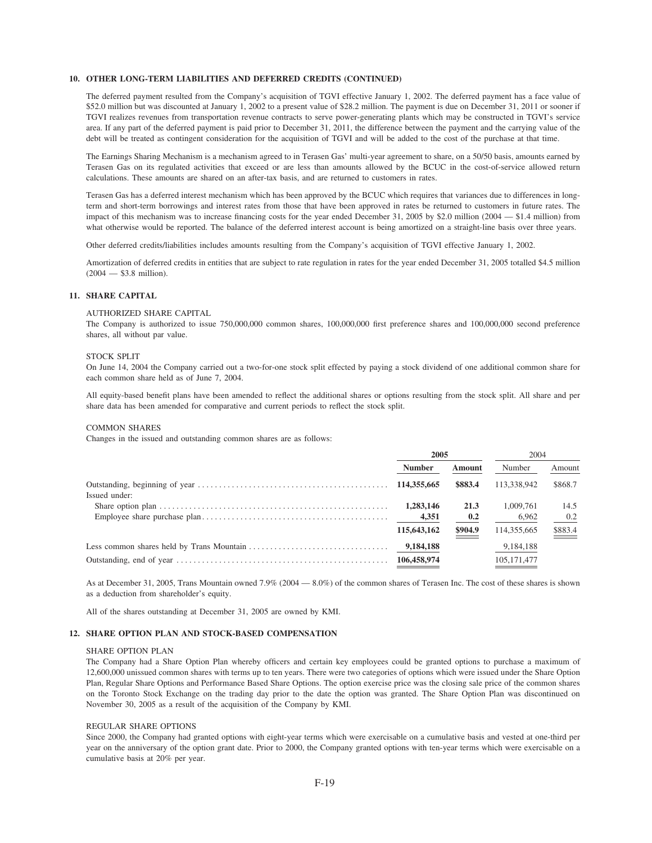#### **10. OTHER LONG-TERM LIABILITIES AND DEFERRED CREDITS (CONTINUED)**

The deferred payment resulted from the Company's acquisition of TGVI effective January 1, 2002. The deferred payment has a face value of \$52.0 million but was discounted at January 1, 2002 to a present value of \$28.2 million. The payment is due on December 31, 2011 or sooner if TGVI realizes revenues from transportation revenue contracts to serve power-generating plants which may be constructed in TGVI's service area. If any part of the deferred payment is paid prior to December 31, 2011, the difference between the payment and the carrying value of the debt will be treated as contingent consideration for the acquisition of TGVI and will be added to the cost of the purchase at that time.

The Earnings Sharing Mechanism is a mechanism agreed to in Terasen Gas' multi-year agreement to share, on a 50/50 basis, amounts earned by Terasen Gas on its regulated activities that exceed or are less than amounts allowed by the BCUC in the cost-of-service allowed return calculations. These amounts are shared on an after-tax basis, and are returned to customers in rates.

Terasen Gas has a deferred interest mechanism which has been approved by the BCUC which requires that variances due to differences in longterm and short-term borrowings and interest rates from those that have been approved in rates be returned to customers in future rates. The impact of this mechanism was to increase financing costs for the year ended December 31, 2005 by \$2.0 million (2004 — \$1.4 million) from what otherwise would be reported. The balance of the deferred interest account is being amortized on a straight-line basis over three years.

Other deferred credits/liabilities includes amounts resulting from the Company's acquisition of TGVI effective January 1, 2002.

Amortization of deferred credits in entities that are subject to rate regulation in rates for the year ended December 31, 2005 totalled \$4.5 million (2004 — \$3.8 million).

# **11. SHARE CAPITAL**

#### AUTHORIZED SHARE CAPITAL

The Company is authorized to issue 750,000,000 common shares, 100,000,000 first preference shares and 100,000,000 second preference shares, all without par value.

#### STOCK SPLIT

On June 14, 2004 the Company carried out a two-for-one stock split effected by paying a stock dividend of one additional common share for each common share held as of June 7, 2004.

All equity-based benefit plans have been amended to reflect the additional shares or options resulting from the stock split. All share and per share data has been amended for comparative and current periods to reflect the stock split.

#### COMMON SHARES

Changes in the issued and outstanding common shares are as follows:

|               | 2005          |         | 2004          |                    |
|---------------|---------------|---------|---------------|--------------------|
|               | <b>Number</b> | Amount  | Number        | Amount             |
|               |               | \$883.4 | 113.338.942   | \$868.7            |
| Issued under: |               |         |               |                    |
|               | 1,283,146     | 21.3    | 1,009,761     | 14.5               |
|               | 4,351         | 0.2     | 6,962         | 0.2                |
|               | 115,643,162   | \$904.9 | 114,355,665   | $\frac{$883.4}{2}$ |
|               | 9,184,188     |         | 9,184,188     |                    |
|               |               |         | 105, 171, 477 |                    |

As at December 31, 2005, Trans Mountain owned 7.9% (2004 — 8.0%) of the common shares of Terasen Inc. The cost of these shares is shown as a deduction from shareholder's equity.

All of the shares outstanding at December 31, 2005 are owned by KMI.

### **12. SHARE OPTION PLAN AND STOCK-BASED COMPENSATION**

#### SHARE OPTION PLAN

The Company had a Share Option Plan whereby officers and certain key employees could be granted options to purchase a maximum of 12,600,000 unissued common shares with terms up to ten years. There were two categories of options which were issued under the Share Option Plan, Regular Share Options and Performance Based Share Options. The option exercise price was the closing sale price of the common shares on the Toronto Stock Exchange on the trading day prior to the date the option was granted. The Share Option Plan was discontinued on November 30, 2005 as a result of the acquisition of the Company by KMI.

#### REGULAR SHARE OPTIONS

Since 2000, the Company had granted options with eight-year terms which were exercisable on a cumulative basis and vested at one-third per year on the anniversary of the option grant date. Prior to 2000, the Company granted options with ten-year terms which were exercisable on a cumulative basis at 20% per year.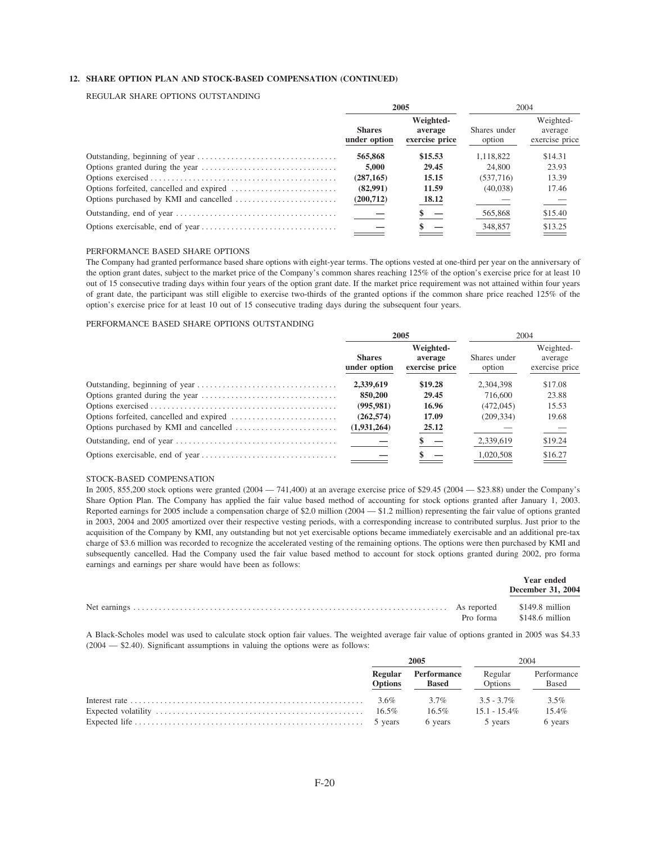# **12. SHARE OPTION PLAN AND STOCK-BASED COMPENSATION (CONTINUED)**

# REGULAR SHARE OPTIONS OUTSTANDING

| 2005                          |                                        |                        | 2004                                   |  |  |
|-------------------------------|----------------------------------------|------------------------|----------------------------------------|--|--|
| <b>Shares</b><br>under option | Weighted-<br>average<br>exercise price | Shares under<br>option | Weighted-<br>average<br>exercise price |  |  |
| 565,868                       | \$15.53                                | 1.118.822              | \$14.31                                |  |  |
| 5,000                         | 29.45                                  | 24,800                 | 23.93                                  |  |  |
| (287, 165)                    | 15.15                                  | (537,716)              | 13.39                                  |  |  |
| (82,991)                      | 11.59                                  | (40,038)               | 17.46                                  |  |  |
| (200,712)                     | 18.12                                  |                        |                                        |  |  |
|                               |                                        | 565,868                | \$15.40                                |  |  |
|                               |                                        | 348,857                | \$13.25                                |  |  |

#### PERFORMANCE BASED SHARE OPTIONS

The Company had granted performance based share options with eight-year terms. The options vested at one-third per year on the anniversary of the option grant dates, subject to the market price of the Company's common shares reaching 125% of the option's exercise price for at least 10 out of 15 consecutive trading days within four years of the option grant date. If the market price requirement was not attained within four years of grant date, the participant was still eligible to exercise two-thirds of the granted options if the common share price reached 125% of the option's exercise price for at least 10 out of 15 consecutive trading days during the subsequent four years.

## PERFORMANCE BASED SHARE OPTIONS OUTSTANDING

| 2005                          |                                        |                        | 2004                                   |  |  |
|-------------------------------|----------------------------------------|------------------------|----------------------------------------|--|--|
| <b>Shares</b><br>under option | Weighted-<br>average<br>exercise price | Shares under<br>option | Weighted-<br>average<br>exercise price |  |  |
| 2,339,619                     | \$19.28                                | 2.304.398              | \$17.08                                |  |  |
| 850,200                       | 29.45                                  | 716,600                | 23.88                                  |  |  |
| (995, 981)                    | 16.96                                  | (472, 045)             | 15.53                                  |  |  |
| (262, 574)                    | 17.09                                  | (209.334)              | 19.68                                  |  |  |
| (1,931,264)                   | 25.12                                  |                        |                                        |  |  |
|                               | $^{\circ}$ –                           | 2,339,619              | \$19.24                                |  |  |
|                               |                                        | 1,020,508              | \$16.27                                |  |  |

#### STOCK-BASED COMPENSATION

In 2005, 855,200 stock options were granted (2004 — 741,400) at an average exercise price of \$29.45 (2004 — \$23.88) under the Company's Share Option Plan. The Company has applied the fair value based method of accounting for stock options granted after January 1, 2003. Reported earnings for 2005 include a compensation charge of \$2.0 million (2004 — \$1.2 million) representing the fair value of options granted in 2003, 2004 and 2005 amortized over their respective vesting periods, with a corresponding increase to contributed surplus. Just prior to the acquisition of the Company by KMI, any outstanding but not yet exercisable options became immediately exercisable and an additional pre-tax charge of \$3.6 million was recorded to recognize the accelerated vesting of the remaining options. The options were then purchased by KMI and subsequently cancelled. Had the Company used the fair value based method to account for stock options granted during 2002, pro forma earnings and earnings per share would have been as follows:

|  | Year ended<br>December 31, 2004 |
|--|---------------------------------|
|  | Pro forma \$148.6 million       |

A Black-Scholes model was used to calculate stock option fair values. The weighted average fair value of options granted in 2005 was \$4.33 (2004 — \$2.40). Significant assumptions in valuing the options were as follows:

| 2005                             |                             |                    | 2004                 |  |
|----------------------------------|-----------------------------|--------------------|----------------------|--|
| <b>Regular</b><br><b>Options</b> | Performance<br><b>Based</b> | Regular<br>Options | Performance<br>Based |  |
|                                  | 3.7%                        | $3.5 - 3.7\%$      | $3.5\%$              |  |
|                                  | $16.5\%$                    | $15.1 - 15.4\%$    | $15.4\%$             |  |
|                                  | 6 years                     | 5 years            | 6 years              |  |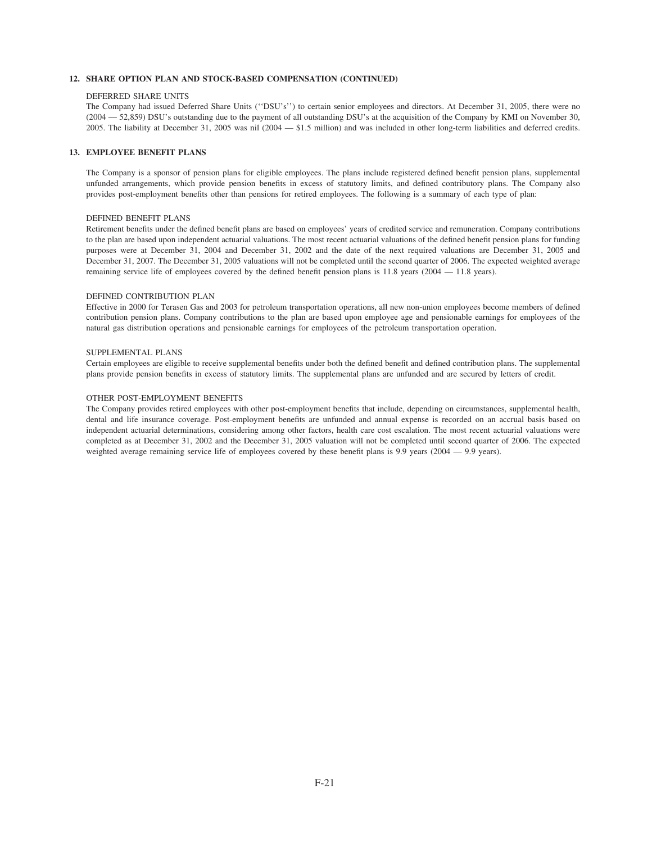#### **12. SHARE OPTION PLAN AND STOCK-BASED COMPENSATION (CONTINUED)**

#### DEFERRED SHARE UNITS

The Company had issued Deferred Share Units (''DSU's'') to certain senior employees and directors. At December 31, 2005, there were no (2004 — 52,859) DSU's outstanding due to the payment of all outstanding DSU's at the acquisition of the Company by KMI on November 30, 2005. The liability at December 31, 2005 was nil (2004 — \$1.5 million) and was included in other long-term liabilities and deferred credits.

# **13. EMPLOYEE BENEFIT PLANS**

The Company is a sponsor of pension plans for eligible employees. The plans include registered defined benefit pension plans, supplemental unfunded arrangements, which provide pension benefits in excess of statutory limits, and defined contributory plans. The Company also provides post-employment benefits other than pensions for retired employees. The following is a summary of each type of plan:

#### DEFINED BENEFIT PLANS

Retirement benefits under the defined benefit plans are based on employees' years of credited service and remuneration. Company contributions to the plan are based upon independent actuarial valuations. The most recent actuarial valuations of the defined benefit pension plans for funding purposes were at December 31, 2004 and December 31, 2002 and the date of the next required valuations are December 31, 2005 and December 31, 2007. The December 31, 2005 valuations will not be completed until the second quarter of 2006. The expected weighted average remaining service life of employees covered by the defined benefit pension plans is 11.8 years (2004 — 11.8 years).

#### DEFINED CONTRIBUTION PLAN

Effective in 2000 for Terasen Gas and 2003 for petroleum transportation operations, all new non-union employees become members of defined contribution pension plans. Company contributions to the plan are based upon employee age and pensionable earnings for employees of the natural gas distribution operations and pensionable earnings for employees of the petroleum transportation operation.

#### SUPPLEMENTAL PLANS

Certain employees are eligible to receive supplemental benefits under both the defined benefit and defined contribution plans. The supplemental plans provide pension benefits in excess of statutory limits. The supplemental plans are unfunded and are secured by letters of credit.

#### OTHER POST-EMPLOYMENT BENEFITS

The Company provides retired employees with other post-employment benefits that include, depending on circumstances, supplemental health, dental and life insurance coverage. Post-employment benefits are unfunded and annual expense is recorded on an accrual basis based on independent actuarial determinations, considering among other factors, health care cost escalation. The most recent actuarial valuations were completed as at December 31, 2002 and the December 31, 2005 valuation will not be completed until second quarter of 2006. The expected weighted average remaining service life of employees covered by these benefit plans is 9.9 years (2004 — 9.9 years).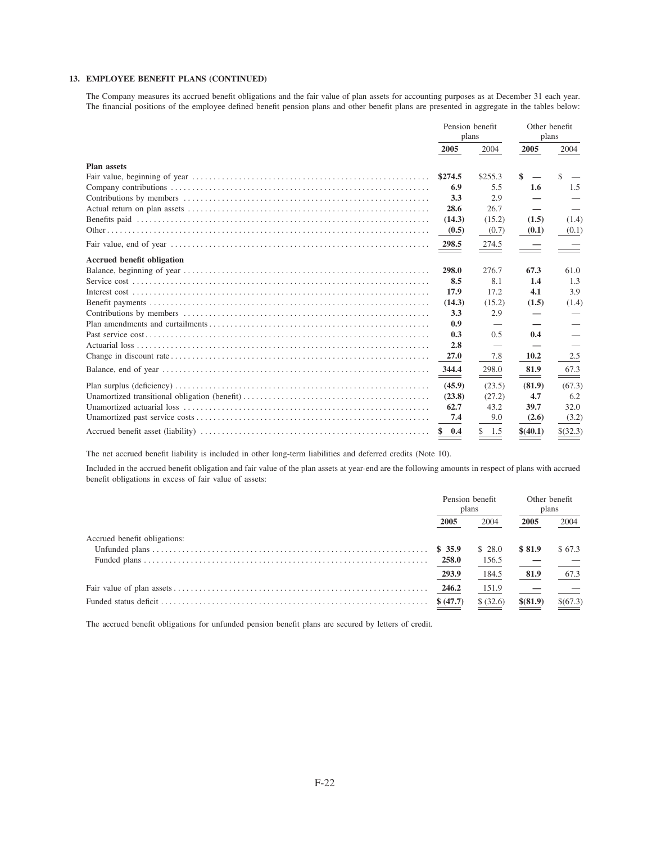# 13. EMPLOYEE BENEFIT PLANS (CONTINUED)

The Company measures its accrued benefit obligations and the fair value of plan assets for accounting purposes as at December 31 each year. The financial positions of the employee defined benefit pension plans and other benefit plans are presented in aggregate in the tables below:

|                                   | Pension benefit<br>plans |           | Other benefit<br>plans |               |
|-----------------------------------|--------------------------|-----------|------------------------|---------------|
|                                   | 2005                     | 2004      | 2005                   | 2004          |
| <b>Plan assets</b>                |                          |           |                        |               |
|                                   | \$274.5                  | \$255.3   | \$                     | $\mathcal{S}$ |
|                                   | 6.9                      | 5.5       | 1.6                    | 1.5           |
|                                   | 3.3                      | 2.9       |                        |               |
|                                   | 28.6                     | 26.7      |                        |               |
|                                   | (14.3)                   | (15.2)    | (1.5)                  | (1.4)         |
|                                   | (0.5)                    | (0.7)     | (0.1)                  | (0.1)         |
|                                   | 298.5                    | 274.5     |                        |               |
| <b>Accrued benefit obligation</b> |                          |           |                        |               |
|                                   | 298.0                    | 276.7     | 67.3                   | 61.0          |
|                                   | 8.5                      | 8.1       | 1.4                    | 1.3           |
|                                   | 17.9                     | 17.2      | 4.1                    | 3.9           |
|                                   | (14.3)                   | (15.2)    | (1.5)                  | (1.4)         |
|                                   | 3.3                      | 2.9       |                        |               |
|                                   | 0.9                      |           |                        |               |
|                                   | 0.3                      | 0.5       | 0.4                    |               |
|                                   | 2.8                      |           |                        |               |
|                                   | 27.0                     | 7.8       | 10.2                   | 2.5           |
|                                   | 344.4<br>$ -$            | 298.0     | 81.9<br>$ -$           | 67.3          |
|                                   | (45.9)                   | (23.5)    | (81.9)                 | (67.3)        |
|                                   | (23.8)                   | (27.2)    | 4.7                    | 6.2           |
|                                   | 62.7                     | 43.2      | 39.7                   | 32.0          |
|                                   | 7.4                      | 9.0       | (2.6)                  | (3.2)         |
|                                   | 0.4<br>\$                | \$<br>1.5 | \$(40.1)               | $$$ (32.3)    |

The net accrued benefit liability is included in other long-term liabilities and deferred credits (Note 10).

Included in the accrued benefit obligation and fair value of the plan assets at year-end are the following amounts in respect of plans with accrued benefit obligations in excess of fair value of assets:

|                              | Pension benefit<br>plans |           | Other benefit<br>plans |          |
|------------------------------|--------------------------|-----------|------------------------|----------|
|                              | 2005                     | 2004      | 2005                   | 2004     |
| Accrued benefit obligations: |                          |           |                        |          |
|                              | \$35.9                   | \$28.0    | \$81.9                 | \$67.3   |
|                              | 258.0                    | 156.5     |                        |          |
|                              | 293.9                    | 184.5     | 81.9                   | 67.3     |
|                              | 246.2                    | 151.9     |                        |          |
|                              | \$ (47.7)                | \$ (32.6) | \$ (81.9)              | \$(67.3) |

The accrued benefit obligations for unfunded pension benefit plans are secured by letters of credit.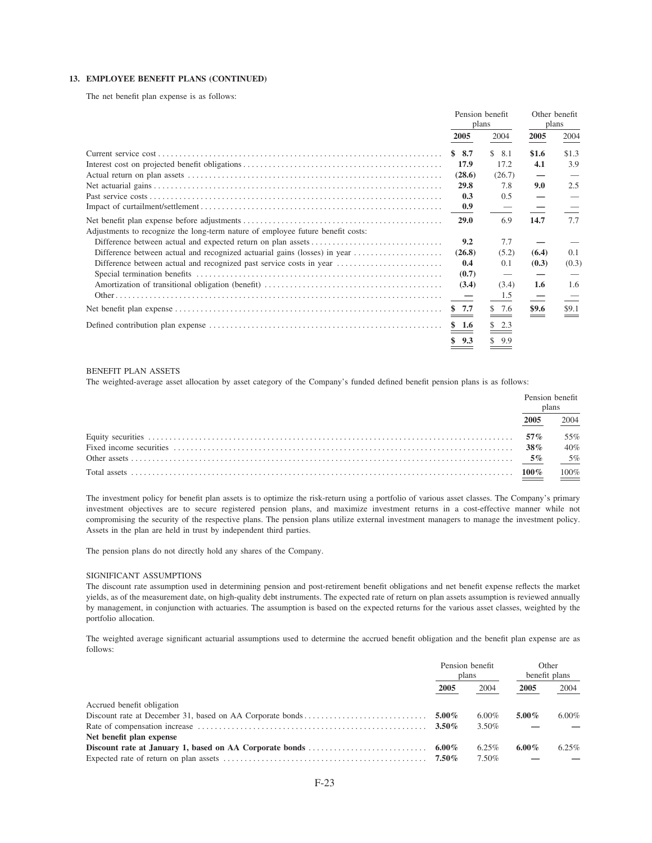### 13. EMPLOYEE BENEFIT PLANS (CONTINUED)

The net benefit plan expense is as follows:

|                                                                                 | Pension benefit<br>plans |           | Other benefit<br>plans |       |
|---------------------------------------------------------------------------------|--------------------------|-----------|------------------------|-------|
|                                                                                 | 2005                     | 2004      | 2005                   | 2004  |
|                                                                                 | \$8.7                    | \$<br>8.1 | \$1.6                  | \$1.3 |
|                                                                                 | 17.9                     | 17.2      | 4.1                    | 3.9   |
|                                                                                 | (28.6)                   | (26.7)    |                        |       |
|                                                                                 | 29.8                     | 7.8       | 9.0                    | 2.5   |
|                                                                                 | 0.3                      | 0.5       |                        |       |
|                                                                                 | 0.9                      |           |                        |       |
|                                                                                 | <b>29.0</b>              | 6.9       | 14.7                   | 7.7   |
| Adjustments to recognize the long-term nature of employee future benefit costs: |                          |           |                        |       |
|                                                                                 | 9.2                      | 7.7       |                        |       |
|                                                                                 | (26.8)                   | (5.2)     | (6.4)                  | 0.1   |
|                                                                                 | 0.4                      | 0.1       | (0.3)                  | (0.3) |
|                                                                                 | (0.7)                    |           |                        |       |
|                                                                                 | (3.4)                    | (3.4)     | 1.6                    | 1.6   |
|                                                                                 |                          | 1.5       |                        |       |
|                                                                                 | \$7.7                    | \$7.6     | \$9.6                  | \$9.1 |
|                                                                                 | \$1.6                    | \$2.3     |                        |       |
|                                                                                 | \$9.3                    | \$9.9     |                        |       |

### **BENEFIT PLAN ASSETS**

The weighted-average asset allocation by asset category of the Company's funded defined benefit pension plans is as follows:

| Pension benefit<br>plans |      |
|--------------------------|------|
| 2005                     | 2004 |
| $57\%$                   | 55%  |
|                          | 40%  |
|                          |      |
|                          | 100% |

The investment policy for benefit plan assets is to optimize the risk-return using a portfolio of various asset classes. The Company's primary investment objectives are to secure registered pension plans, and maximize investment returns in a cost-effective manner while not compromising the security of the respective plans. The pension plans utilize external investment managers to manage the investment policy. Assets in the plan are held in trust by independent third parties.

The pension plans do not directly hold any shares of the Company.

### SIGNIFICANT ASSUMPTIONS

The discount rate assumption used in determining pension and post-retirement benefit obligations and net benefit expense reflects the market yields, as of the measurement date, on high-quality debt instruments. The expected rate of return on plan assets assumption is reviewed annually by management, in conjunction with actuaries. The assumption is based on the expected returns for the various asset classes, weighted by the portfolio allocation.

The weighted average significant actuarial assumptions used to determine the accrued benefit obligation and the benefit plan expense are as follows:

|                            | Pension benefit<br>plans |       | Other<br>benefit plans |          |
|----------------------------|--------------------------|-------|------------------------|----------|
|                            | 2005                     | 2004  | 2005                   | 2004     |
| Accrued benefit obligation |                          |       |                        |          |
|                            |                          | 6.00% | $5.00\%$               | $6.00\%$ |
|                            | $3.50\%$                 | 3.50% |                        |          |
| Net benefit plan expense   |                          |       |                        |          |
|                            |                          | 6.25% | 6.00%                  | 6.25%    |
|                            | $7.50\%$                 | 7.50% |                        |          |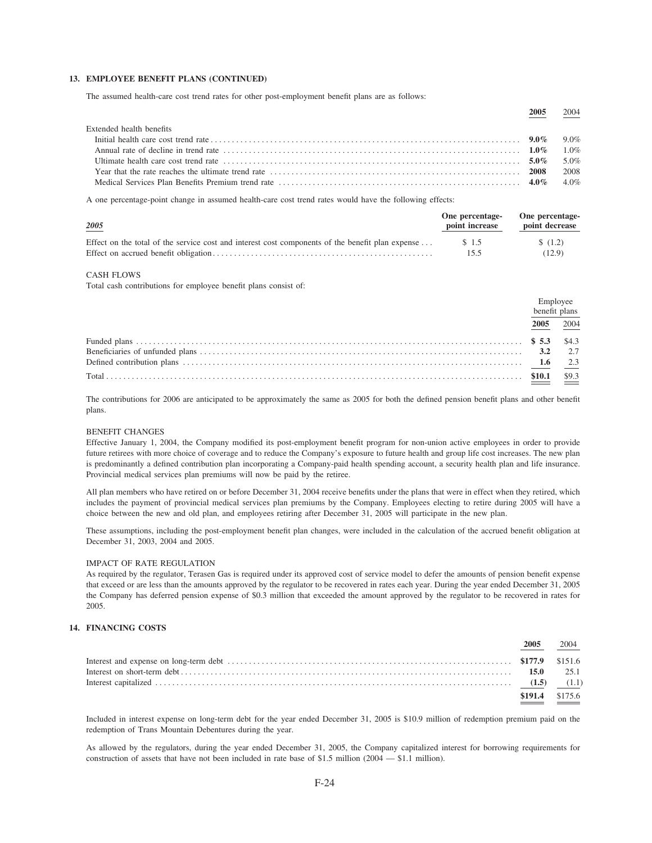### 13. EMPLOYEE BENEFIT PLANS (CONTINUED)

The assumed health-care cost trend rates for other post-employment benefit plans are as follows:

|                          | 2005 | 2004 |
|--------------------------|------|------|
| Extended health benefits |      |      |
|                          |      |      |
|                          |      |      |
|                          |      |      |
|                          |      | 2008 |
|                          |      |      |

A one percentage-point change in assumed health-care cost trend rates would have the following effects:

| 2005                                                                                             | One percentage-<br>point increase | One percentage-<br>point decrease |
|--------------------------------------------------------------------------------------------------|-----------------------------------|-----------------------------------|
| Effect on the total of the service cost and interest cost components of the benefit plan expense | \$1.5                             | \$(1.2)                           |
|                                                                                                  | 15.5                              | (12.9)                            |

### **CASH FLOWS**

Total cash contributions for employee benefit plans consist of:

| benefit plans |      |
|---------------|------|
| 2005          | 2004 |
|               |      |
|               |      |
|               |      |

The contributions for 2006 are anticipated to be approximately the same as 2005 for both the defined pension benefit plans and other benefit plans.

### **BENEFIT CHANGES**

Effective January 1, 2004, the Company modified its post-employment benefit program for non-union active employees in order to provide future retirees with more choice of coverage and to reduce the Company's exposure to future health and group life cost increases. The new plan is predominantly a defined contribution plan incorporating a Company-paid health spending account, a security health plan and life insurance. Provincial medical services plan premiums will now be paid by the retiree.

All plan members who have retired on or before December 31, 2004 receive benefits under the plans that were in effect when they retired, which includes the payment of provincial medical services plan premiums by the Company. Employees electing to retire during 2005 will have a choice between the new and old plan, and employees retiring after December 31, 2005 will participate in the new plan.

These assumptions, including the post-employment benefit plan changes, were included in the calculation of the accrued benefit obligation at December 31, 2003, 2004 and 2005.

### IMPACT OF RATE REGULATION

As required by the regulator, Terasen Gas is required under its approved cost of service model to defer the amounts of pension benefit expense that exceed or are less than the amounts approved by the regulator to be recovered in rates each year. During the year ended December 31, 2005 the Company has deferred pension expense of \$0.3 million that exceeded the amount approved by the regulator to be recovered in rates for 2005.

# 14. FINANCING COSTS

| $$191.4$ $$175.6$ |  |
|-------------------|--|

Included in interest expense on long-term debt for the year ended December 31, 2005 is \$10.9 million of redemption premium paid on the redemption of Trans Mountain Debentures during the year.

As allowed by the regulators, during the year ended December 31, 2005, the Company capitalized interest for borrowing requirements for construction of assets that have not been included in rate base of \$1.5 million (2004  $-$  \$1.1 million).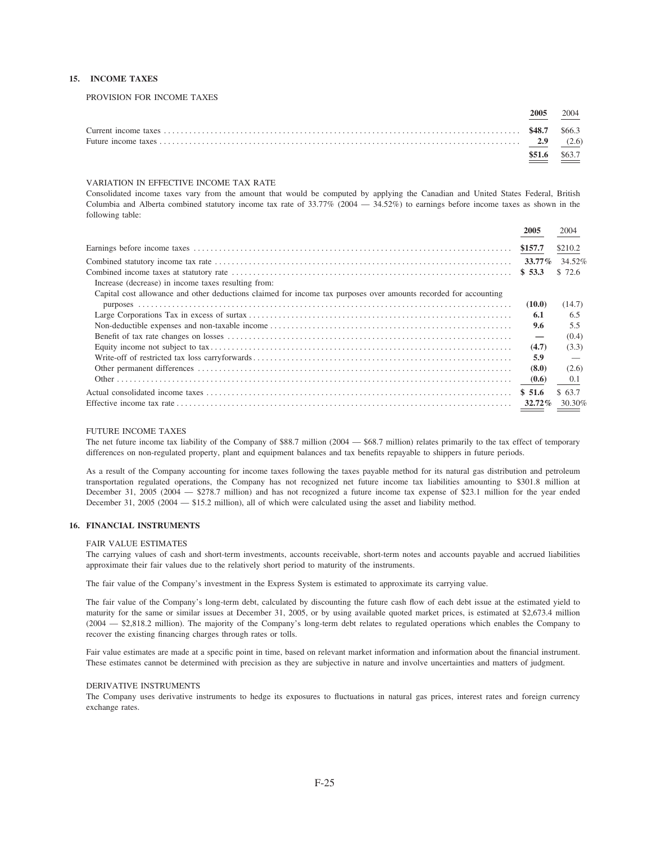### 15. INCOME TAXES

PROVISION FOR INCOME TAXES

| 2005 | 2004   |
|------|--------|
|      |        |
|      | (2.6)  |
|      | \$63.7 |

### VARIATION IN EFFECTIVE INCOME TAX RATE

Consolidated income taxes vary from the amount that would be computed by applying the Canadian and United States Federal, British Columbia and Alberta combined statutory income tax rate of  $33.77\%$  (2004 -  $34.52\%$ ) to earnings before income taxes as shown in the following table:

|                                                                                                                  | 2005                            | 2004                       |
|------------------------------------------------------------------------------------------------------------------|---------------------------------|----------------------------|
|                                                                                                                  | \$157.7                         | \$210.2                    |
| Increase (decrease) in income taxes resulting from:                                                              | \$53.3                          | 33.77% 34.52%<br>\$72.6    |
| Capital cost allowance and other deductions claimed for income tax purposes over amounts recorded for accounting | (10.0)<br>6.1                   | (14.7)<br>6.5              |
|                                                                                                                  | 9.6<br>$\overline{\phantom{m}}$ | 5.5<br>(0.4)               |
|                                                                                                                  | (4.7)<br>5.9                    | (3.3)                      |
|                                                                                                                  | (8.0)<br>(0.6)                  | (2.6)<br>0.1               |
|                                                                                                                  | \$51.6                          | \$63.7<br>$32.72\%$ 30.30% |

### **FUTURE INCOME TAXES**

The net future income tax liability of the Company of \$88.7 million (2004 — \$68.7 million) relates primarily to the tax effect of temporary differences on non-regulated property, plant and equipment balances and tax benefits repayable to shippers in future periods.

As a result of the Company accounting for income taxes following the taxes payable method for its natural gas distribution and petroleum transportation regulated operations, the Company has not recognized net future income tax liabilities amounting to \$301.8 million at December 31, 2005 (2004 – \$278.7 million) and has not recognized a future income tax expense of \$23.1 million for the year ended December 31, 2005 (2004 - \$15.2 million), all of which were calculated using the asset and liability method.

### **16. FINANCIAL INSTRUMENTS**

### FAIR VALUE ESTIMATES

The carrying values of cash and short-term investments, accounts receivable, short-term notes and accounts payable and accrued liabilities approximate their fair values due to the relatively short period to maturity of the instruments.

The fair value of the Company's investment in the Express System is estimated to approximate its carrying value.

The fair value of the Company's long-term debt, calculated by discounting the future cash flow of each debt issue at the estimated yield to maturity for the same or similar issues at December 31, 2005, or by using available quoted market prices, is estimated at \$2,673.4 million (2004 – \$2,818.2 million). The majority of the Company's long-term debt relates to regulated operations which enables the Company to recover the existing financing charges through rates or tolls.

Fair value estimates are made at a specific point in time, based on relevant market information and information about the financial instrument. These estimates cannot be determined with precision as they are subjective in nature and involve uncertainties and matters of judgment.

### DERIVATIVE INSTRUMENTS

The Company uses derivative instruments to hedge its exposures to fluctuations in natural gas prices, interest rates and foreign currency exchange rates.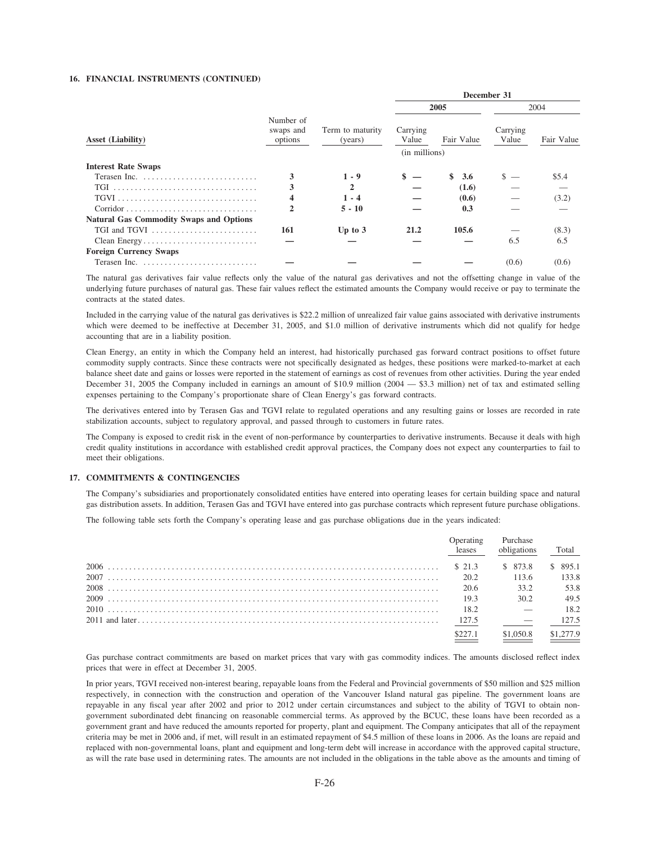### 16. FINANCIAL INSTRUMENTS (CONTINUED)

|                                                              |                                   |                             | December 31       |            |                   |            |
|--------------------------------------------------------------|-----------------------------------|-----------------------------|-------------------|------------|-------------------|------------|
|                                                              |                                   | Term to maturity<br>(years) | 2005              |            | 2004              |            |
| <b>Asset (Liability)</b>                                     | Number of<br>swaps and<br>options |                             | Carrying<br>Value | Fair Value | Carrying<br>Value | Fair Value |
|                                                              |                                   |                             | (in millions)     |            |                   |            |
| <b>Interest Rate Swaps</b>                                   |                                   |                             |                   |            |                   |            |
|                                                              | 3                                 | $1 - 9$                     | \$                | \$<br>3.6  |                   | \$5.4      |
| TGI                                                          | 3                                 | 2                           |                   | (1.6)      |                   |            |
|                                                              | 4                                 | $1 - 4$                     |                   | (0.6)      |                   | (3.2)      |
|                                                              | 2                                 | $5 - 10$                    |                   | 0.3        |                   |            |
| <b>Natural Gas Commodity Swaps and Options</b>               |                                   |                             |                   |            |                   |            |
| TGI and TGVI $\dots\dots\dots\dots\dots\dots\dots\dots\dots$ | 161                               | Up to $3$                   | 21.2              | 105.6      |                   | (8.3)      |
| Clean Energy                                                 |                                   |                             |                   |            | 6.5               | 6.5        |
| <b>Foreign Currency Swaps</b>                                |                                   |                             |                   |            |                   |            |
| Terasen Inc.                                                 |                                   |                             |                   |            | (0.6)             | (0.6)      |

The natural gas derivatives fair value reflects only the value of the natural gas derivatives and not the offsetting change in value of the underlying future purchases of natural gas. These fair values reflect the estimated amounts the Company would receive or pay to terminate the contracts at the stated dates.

Included in the carrying value of the natural gas derivatives is \$22.2 million of unrealized fair value gains associated with derivative instruments which were deemed to be ineffective at December 31, 2005, and \$1.0 million of derivative instruments which did not qualify for hedge accounting that are in a liability position.

Clean Energy, an entity in which the Company held an interest, had historically purchased gas forward contract positions to offset future commodity supply contracts. Since these contracts were not specifically designated as hedges, these positions were marked-to-market at each balance sheet date and gains or losses were reported in the statement of earnings as cost of revenues from other activities. During the year ended December 31, 2005 the Company included in earnings an amount of \$10.9 million (2004 - \$3.3 million) net of tax and estimated selling expenses pertaining to the Company's proportionate share of Clean Energy's gas forward contracts.

The derivatives entered into by Terasen Gas and TGVI relate to regulated operations and any resulting gains or losses are recorded in rate stabilization accounts, subject to regulatory approval, and passed through to customers in future rates.

The Company is exposed to credit risk in the event of non-performance by counterparties to derivative instruments. Because it deals with high credit quality institutions in accordance with established credit approval practices, the Company does not expect any counterparties to fail to meet their obligations.

### 17. COMMITMENTS & CONTINGENCIES

The Company's subsidiaries and proportionately consolidated entities have entered into operating leases for certain building space and natural gas distribution assets. In addition, Terasen Gas and TGVI have entered into gas purchase contracts which represent future purchase obligations.

The following table sets forth the Company's operating lease and gas purchase obligations due in the years indicated:

| <b>Operating</b><br>leases | Purchase<br>obligations | Total     |
|----------------------------|-------------------------|-----------|
| \$21.3                     | \$ 873.8                | \$ 895.1  |
| 20.2                       | 113.6                   | 133.8     |
| 20.6                       | 33.2                    | 53.8      |
| 19.3                       | 30.2                    | 49.5      |
| 18.2                       |                         | 18.2      |
| 127.5                      |                         | 127.5     |
| \$227.1                    | \$1,050.8               | \$1,277.9 |

Gas purchase contract commitments are based on market prices that vary with gas commodity indices. The amounts disclosed reflect index prices that were in effect at December 31, 2005.

In prior years, TGVI received non-interest bearing, repayable loans from the Federal and Provincial governments of \$50 million and \$25 million respectively, in connection with the construction and operation of the Vancouver Island natural gas pipeline. The government loans are repayable in any fiscal year after 2002 and prior to 2012 under certain circumstances and subject to the ability of TGVI to obtain nongovernment subordinated debt financing on reasonable commercial terms. As approved by the BCUC, these loans have been recorded as a government grant and have reduced the amounts reported for property, plant and equipment. The Company anticipates that all of the repayment criteria may be met in 2006 and, if met, will result in an estimated repayment of \$4.5 million of these loans in 2006. As the loans are repaid and replaced with non-governmental loans, plant and equipment and long-term debt will increase in accordance with the approved capital structure, as will the rate base used in determining rates. The amounts are not included in the obligations in the table above as the amounts and timing of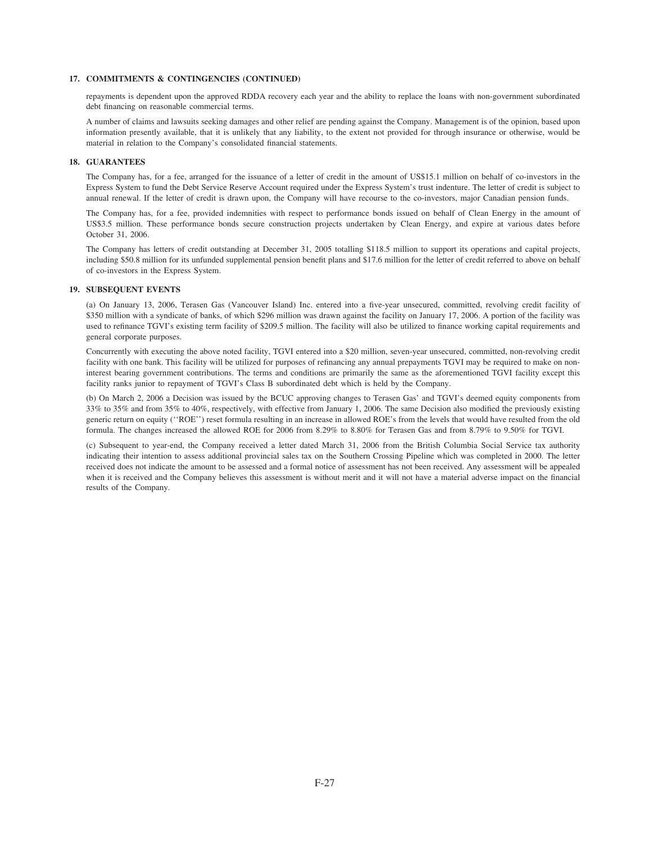### **17. COMMITMENTS & CONTINGENCIES (CONTINUED)**

repayments is dependent upon the approved RDDA recovery each year and the ability to replace the loans with non-government subordinated debt financing on reasonable commercial terms.

A number of claims and lawsuits seeking damages and other relief are pending against the Company. Management is of the opinion, based upon information presently available, that it is unlikely that any liability, to the extent not provided for through insurance or otherwise, would be material in relation to the Company's consolidated financial statements.

### **18. GUARANTEES**

The Company has, for a fee, arranged for the issuance of a letter of credit in the amount of US\$15.1 million on behalf of co-investors in the Express System to fund the Debt Service Reserve Account required under the Express System's trust indenture. The letter of credit is subject to annual renewal. If the letter of credit is drawn upon, the Company will have recourse to the co-investors, major Canadian pension funds.

The Company has, for a fee, provided indemnities with respect to performance bonds issued on behalf of Clean Energy in the amount of US\$3.5 million. These performance bonds secure construction projects undertaken by Clean Energy, and expire at various dates before October 31, 2006.

The Company has letters of credit outstanding at December 31, 2005 totalling \$118.5 million to support its operations and capital projects, including \$50.8 million for its unfunded supplemental pension benefit plans and \$17.6 million for the letter of credit referred to above on behalf of co-investors in the Express System.

### **19. SUBSEQUENT EVENTS**

(a) On January 13, 2006, Terasen Gas (Vancouver Island) Inc. entered into a five-year unsecured, committed, revolving credit facility of \$350 million with a syndicate of banks, of which \$296 million was drawn against the facility on January 17, 2006. A portion of the facility was used to refinance TGVI's existing term facility of \$209.5 million. The facility will also be utilized to finance working capital requirements and general corporate purposes.

Concurrently with executing the above noted facility, TGVI entered into a \$20 million, seven-year unsecured, committed, non-revolving credit facility with one bank. This facility will be utilized for purposes of refinancing any annual prepayments TGVI may be required to make on noninterest bearing government contributions. The terms and conditions are primarily the same as the aforementioned TGVI facility except this facility ranks junior to repayment of TGVI's Class B subordinated debt which is held by the Company.

(b) On March 2, 2006 a Decision was issued by the BCUC approving changes to Terasen Gas' and TGVI's deemed equity components from 33% to 35% and from 35% to 40%, respectively, with effective from January 1, 2006. The same Decision also modified the previously existing generic return on equity (''ROE'') reset formula resulting in an increase in allowed ROE's from the levels that would have resulted from the old formula. The changes increased the allowed ROE for 2006 from 8.29% to 8.80% for Terasen Gas and from 8.79% to 9.50% for TGVI.

(c) Subsequent to year-end, the Company received a letter dated March 31, 2006 from the British Columbia Social Service tax authority indicating their intention to assess additional provincial sales tax on the Southern Crossing Pipeline which was completed in 2000. The letter received does not indicate the amount to be assessed and a formal notice of assessment has not been received. Any assessment will be appealed when it is received and the Company believes this assessment is without merit and it will not have a material adverse impact on the financial results of the Company.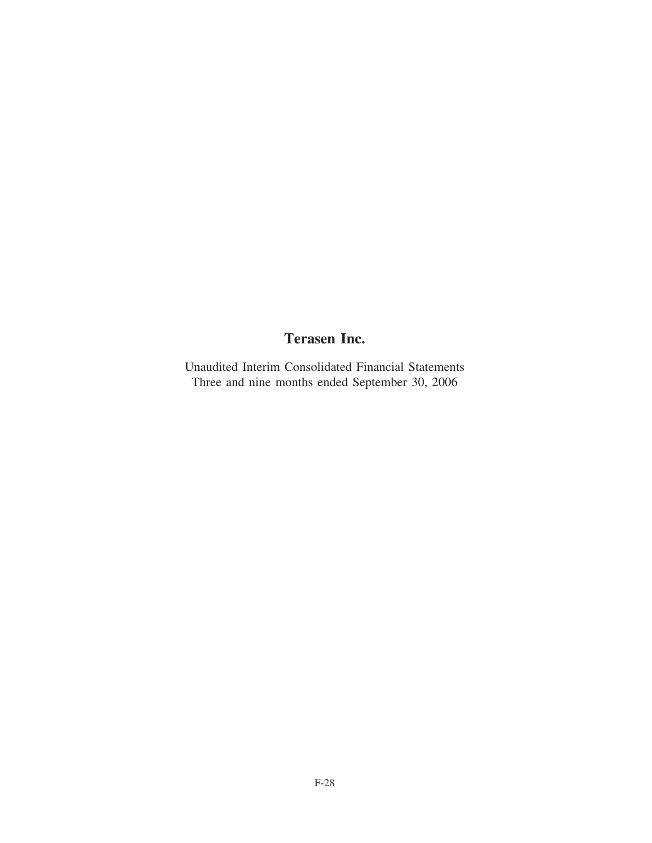# **Terasen Inc.**

Unaudited Interim Consolidated Financial Statements Three and nine months ended September 30, 2006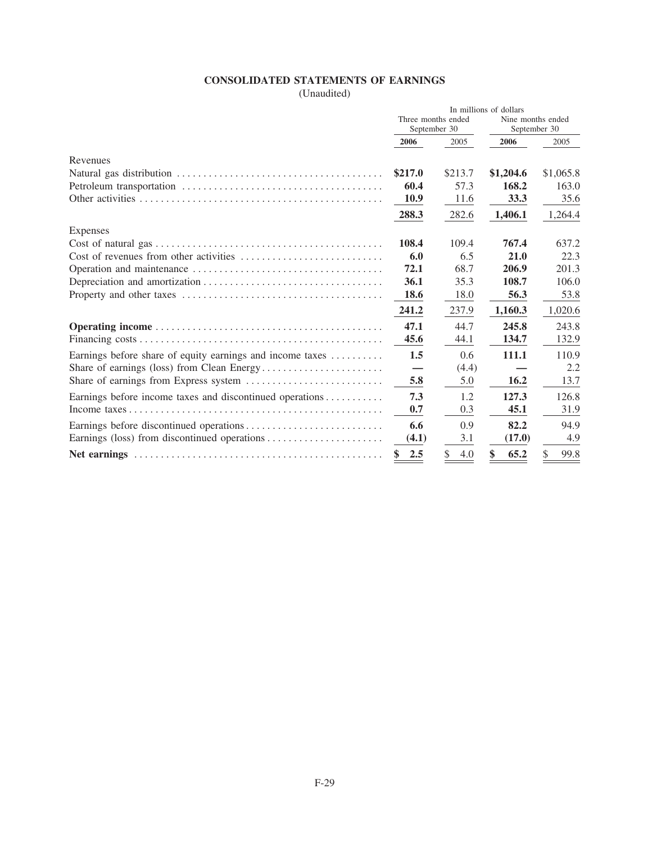# **CONSOLIDATED STATEMENTS OF EARNINGS**

(Unaudited)

|                                                                                          | In millions of dollars             |           |                                   |           |
|------------------------------------------------------------------------------------------|------------------------------------|-----------|-----------------------------------|-----------|
|                                                                                          | Three months ended<br>September 30 |           | Nine months ended<br>September 30 |           |
|                                                                                          | 2006                               | 2005      | 2006                              | 2005      |
| Revenues                                                                                 |                                    |           |                                   |           |
|                                                                                          | \$217.0                            | \$213.7   | \$1,204.6                         | \$1,065.8 |
|                                                                                          | 60.4                               | 57.3      | 168.2                             | 163.0     |
|                                                                                          | <b>10.9</b>                        | 11.6      | 33.3                              | 35.6      |
|                                                                                          | 288.3                              | 282.6     | 1,406.1                           | 1,264.4   |
| Expenses                                                                                 |                                    |           |                                   |           |
|                                                                                          | 108.4                              | 109.4     | 767.4                             | 637.2     |
| Cost of revenues from other activities $\dots \dots \dots \dots \dots \dots \dots \dots$ | 6.0                                | 6.5       | 21.0                              | 22.3      |
|                                                                                          | 72.1                               | 68.7      | 206.9                             | 201.3     |
|                                                                                          | 36.1                               | 35.3      | 108.7                             | 106.0     |
|                                                                                          | <b>18.6</b>                        | 18.0      | 56.3                              | 53.8      |
|                                                                                          | 241.2                              | 237.9     | 1,160.3                           | 1,020.6   |
|                                                                                          | 47.1                               | 44.7      | 245.8                             | 243.8     |
|                                                                                          | 45.6                               | 44.1      | 134.7                             | 132.9     |
| Earnings before share of equity earnings and income taxes                                | 1.5                                | 0.6       | 111.1                             | 110.9     |
|                                                                                          |                                    | (4.4)     |                                   | 2.2       |
|                                                                                          | 5.8                                | 5.0       | <b>16.2</b>                       | 13.7      |
| Earnings before income taxes and discontinued operations                                 | 7.3                                | 1.2       | 127.3                             | 126.8     |
|                                                                                          | 0.7                                | 0.3       | 45.1                              | 31.9      |
|                                                                                          | 6.6                                | 0.9       | 82.2                              | 94.9      |
|                                                                                          | (4.1)                              | 3.1       | (17.0)                            | 4.9       |
|                                                                                          | 2.5                                | \$<br>4.0 | 65.2                              | 99.8      |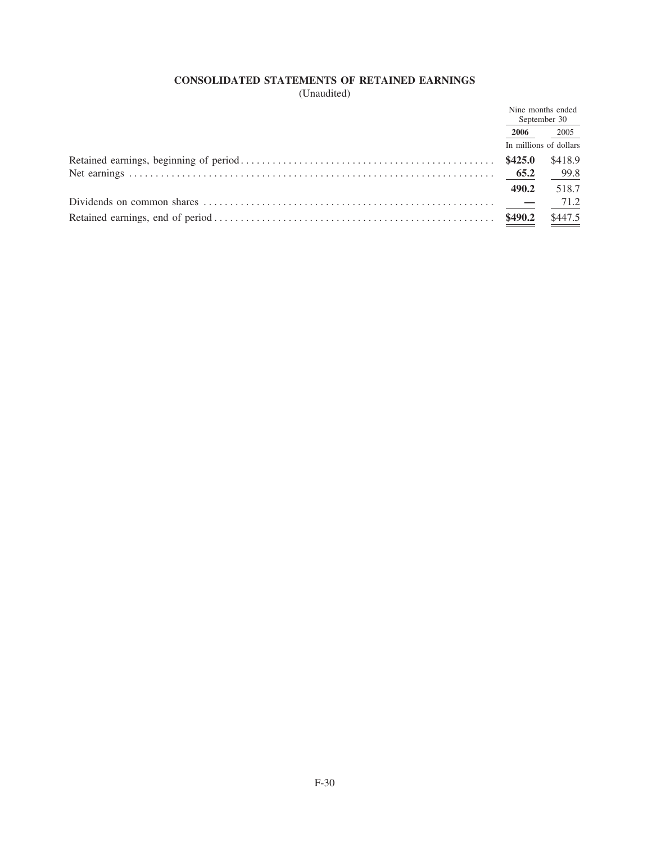# CONSOLIDATED STATEMENTS OF RETAINED EARNINGS

(Unaudited)

|                                                                                                                                    |               | Nine months ended<br>September 30 |
|------------------------------------------------------------------------------------------------------------------------------------|---------------|-----------------------------------|
|                                                                                                                                    | 2006          | 2005                              |
|                                                                                                                                    |               | In millions of dollars            |
|                                                                                                                                    | \$425.0       | \$418.9                           |
|                                                                                                                                    |               | 99.8                              |
|                                                                                                                                    | 490.2         | 518.7                             |
| Dividends on common shares $\dots \dots \dots \dots \dots \dots \dots \dots \dots \dots \dots \dots \dots \dots \dots \dots \dots$ | $\sim$ $\sim$ | 71.2                              |
|                                                                                                                                    | \$490.2       | \$447.5                           |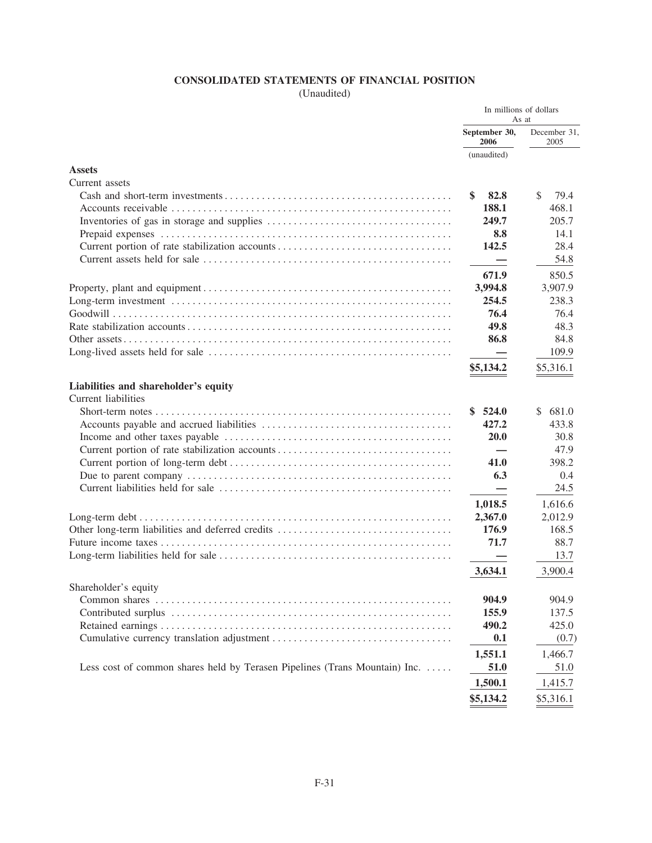# CONSOLIDATED STATEMENTS OF FINANCIAL POSITION

(Unaudited)

| September 30,<br>December 31,<br>2006<br>2005<br>(unaudited)<br><b>Assets</b><br>Current assets<br>82.8<br>\$.<br>S<br>79.4<br>188.1<br>468.1<br>249.7<br>205.7<br>8.8<br>14.1<br>142.5<br>28.4<br>54.8<br>850.5<br>671.9<br>3,994.8<br>3,907.9<br>254.5<br>238.3<br>76.4<br>76.4<br>49.8<br>48.3<br>86.8<br>84.8<br>109.9<br>\$5,316.1<br>\$5,134.2<br>Liabilities and shareholder's equity<br>Current liabilities<br>\$524.0<br>681.0<br>S.<br>427.2<br>433.8<br>20.0<br>30.8<br>47.9<br>41.0<br>398.2<br>6.3<br>0.4<br>24.5<br>1,018.5<br>1,616.6<br>2,367.0<br>2,012.9<br>176.9<br>168.5<br>71.7<br>88.7<br>13.7<br>3,634.1<br>3,900.4<br>Shareholder's equity<br>904.9<br>904.9<br>155.9<br>137.5<br>425.0<br>490.2<br>0.1<br>(0.7)<br>1,551.1<br>1,466.7<br>Less cost of common shares held by Terasen Pipelines (Trans Mountain) Inc.<br>51.0<br>51.0<br>1,500.1<br>1,415.7 |  | In millions of dollars<br>As at |
|------------------------------------------------------------------------------------------------------------------------------------------------------------------------------------------------------------------------------------------------------------------------------------------------------------------------------------------------------------------------------------------------------------------------------------------------------------------------------------------------------------------------------------------------------------------------------------------------------------------------------------------------------------------------------------------------------------------------------------------------------------------------------------------------------------------------------------------------------------------------------------|--|---------------------------------|
|                                                                                                                                                                                                                                                                                                                                                                                                                                                                                                                                                                                                                                                                                                                                                                                                                                                                                    |  |                                 |
|                                                                                                                                                                                                                                                                                                                                                                                                                                                                                                                                                                                                                                                                                                                                                                                                                                                                                    |  |                                 |
|                                                                                                                                                                                                                                                                                                                                                                                                                                                                                                                                                                                                                                                                                                                                                                                                                                                                                    |  |                                 |
|                                                                                                                                                                                                                                                                                                                                                                                                                                                                                                                                                                                                                                                                                                                                                                                                                                                                                    |  |                                 |
|                                                                                                                                                                                                                                                                                                                                                                                                                                                                                                                                                                                                                                                                                                                                                                                                                                                                                    |  |                                 |
|                                                                                                                                                                                                                                                                                                                                                                                                                                                                                                                                                                                                                                                                                                                                                                                                                                                                                    |  |                                 |
|                                                                                                                                                                                                                                                                                                                                                                                                                                                                                                                                                                                                                                                                                                                                                                                                                                                                                    |  |                                 |
|                                                                                                                                                                                                                                                                                                                                                                                                                                                                                                                                                                                                                                                                                                                                                                                                                                                                                    |  |                                 |
|                                                                                                                                                                                                                                                                                                                                                                                                                                                                                                                                                                                                                                                                                                                                                                                                                                                                                    |  |                                 |
|                                                                                                                                                                                                                                                                                                                                                                                                                                                                                                                                                                                                                                                                                                                                                                                                                                                                                    |  |                                 |
|                                                                                                                                                                                                                                                                                                                                                                                                                                                                                                                                                                                                                                                                                                                                                                                                                                                                                    |  |                                 |
|                                                                                                                                                                                                                                                                                                                                                                                                                                                                                                                                                                                                                                                                                                                                                                                                                                                                                    |  |                                 |
|                                                                                                                                                                                                                                                                                                                                                                                                                                                                                                                                                                                                                                                                                                                                                                                                                                                                                    |  |                                 |
|                                                                                                                                                                                                                                                                                                                                                                                                                                                                                                                                                                                                                                                                                                                                                                                                                                                                                    |  |                                 |
|                                                                                                                                                                                                                                                                                                                                                                                                                                                                                                                                                                                                                                                                                                                                                                                                                                                                                    |  |                                 |
|                                                                                                                                                                                                                                                                                                                                                                                                                                                                                                                                                                                                                                                                                                                                                                                                                                                                                    |  |                                 |
|                                                                                                                                                                                                                                                                                                                                                                                                                                                                                                                                                                                                                                                                                                                                                                                                                                                                                    |  |                                 |
|                                                                                                                                                                                                                                                                                                                                                                                                                                                                                                                                                                                                                                                                                                                                                                                                                                                                                    |  |                                 |
|                                                                                                                                                                                                                                                                                                                                                                                                                                                                                                                                                                                                                                                                                                                                                                                                                                                                                    |  |                                 |
|                                                                                                                                                                                                                                                                                                                                                                                                                                                                                                                                                                                                                                                                                                                                                                                                                                                                                    |  |                                 |
|                                                                                                                                                                                                                                                                                                                                                                                                                                                                                                                                                                                                                                                                                                                                                                                                                                                                                    |  |                                 |
|                                                                                                                                                                                                                                                                                                                                                                                                                                                                                                                                                                                                                                                                                                                                                                                                                                                                                    |  |                                 |
|                                                                                                                                                                                                                                                                                                                                                                                                                                                                                                                                                                                                                                                                                                                                                                                                                                                                                    |  |                                 |
|                                                                                                                                                                                                                                                                                                                                                                                                                                                                                                                                                                                                                                                                                                                                                                                                                                                                                    |  |                                 |
|                                                                                                                                                                                                                                                                                                                                                                                                                                                                                                                                                                                                                                                                                                                                                                                                                                                                                    |  |                                 |
|                                                                                                                                                                                                                                                                                                                                                                                                                                                                                                                                                                                                                                                                                                                                                                                                                                                                                    |  |                                 |
|                                                                                                                                                                                                                                                                                                                                                                                                                                                                                                                                                                                                                                                                                                                                                                                                                                                                                    |  |                                 |
|                                                                                                                                                                                                                                                                                                                                                                                                                                                                                                                                                                                                                                                                                                                                                                                                                                                                                    |  |                                 |
|                                                                                                                                                                                                                                                                                                                                                                                                                                                                                                                                                                                                                                                                                                                                                                                                                                                                                    |  |                                 |
|                                                                                                                                                                                                                                                                                                                                                                                                                                                                                                                                                                                                                                                                                                                                                                                                                                                                                    |  |                                 |
|                                                                                                                                                                                                                                                                                                                                                                                                                                                                                                                                                                                                                                                                                                                                                                                                                                                                                    |  |                                 |
|                                                                                                                                                                                                                                                                                                                                                                                                                                                                                                                                                                                                                                                                                                                                                                                                                                                                                    |  |                                 |
|                                                                                                                                                                                                                                                                                                                                                                                                                                                                                                                                                                                                                                                                                                                                                                                                                                                                                    |  |                                 |
|                                                                                                                                                                                                                                                                                                                                                                                                                                                                                                                                                                                                                                                                                                                                                                                                                                                                                    |  |                                 |
|                                                                                                                                                                                                                                                                                                                                                                                                                                                                                                                                                                                                                                                                                                                                                                                                                                                                                    |  |                                 |
|                                                                                                                                                                                                                                                                                                                                                                                                                                                                                                                                                                                                                                                                                                                                                                                                                                                                                    |  |                                 |
|                                                                                                                                                                                                                                                                                                                                                                                                                                                                                                                                                                                                                                                                                                                                                                                                                                                                                    |  |                                 |
|                                                                                                                                                                                                                                                                                                                                                                                                                                                                                                                                                                                                                                                                                                                                                                                                                                                                                    |  |                                 |
|                                                                                                                                                                                                                                                                                                                                                                                                                                                                                                                                                                                                                                                                                                                                                                                                                                                                                    |  |                                 |
|                                                                                                                                                                                                                                                                                                                                                                                                                                                                                                                                                                                                                                                                                                                                                                                                                                                                                    |  |                                 |
| \$5,134.2<br>\$5,316.1                                                                                                                                                                                                                                                                                                                                                                                                                                                                                                                                                                                                                                                                                                                                                                                                                                                             |  |                                 |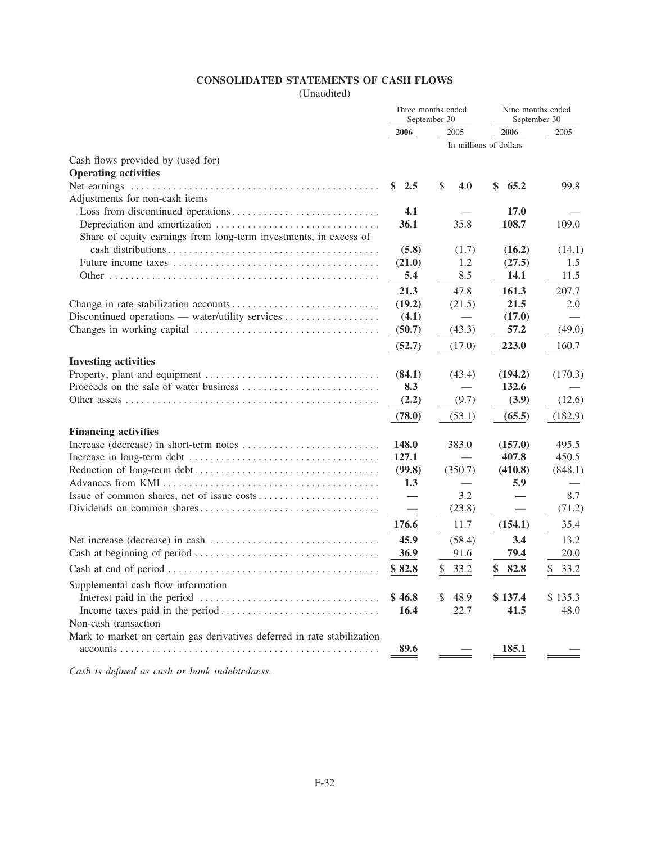# **CONSOLIDATED STATEMENTS OF CASH FLOWS**

(Unaudited)

|                                                                          | Three months ended<br>September 30 |              | Nine months ended<br>September 30 |               |
|--------------------------------------------------------------------------|------------------------------------|--------------|-----------------------------------|---------------|
|                                                                          | 2006                               | 2005         | 2006                              | 2005          |
|                                                                          |                                    |              | In millions of dollars            |               |
| Cash flows provided by (used for)                                        |                                    |              |                                   |               |
| <b>Operating activities</b>                                              |                                    |              |                                   |               |
|                                                                          | \$<br>2.5                          | \$<br>4.0    | \$<br>65.2                        | 99.8          |
| Adjustments for non-cash items                                           |                                    |              |                                   |               |
|                                                                          | 4.1                                |              | 17.0                              |               |
|                                                                          | 36.1                               | 35.8         | 108.7                             | 109.0         |
| Share of equity earnings from long-term investments, in excess of        |                                    |              |                                   |               |
|                                                                          | (5.8)<br>(21.0)                    | (1.7)<br>1.2 | (16.2)<br>(27.5)                  | (14.1)<br>1.5 |
|                                                                          | 5.4                                | 8.5          | 14.1                              | 11.5          |
|                                                                          | 21.3                               | 47.8         | 161.3                             | 207.7         |
|                                                                          | (19.2)                             | (21.5)       | 21.5                              | 2.0           |
| Discontinued operations — water/utility services                         | (4.1)                              |              | (17.0)                            |               |
|                                                                          | (50.7)                             | (43.3)       | 57.2                              | (49.0)        |
|                                                                          | (52.7)                             | (17.0)       | 223.0                             | 160.7         |
|                                                                          |                                    |              |                                   |               |
| <b>Investing activities</b>                                              |                                    |              | (194.2)                           |               |
|                                                                          | (84.1)<br>8.3                      | (43.4)       | 132.6                             | (170.3)       |
|                                                                          | (2.2)                              | (9.7)        | (3.9)                             | (12.6)        |
|                                                                          |                                    |              |                                   |               |
|                                                                          | (78.0)                             | (53.1)       | (65.5)                            | (182.9)       |
| <b>Financing activities</b>                                              |                                    |              |                                   |               |
|                                                                          | 148.0                              | 383.0        | (157.0)                           | 495.5         |
|                                                                          | 127.1                              |              | 407.8                             | 450.5         |
|                                                                          | (99.8)<br>1.3                      | (350.7)      | (410.8)<br>5.9                    | (848.1)       |
|                                                                          |                                    | 3.2          |                                   | 8.7           |
|                                                                          | $\overline{\phantom{0}}$           | (23.8)       |                                   | (71.2)        |
|                                                                          | 176.6                              | 11.7         | (154.1)                           | 35.4          |
|                                                                          |                                    |              |                                   |               |
|                                                                          | 45.9                               | (58.4)       | 3.4                               | 13.2          |
|                                                                          | 36.9                               | 91.6         | 79.4                              | 20.0          |
|                                                                          | \$82.8                             | \$<br>33.2   | \$<br>82.8                        | \$<br>33.2    |
| Supplemental cash flow information                                       |                                    |              |                                   |               |
|                                                                          | \$46.8                             | 48.9         | \$137.4                           | \$135.3       |
|                                                                          | 16.4                               | 22.7         | 41.5                              | 48.0          |
| Non-cash transaction                                                     |                                    |              |                                   |               |
| Mark to market on certain gas derivatives deferred in rate stabilization |                                    |              |                                   |               |
|                                                                          | 89.6                               |              | 185.1                             |               |

*Cash is defined as cash or bank indebtedness.*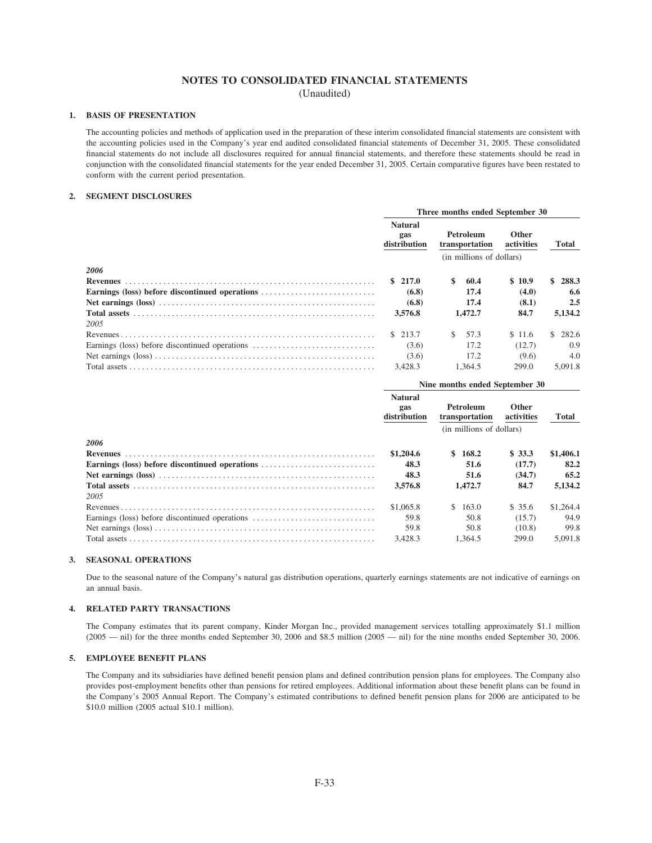# NOTES TO CONSOLIDATED FINANCIAL STATEMENTS

(Unaudited)

### 1. BASIS OF PRESENTATION

The accounting policies and methods of application used in the preparation of these interim consolidated financial statements are consistent with the accounting policies used in the Company's year end audited consolidated financial statements of December 31, 2005. These consolidated financial statements do not include all disclosures required for annual financial statements, and therefore these statements should be read in conjunction with the consolidated financial statements for the year ended December 31, 2005. Certain comparative figures have been restated to conform with the current period presentation.

### 2. SEGMENT DISCLOSURES

|                                                |                                       | Three months ended September 30 |                             |                            |     |              |  |
|------------------------------------------------|---------------------------------------|---------------------------------|-----------------------------|----------------------------|-----|--------------|--|
|                                                | <b>Natural</b><br>gas<br>distribution |                                 | Petroleum<br>transportation | <b>Other</b><br>activities |     | <b>Total</b> |  |
|                                                | (in millions of dollars)              |                                 |                             |                            |     |              |  |
| 2006                                           |                                       |                                 |                             |                            |     |              |  |
| <b>Revenues</b>                                | \$217.0                               | \$                              | 60.4                        | \$10.9                     | SS. | 288.3        |  |
| Earnings (loss) before discontinued operations | (6.8)                                 |                                 | 17.4                        | (4.0)                      |     | 6.6          |  |
|                                                | (6.8)                                 |                                 | 17.4                        | (8.1)                      |     | 2.5          |  |
|                                                | 3,576.8                               |                                 | 1,472.7                     | 84.7                       |     | 5.134.2      |  |
| 2005                                           |                                       |                                 |                             |                            |     |              |  |
|                                                | \$213.7                               | S.                              | 57.3                        | \$11.6                     |     | \$282.6      |  |
| Earnings (loss) before discontinued operations | (3.6)                                 |                                 | 17.2                        | (12.7)                     |     | 0.9          |  |
|                                                | (3.6)                                 |                                 | 17.2                        | (9.6)                      |     | 4.0          |  |
|                                                | 3.428.3                               |                                 | 1.364.5                     | 299.0                      |     | 5.091.8      |  |

|                                                | Nine months ended September 30        |                             |                            |              |
|------------------------------------------------|---------------------------------------|-----------------------------|----------------------------|--------------|
|                                                | <b>Natural</b><br>gas<br>distribution | Petroleum<br>transportation | <b>Other</b><br>activities | <b>Total</b> |
|                                                |                                       | (in millions of dollars)    |                            |              |
| 2006                                           |                                       |                             |                            |              |
| <b>Revenues</b>                                | \$1,204.6                             | \$168.2                     | \$33.3                     | \$1,406.1    |
| Earnings (loss) before discontinued operations | 48.3                                  | 51.6                        | (17.7)                     | 82.2         |
|                                                | 48.3                                  | 51.6                        | (34.7)                     | 65.2         |
|                                                | 3,576.8                               | 1,472.7                     | 84.7                       | 5.134.2      |
| 2005                                           |                                       |                             |                            |              |
|                                                | \$1,065.8                             | \$163.0                     | \$35.6                     | \$1,264.4    |
| Earnings (loss) before discontinued operations | 59.8                                  | 50.8                        | (15.7)                     | 94.9         |
|                                                | 59.8                                  | 50.8                        | (10.8)                     | 99.8         |
|                                                | 3.428.3                               | 1.364.5                     | 299.0                      | 5.091.8      |

### 3. SEASONAL OPERATIONS

Due to the seasonal nature of the Company's natural gas distribution operations, quarterly earnings statements are not indicative of earnings on an annual basis.

### 4. RELATED PARTY TRANSACTIONS

The Company estimates that its parent company, Kinder Morgan Inc., provided management services totalling approximately \$1.1 million  $(2005 - \text{nil})$  for the three months ended September 30, 2006 and \$8.5 million  $(2005 - \text{nil})$  for the nine months ended September 30, 2006.

### 5. EMPLOYEE BENEFIT PLANS

The Company and its subsidiaries have defined benefit pension plans and defined contribution pension plans for employees. The Company also provides post-employment benefits other than pensions for retired employees. Additional information about these benefit plans can be found in the Company's 2005 Annual Report. The Company's estimated contributions to defined benefit pension plans for 2006 are anticipated to be \$10.0 million (2005 actual \$10.1 million).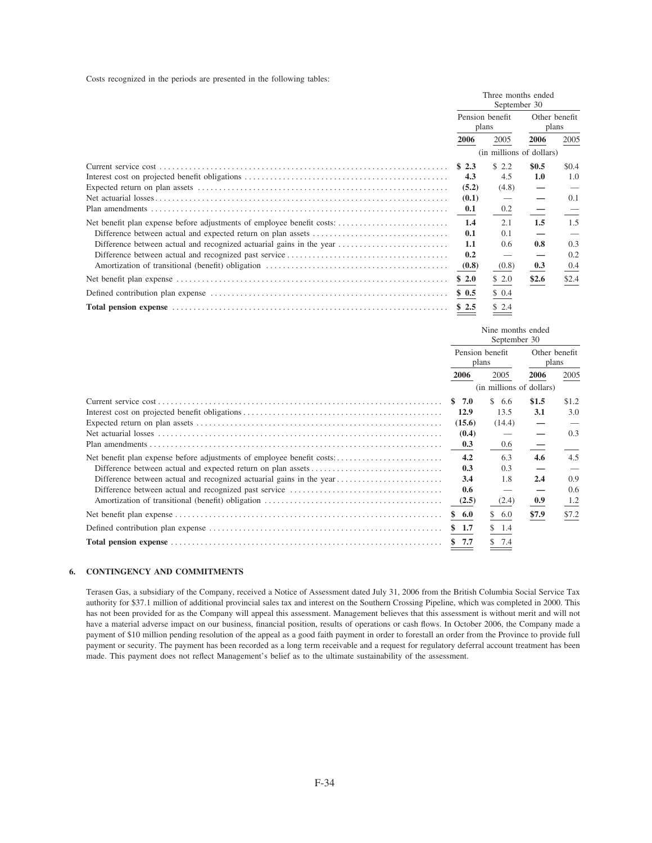Costs recognized in the periods are presented in the following tables:

|                                                                        |       | Three months ended<br>September 30 |       |               |
|------------------------------------------------------------------------|-------|------------------------------------|-------|---------------|
|                                                                        | plans | Pension benefit                    | plans | Other benefit |
|                                                                        | 2006  | 2005                               | 2006  | 2005          |
|                                                                        |       | (in millions of dollars)           |       |               |
|                                                                        | \$2.3 | \$2.2                              | \$0.5 | \$0.4         |
|                                                                        | 4.3   | 4.5                                | 1.0   | 1.0           |
|                                                                        | (5.2) | (4.8)                              |       |               |
|                                                                        | (0.1) |                                    |       | 0.1           |
|                                                                        | 0.1   | 0.2                                |       |               |
| Net benefit plan expense before adjustments of employee benefit costs: | 1.4   | 2.1                                | 1.5   | 1.5           |
|                                                                        | 0.1   | 0.1                                |       |               |
|                                                                        | 1.1   | 0.6                                | 0.8   | 0.3           |
|                                                                        | 0.2   |                                    |       | 0.2           |
|                                                                        | (0.8) | (0.8)                              | 0.3   | 0.4           |
|                                                                        | \$2.0 | \$2.0                              | \$2.6 | \$2.4         |
|                                                                        | \$0.5 | \$0.4                              |       |               |
|                                                                        | \$2.5 | \$2.4                              |       |               |

|                          | Nine months ended<br>September 30 |       |               |
|--------------------------|-----------------------------------|-------|---------------|
| Pension benefit<br>plans |                                   | plans | Other benefit |
| 2006                     | 2005                              | 2006  | 2005          |
|                          | (in millions of dollars)          |       |               |
| \$7.0                    | S.<br>6.6                         | \$1.5 | \$1.2         |
| 12.9                     | 13.5                              | 3.1   | 3.0           |
| (15.6)                   | (14.4)                            |       |               |
| (0.4)                    |                                   |       | 0.3           |
| 0.3                      | 0.6                               |       |               |
| 4.2                      | 6.3                               | 4.6   | 4.5           |
| 0.3                      | 0.3                               |       |               |
| 3.4                      | 1.8                               | 2.4   | 0.9           |
| 0.6                      |                                   |       | $0.6^{\circ}$ |
| (2.5)                    | (2.4)                             | 0.9   | 1.2           |
| \$6.0                    | \$6.0                             | \$7.9 | \$7.2         |
| \$1.7                    | \$1.4                             |       |               |
| \$7.7                    | 7.4                               |       |               |

### 6. CONTINGENCY AND COMMITMENTS

Terasen Gas, a subsidiary of the Company, received a Notice of Assessment dated July 31, 2006 from the British Columbia Social Service Tax authority for \$37.1 million of additional provincial sales tax and interest on the Southern Crossing Pipeline, which was completed in 2000. This has not been provided for as the Company will appeal this assessment. Management believes that this assessment is without merit and will not have a material adverse impact on our business, financial position, results of operations or cash flows. In October 2006, the Company made a payment of \$10 million pending resolution of the appeal as a good faith payment in order to forestall an order from the Province to provide full payment or security. The payment has been recorded as a long term receivable and a request for regulatory deferral account treatment has been made. This payment does not reflect Management's belief as to the ultimate sustainability of the assessment.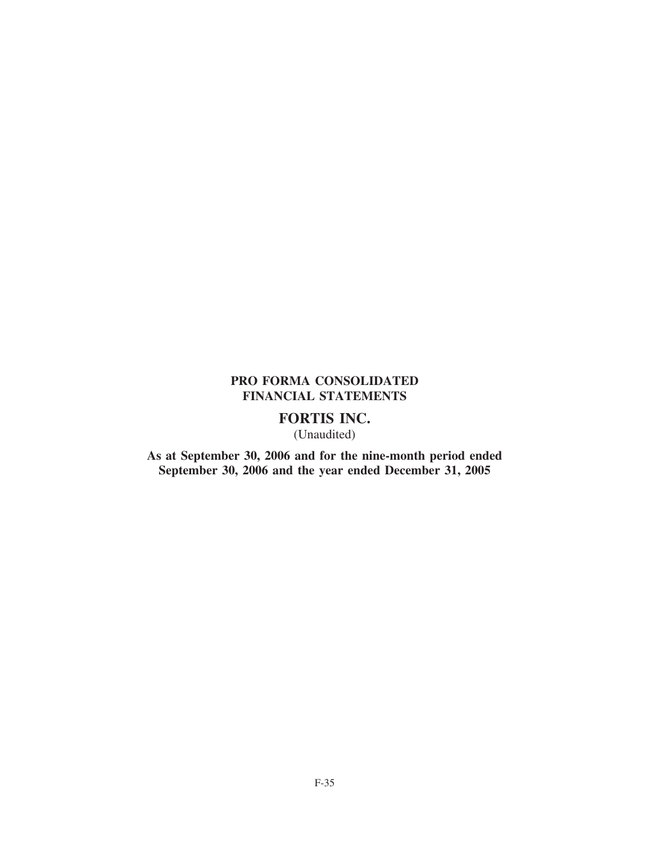# **PRO FORMA CONSOLIDATED FINANCIAL STATEMENTS**

# **FORTIS INC.**

(Unaudited)

**As at September 30, 2006 and for the nine-month period ended September 30, 2006 and the year ended December 31, 2005**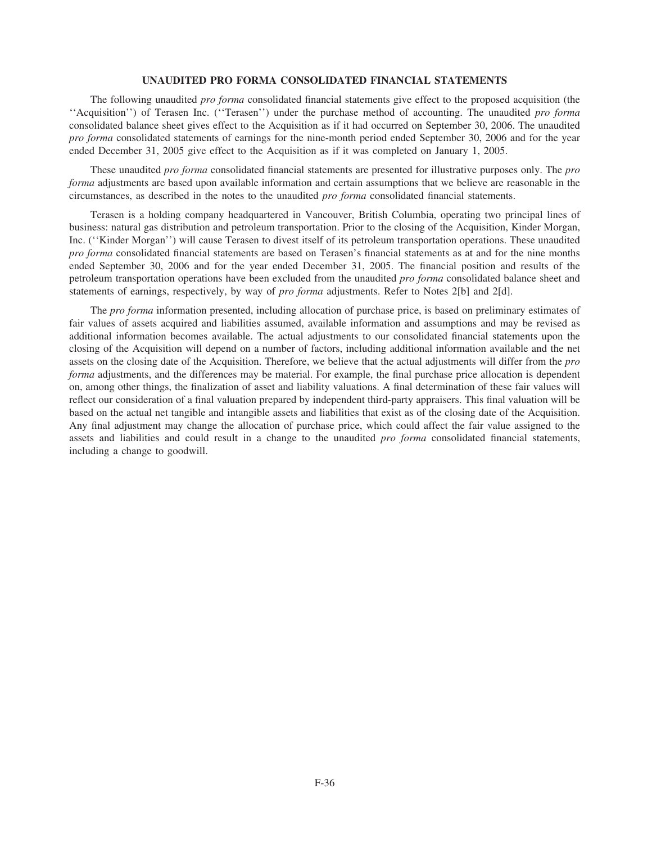### **UNAUDITED PRO FORMA CONSOLIDATED FINANCIAL STATEMENTS**

The following unaudited *pro forma* consolidated financial statements give effect to the proposed acquisition (the ''Acquisition'') of Terasen Inc. (''Terasen'') under the purchase method of accounting. The unaudited *pro forma* consolidated balance sheet gives effect to the Acquisition as if it had occurred on September 30, 2006. The unaudited *pro forma* consolidated statements of earnings for the nine-month period ended September 30, 2006 and for the year ended December 31, 2005 give effect to the Acquisition as if it was completed on January 1, 2005.

These unaudited *pro forma* consolidated financial statements are presented for illustrative purposes only. The *pro forma* adjustments are based upon available information and certain assumptions that we believe are reasonable in the circumstances, as described in the notes to the unaudited *pro forma* consolidated financial statements.

Terasen is a holding company headquartered in Vancouver, British Columbia, operating two principal lines of business: natural gas distribution and petroleum transportation. Prior to the closing of the Acquisition, Kinder Morgan, Inc. (''Kinder Morgan'') will cause Terasen to divest itself of its petroleum transportation operations. These unaudited *pro forma* consolidated financial statements are based on Terasen's financial statements as at and for the nine months ended September 30, 2006 and for the year ended December 31, 2005. The financial position and results of the petroleum transportation operations have been excluded from the unaudited *pro forma* consolidated balance sheet and statements of earnings, respectively, by way of *pro forma* adjustments. Refer to Notes 2[b] and 2[d].

The *pro forma* information presented, including allocation of purchase price, is based on preliminary estimates of fair values of assets acquired and liabilities assumed, available information and assumptions and may be revised as additional information becomes available. The actual adjustments to our consolidated financial statements upon the closing of the Acquisition will depend on a number of factors, including additional information available and the net assets on the closing date of the Acquisition. Therefore, we believe that the actual adjustments will differ from the *pro forma* adjustments, and the differences may be material. For example, the final purchase price allocation is dependent on, among other things, the finalization of asset and liability valuations. A final determination of these fair values will reflect our consideration of a final valuation prepared by independent third-party appraisers. This final valuation will be based on the actual net tangible and intangible assets and liabilities that exist as of the closing date of the Acquisition. Any final adjustment may change the allocation of purchase price, which could affect the fair value assigned to the assets and liabilities and could result in a change to the unaudited *pro forma* consolidated financial statements, including a change to goodwill.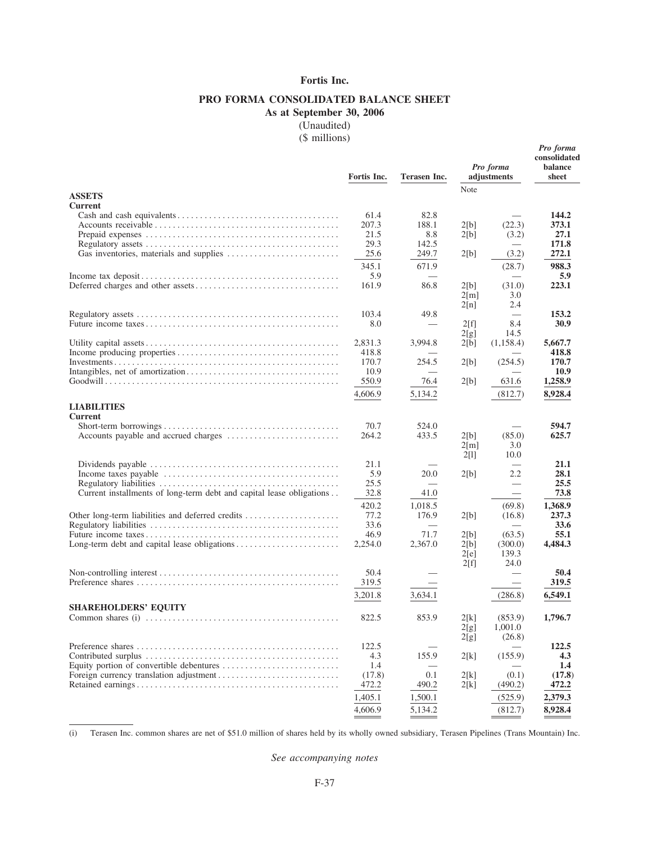# **Fortis Inc.**

# **PRO FORMA CONSOLIDATED BALANCE SHEET**

**As at September 30, 2006**

(Unaudited)

(\$ millions)

*Pro forma*

|                                                                                                         | Fortis Inc.   | Terasen Inc.     |                    | Pro forma<br>adjustments      | consolidated<br>balance<br>sheet |
|---------------------------------------------------------------------------------------------------------|---------------|------------------|--------------------|-------------------------------|----------------------------------|
| <b>ASSETS</b>                                                                                           |               |                  | Note               |                               |                                  |
| <b>Current</b>                                                                                          |               |                  |                    |                               |                                  |
|                                                                                                         | 61.4          | 82.8             |                    |                               | 144.2                            |
|                                                                                                         | 207.3         | 188.1            | 2[b]               | (22.3)                        | 373.1                            |
|                                                                                                         | 21.5          | 8.8              | 2[b]               | (3.2)                         | 27.1                             |
|                                                                                                         | 29.3          | 142.5            |                    |                               | 171.8                            |
|                                                                                                         | 25.6          | 249.7            | 2[b]               | (3.2)                         | 272.1                            |
|                                                                                                         | 345.1         | 671.9            |                    | (28.7)                        | 988.3                            |
|                                                                                                         | 5.9           |                  |                    |                               | 5.9                              |
|                                                                                                         | 161.9         | 86.8             | 2[b]               | (31.0)                        | 223.1                            |
|                                                                                                         |               |                  | $2\lceil m \rceil$ | 3.0<br>2.4                    |                                  |
|                                                                                                         | 103.4         | 49.8             | 2[n]               |                               | 153.2                            |
|                                                                                                         | 8.0           |                  | 2[f]               | 8.4                           | 30.9                             |
|                                                                                                         |               |                  | 2[g]               | 14.5                          |                                  |
|                                                                                                         | 2,831.3       | 3,994.8          | 2[b]               | (1,158.4)                     | 5,667.7                          |
|                                                                                                         | 418.8         |                  |                    |                               | 418.8                            |
|                                                                                                         | 170.7         | 254.5            | 2[b]               | (254.5)                       | 170.7                            |
|                                                                                                         | 10.9          |                  |                    |                               | 10.9                             |
|                                                                                                         | 550.9         | 76.4             | 2[b]               | 631.6                         | 1,258.9                          |
|                                                                                                         | 4,606.9       | 5,134.2          |                    | (812.7)                       | 8,928.4                          |
| <b>LIABILITIES</b>                                                                                      |               |                  |                    |                               |                                  |
| <b>Current</b>                                                                                          |               |                  |                    |                               |                                  |
|                                                                                                         | 70.7          | 524.0            |                    |                               | 594.7                            |
|                                                                                                         | 264.2         | 433.5            | 2[b]               | (85.0)                        | 625.7                            |
|                                                                                                         |               |                  | $2\lceil m \rceil$ | 3.0                           |                                  |
|                                                                                                         |               |                  | 2[1]               | 10.0                          |                                  |
| Dividends payable $\dots \dots \dots \dots \dots \dots \dots \dots \dots \dots \dots \dots \dots \dots$ | 21.1          |                  |                    |                               | 21.1                             |
|                                                                                                         | 5.9<br>25.5   | 20.0             | 2[b]               | 2.2                           | 28.1<br>25.5                     |
| Current installments of long-term debt and capital lease obligations                                    | 32.8          | 41.0             |                    |                               | 73.8                             |
|                                                                                                         |               |                  |                    | $\overbrace{\phantom{13333}}$ |                                  |
|                                                                                                         | 420.2<br>77.2 | 1,018.5<br>176.9 |                    | (69.8)                        | 1,368.9<br>237.3                 |
|                                                                                                         | 33.6          |                  | 2[b]               | (16.8)                        | 33.6                             |
|                                                                                                         | 46.9          | 71.7             | 2[b]               | (63.5)                        | 55.1                             |
|                                                                                                         | 2,254.0       | 2,367.0          | 2[b]               | (300.0)                       | 4,484.3                          |
|                                                                                                         |               |                  | 2[e]               | 139.3                         |                                  |
|                                                                                                         |               |                  | 2[f]               | 24.0                          |                                  |
|                                                                                                         | 50.4          |                  |                    |                               | 50.4                             |
|                                                                                                         | 319.5         |                  |                    |                               | 319.5                            |
|                                                                                                         | 3,201.8       | 3,634.1          |                    | (286.8)                       | 6,549.1                          |
| <b>SHAREHOLDERS' EQUITY</b>                                                                             |               |                  |                    |                               |                                  |
|                                                                                                         | 822.5         | 853.9            | 2[k]               | (853.9)                       | 1,796.7                          |
|                                                                                                         |               |                  | 2[g]               | 1,001.0                       |                                  |
|                                                                                                         |               |                  | 2[g]               | (26.8)                        |                                  |
|                                                                                                         | 122.5         |                  |                    |                               | 122.5                            |
|                                                                                                         | 4.3           | 155.9            | 2[k]               | (155.9)                       | 4.3                              |
|                                                                                                         | 1.4           |                  |                    |                               | 1.4                              |
|                                                                                                         | (17.8)        | 0.1              | 2[k]               | (0.1)                         | (17.8)                           |
|                                                                                                         | 472.2         | 490.2            | 2[k]               | (490.2)                       | 472.2                            |
|                                                                                                         | 1,405.1       | 1,500.1          |                    | (525.9)                       | 2,379.3                          |
|                                                                                                         | 4,606.9       | 5,134.2          |                    | (812.7)                       | 8,928.4                          |

(i) Terasen Inc. common shares are net of \$51.0 million of shares held by its wholly owned subsidiary, Terasen Pipelines (Trans Mountain) Inc.

*See accompanying notes*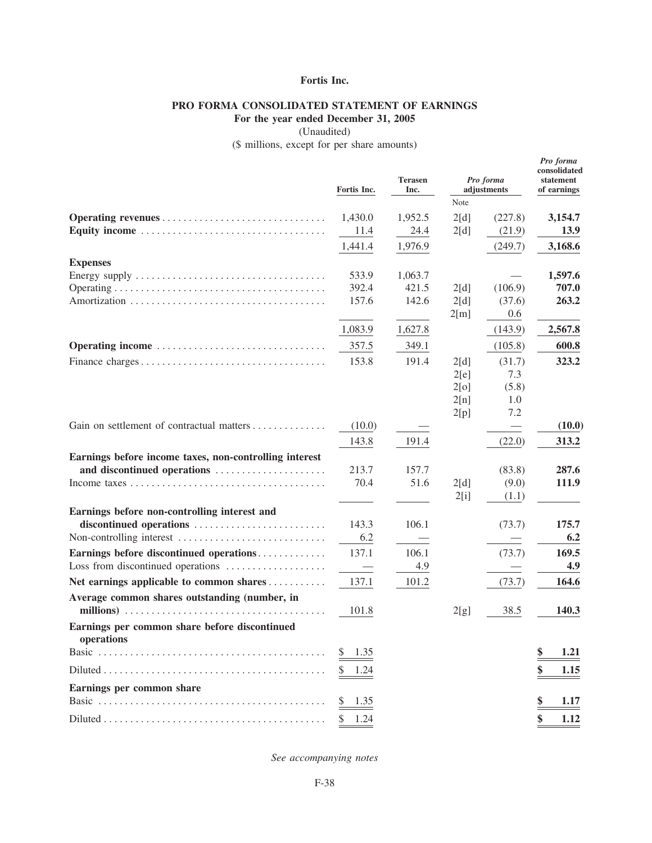# **Fortis Inc.**

# **PRO FORMA CONSOLIDATED STATEMENT OF EARNINGS**

**For the year ended December 31, 2005**

(Unaudited)

(\$ millions, except for per share amounts)

*Pro forma*

|                                                                                                     | Fortis Inc. | <b>Terasen</b><br>Inc. | Note         | Pro forma<br>adjustments | consolidated<br>$\rm statement$<br>of earnings |
|-----------------------------------------------------------------------------------------------------|-------------|------------------------|--------------|--------------------------|------------------------------------------------|
|                                                                                                     | 1,430.0     | 1,952.5                | 2[d]         | (227.8)                  | 3,154.7                                        |
|                                                                                                     | 11.4        | 24.4                   | 2[d]         | (21.9)                   | 13.9                                           |
|                                                                                                     | 1,441.4     | 1,976.9                |              | (249.7)                  | 3,168.6                                        |
| <b>Expenses</b>                                                                                     |             |                        |              |                          |                                                |
|                                                                                                     | 533.9       | 1,063.7                |              |                          | 1,597.6                                        |
|                                                                                                     | 392.4       | 421.5                  | 2[d]         | (106.9)                  | 707.0                                          |
|                                                                                                     | 157.6       | 142.6                  | 2[d]         | (37.6)                   | 263.2                                          |
|                                                                                                     |             |                        | 2[m]         | 0.6                      |                                                |
|                                                                                                     | 1,083.9     | 1,627.8                |              | (143.9)                  | 2,567.8                                        |
| Operating income                                                                                    | 357.5       | 349.1                  |              | (105.8)                  | 600.8                                          |
|                                                                                                     | 153.8       | 191.4                  | 2[d]         | (31.7)                   | 323.2                                          |
|                                                                                                     |             |                        | 2[e]         | 7.3                      |                                                |
|                                                                                                     |             |                        | 2[0]         | (5.8)                    |                                                |
|                                                                                                     |             |                        | 2[n]<br>2[p] | 1.0<br>7.2               |                                                |
| Gain on settlement of contractual matters                                                           | (10.0)      |                        |              |                          | (10.0)                                         |
|                                                                                                     | 143.8       | 191.4                  |              | (22.0)                   | 313.2                                          |
| Earnings before income taxes, non-controlling interest                                              |             |                        |              |                          |                                                |
| and discontinued operations                                                                         | 213.7       | 157.7                  |              | (83.8)                   | 287.6                                          |
|                                                                                                     | 70.4        | 51.6                   | 2[d]         | (9.0)                    | 111.9                                          |
|                                                                                                     |             |                        | 2[i]         | (1.1)                    |                                                |
| Earnings before non-controlling interest and                                                        |             |                        |              |                          |                                                |
| discontinued operations                                                                             | 143.3       | 106.1                  |              | (73.7)                   | 175.7                                          |
| Non-controlling interest                                                                            | 6.2         |                        |              |                          | 6.2                                            |
| Earnings before discontinued operations                                                             | 137.1       | 106.1                  |              | (73.7)                   | 169.5                                          |
| Loss from discontinued operations                                                                   |             | 4.9                    |              |                          | 4.9                                            |
| Net earnings applicable to common shares                                                            | 137.1       | 101.2                  |              | (73.7)                   | 164.6                                          |
| Average common shares outstanding (number, in                                                       |             |                        |              |                          |                                                |
|                                                                                                     | 101.8       |                        | 2[g]         | 38.5                     | 140.3                                          |
| Earnings per common share before discontinued<br>operations                                         |             |                        |              |                          |                                                |
|                                                                                                     | 1.35<br>S.  |                        |              |                          | \$<br>1.21                                     |
| $Diluted \dots \dots \dots \dots \dots \dots \dots \dots \dots \dots \dots \dots \dots \dots \dots$ | 1.24<br>S   |                        |              |                          | \$<br>1.15                                     |
| Earnings per common share                                                                           |             |                        |              |                          |                                                |
|                                                                                                     | 1.35<br>S   |                        |              |                          | 1.17                                           |
|                                                                                                     | \$<br>1.24  |                        |              |                          | \$<br>1.12                                     |

*See accompanying notes*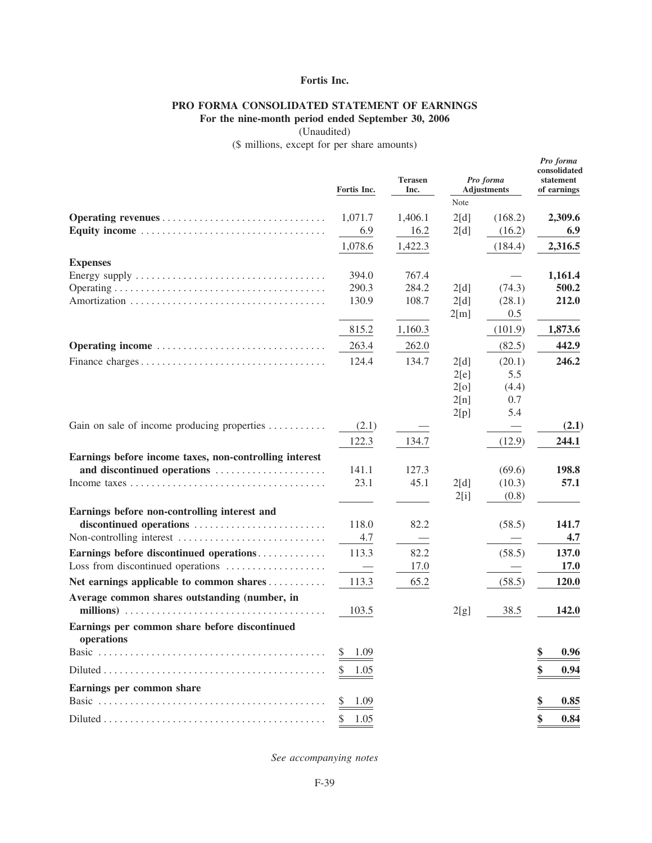# **Fortis Inc.**

# **PRO FORMA CONSOLIDATED STATEMENT OF EARNINGS**

**For the nine-month period ended September 30, 2006**

(Unaudited)

(\$ millions, except for per share amounts)

*Pro forma*

|                                                                                                     | Fortis Inc. | <b>Terasen</b><br>Inc. | Note         | Pro forma<br><b>Adjustments</b> |            |
|-----------------------------------------------------------------------------------------------------|-------------|------------------------|--------------|---------------------------------|------------|
|                                                                                                     | 1,071.7     | 1,406.1                | 2[d]         | (168.2)                         | 2,309.6    |
|                                                                                                     | 6.9         | 16.2                   | 2[d]         | (16.2)                          | 6.9        |
|                                                                                                     | 1,078.6     | 1,422.3                |              | (184.4)                         | 2,316.5    |
| <b>Expenses</b>                                                                                     |             |                        |              |                                 |            |
|                                                                                                     | 394.0       | 767.4                  |              |                                 | 1,161.4    |
|                                                                                                     | 290.3       | 284.2                  | 2[d]         | (74.3)                          | 500.2      |
|                                                                                                     | 130.9       | 108.7                  | 2[d]         | (28.1)                          | 212.0      |
|                                                                                                     | 815.2       | 1,160.3                | 2[m]         | 0.5<br>(101.9)                  | 1,873.6    |
|                                                                                                     | 263.4       | 262.0                  |              |                                 | 442.9      |
| Operating income                                                                                    |             |                        |              | (82.5)                          |            |
|                                                                                                     | 124.4       | 134.7                  | 2[d]         | (20.1)<br>5.5                   | 246.2      |
|                                                                                                     |             |                        | 2[e]<br>2[0] | (4.4)                           |            |
|                                                                                                     |             |                        | 2[n]         | 0.7                             |            |
|                                                                                                     |             |                        | 2[p]         | 5.4                             |            |
| Gain on sale of income producing properties                                                         | (2.1)       |                        |              | $\overline{\phantom{0}}$        | (2.1)      |
|                                                                                                     | 122.3       | 134.7                  |              | (12.9)                          | 244.1      |
| Earnings before income taxes, non-controlling interest                                              |             |                        |              |                                 |            |
| and discontinued operations                                                                         | 141.1       | 127.3                  |              | (69.6)                          | 198.8      |
|                                                                                                     | 23.1        | 45.1                   | 2[d]         | (10.3)                          | 57.1       |
|                                                                                                     |             |                        | 2[i]         | (0.8)                           |            |
| Earnings before non-controlling interest and                                                        |             |                        |              |                                 |            |
| discontinued operations                                                                             | 118.0       | 82.2                   |              | (58.5)                          | 141.7      |
| Non-controlling interest                                                                            | 4.7         |                        |              |                                 | 4.7        |
| Earnings before discontinued operations                                                             | 113.3       | 82.2                   |              | (58.5)                          | 137.0      |
| Loss from discontinued operations                                                                   |             | 17.0                   |              | $\overline{\phantom{0}}$        | 17.0       |
| Net earnings applicable to common shares                                                            | 113.3       | 65.2                   |              | (58.5)                          | 120.0      |
| Average common shares outstanding (number, in                                                       |             |                        |              |                                 |            |
|                                                                                                     | 103.5       |                        | 2[g]         | 38.5                            | 142.0      |
| Earnings per common share before discontinued<br>operations                                         |             |                        |              |                                 |            |
|                                                                                                     | 1.09        |                        |              |                                 | \$<br>0.96 |
| $Diluted \dots \dots \dots \dots \dots \dots \dots \dots \dots \dots \dots \dots \dots \dots \dots$ | 1.05        |                        |              |                                 | \$<br>0.94 |
| Earnings per common share                                                                           |             |                        |              |                                 |            |
|                                                                                                     | 1.09<br>S   |                        |              |                                 | \$<br>0.85 |
|                                                                                                     | 1.05<br>S   |                        |              |                                 | \$<br>0.84 |

*See accompanying notes*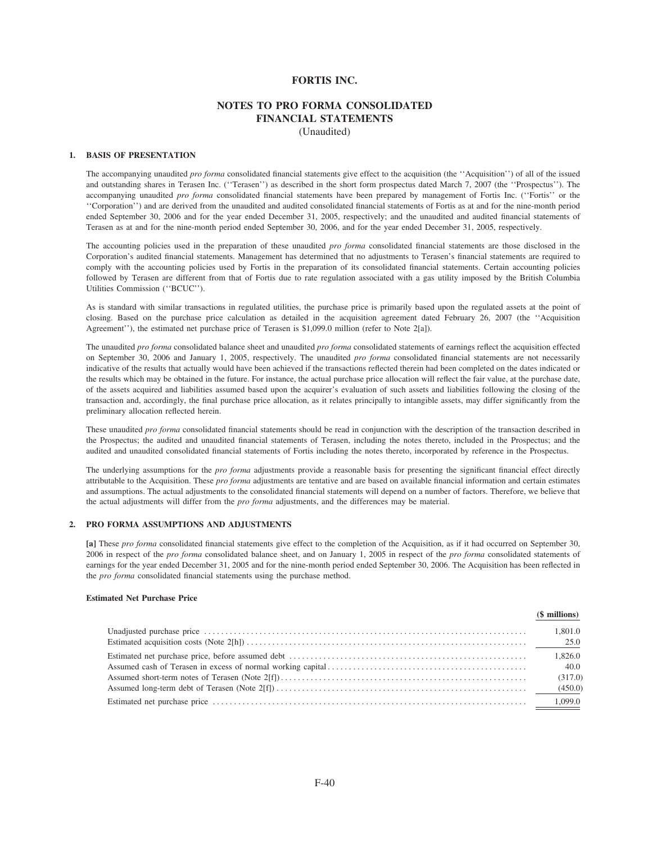### **FORTIS INC.**

# **NOTES TO PRO FORMA CONSOLIDATED FINANCIAL STATEMENTS** (Unaudited)

### **1. BASIS OF PRESENTATION**

The accompanying unaudited *pro forma* consolidated financial statements give effect to the acquisition (the ''Acquisition'') of all of the issued and outstanding shares in Terasen Inc. (''Terasen'') as described in the short form prospectus dated March 7, 2007 (the ''Prospectus''). The accompanying unaudited *pro forma* consolidated financial statements have been prepared by management of Fortis Inc. (''Fortis'' or the ''Corporation'') and are derived from the unaudited and audited consolidated financial statements of Fortis as at and for the nine-month period ended September 30, 2006 and for the year ended December 31, 2005, respectively; and the unaudited and audited financial statements of Terasen as at and for the nine-month period ended September 30, 2006, and for the year ended December 31, 2005, respectively.

The accounting policies used in the preparation of these unaudited *pro forma* consolidated financial statements are those disclosed in the Corporation's audited financial statements. Management has determined that no adjustments to Terasen's financial statements are required to comply with the accounting policies used by Fortis in the preparation of its consolidated financial statements. Certain accounting policies followed by Terasen are different from that of Fortis due to rate regulation associated with a gas utility imposed by the British Columbia Utilities Commission (''BCUC'').

As is standard with similar transactions in regulated utilities, the purchase price is primarily based upon the regulated assets at the point of closing. Based on the purchase price calculation as detailed in the acquisition agreement dated February 26, 2007 (the ''Acquisition Agreement''), the estimated net purchase price of Terasen is \$1,099.0 million (refer to Note 2[a]).

The unaudited *pro forma* consolidated balance sheet and unaudited *pro forma* consolidated statements of earnings reflect the acquisition effected on September 30, 2006 and January 1, 2005, respectively. The unaudited *pro forma* consolidated financial statements are not necessarily indicative of the results that actually would have been achieved if the transactions reflected therein had been completed on the dates indicated or the results which may be obtained in the future. For instance, the actual purchase price allocation will reflect the fair value, at the purchase date, of the assets acquired and liabilities assumed based upon the acquirer's evaluation of such assets and liabilities following the closing of the transaction and, accordingly, the final purchase price allocation, as it relates principally to intangible assets, may differ significantly from the preliminary allocation reflected herein.

These unaudited *pro forma* consolidated financial statements should be read in conjunction with the description of the transaction described in the Prospectus; the audited and unaudited financial statements of Terasen, including the notes thereto, included in the Prospectus; and the audited and unaudited consolidated financial statements of Fortis including the notes thereto, incorporated by reference in the Prospectus.

The underlying assumptions for the *pro forma* adjustments provide a reasonable basis for presenting the significant financial effect directly attributable to the Acquisition. These *pro forma* adjustments are tentative and are based on available financial information and certain estimates and assumptions. The actual adjustments to the consolidated financial statements will depend on a number of factors. Therefore, we believe that the actual adjustments will differ from the *pro forma* adjustments, and the differences may be material.

### **2. PRO FORMA ASSUMPTIONS AND ADJUSTMENTS**

**[a]** These *pro forma* consolidated financial statements give effect to the completion of the Acquisition, as if it had occurred on September 30, 2006 in respect of the *pro forma* consolidated balance sheet, and on January 1, 2005 in respect of the *pro forma* consolidated statements of earnings for the year ended December 31, 2005 and for the nine-month period ended September 30, 2006. The Acquisition has been reflected in the *pro forma* consolidated financial statements using the purchase method.

### **Estimated Net Purchase Price**

| (\$ millions)   |
|-----------------|
| 1.801.0         |
| 1,826.0<br>40.0 |
| (317.0)         |
| 1.099.0         |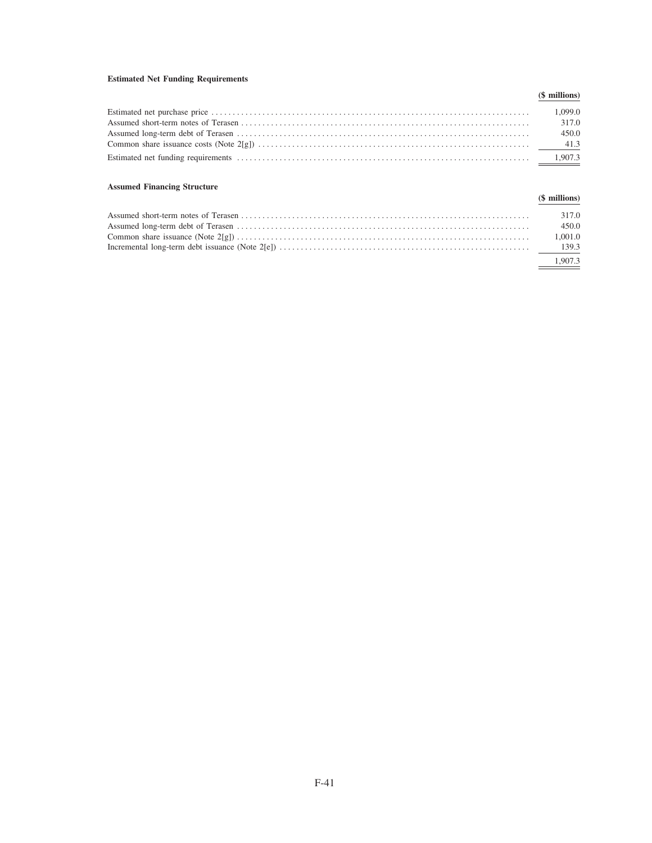# **Estimated Net Funding Requirements**

| (\$ millions) |
|---------------|
| 1.099.0       |
| 317.0         |
| 450.0         |
|               |
|               |

# **Assumed Financing Structure**

| $1800$ annount a manifold $\mu$ of actual | (\$ millions) |
|-------------------------------------------|---------------|
|                                           | 317.0         |
|                                           | 450.0         |
|                                           | 1.001.0       |
|                                           |               |
|                                           | 1.907.3       |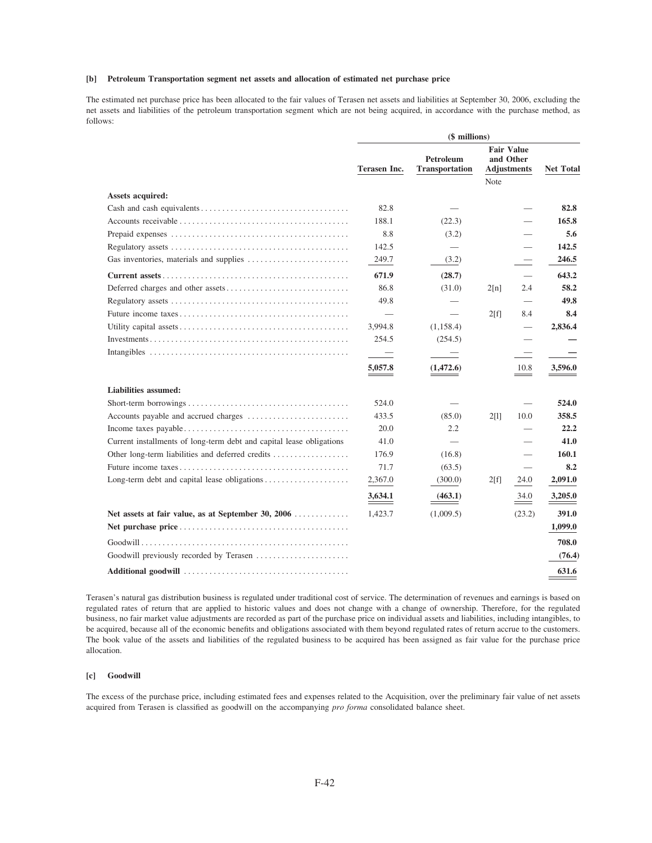### [b] Petroleum Transportation segment net assets and allocation of estimated net purchase price

The estimated net purchase price has been allocated to the fair values of Terasen net assets and liabilities at September 30, 2006, excluding the net assets and liabilities of the petroleum transportation segment which are not being acquired, in accordance with the purchase method, as follows:

|                                                                      | (\$ millions)            |                                    |             |                                                      |                  |
|----------------------------------------------------------------------|--------------------------|------------------------------------|-------------|------------------------------------------------------|------------------|
|                                                                      | Terasen Inc.             | Petroleum<br><b>Transportation</b> |             | <b>Fair Value</b><br>and Other<br><b>Adjustments</b> | <b>Net Total</b> |
| Assets acquired:                                                     |                          |                                    | <b>Note</b> |                                                      |                  |
|                                                                      | 82.8                     |                                    |             |                                                      | 82.8             |
|                                                                      | 188.1                    | (22.3)                             |             |                                                      | 165.8            |
|                                                                      | 8.8                      |                                    |             |                                                      | 5.6              |
|                                                                      | 142.5                    | (3.2)                              |             |                                                      | 142.5            |
|                                                                      |                          |                                    |             |                                                      | 246.5            |
|                                                                      | 249.7                    | (3.2)                              |             |                                                      |                  |
|                                                                      | 671.9                    | (28.7)                             |             |                                                      | 643.2            |
|                                                                      | 86.8                     | (31.0)                             | 2[n]        | 2.4                                                  | 58.2             |
|                                                                      | 49.8                     |                                    |             | $\overline{\phantom{0}}$                             | 49.8             |
|                                                                      | $\overline{\phantom{0}}$ |                                    | 2[f]        | 8.4                                                  | 8.4              |
|                                                                      | 3,994.8                  | (1, 158.4)                         |             | $\overline{\phantom{0}}$                             | 2,836.4          |
|                                                                      | 254.5                    | (254.5)                            |             |                                                      |                  |
|                                                                      | $\overline{\phantom{0}}$ |                                    |             |                                                      |                  |
|                                                                      | 5,057.8                  | (1,472.6)                          |             | 10.8                                                 | 3,596.0          |
| Liabilities assumed:                                                 |                          |                                    |             |                                                      |                  |
|                                                                      | 524.0                    |                                    |             |                                                      | 524.0            |
|                                                                      | 433.5                    | (85.0)                             | 2[1]        | 10.0                                                 | 358.5            |
|                                                                      | 20.0                     | 2.2                                |             |                                                      | 22.2             |
| Current installments of long-term debt and capital lease obligations | 41.0                     |                                    |             |                                                      | 41.0             |
| Other long-term liabilities and deferred credits                     | 176.9                    | (16.8)                             |             |                                                      | 160.1            |
|                                                                      | 71.7                     | (63.5)                             |             |                                                      | 8.2              |
| Long-term debt and capital lease obligations                         | 2,367.0                  | (300.0)                            | 2[f]        | 24.0                                                 | 2,091.0          |
|                                                                      | 3,634.1                  | (463.1)                            |             | 34.0                                                 | 3,205.0          |
| Net assets at fair value, as at September 30, 2006                   | 1,423.7                  | (1,009.5)                          |             | (23.2)                                               | 391.0            |
|                                                                      |                          |                                    |             |                                                      | 1,099.0          |
|                                                                      |                          |                                    |             |                                                      | 708.0            |
| Goodwill previously recorded by Terasen                              |                          |                                    |             |                                                      | (76.4)           |
|                                                                      |                          |                                    |             |                                                      | 631.6            |

Terasen's natural gas distribution business is regulated under traditional cost of service. The determination of revenues and earnings is based on regulated rates of return that are applied to historic values and does not change with a change of ownership. Therefore, for the regulated business, no fair market value adjustments are recorded as part of the purchase price on individual assets and liabilities, including intangibles, to be acquired, because all of the economic benefits and obligations associated with them beyond regulated rates of return accrue to the customers. The book value of the assets and liabilities of the regulated business to be acquired has been assigned as fair value for the purchase price allocation.

### [c] Goodwill

The excess of the purchase price, including estimated fees and expenses related to the Acquisition, over the preliminary fair value of net assets acquired from Terasen is classified as goodwill on the accompanying pro forma consolidated balance sheet.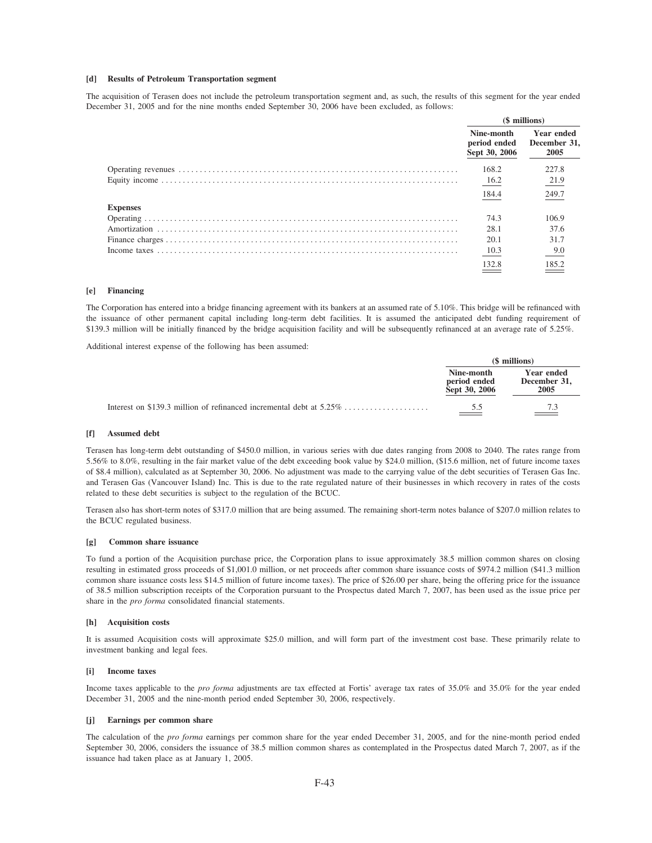### [d] Results of Petroleum Transportation segment

The acquisition of Terasen does not include the petroleum transportation segment and, as such, the results of this segment for the year ended December 31, 2005 and for the nine months ended September 30, 2006 have been excluded, as follows:

|                 | (\$ millions)                               |                                    |
|-----------------|---------------------------------------------|------------------------------------|
|                 | Nine-month<br>period ended<br>Sept 30, 2006 | Year ended<br>December 31,<br>2005 |
|                 | 168.2                                       | 227.8                              |
|                 | 16.2                                        | 21.9                               |
|                 | 184.4                                       | 249.7                              |
| <b>Expenses</b> |                                             |                                    |
|                 | 74.3                                        | 106.9                              |
|                 | 28.1                                        | 37.6                               |
|                 | 20.1                                        | 31.7                               |
|                 | 10.3                                        | 9.0                                |
|                 | 132.8                                       | 185.2                              |

#### $[e]$ Financing

The Corporation has entered into a bridge financing agreement with its bankers at an assumed rate of 5.10%. This bridge will be refinanced with the issuance of other permanent capital including long-term debt facilities. It is assumed the anticipated debt funding requirement of \$139.3 million will be initially financed by the bridge acquisition facility and will be subsequently refinanced at an average rate of 5.25%.

Additional interest expense of the following has been assumed:

| (\$ millions)                               |                                    |  |
|---------------------------------------------|------------------------------------|--|
| Nine-month<br>period ended<br>Sept 30, 2006 | Year ended<br>December 31,<br>2005 |  |
| 5.5                                         | 7.3                                |  |

#### **Assumed debt** ſΠ

Terasen has long-term debt outstanding of \$450.0 million, in various series with due dates ranging from 2008 to 2040. The rates range from 5.56% to 8.0%, resulting in the fair market value of the debt exceeding book value by \$24.0 million, (\$15.6 million, net of future income taxes of \$8.4 million), calculated as at September 30, 2006. No adjustment was made to the carrying value of the debt securities of Terasen Gas Inc. and Terasen Gas (Vancouver Island) Inc. This is due to the rate regulated nature of their businesses in which recovery in rates of the costs related to these debt securities is subject to the regulation of the BCUC.

Terasen also has short-term notes of \$317.0 million that are being assumed. The remaining short-term notes balance of \$207.0 million relates to the BCUC regulated business.

#### $\lceil \mathbf{g} \rceil$ Common share issuance

To fund a portion of the Acquisition purchase price, the Corporation plans to issue approximately 38.5 million common shares on closing resulting in estimated gross proceeds of \$1,001.0 million, or net proceeds after common share issuance costs of \$974.2 million (\$41.3 million common share issuance costs less \$14.5 million of future income taxes). The price of \$26.00 per share, being the offering price for the issuance of 38.5 million subscription receipts of the Corporation pursuant to the Prospectus dated March 7, 2007, has been used as the issue price per share in the *pro forma* consolidated financial statements.

### [h] Acquisition costs

It is assumed Acquisition costs will approximate \$25.0 million, and will form part of the investment cost base. These primarily relate to investment banking and legal fees.

#### $[1]$ Income taxes

Income taxes applicable to the *pro forma* adjustments are tax effected at Fortis' average tax rates of 35.0% and 35.0% for the year ended December 31, 2005 and the nine-month period ended September 30, 2006, respectively.

#### Earnings per common share **fil**

The calculation of the pro forma earnings per common share for the year ended December 31, 2005, and for the nine-month period ended September 30, 2006, considers the issuance of 38.5 million common shares as contemplated in the Prospectus dated March 7, 2007, as if the issuance had taken place as at January 1, 2005.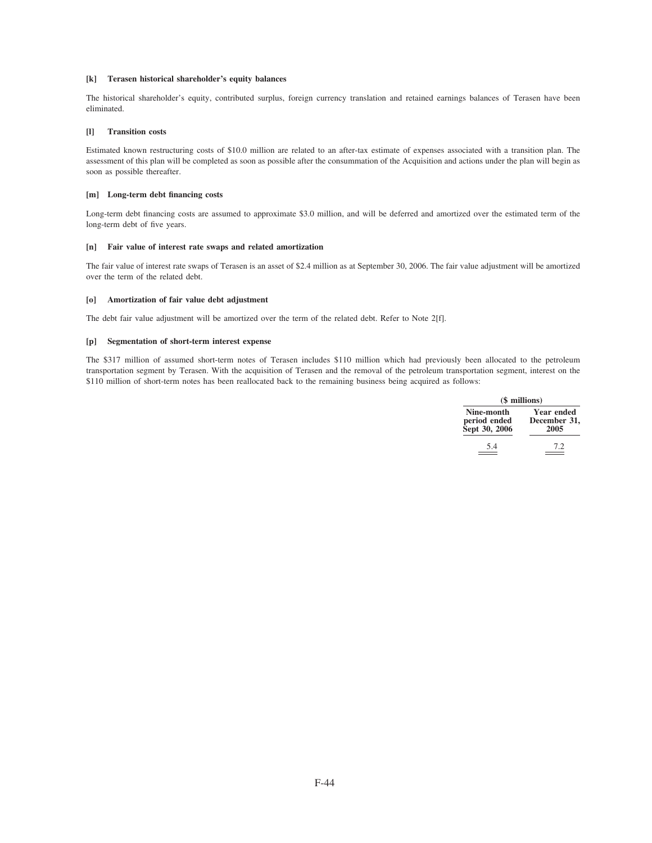### **[k] Terasen historical shareholder's equity balances**

The historical shareholder's equity, contributed surplus, foreign currency translation and retained earnings balances of Terasen have been eliminated.

### **[l] Transition costs**

Estimated known restructuring costs of \$10.0 million are related to an after-tax estimate of expenses associated with a transition plan. The assessment of this plan will be completed as soon as possible after the consummation of the Acquisition and actions under the plan will begin as soon as possible thereafter.

### **[m] Long-term debt financing costs**

Long-term debt financing costs are assumed to approximate \$3.0 million, and will be deferred and amortized over the estimated term of the long-term debt of five years.

### **[n] Fair value of interest rate swaps and related amortization**

The fair value of interest rate swaps of Terasen is an asset of \$2.4 million as at September 30, 2006. The fair value adjustment will be amortized over the term of the related debt.

### **[o] Amortization of fair value debt adjustment**

The debt fair value adjustment will be amortized over the term of the related debt. Refer to Note 2[f].

### **[p] Segmentation of short-term interest expense**

The \$317 million of assumed short-term notes of Terasen includes \$110 million which had previously been allocated to the petroleum transportation segment by Terasen. With the acquisition of Terasen and the removal of the petroleum transportation segment, interest on the \$110 million of short-term notes has been reallocated back to the remaining business being acquired as follows:

|                                             | (\$ millions)                             |
|---------------------------------------------|-------------------------------------------|
| Nine-month<br>period ended<br>Sept 30, 2006 | <b>Year ended</b><br>December 31,<br>2005 |
| 5.4                                         | 72                                        |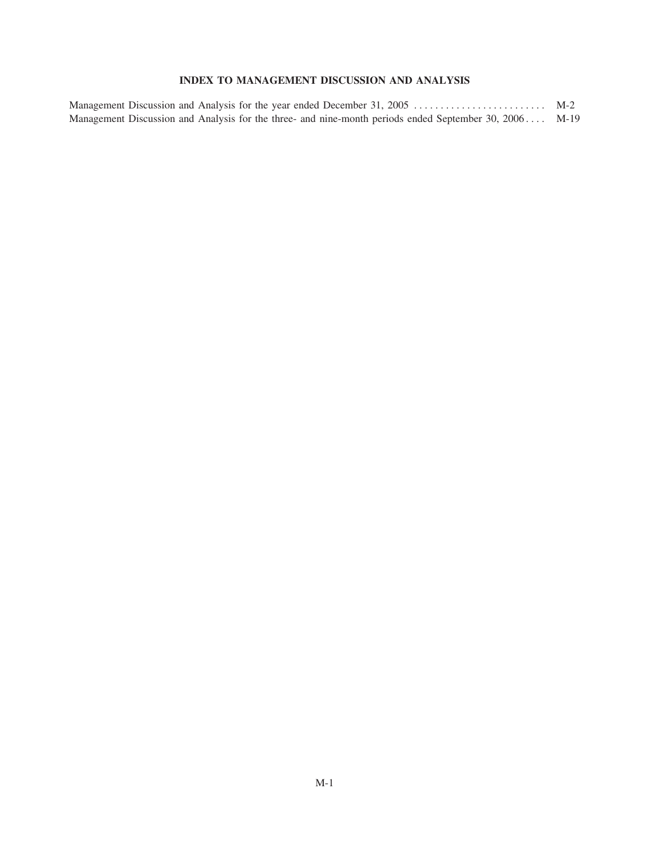# **INDEX TO MANAGEMENT DISCUSSION AND ANALYSIS**

| Management Discussion and Analysis for the three- and nine-month periods ended September 30, 2006 M-19 |  |
|--------------------------------------------------------------------------------------------------------|--|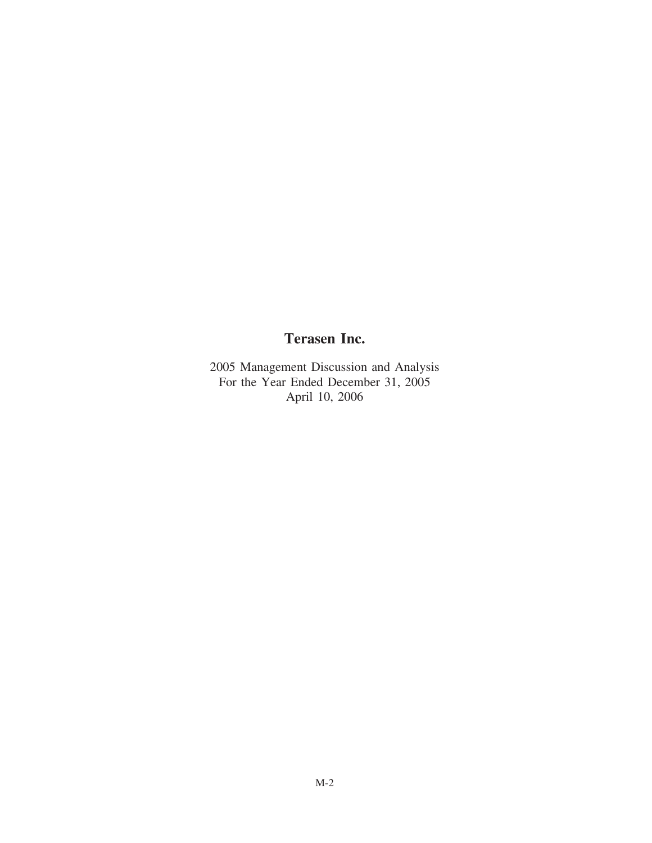# **Terasen Inc.**

2005 Management Discussion and Analysis For the Year Ended December 31, 2005 April 10, 2006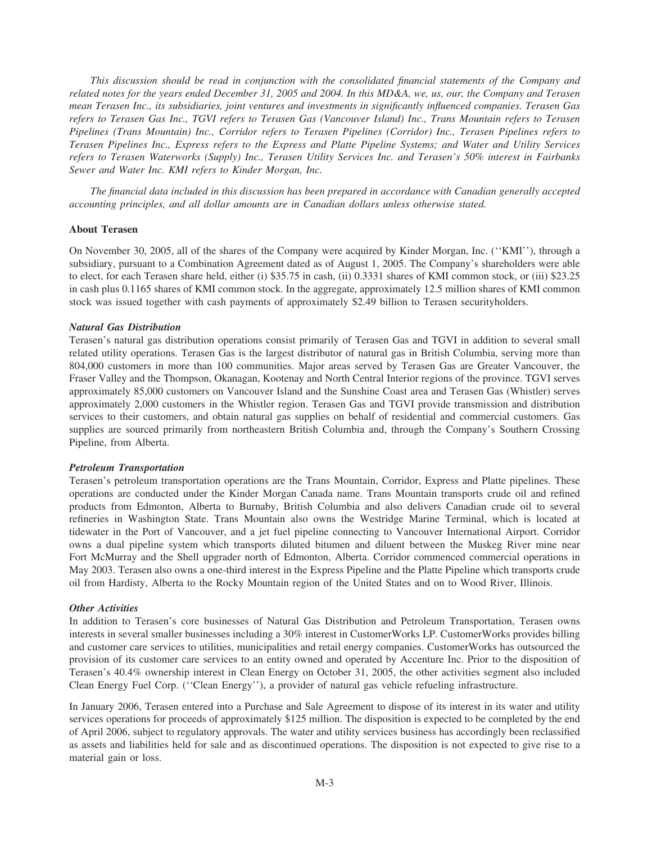*This discussion should be read in conjunction with the consolidated financial statements of the Company and related notes for the years ended December 31, 2005 and 2004. In this MD&A, we, us, our, the Company and Terasen mean Terasen Inc., its subsidiaries, joint ventures and investments in significantly influenced companies. Terasen Gas refers to Terasen Gas Inc., TGVI refers to Terasen Gas (Vancouver Island) Inc., Trans Mountain refers to Terasen Pipelines (Trans Mountain) Inc., Corridor refers to Terasen Pipelines (Corridor) Inc., Terasen Pipelines refers to Terasen Pipelines Inc., Express refers to the Express and Platte Pipeline Systems; and Water and Utility Services refers to Terasen Waterworks (Supply) Inc., Terasen Utility Services Inc. and Terasen's 50% interest in Fairbanks Sewer and Water Inc. KMI refers to Kinder Morgan, Inc.*

*The financial data included in this discussion has been prepared in accordance with Canadian generally accepted accounting principles, and all dollar amounts are in Canadian dollars unless otherwise stated.*

### **About Terasen**

On November 30, 2005, all of the shares of the Company were acquired by Kinder Morgan, Inc. (''KMI''), through a subsidiary, pursuant to a Combination Agreement dated as of August 1, 2005. The Company's shareholders were able to elect, for each Terasen share held, either (i) \$35.75 in cash, (ii) 0.3331 shares of KMI common stock, or (iii) \$23.25 in cash plus 0.1165 shares of KMI common stock. In the aggregate, approximately 12.5 million shares of KMI common stock was issued together with cash payments of approximately \$2.49 billion to Terasen securityholders.

### *Natural Gas Distribution*

Terasen's natural gas distribution operations consist primarily of Terasen Gas and TGVI in addition to several small related utility operations. Terasen Gas is the largest distributor of natural gas in British Columbia, serving more than 804,000 customers in more than 100 communities. Major areas served by Terasen Gas are Greater Vancouver, the Fraser Valley and the Thompson, Okanagan, Kootenay and North Central Interior regions of the province. TGVI serves approximately 85,000 customers on Vancouver Island and the Sunshine Coast area and Terasen Gas (Whistler) serves approximately 2,000 customers in the Whistler region. Terasen Gas and TGVI provide transmission and distribution services to their customers, and obtain natural gas supplies on behalf of residential and commercial customers. Gas supplies are sourced primarily from northeastern British Columbia and, through the Company's Southern Crossing Pipeline, from Alberta.

### *Petroleum Transportation*

Terasen's petroleum transportation operations are the Trans Mountain, Corridor, Express and Platte pipelines. These operations are conducted under the Kinder Morgan Canada name. Trans Mountain transports crude oil and refined products from Edmonton, Alberta to Burnaby, British Columbia and also delivers Canadian crude oil to several refineries in Washington State. Trans Mountain also owns the Westridge Marine Terminal, which is located at tidewater in the Port of Vancouver, and a jet fuel pipeline connecting to Vancouver International Airport. Corridor owns a dual pipeline system which transports diluted bitumen and diluent between the Muskeg River mine near Fort McMurray and the Shell upgrader north of Edmonton, Alberta. Corridor commenced commercial operations in May 2003. Terasen also owns a one-third interest in the Express Pipeline and the Platte Pipeline which transports crude oil from Hardisty, Alberta to the Rocky Mountain region of the United States and on to Wood River, Illinois.

### *Other Activities*

In addition to Terasen's core businesses of Natural Gas Distribution and Petroleum Transportation, Terasen owns interests in several smaller businesses including a 30% interest in CustomerWorks LP. CustomerWorks provides billing and customer care services to utilities, municipalities and retail energy companies. CustomerWorks has outsourced the provision of its customer care services to an entity owned and operated by Accenture Inc. Prior to the disposition of Terasen's 40.4% ownership interest in Clean Energy on October 31, 2005, the other activities segment also included Clean Energy Fuel Corp. (''Clean Energy''), a provider of natural gas vehicle refueling infrastructure.

In January 2006, Terasen entered into a Purchase and Sale Agreement to dispose of its interest in its water and utility services operations for proceeds of approximately \$125 million. The disposition is expected to be completed by the end of April 2006, subject to regulatory approvals. The water and utility services business has accordingly been reclassified as assets and liabilities held for sale and as discontinued operations. The disposition is not expected to give rise to a material gain or loss.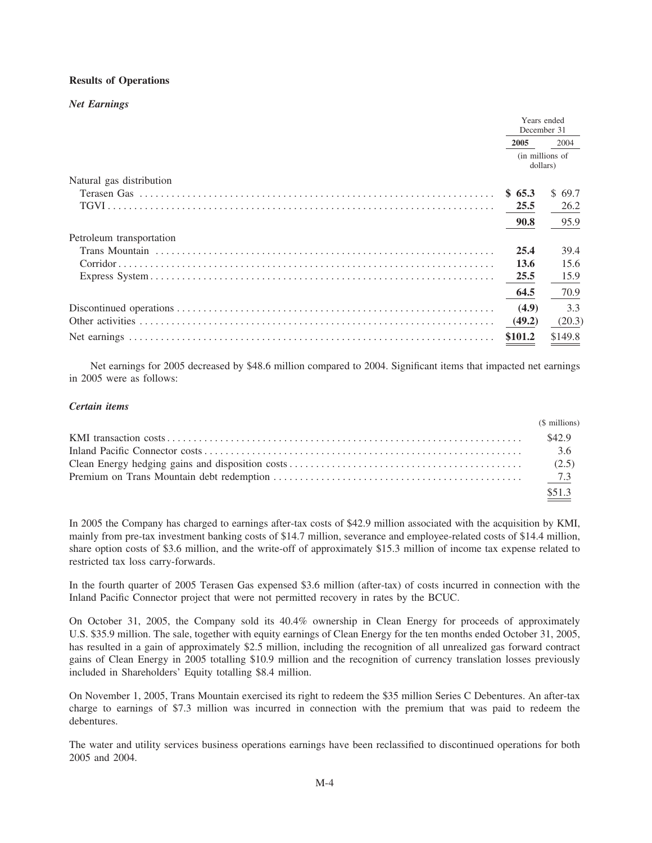# **Results of Operations**

### **Net Earnings**

|                          | Years ended<br>December 31  |         |
|--------------------------|-----------------------------|---------|
|                          | 2005                        | 2004    |
|                          | (in millions of<br>dollars) |         |
| Natural gas distribution |                             |         |
|                          | \$65.3                      | \$69.7  |
|                          | 25.5                        | 26.2    |
|                          | 90.8                        | 95.9    |
| Petroleum transportation |                             |         |
|                          | 25.4                        | 39.4    |
|                          | 13.6                        | 15.6    |
|                          | 25.5                        | 15.9    |
|                          | 64.5                        | 70.9    |
|                          | (4.9)                       | 3.3     |
|                          | (49.2)                      | (20.3)  |
|                          | \$101.2                     | \$149.8 |

Net earnings for 2005 decreased by \$48.6 million compared to 2004. Significant items that impacted net earnings in 2005 were as follows:

# Certain items

|                                                                                    | (\$ millions) |
|------------------------------------------------------------------------------------|---------------|
|                                                                                    |               |
|                                                                                    |               |
| Clean Energy hedging gains and disposition costs $\ldots$ and $\ldots$ and $(2.5)$ |               |
|                                                                                    |               |
|                                                                                    | \$51.3        |

In 2005 the Company has charged to earnings after-tax costs of \$42.9 million associated with the acquisition by KMI, mainly from pre-tax investment banking costs of \$14.7 million, severance and employee-related costs of \$14.4 million, share option costs of \$3.6 million, and the write-off of approximately \$15.3 million of income tax expense related to restricted tax loss carry-forwards.

In the fourth quarter of 2005 Terasen Gas expensed \$3.6 million (after-tax) of costs incurred in connection with the Inland Pacific Connector project that were not permitted recovery in rates by the BCUC.

On October 31, 2005, the Company sold its 40.4% ownership in Clean Energy for proceeds of approximately U.S. \$35.9 million. The sale, together with equity earnings of Clean Energy for the ten months ended October 31, 2005, has resulted in a gain of approximately \$2.5 million, including the recognition of all unrealized gas forward contract gains of Clean Energy in 2005 totalling \$10.9 million and the recognition of currency translation losses previously included in Shareholders' Equity totalling \$8.4 million.

On November 1, 2005, Trans Mountain exercised its right to redeem the \$35 million Series C Debentures. An after-tax charge to earnings of \$7.3 million was incurred in connection with the premium that was paid to redeem the debentures.

The water and utility services business operations earnings have been reclassified to discontinued operations for both 2005 and 2004.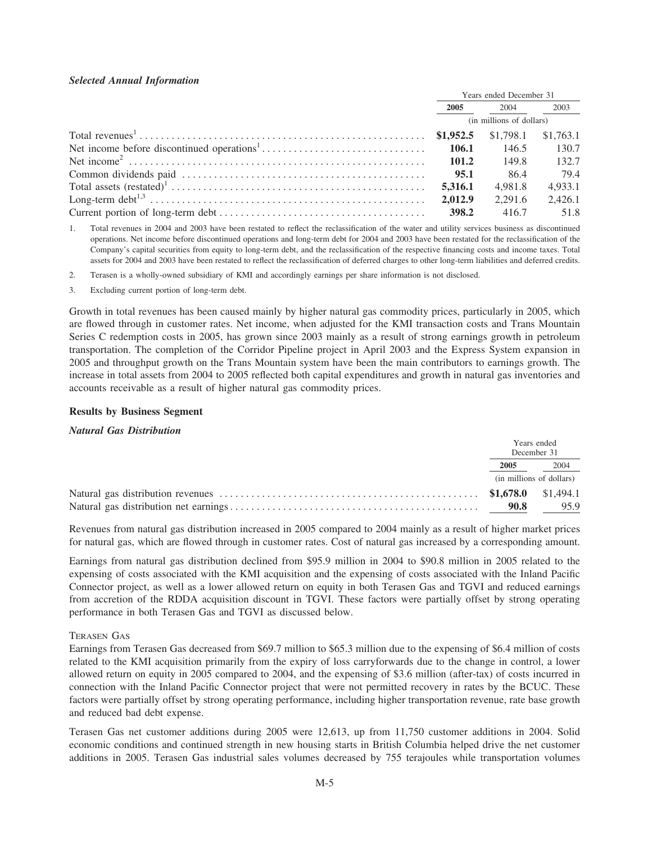# *Selected Annual Information*

| Years ended December 31  |                       |         |
|--------------------------|-----------------------|---------|
| 2005                     | 2004                  | 2003    |
| (in millions of dollars) |                       |         |
|                          | $$1,798.1$ $$1,763.1$ |         |
|                          | 146.5                 | 130.7   |
| 101.2                    | 149.8                 | 132.7   |
|                          | -86.4                 | 79.4    |
| 5.316.1                  | 4.981.8               | 4.933.1 |
| 2.012.9                  | 2.291.6               | 2,426.1 |
| 398.2                    | 416.7                 | 51.8    |

1. Total revenues in 2004 and 2003 have been restated to reflect the reclassification of the water and utility services business as discontinued operations. Net income before discontinued operations and long-term debt for 2004 and 2003 have been restated for the reclassification of the Company's capital securities from equity to long-term debt, and the reclassification of the respective financing costs and income taxes. Total assets for 2004 and 2003 have been restated to reflect the reclassification of deferred charges to other long-term liabilities and deferred credits.

2. Terasen is a wholly-owned subsidiary of KMI and accordingly earnings per share information is not disclosed.

3. Excluding current portion of long-term debt.

Growth in total revenues has been caused mainly by higher natural gas commodity prices, particularly in 2005, which are flowed through in customer rates. Net income, when adjusted for the KMI transaction costs and Trans Mountain Series C redemption costs in 2005, has grown since 2003 mainly as a result of strong earnings growth in petroleum transportation. The completion of the Corridor Pipeline project in April 2003 and the Express System expansion in 2005 and throughput growth on the Trans Mountain system have been the main contributors to earnings growth. The increase in total assets from 2004 to 2005 reflected both capital expenditures and growth in natural gas inventories and accounts receivable as a result of higher natural gas commodity prices.

### **Results by Business Segment**

### *Natural Gas Distribution*

|      | Years ended<br>December 31 |
|------|----------------------------|
| 2005 | 2004                       |
|      | (in millions of dollars)   |
|      |                            |
| 90.8 | 95.9                       |

Revenues from natural gas distribution increased in 2005 compared to 2004 mainly as a result of higher market prices for natural gas, which are flowed through in customer rates. Cost of natural gas increased by a corresponding amount.

Earnings from natural gas distribution declined from \$95.9 million in 2004 to \$90.8 million in 2005 related to the expensing of costs associated with the KMI acquisition and the expensing of costs associated with the Inland Pacific Connector project, as well as a lower allowed return on equity in both Terasen Gas and TGVI and reduced earnings from accretion of the RDDA acquisition discount in TGVI. These factors were partially offset by strong operating performance in both Terasen Gas and TGVI as discussed below.

### TERASEN GAS

Earnings from Terasen Gas decreased from \$69.7 million to \$65.3 million due to the expensing of \$6.4 million of costs related to the KMI acquisition primarily from the expiry of loss carryforwards due to the change in control, a lower allowed return on equity in 2005 compared to 2004, and the expensing of \$3.6 million (after-tax) of costs incurred in connection with the Inland Pacific Connector project that were not permitted recovery in rates by the BCUC. These factors were partially offset by strong operating performance, including higher transportation revenue, rate base growth and reduced bad debt expense.

Terasen Gas net customer additions during 2005 were 12,613, up from 11,750 customer additions in 2004. Solid economic conditions and continued strength in new housing starts in British Columbia helped drive the net customer additions in 2005. Terasen Gas industrial sales volumes decreased by 755 terajoules while transportation volumes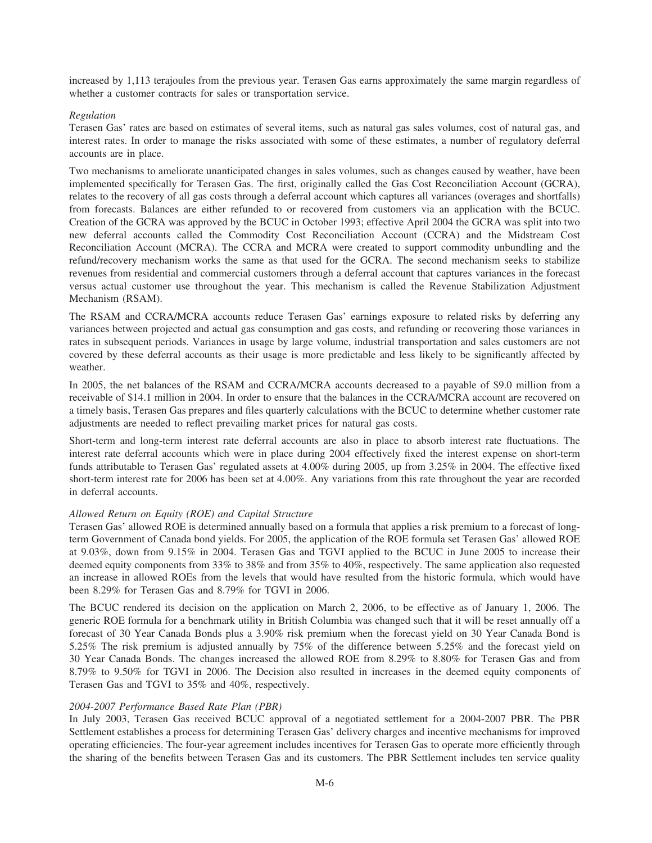increased by 1,113 terajoules from the previous year. Terasen Gas earns approximately the same margin regardless of whether a customer contracts for sales or transportation service.

# *Regulation*

Terasen Gas' rates are based on estimates of several items, such as natural gas sales volumes, cost of natural gas, and interest rates. In order to manage the risks associated with some of these estimates, a number of regulatory deferral accounts are in place.

Two mechanisms to ameliorate unanticipated changes in sales volumes, such as changes caused by weather, have been implemented specifically for Terasen Gas. The first, originally called the Gas Cost Reconciliation Account (GCRA), relates to the recovery of all gas costs through a deferral account which captures all variances (overages and shortfalls) from forecasts. Balances are either refunded to or recovered from customers via an application with the BCUC. Creation of the GCRA was approved by the BCUC in October 1993; effective April 2004 the GCRA was split into two new deferral accounts called the Commodity Cost Reconciliation Account (CCRA) and the Midstream Cost Reconciliation Account (MCRA). The CCRA and MCRA were created to support commodity unbundling and the refund/recovery mechanism works the same as that used for the GCRA. The second mechanism seeks to stabilize revenues from residential and commercial customers through a deferral account that captures variances in the forecast versus actual customer use throughout the year. This mechanism is called the Revenue Stabilization Adjustment Mechanism (RSAM).

The RSAM and CCRA/MCRA accounts reduce Terasen Gas' earnings exposure to related risks by deferring any variances between projected and actual gas consumption and gas costs, and refunding or recovering those variances in rates in subsequent periods. Variances in usage by large volume, industrial transportation and sales customers are not covered by these deferral accounts as their usage is more predictable and less likely to be significantly affected by weather.

In 2005, the net balances of the RSAM and CCRA/MCRA accounts decreased to a payable of \$9.0 million from a receivable of \$14.1 million in 2004. In order to ensure that the balances in the CCRA/MCRA account are recovered on a timely basis, Terasen Gas prepares and files quarterly calculations with the BCUC to determine whether customer rate adjustments are needed to reflect prevailing market prices for natural gas costs.

Short-term and long-term interest rate deferral accounts are also in place to absorb interest rate fluctuations. The interest rate deferral accounts which were in place during 2004 effectively fixed the interest expense on short-term funds attributable to Terasen Gas' regulated assets at 4.00% during 2005, up from 3.25% in 2004. The effective fixed short-term interest rate for 2006 has been set at 4.00%. Any variations from this rate throughout the year are recorded in deferral accounts.

# *Allowed Return on Equity (ROE) and Capital Structure*

Terasen Gas' allowed ROE is determined annually based on a formula that applies a risk premium to a forecast of longterm Government of Canada bond yields. For 2005, the application of the ROE formula set Terasen Gas' allowed ROE at 9.03%, down from 9.15% in 2004. Terasen Gas and TGVI applied to the BCUC in June 2005 to increase their deemed equity components from 33% to 38% and from 35% to 40%, respectively. The same application also requested an increase in allowed ROEs from the levels that would have resulted from the historic formula, which would have been 8.29% for Terasen Gas and 8.79% for TGVI in 2006.

The BCUC rendered its decision on the application on March 2, 2006, to be effective as of January 1, 2006. The generic ROE formula for a benchmark utility in British Columbia was changed such that it will be reset annually off a forecast of 30 Year Canada Bonds plus a 3.90% risk premium when the forecast yield on 30 Year Canada Bond is 5.25% The risk premium is adjusted annually by 75% of the difference between 5.25% and the forecast yield on 30 Year Canada Bonds. The changes increased the allowed ROE from 8.29% to 8.80% for Terasen Gas and from 8.79% to 9.50% for TGVI in 2006. The Decision also resulted in increases in the deemed equity components of Terasen Gas and TGVI to 35% and 40%, respectively.

# *2004-2007 Performance Based Rate Plan (PBR)*

In July 2003, Terasen Gas received BCUC approval of a negotiated settlement for a 2004-2007 PBR. The PBR Settlement establishes a process for determining Terasen Gas' delivery charges and incentive mechanisms for improved operating efficiencies. The four-year agreement includes incentives for Terasen Gas to operate more efficiently through the sharing of the benefits between Terasen Gas and its customers. The PBR Settlement includes ten service quality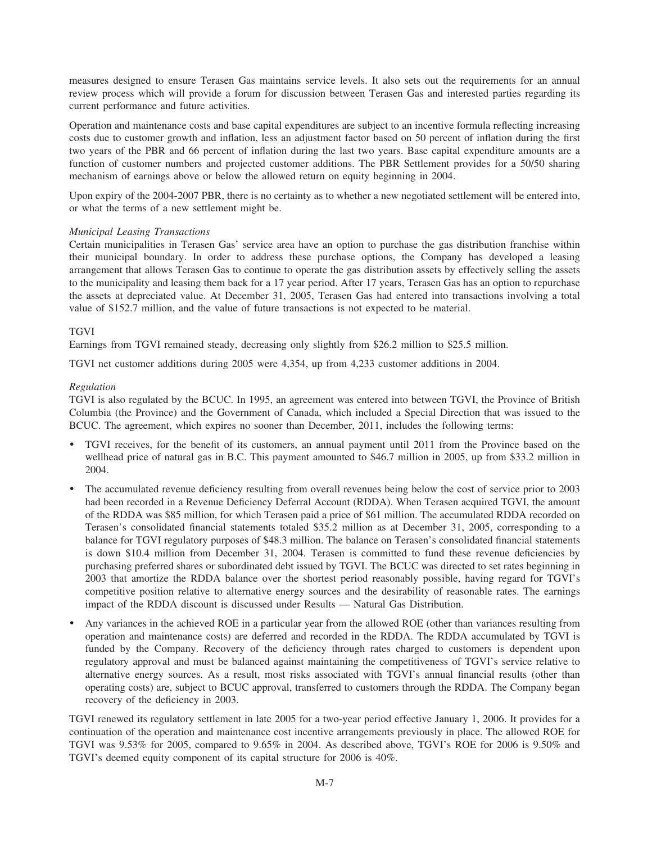measures designed to ensure Terasen Gas maintains service levels. It also sets out the requirements for an annual review process which will provide a forum for discussion between Terasen Gas and interested parties regarding its current performance and future activities.

Operation and maintenance costs and base capital expenditures are subject to an incentive formula reflecting increasing costs due to customer growth and inflation, less an adjustment factor based on 50 percent of inflation during the first two years of the PBR and 66 percent of inflation during the last two years. Base capital expenditure amounts are a function of customer numbers and projected customer additions. The PBR Settlement provides for a 50/50 sharing mechanism of earnings above or below the allowed return on equity beginning in 2004.

Upon expiry of the 2004-2007 PBR, there is no certainty as to whether a new negotiated settlement will be entered into, or what the terms of a new settlement might be.

### *Municipal Leasing Transactions*

Certain municipalities in Terasen Gas' service area have an option to purchase the gas distribution franchise within their municipal boundary. In order to address these purchase options, the Company has developed a leasing arrangement that allows Terasen Gas to continue to operate the gas distribution assets by effectively selling the assets to the municipality and leasing them back for a 17 year period. After 17 years, Terasen Gas has an option to repurchase the assets at depreciated value. At December 31, 2005, Terasen Gas had entered into transactions involving a total value of \$152.7 million, and the value of future transactions is not expected to be material.

### **TGVI**

Earnings from TGVI remained steady, decreasing only slightly from \$26.2 million to \$25.5 million.

TGVI net customer additions during 2005 were 4,354, up from 4,233 customer additions in 2004.

### *Regulation*

TGVI is also regulated by the BCUC. In 1995, an agreement was entered into between TGVI, the Province of British Columbia (the Province) and the Government of Canada, which included a Special Direction that was issued to the BCUC. The agreement, which expires no sooner than December, 2011, includes the following terms:

- ) TGVI receives, for the benefit of its customers, an annual payment until 2011 from the Province based on the wellhead price of natural gas in B.C. This payment amounted to \$46.7 million in 2005, up from \$33.2 million in 2004.
- ) The accumulated revenue deficiency resulting from overall revenues being below the cost of service prior to 2003 had been recorded in a Revenue Deficiency Deferral Account (RDDA). When Terasen acquired TGVI, the amount of the RDDA was \$85 million, for which Terasen paid a price of \$61 million. The accumulated RDDA recorded on Terasen's consolidated financial statements totaled \$35.2 million as at December 31, 2005, corresponding to a balance for TGVI regulatory purposes of \$48.3 million. The balance on Terasen's consolidated financial statements is down \$10.4 million from December 31, 2004. Terasen is committed to fund these revenue deficiencies by purchasing preferred shares or subordinated debt issued by TGVI. The BCUC was directed to set rates beginning in 2003 that amortize the RDDA balance over the shortest period reasonably possible, having regard for TGVI's competitive position relative to alternative energy sources and the desirability of reasonable rates. The earnings impact of the RDDA discount is discussed under Results — Natural Gas Distribution.
- ) Any variances in the achieved ROE in a particular year from the allowed ROE (other than variances resulting from operation and maintenance costs) are deferred and recorded in the RDDA. The RDDA accumulated by TGVI is funded by the Company. Recovery of the deficiency through rates charged to customers is dependent upon regulatory approval and must be balanced against maintaining the competitiveness of TGVI's service relative to alternative energy sources. As a result, most risks associated with TGVI's annual financial results (other than operating costs) are, subject to BCUC approval, transferred to customers through the RDDA. The Company began recovery of the deficiency in 2003.

TGVI renewed its regulatory settlement in late 2005 for a two-year period effective January 1, 2006. It provides for a continuation of the operation and maintenance cost incentive arrangements previously in place. The allowed ROE for TGVI was 9.53% for 2005, compared to 9.65% in 2004. As described above, TGVI's ROE for 2006 is 9.50% and TGVI's deemed equity component of its capital structure for 2006 is 40%.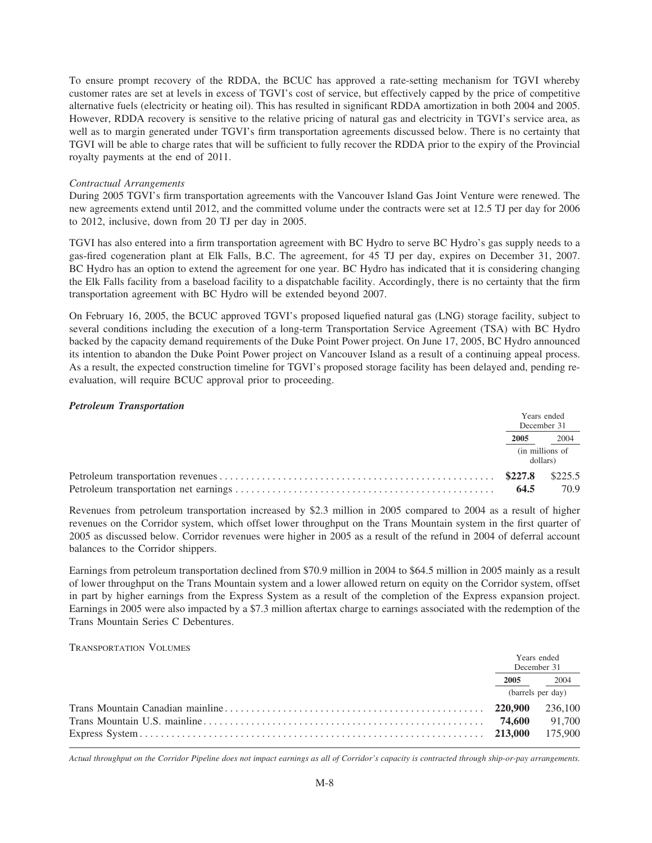To ensure prompt recovery of the RDDA, the BCUC has approved a rate-setting mechanism for TGVI whereby customer rates are set at levels in excess of TGVI's cost of service, but effectively capped by the price of competitive alternative fuels (electricity or heating oil). This has resulted in significant RDDA amortization in both 2004 and 2005. However, RDDA recovery is sensitive to the relative pricing of natural gas and electricity in TGVI's service area, as well as to margin generated under TGVI's firm transportation agreements discussed below. There is no certainty that TGVI will be able to charge rates that will be sufficient to fully recover the RDDA prior to the expiry of the Provincial royalty payments at the end of 2011.

### *Contractual Arrangements*

During 2005 TGVI's firm transportation agreements with the Vancouver Island Gas Joint Venture were renewed. The new agreements extend until 2012, and the committed volume under the contracts were set at 12.5 TJ per day for 2006 to 2012, inclusive, down from 20 TJ per day in 2005.

TGVI has also entered into a firm transportation agreement with BC Hydro to serve BC Hydro's gas supply needs to a gas-fired cogeneration plant at Elk Falls, B.C. The agreement, for 45 TJ per day, expires on December 31, 2007. BC Hydro has an option to extend the agreement for one year. BC Hydro has indicated that it is considering changing the Elk Falls facility from a baseload facility to a dispatchable facility. Accordingly, there is no certainty that the firm transportation agreement with BC Hydro will be extended beyond 2007.

On February 16, 2005, the BCUC approved TGVI's proposed liquefied natural gas (LNG) storage facility, subject to several conditions including the execution of a long-term Transportation Service Agreement (TSA) with BC Hydro backed by the capacity demand requirements of the Duke Point Power project. On June 17, 2005, BC Hydro announced its intention to abandon the Duke Point Power project on Vancouver Island as a result of a continuing appeal process. As a result, the expected construction timeline for TGVI's proposed storage facility has been delayed and, pending reevaluation, will require BCUC approval prior to proceeding.

### *Petroleum Transportation*

| Years ended<br>December 31  |                 |
|-----------------------------|-----------------|
| 2005                        | 2004            |
| (in millions of<br>dollars) |                 |
| \$227.8<br>64.5             | \$225.5<br>70.9 |

Revenues from petroleum transportation increased by \$2.3 million in 2005 compared to 2004 as a result of higher revenues on the Corridor system, which offset lower throughput on the Trans Mountain system in the first quarter of 2005 as discussed below. Corridor revenues were higher in 2005 as a result of the refund in 2004 of deferral account balances to the Corridor shippers.

Earnings from petroleum transportation declined from \$70.9 million in 2004 to \$64.5 million in 2005 mainly as a result of lower throughput on the Trans Mountain system and a lower allowed return on equity on the Corridor system, offset in part by higher earnings from the Express System as a result of the completion of the Express expansion project. Earnings in 2005 were also impacted by a \$7.3 million aftertax charge to earnings associated with the redemption of the Trans Mountain Series C Debentures.

# TRANSPORTATION VOLUMES

| Years ended<br>December 31 |  |
|----------------------------|--|
| 2005 2004                  |  |
| (barrels per day)          |  |
|                            |  |
|                            |  |
|                            |  |

*Actual throughput on the Corridor Pipeline does not impact earnings as all of Corridor's capacity is contracted through ship-or-pay arrangements.*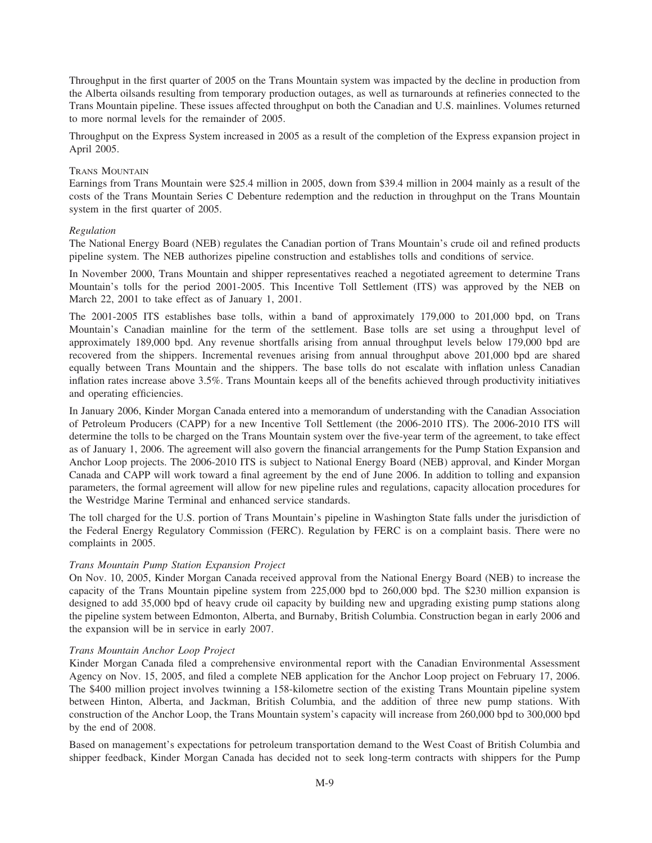Throughput in the first quarter of 2005 on the Trans Mountain system was impacted by the decline in production from the Alberta oilsands resulting from temporary production outages, as well as turnarounds at refineries connected to the Trans Mountain pipeline. These issues affected throughput on both the Canadian and U.S. mainlines. Volumes returned to more normal levels for the remainder of 2005.

Throughput on the Express System increased in 2005 as a result of the completion of the Express expansion project in April 2005.

# TRANS MOUNTAIN

Earnings from Trans Mountain were \$25.4 million in 2005, down from \$39.4 million in 2004 mainly as a result of the costs of the Trans Mountain Series C Debenture redemption and the reduction in throughput on the Trans Mountain system in the first quarter of 2005.

# *Regulation*

The National Energy Board (NEB) regulates the Canadian portion of Trans Mountain's crude oil and refined products pipeline system. The NEB authorizes pipeline construction and establishes tolls and conditions of service.

In November 2000, Trans Mountain and shipper representatives reached a negotiated agreement to determine Trans Mountain's tolls for the period 2001-2005. This Incentive Toll Settlement (ITS) was approved by the NEB on March 22, 2001 to take effect as of January 1, 2001.

The 2001-2005 ITS establishes base tolls, within a band of approximately 179,000 to 201,000 bpd, on Trans Mountain's Canadian mainline for the term of the settlement. Base tolls are set using a throughput level of approximately 189,000 bpd. Any revenue shortfalls arising from annual throughput levels below 179,000 bpd are recovered from the shippers. Incremental revenues arising from annual throughput above 201,000 bpd are shared equally between Trans Mountain and the shippers. The base tolls do not escalate with inflation unless Canadian inflation rates increase above 3.5%. Trans Mountain keeps all of the benefits achieved through productivity initiatives and operating efficiencies.

In January 2006, Kinder Morgan Canada entered into a memorandum of understanding with the Canadian Association of Petroleum Producers (CAPP) for a new Incentive Toll Settlement (the 2006-2010 ITS). The 2006-2010 ITS will determine the tolls to be charged on the Trans Mountain system over the five-year term of the agreement, to take effect as of January 1, 2006. The agreement will also govern the financial arrangements for the Pump Station Expansion and Anchor Loop projects. The 2006-2010 ITS is subject to National Energy Board (NEB) approval, and Kinder Morgan Canada and CAPP will work toward a final agreement by the end of June 2006. In addition to tolling and expansion parameters, the formal agreement will allow for new pipeline rules and regulations, capacity allocation procedures for the Westridge Marine Terminal and enhanced service standards.

The toll charged for the U.S. portion of Trans Mountain's pipeline in Washington State falls under the jurisdiction of the Federal Energy Regulatory Commission (FERC). Regulation by FERC is on a complaint basis. There were no complaints in 2005.

# *Trans Mountain Pump Station Expansion Project*

On Nov. 10, 2005, Kinder Morgan Canada received approval from the National Energy Board (NEB) to increase the capacity of the Trans Mountain pipeline system from 225,000 bpd to 260,000 bpd. The \$230 million expansion is designed to add 35,000 bpd of heavy crude oil capacity by building new and upgrading existing pump stations along the pipeline system between Edmonton, Alberta, and Burnaby, British Columbia. Construction began in early 2006 and the expansion will be in service in early 2007.

# *Trans Mountain Anchor Loop Project*

Kinder Morgan Canada filed a comprehensive environmental report with the Canadian Environmental Assessment Agency on Nov. 15, 2005, and filed a complete NEB application for the Anchor Loop project on February 17, 2006. The \$400 million project involves twinning a 158-kilometre section of the existing Trans Mountain pipeline system between Hinton, Alberta, and Jackman, British Columbia, and the addition of three new pump stations. With construction of the Anchor Loop, the Trans Mountain system's capacity will increase from 260,000 bpd to 300,000 bpd by the end of 2008.

Based on management's expectations for petroleum transportation demand to the West Coast of British Columbia and shipper feedback, Kinder Morgan Canada has decided not to seek long-term contracts with shippers for the Pump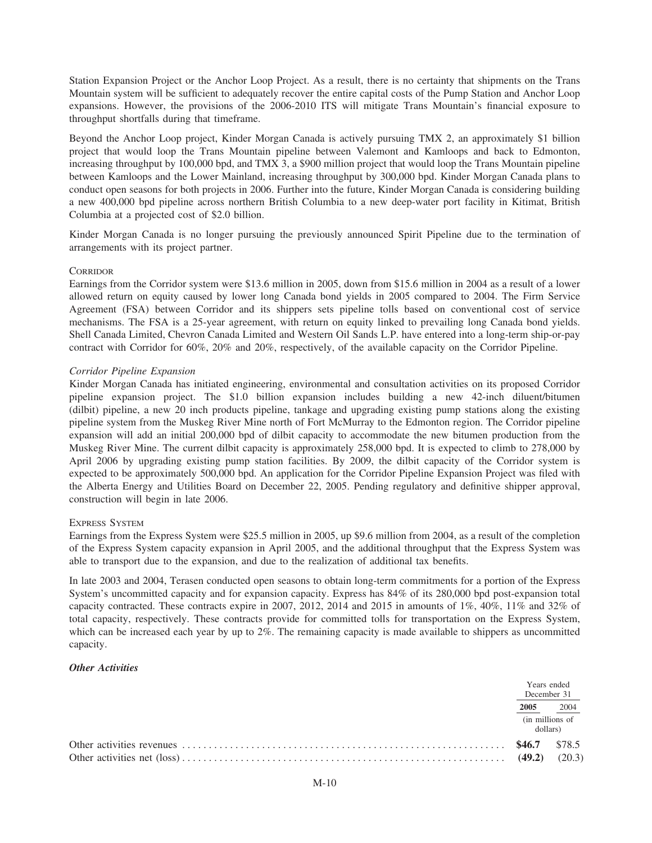Station Expansion Project or the Anchor Loop Project. As a result, there is no certainty that shipments on the Trans Mountain system will be sufficient to adequately recover the entire capital costs of the Pump Station and Anchor Loop expansions. However, the provisions of the 2006-2010 ITS will mitigate Trans Mountain's financial exposure to throughput shortfalls during that timeframe.

Beyond the Anchor Loop project, Kinder Morgan Canada is actively pursuing TMX 2, an approximately \$1 billion project that would loop the Trans Mountain pipeline between Valemont and Kamloops and back to Edmonton, increasing throughput by 100,000 bpd, and TMX 3, a \$900 million project that would loop the Trans Mountain pipeline between Kamloops and the Lower Mainland, increasing throughput by 300,000 bpd. Kinder Morgan Canada plans to conduct open seasons for both projects in 2006. Further into the future, Kinder Morgan Canada is considering building a new 400,000 bpd pipeline across northern British Columbia to a new deep-water port facility in Kitimat, British Columbia at a projected cost of \$2.0 billion.

Kinder Morgan Canada is no longer pursuing the previously announced Spirit Pipeline due to the termination of arrangements with its project partner.

### **CORRIDOR**

Earnings from the Corridor system were \$13.6 million in 2005, down from \$15.6 million in 2004 as a result of a lower allowed return on equity caused by lower long Canada bond yields in 2005 compared to 2004. The Firm Service Agreement (FSA) between Corridor and its shippers sets pipeline tolls based on conventional cost of service mechanisms. The FSA is a 25-year agreement, with return on equity linked to prevailing long Canada bond yields. Shell Canada Limited, Chevron Canada Limited and Western Oil Sands L.P. have entered into a long-term ship-or-pay contract with Corridor for 60%, 20% and 20%, respectively, of the available capacity on the Corridor Pipeline.

### *Corridor Pipeline Expansion*

Kinder Morgan Canada has initiated engineering, environmental and consultation activities on its proposed Corridor pipeline expansion project. The \$1.0 billion expansion includes building a new 42-inch diluent/bitumen (dilbit) pipeline, a new 20 inch products pipeline, tankage and upgrading existing pump stations along the existing pipeline system from the Muskeg River Mine north of Fort McMurray to the Edmonton region. The Corridor pipeline expansion will add an initial 200,000 bpd of dilbit capacity to accommodate the new bitumen production from the Muskeg River Mine. The current dilbit capacity is approximately 258,000 bpd. It is expected to climb to 278,000 by April 2006 by upgrading existing pump station facilities. By 2009, the dilbit capacity of the Corridor system is expected to be approximately 500,000 bpd. An application for the Corridor Pipeline Expansion Project was filed with the Alberta Energy and Utilities Board on December 22, 2005. Pending regulatory and definitive shipper approval, construction will begin in late 2006.

### EXPRESS SYSTEM

Earnings from the Express System were \$25.5 million in 2005, up \$9.6 million from 2004, as a result of the completion of the Express System capacity expansion in April 2005, and the additional throughput that the Express System was able to transport due to the expansion, and due to the realization of additional tax benefits.

In late 2003 and 2004, Terasen conducted open seasons to obtain long-term commitments for a portion of the Express System's uncommitted capacity and for expansion capacity. Express has 84% of its 280,000 bpd post-expansion total capacity contracted. These contracts expire in 2007, 2012, 2014 and 2015 in amounts of 1%, 40%, 11% and 32% of total capacity, respectively. These contracts provide for committed tolls for transportation on the Express System, which can be increased each year by up to 2%. The remaining capacity is made available to shippers as uncommitted capacity.

### *Other Activities*

| Years ended<br>December 31  |                  |
|-----------------------------|------------------|
| 2005                        | $\frac{2004}{ }$ |
| (in millions of<br>dollars) |                  |
| (49.2)                      | \$78.5<br>(20.3) |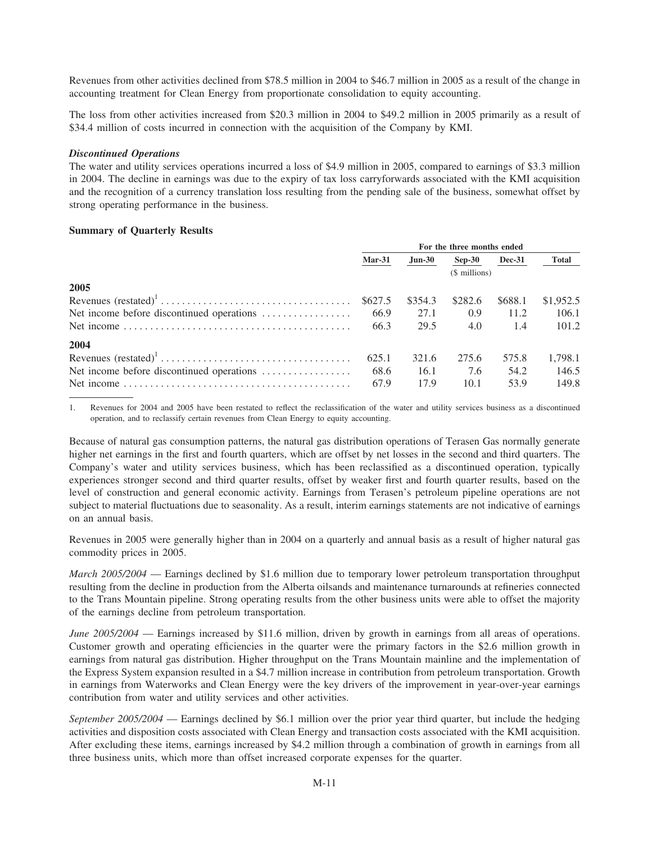Revenues from other activities declined from \$78.5 million in 2004 to \$46.7 million in 2005 as a result of the change in accounting treatment for Clean Energy from proportionate consolidation to equity accounting.

The loss from other activities increased from \$20.3 million in 2004 to \$49.2 million in 2005 primarily as a result of \$34.4 million of costs incurred in connection with the acquisition of the Company by KMI.

### **Discontinued Operations**

The water and utility services operations incurred a loss of \$4.9 million in 2005, compared to earnings of \$3.3 million in 2004. The decline in earnings was due to the expiry of tax loss carryforwards associated with the KMI acquisition and the recognition of a currency translation loss resulting from the pending sale of the business, somewhat offset by strong operating performance in the business.

### **Summary of Quarterly Results**

|                                           | For the three months ended |               |          |               |           |
|-------------------------------------------|----------------------------|---------------|----------|---------------|-----------|
|                                           | $Mar-31$                   | <b>Jun-30</b> | $Sep-30$ | <b>Dec-31</b> | Total     |
|                                           | (\$ millions)              |               |          |               |           |
| 2005                                      |                            |               |          |               |           |
|                                           | \$627.5                    | \$354.3       | \$282.6  | \$688.1       | \$1,952.5 |
| Net income before discontinued operations | 66.9                       | 27.1          | 0.9      | 11.2          | 106.1     |
|                                           | 66.3                       | 29.5          | 4.0      | 1.4           | 101.2     |
| 2004                                      |                            |               |          |               |           |
|                                           | 625.1                      | 321.6         | 275.6    | 575.8         | 1,798.1   |
| Net income before discontinued operations | 68.6                       | 16.1          | 7.6      | 54.2          | 146.5     |
|                                           | 67.9                       | 17.9          | 10.1     | 53.9          | 149.8     |

 $1.$ Revenues for 2004 and 2005 have been restated to reflect the reclassification of the water and utility services business as a discontinued operation, and to reclassify certain revenues from Clean Energy to equity accounting.

Because of natural gas consumption patterns, the natural gas distribution operations of Terasen Gas normally generate higher net earnings in the first and fourth quarters, which are offset by net losses in the second and third quarters. The Company's water and utility services business, which has been reclassified as a discontinued operation, typically experiences stronger second and third quarter results, offset by weaker first and fourth quarter results, based on the level of construction and general economic activity. Earnings from Terasen's petroleum pipeline operations are not subject to material fluctuations due to seasonality. As a result, interim earnings statements are not indicative of earnings on an annual basis.

Revenues in 2005 were generally higher than in 2004 on a quarterly and annual basis as a result of higher natural gas commodity prices in 2005.

*March*  $2005/2004$  — Earnings declined by \$1.6 million due to temporary lower petroleum transportation throughput resulting from the decline in production from the Alberta oilsands and maintenance turnarounds at refineries connected to the Trans Mountain pipeline. Strong operating results from the other business units were able to offset the majority of the earnings decline from petroleum transportation.

June 2005/2004 — Earnings increased by \$11.6 million, driven by growth in earnings from all areas of operations. Customer growth and operating efficiencies in the quarter were the primary factors in the \$2.6 million growth in earnings from natural gas distribution. Higher throughput on the Trans Mountain mainline and the implementation of the Express System expansion resulted in a \$4.7 million increase in contribution from petroleum transportation. Growth in earnings from Waterworks and Clean Energy were the key drivers of the improvement in year-over-year earnings contribution from water and utility services and other activities.

September 2005/2004 — Earnings declined by \$6.1 million over the prior year third quarter, but include the hedging activities and disposition costs associated with Clean Energy and transaction costs associated with the KMI acquisition. After excluding these items, earnings increased by \$4.2 million through a combination of growth in earnings from all three business units, which more than offset increased corporate expenses for the quarter.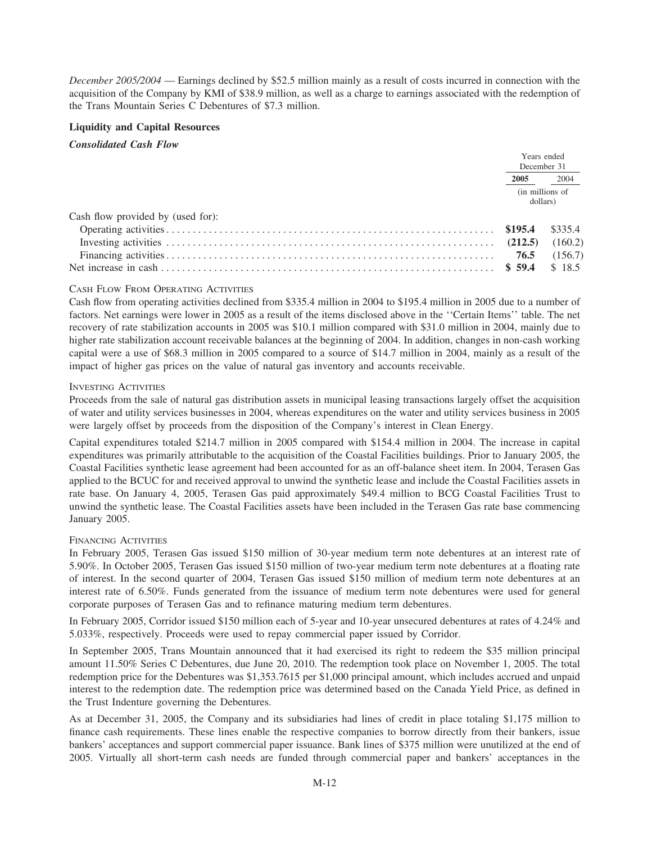December 2005/2004 — Earnings declined by \$52.5 million mainly as a result of costs incurred in connection with the acquisition of the Company by KMI of \$38.9 million, as well as a charge to earnings associated with the redemption of the Trans Mountain Series C Debentures of \$7.3 million.

# **Liquidity and Capital Resources**

**Consolidated Cash Flow** 

|                                   | Years ended<br>December 31  |         |
|-----------------------------------|-----------------------------|---------|
|                                   | 2005                        | 2004    |
|                                   | (in millions of<br>dollars) |         |
| Cash flow provided by (used for): |                             |         |
|                                   | \$195.4                     | \$335.4 |
|                                   | (212.5)                     | (160.2) |
|                                   | 76.5                        | (156.7) |
|                                   | \$59.4                      | \$18.5  |

# **CASH FLOW FROM OPERATING ACTIVITIES**

Cash flow from operating activities declined from \$335.4 million in 2004 to \$195.4 million in 2005 due to a number of factors. Net earnings were lower in 2005 as a result of the items disclosed above in the "Certain Items" table. The net recovery of rate stabilization accounts in 2005 was \$10.1 million compared with \$31.0 million in 2004, mainly due to higher rate stabilization account receivable balances at the beginning of 2004. In addition, changes in non-cash working capital were a use of \$68.3 million in 2005 compared to a source of \$14.7 million in 2004, mainly as a result of the impact of higher gas prices on the value of natural gas inventory and accounts receivable.

# **INVESTING ACTIVITIES**

Proceeds from the sale of natural gas distribution assets in municipal leasing transactions largely offset the acquisition of water and utility services businesses in 2004, whereas expenditures on the water and utility services business in 2005 were largely offset by proceeds from the disposition of the Company's interest in Clean Energy.

Capital expenditures totaled \$214.7 million in 2005 compared with \$154.4 million in 2004. The increase in capital expenditures was primarily attributable to the acquisition of the Coastal Facilities buildings. Prior to January 2005, the Coastal Facilities synthetic lease agreement had been accounted for as an off-balance sheet item. In 2004, Terasen Gas applied to the BCUC for and received approval to unwind the synthetic lease and include the Coastal Facilities assets in rate base. On January 4, 2005, Terasen Gas paid approximately \$49.4 million to BCG Coastal Facilities Trust to unwind the synthetic lease. The Coastal Facilities assets have been included in the Terasen Gas rate base commencing January 2005.

# **FINANCING ACTIVITIES**

In February 2005, Terasen Gas issued \$150 million of 30-year medium term note debentures at an interest rate of 5.90%. In October 2005, Terasen Gas issued \$150 million of two-year medium term note debentures at a floating rate of interest. In the second quarter of 2004, Terasen Gas issued \$150 million of medium term note debentures at an interest rate of 6.50%. Funds generated from the issuance of medium term note debentures were used for general corporate purposes of Terasen Gas and to refinance maturing medium term debentures.

In February 2005, Corridor issued \$150 million each of 5-year and 10-year unsecured debentures at rates of 4.24% and 5.033%, respectively. Proceeds were used to repay commercial paper issued by Corridor.

In September 2005, Trans Mountain announced that it had exercised its right to redeem the \$35 million principal amount 11.50% Series C Debentures, due June 20, 2010. The redemption took place on November 1, 2005. The total redemption price for the Debentures was \$1,353.7615 per \$1,000 principal amount, which includes accrued and unpaid interest to the redemption date. The redemption price was determined based on the Canada Yield Price, as defined in the Trust Indenture governing the Debentures.

As at December 31, 2005, the Company and its subsidiaries had lines of credit in place totaling \$1,175 million to finance cash requirements. These lines enable the respective companies to borrow directly from their bankers, issue bankers' acceptances and support commercial paper issuance. Bank lines of \$375 million were unutilized at the end of 2005. Virtually all short-term cash needs are funded through commercial paper and bankers' acceptances in the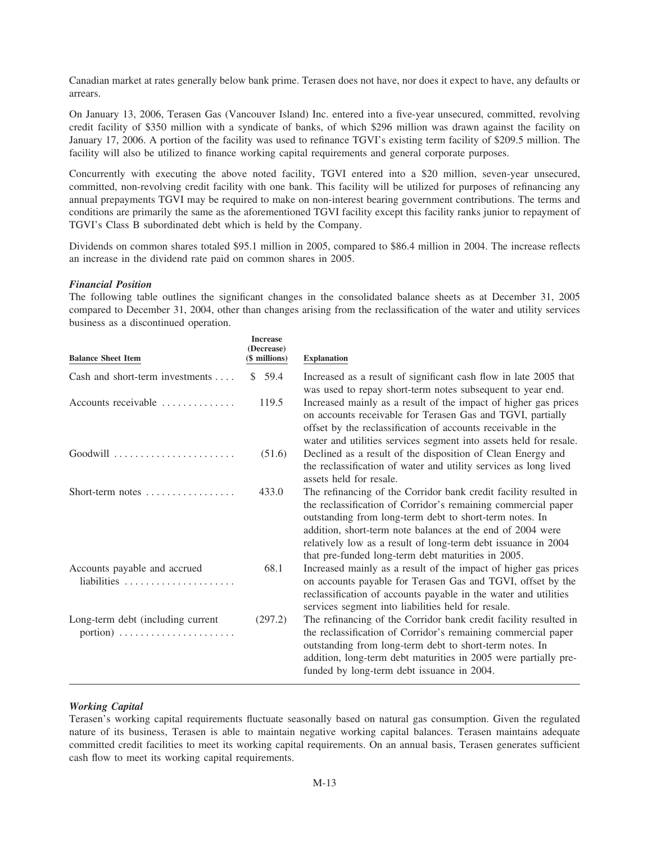Canadian market at rates generally below bank prime. Terasen does not have, nor does it expect to have, any defaults or arrears.

On January 13, 2006, Terasen Gas (Vancouver Island) Inc. entered into a five-year unsecured, committed, revolving credit facility of \$350 million with a syndicate of banks, of which \$296 million was drawn against the facility on January 17, 2006. A portion of the facility was used to refinance TGVI's existing term facility of \$209.5 million. The facility will also be utilized to finance working capital requirements and general corporate purposes.

Concurrently with executing the above noted facility, TGVI entered into a \$20 million, seven-year unsecured, committed, non-revolving credit facility with one bank. This facility will be utilized for purposes of refinancing any annual prepayments TGVI may be required to make on non-interest bearing government contributions. The terms and conditions are primarily the same as the aforementioned TGVI facility except this facility ranks junior to repayment of TGVI's Class B subordinated debt which is held by the Company.

Dividends on common shares totaled \$95.1 million in 2005, compared to \$86.4 million in 2004. The increase reflects an increase in the dividend rate paid on common shares in 2005.

### *Financial Position*

The following table outlines the significant changes in the consolidated balance sheets as at December 31, 2005 compared to December 31, 2004, other than changes arising from the reclassification of the water and utility services business as a discontinued operation.

| <b>Balance Sheet Item</b>                         | <b>Increase</b><br>(Decrease)<br>(\$ millions) | <b>Explanation</b>                                                                                                                                                                                                                                                                                                                                                                |
|---------------------------------------------------|------------------------------------------------|-----------------------------------------------------------------------------------------------------------------------------------------------------------------------------------------------------------------------------------------------------------------------------------------------------------------------------------------------------------------------------------|
| Cash and short-term investments                   | 59.4<br>S.                                     | Increased as a result of significant cash flow in late 2005 that<br>was used to repay short-term notes subsequent to year end.                                                                                                                                                                                                                                                    |
| Accounts receivable                               | 119.5                                          | Increased mainly as a result of the impact of higher gas prices<br>on accounts receivable for Terasen Gas and TGVI, partially<br>offset by the reclassification of accounts receivable in the<br>water and utilities services segment into assets held for resale.                                                                                                                |
|                                                   | (51.6)                                         | Declined as a result of the disposition of Clean Energy and<br>the reclassification of water and utility services as long lived<br>assets held for resale.                                                                                                                                                                                                                        |
| Short-term notes $\dots\dots\dots\dots\dots\dots$ | 433.0                                          | The refinancing of the Corridor bank credit facility resulted in<br>the reclassification of Corridor's remaining commercial paper<br>outstanding from long-term debt to short-term notes. In<br>addition, short-term note balances at the end of 2004 were<br>relatively low as a result of long-term debt issuance in 2004<br>that pre-funded long-term debt maturities in 2005. |
| Accounts payable and accrued                      | 68.1                                           | Increased mainly as a result of the impact of higher gas prices<br>on accounts payable for Terasen Gas and TGVI, offset by the<br>reclassification of accounts payable in the water and utilities<br>services segment into liabilities held for resale.                                                                                                                           |
| Long-term debt (including current                 | (297.2)                                        | The refinancing of the Corridor bank credit facility resulted in<br>the reclassification of Corridor's remaining commercial paper<br>outstanding from long-term debt to short-term notes. In<br>addition, long-term debt maturities in 2005 were partially pre-<br>funded by long-term debt issuance in 2004.                                                                     |

# *Working Capital*

Terasen's working capital requirements fluctuate seasonally based on natural gas consumption. Given the regulated nature of its business, Terasen is able to maintain negative working capital balances. Terasen maintains adequate committed credit facilities to meet its working capital requirements. On an annual basis, Terasen generates sufficient cash flow to meet its working capital requirements.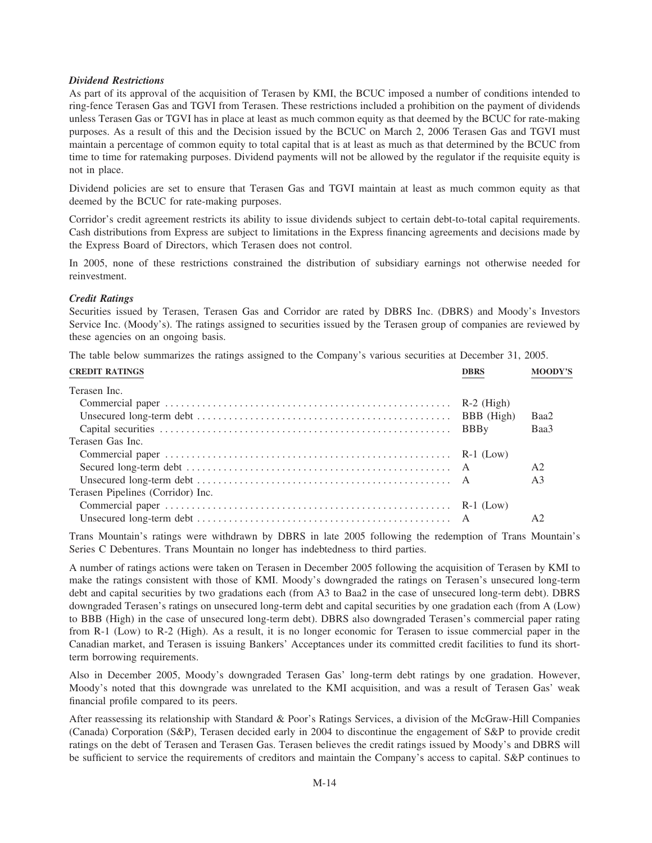# **Dividend Restrictions**

As part of its approval of the acquisition of Terasen by KMI, the BCUC imposed a number of conditions intended to ring-fence Terasen Gas and TGVI from Terasen. These restrictions included a prohibition on the payment of dividends unless Terasen Gas or TGVI has in place at least as much common equity as that deemed by the BCUC for rate-making purposes. As a result of this and the Decision issued by the BCUC on March 2, 2006 Terasen Gas and TGVI must maintain a percentage of common equity to total capital that is at least as much as that determined by the BCUC from time to time for ratemaking purposes. Dividend payments will not be allowed by the regulator if the requisite equity is not in place.

Dividend policies are set to ensure that Terasen Gas and TGVI maintain at least as much common equity as that deemed by the BCUC for rate-making purposes.

Corridor's credit agreement restricts its ability to issue dividends subject to certain debt-to-total capital requirements. Cash distributions from Express are subject to limitations in the Express financing agreements and decisions made by the Express Board of Directors, which Terasen does not control.

In 2005, none of these restrictions constrained the distribution of subsidiary earnings not otherwise needed for reinvestment.

### **Credit Ratings**

Securities issued by Terasen, Terasen Gas and Corridor are rated by DBRS Inc. (DBRS) and Moody's Investors Service Inc. (Moody's). The ratings assigned to securities issued by the Terasen group of companies are reviewed by these agencies on an ongoing basis.

The table below summarizes the ratings assigned to the Company's various securities at December 31, 2005.

| <b>CREDIT RATINGS</b>             | <b>DBRS</b> | <b>MOODY'S</b> |
|-----------------------------------|-------------|----------------|
| Terasen Inc.                      |             |                |
|                                   |             |                |
|                                   |             | Baa2           |
|                                   |             | Baa3           |
| Terasen Gas Inc.                  |             |                |
|                                   |             |                |
|                                   |             | A <sub>2</sub> |
|                                   |             | A <sub>3</sub> |
| Terasen Pipelines (Corridor) Inc. |             |                |
|                                   |             |                |
|                                   |             | A2             |

Trans Mountain's ratings were withdrawn by DBRS in late 2005 following the redemption of Trans Mountain's Series C Debentures. Trans Mountain no longer has indebtedness to third parties.

A number of ratings actions were taken on Terasen in December 2005 following the acquisition of Terasen by KMI to make the ratings consistent with those of KMI. Moody's downgraded the ratings on Terasen's unsecured long-term debt and capital securities by two gradations each (from A3 to Baa2 in the case of unsecured long-term debt). DBRS downgraded Terasen's ratings on unsecured long-term debt and capital securities by one gradation each (from A (Low) to BBB (High) in the case of unsecured long-term debt). DBRS also downgraded Terasen's commercial paper rating from R-1 (Low) to R-2 (High). As a result, it is no longer economic for Terasen to issue commercial paper in the Canadian market, and Terasen is issuing Bankers' Acceptances under its committed credit facilities to fund its shortterm borrowing requirements.

Also in December 2005, Moody's downgraded Terasen Gas' long-term debt ratings by one gradation. However, Moody's noted that this downgrade was unrelated to the KMI acquisition, and was a result of Terasen Gas' weak financial profile compared to its peers.

After reassessing its relationship with Standard & Poor's Ratings Services, a division of the McGraw-Hill Companies (Canada) Corporation (S&P), Terasen decided early in 2004 to discontinue the engagement of S&P to provide credit ratings on the debt of Terasen and Terasen Gas. Terasen believes the credit ratings issued by Moody's and DBRS will be sufficient to service the requirements of creditors and maintain the Company's access to capital. S&P continues to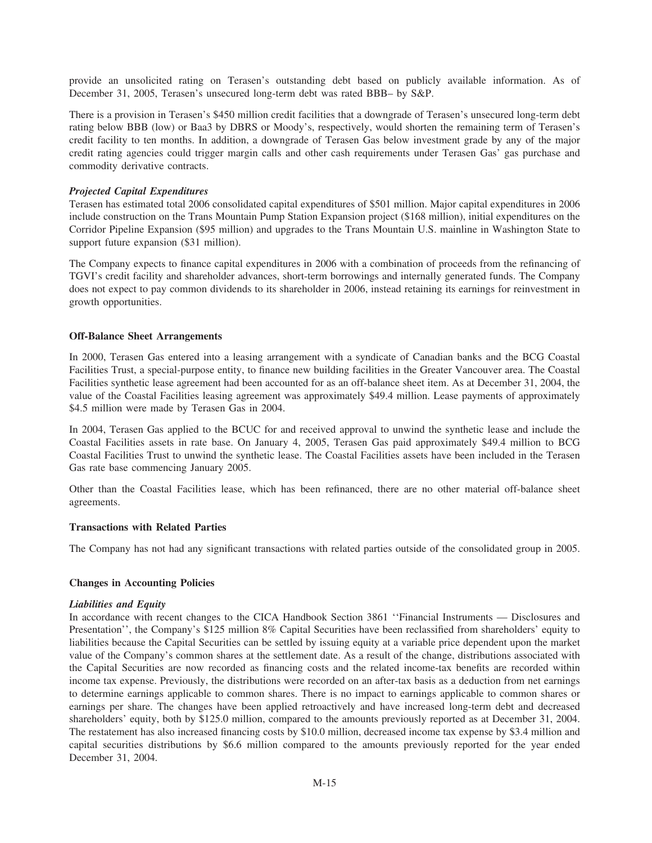provide an unsolicited rating on Terasen's outstanding debt based on publicly available information. As of December 31, 2005, Terasen's unsecured long-term debt was rated BBB– by S&P.

There is a provision in Terasen's \$450 million credit facilities that a downgrade of Terasen's unsecured long-term debt rating below BBB (low) or Baa3 by DBRS or Moody's, respectively, would shorten the remaining term of Terasen's credit facility to ten months. In addition, a downgrade of Terasen Gas below investment grade by any of the major credit rating agencies could trigger margin calls and other cash requirements under Terasen Gas' gas purchase and commodity derivative contracts.

## *Projected Capital Expenditures*

Terasen has estimated total 2006 consolidated capital expenditures of \$501 million. Major capital expenditures in 2006 include construction on the Trans Mountain Pump Station Expansion project (\$168 million), initial expenditures on the Corridor Pipeline Expansion (\$95 million) and upgrades to the Trans Mountain U.S. mainline in Washington State to support future expansion (\$31 million).

The Company expects to finance capital expenditures in 2006 with a combination of proceeds from the refinancing of TGVI's credit facility and shareholder advances, short-term borrowings and internally generated funds. The Company does not expect to pay common dividends to its shareholder in 2006, instead retaining its earnings for reinvestment in growth opportunities.

#### **Off-Balance Sheet Arrangements**

In 2000, Terasen Gas entered into a leasing arrangement with a syndicate of Canadian banks and the BCG Coastal Facilities Trust, a special-purpose entity, to finance new building facilities in the Greater Vancouver area. The Coastal Facilities synthetic lease agreement had been accounted for as an off-balance sheet item. As at December 31, 2004, the value of the Coastal Facilities leasing agreement was approximately \$49.4 million. Lease payments of approximately \$4.5 million were made by Terasen Gas in 2004.

In 2004, Terasen Gas applied to the BCUC for and received approval to unwind the synthetic lease and include the Coastal Facilities assets in rate base. On January 4, 2005, Terasen Gas paid approximately \$49.4 million to BCG Coastal Facilities Trust to unwind the synthetic lease. The Coastal Facilities assets have been included in the Terasen Gas rate base commencing January 2005.

Other than the Coastal Facilities lease, which has been refinanced, there are no other material off-balance sheet agreements.

#### **Transactions with Related Parties**

The Company has not had any significant transactions with related parties outside of the consolidated group in 2005.

#### **Changes in Accounting Policies**

#### *Liabilities and Equity*

In accordance with recent changes to the CICA Handbook Section 3861 ''Financial Instruments — Disclosures and Presentation'', the Company's \$125 million 8% Capital Securities have been reclassified from shareholders' equity to liabilities because the Capital Securities can be settled by issuing equity at a variable price dependent upon the market value of the Company's common shares at the settlement date. As a result of the change, distributions associated with the Capital Securities are now recorded as financing costs and the related income-tax benefits are recorded within income tax expense. Previously, the distributions were recorded on an after-tax basis as a deduction from net earnings to determine earnings applicable to common shares. There is no impact to earnings applicable to common shares or earnings per share. The changes have been applied retroactively and have increased long-term debt and decreased shareholders' equity, both by \$125.0 million, compared to the amounts previously reported as at December 31, 2004. The restatement has also increased financing costs by \$10.0 million, decreased income tax expense by \$3.4 million and capital securities distributions by \$6.6 million compared to the amounts previously reported for the year ended December 31, 2004.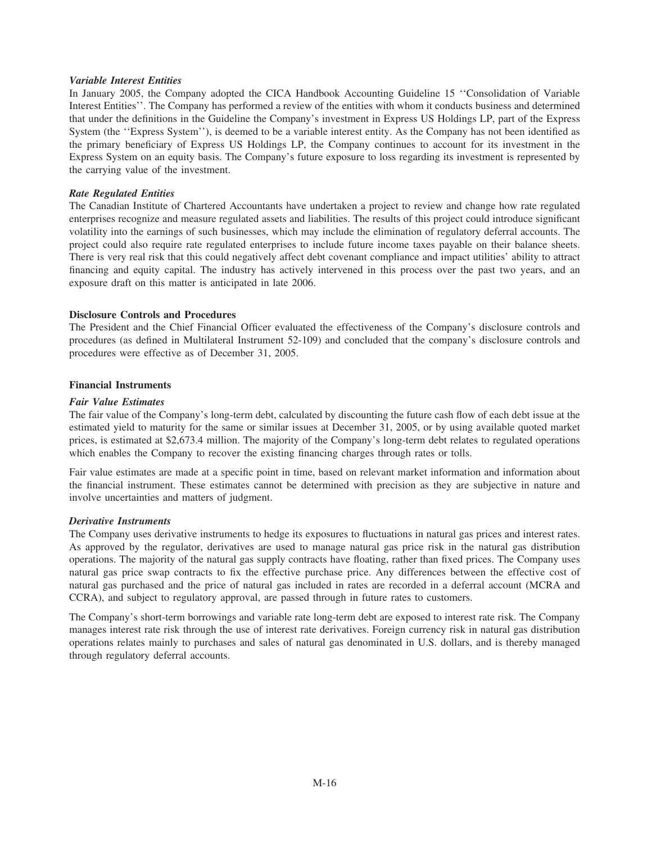## *Variable Interest Entities*

In January 2005, the Company adopted the CICA Handbook Accounting Guideline 15 ''Consolidation of Variable Interest Entities''. The Company has performed a review of the entities with whom it conducts business and determined that under the definitions in the Guideline the Company's investment in Express US Holdings LP, part of the Express System (the ''Express System''), is deemed to be a variable interest entity. As the Company has not been identified as the primary beneficiary of Express US Holdings LP, the Company continues to account for its investment in the Express System on an equity basis. The Company's future exposure to loss regarding its investment is represented by the carrying value of the investment.

# *Rate Regulated Entities*

The Canadian Institute of Chartered Accountants have undertaken a project to review and change how rate regulated enterprises recognize and measure regulated assets and liabilities. The results of this project could introduce significant volatility into the earnings of such businesses, which may include the elimination of regulatory deferral accounts. The project could also require rate regulated enterprises to include future income taxes payable on their balance sheets. There is very real risk that this could negatively affect debt covenant compliance and impact utilities' ability to attract financing and equity capital. The industry has actively intervened in this process over the past two years, and an exposure draft on this matter is anticipated in late 2006.

# **Disclosure Controls and Procedures**

The President and the Chief Financial Officer evaluated the effectiveness of the Company's disclosure controls and procedures (as defined in Multilateral Instrument 52-109) and concluded that the company's disclosure controls and procedures were effective as of December 31, 2005.

## **Financial Instruments**

# *Fair Value Estimates*

The fair value of the Company's long-term debt, calculated by discounting the future cash flow of each debt issue at the estimated yield to maturity for the same or similar issues at December 31, 2005, or by using available quoted market prices, is estimated at \$2,673.4 million. The majority of the Company's long-term debt relates to regulated operations which enables the Company to recover the existing financing charges through rates or tolls.

Fair value estimates are made at a specific point in time, based on relevant market information and information about the financial instrument. These estimates cannot be determined with precision as they are subjective in nature and involve uncertainties and matters of judgment.

## *Derivative Instruments*

The Company uses derivative instruments to hedge its exposures to fluctuations in natural gas prices and interest rates. As approved by the regulator, derivatives are used to manage natural gas price risk in the natural gas distribution operations. The majority of the natural gas supply contracts have floating, rather than fixed prices. The Company uses natural gas price swap contracts to fix the effective purchase price. Any differences between the effective cost of natural gas purchased and the price of natural gas included in rates are recorded in a deferral account (MCRA and CCRA), and subject to regulatory approval, are passed through in future rates to customers.

The Company's short-term borrowings and variable rate long-term debt are exposed to interest rate risk. The Company manages interest rate risk through the use of interest rate derivatives. Foreign currency risk in natural gas distribution operations relates mainly to purchases and sales of natural gas denominated in U.S. dollars, and is thereby managed through regulatory deferral accounts.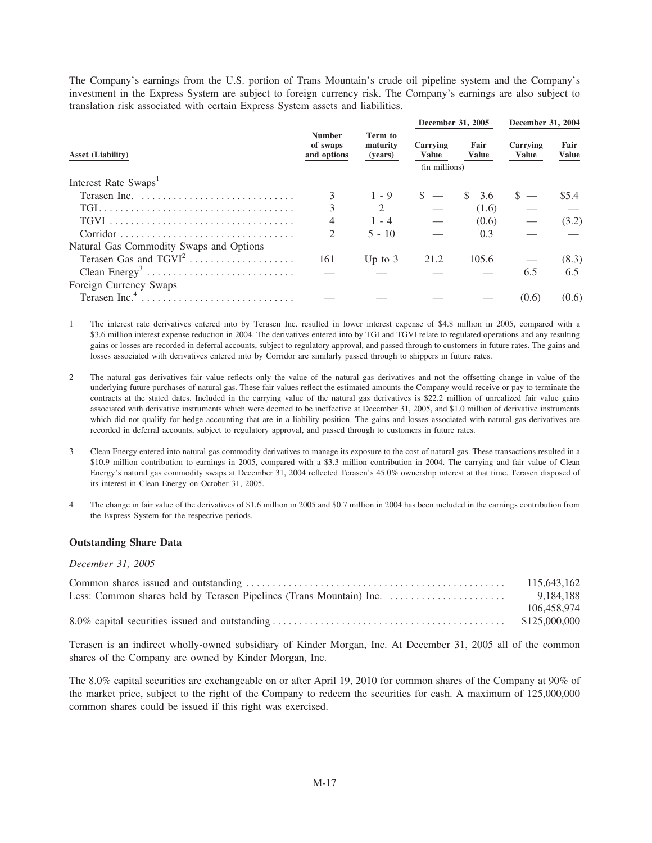The Company's earnings from the U.S. portion of Trans Mountain's crude oil pipeline system and the Company's investment in the Express System are subject to foreign currency risk. The Company's earnings are also subject to translation risk associated with certain Express System assets and liabilities.

|                                         |                                          |                                | December 31, 2005                         |                      | December 31, 2004        |                      |
|-----------------------------------------|------------------------------------------|--------------------------------|-------------------------------------------|----------------------|--------------------------|----------------------|
| <b>Asset (Liability)</b>                | <b>Number</b><br>of swaps<br>and options | Term to<br>maturity<br>(years) | Carrying<br><b>Value</b><br>(in millions) | Fair<br><b>Value</b> | Carrying<br><b>Value</b> | Fair<br><b>Value</b> |
| Interest Rate Swaps <sup>1</sup>        |                                          |                                |                                           |                      |                          |                      |
|                                         |                                          | $1 - 9$                        |                                           | 3.6                  | $s =$                    | \$5.4                |
|                                         | 3                                        | $\mathcal{L}$                  |                                           | (1.6)                |                          |                      |
|                                         | 4                                        | $1 - 4$                        |                                           | (0.6)                |                          | (3.2)                |
|                                         | $\mathfrak{D}$                           | $5 - 10$                       |                                           | 0.3                  |                          |                      |
| Natural Gas Commodity Swaps and Options |                                          |                                |                                           |                      |                          |                      |
| Terasen Gas and $TGVI2$                 | 161                                      | Up to $3$                      | 21.2                                      | 105.6                |                          | (8.3)                |
|                                         |                                          |                                |                                           |                      | 6.5                      | 6.5                  |
| Foreign Currency Swaps                  |                                          |                                |                                           |                      |                          |                      |
|                                         |                                          |                                |                                           |                      | (0.6)                    | (0.6)                |

The interest rate derivatives entered into by Terasen Inc. resulted in lower interest expense of \$4.8 million in 2005, compared with a  $\mathbf{1}$ \$3.6 million interest expense reduction in 2004. The derivatives entered into by TGI and TGVI relate to regulated operations and any resulting gains or losses are recorded in deferral accounts, subject to regulatory approval, and passed through to customers in future rates. The gains and losses associated with derivatives entered into by Corridor are similarly passed through to shippers in future rates.

- The natural gas derivatives fair value reflects only the value of the natural gas derivatives and not the offsetting change in value of the  $\overline{2}$ underlying future purchases of natural gas. These fair values reflect the estimated amounts the Company would receive or pay to terminate the contracts at the stated dates. Included in the carrying value of the natural gas derivatives is \$22.2 million of unrealized fair value gains associated with derivative instruments which were deemed to be ineffective at December 31, 2005, and \$1.0 million of derivative instruments which did not qualify for hedge accounting that are in a liability position. The gains and losses associated with natural gas derivatives are recorded in deferral accounts, subject to regulatory approval, and passed through to customers in future rates.
- 3 Clean Energy entered into natural gas commodity derivatives to manage its exposure to the cost of natural gas. These transactions resulted in a \$10.9 million contribution to earnings in 2005, compared with a \$3.3 million contribution in 2004. The carrying and fair value of Clean Energy's natural gas commodity swaps at December 31, 2004 reflected Terasen's 45.0% ownership interest at that time. Terasen disposed of its interest in Clean Energy on October 31, 2005.
- The change in fair value of the derivatives of \$1.6 million in 2005 and \$0.7 million in 2004 has been included in the earnings contribution from  $\overline{4}$ the Express System for the respective periods.

## **Outstanding Share Data**

#### December 31, 2005

| 115,643,162 |
|-------------|
|             |
| 106,458,974 |
|             |

Terasen is an indirect wholly-owned subsidiary of Kinder Morgan, Inc. At December 31, 2005 all of the common shares of the Company are owned by Kinder Morgan, Inc.

The 8.0% capital securities are exchangeable on or after April 19, 2010 for common shares of the Company at 90% of the market price, subject to the right of the Company to redeem the securities for cash. A maximum of 125,000,000 common shares could be issued if this right was exercised.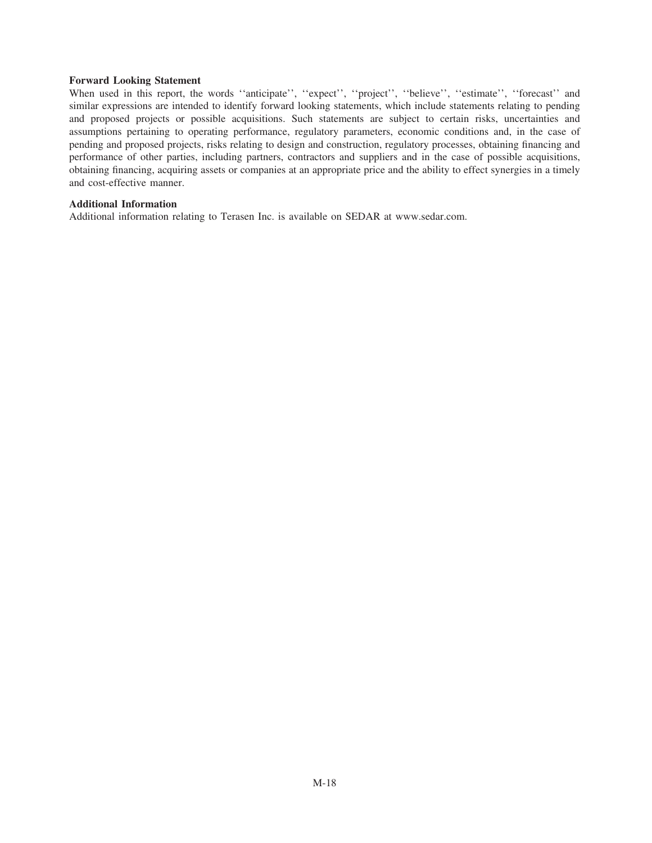#### **Forward Looking Statement**

When used in this report, the words "anticipate", "expect", "project", "believe", "estimate", "forecast" and similar expressions are intended to identify forward looking statements, which include statements relating to pending and proposed projects or possible acquisitions. Such statements are subject to certain risks, uncertainties and assumptions pertaining to operating performance, regulatory parameters, economic conditions and, in the case of pending and proposed projects, risks relating to design and construction, regulatory processes, obtaining financing and performance of other parties, including partners, contractors and suppliers and in the case of possible acquisitions, obtaining financing, acquiring assets or companies at an appropriate price and the ability to effect synergies in a timely and cost-effective manner.

## **Additional Information**

Additional information relating to Terasen Inc. is available on SEDAR at www.sedar.com.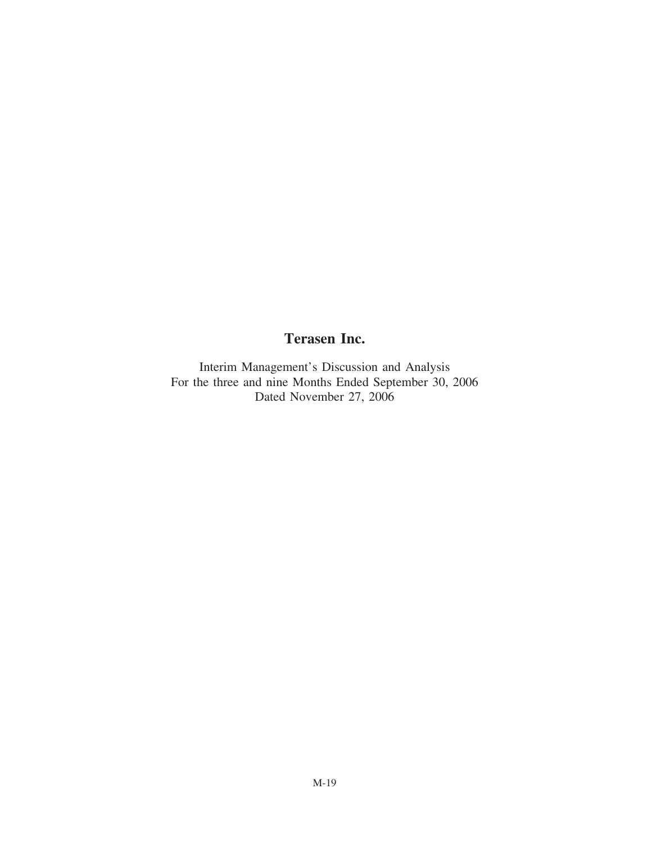# **Terasen Inc.**

Interim Management's Discussion and Analysis For the three and nine Months Ended September 30, 2006 Dated November 27, 2006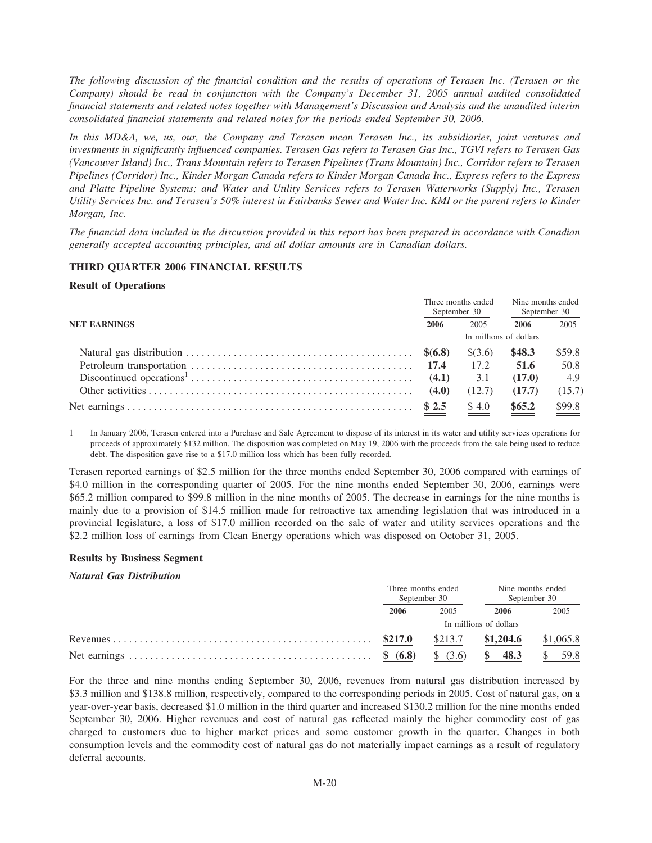The following discussion of the financial condition and the results of operations of Terasen Inc. (Terasen or the Company) should be read in conjunction with the Company's December 31, 2005 annual audited consolidated financial statements and related notes together with Management's Discussion and Analysis and the unaudited interim consolidated financial statements and related notes for the periods ended September 30, 2006.

In this MD&A, we, us, our, the Company and Terasen mean Terasen Inc., its subsidiaries, joint ventures and investments in significantly influenced companies. Terasen Gas refers to Terasen Gas Inc., TGVI refers to Terasen Gas (Vancouver Island) Inc., Trans Mountain refers to Terasen Pipelines (Trans Mountain) Inc., Corridor refers to Terasen Pipelines (Corridor) Inc., Kinder Morgan Canada refers to Kinder Morgan Canada Inc., Express refers to the Express and Platte Pipeline Systems; and Water and Utility Services refers to Terasen Waterworks (Supply) Inc., Terasen Utility Services Inc. and Terasen's 50% interest in Fairbanks Sewer and Water Inc. KMI or the parent refers to Kinder Morgan, Inc.

The financial data included in the discussion provided in this report has been prepared in accordance with Canadian generally accepted accounting principles, and all dollar amounts are in Canadian dollars.

#### THIRD QUARTER 2006 FINANCIAL RESULTS

#### **Result of Operations**

| <b>NET EARNINGS</b> |                        | Three months ended<br>September 30 | Nine months ended<br>September 30 |                               |
|---------------------|------------------------|------------------------------------|-----------------------------------|-------------------------------|
|                     |                        | 2005                               | 2006                              | 2005                          |
|                     | In millions of dollars |                                    |                                   |                               |
|                     |                        | \$(3.6)                            | \$48.3                            | \$59.8                        |
|                     |                        | 17.2                               | 51.6                              | 50.8                          |
|                     |                        | 3.1                                | (17.0)                            | 4.9                           |
|                     |                        | (12.7)                             | (17.7)                            | (15.7)                        |
|                     | $\underline{\$ 2.5}$   | $\underline{\$4.0}$                | $\underbrace{$65.2}$              | $\underline{\frac{$99.8}{2}}$ |

In January 2006, Terasen entered into a Purchase and Sale Agreement to dispose of its interest in its water and utility services operations for proceeds of approximately \$132 million. The disposition was completed on May 19, 2006 with the proceeds from the sale being used to reduce debt. The disposition gave rise to a \$17.0 million loss which has been fully recorded.

Terasen reported earnings of \$2.5 million for the three months ended September 30, 2006 compared with earnings of \$4.0 million in the corresponding quarter of 2005. For the nine months ended September 30, 2006, earnings were \$65.2 million compared to \$99.8 million in the nine months of 2005. The decrease in earnings for the nine months is mainly due to a provision of \$14.5 million made for retroactive tax amending legislation that was introduced in a provincial legislature, a loss of \$17.0 million recorded on the sale of water and utility services operations and the \$2.2 million loss of earnings from Clean Energy operations which was disposed on October 31, 2005.

#### **Results by Business Segment**

#### **Natural Gas Distribution**

|          | Three months ended<br>September 30 | Nine months ended<br>September 30 |           |  |
|----------|------------------------------------|-----------------------------------|-----------|--|
| 2006     | 2005                               | 2006                              | 2005      |  |
|          |                                    | In millions of dollars            |           |  |
| \$217.0  | \$213.7                            | \$1,204.6                         | \$1,065.8 |  |
| \$ (6.8) | \$ (3.6)                           | 48.3                              | 59.8      |  |

For the three and nine months ending September 30, 2006, revenues from natural gas distribution increased by \$3.3 million and \$138.8 million, respectively, compared to the corresponding periods in 2005. Cost of natural gas, on a year-over-year basis, decreased \$1.0 million in the third quarter and increased \$130.2 million for the nine months ended September 30, 2006. Higher revenues and cost of natural gas reflected mainly the higher commodity cost of gas charged to customers due to higher market prices and some customer growth in the quarter. Changes in both consumption levels and the commodity cost of natural gas do not materially impact earnings as a result of regulatory deferral accounts.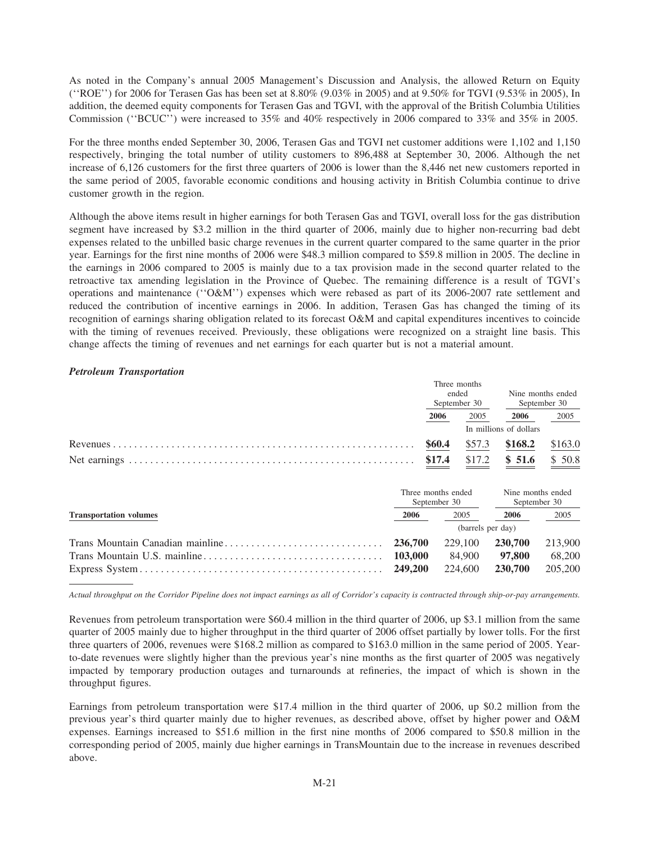As noted in the Company's annual 2005 Management's Discussion and Analysis, the allowed Return on Equity (''ROE'') for 2006 for Terasen Gas has been set at 8.80% (9.03% in 2005) and at 9.50% for TGVI (9.53% in 2005), In addition, the deemed equity components for Terasen Gas and TGVI, with the approval of the British Columbia Utilities Commission (''BCUC'') were increased to 35% and 40% respectively in 2006 compared to 33% and 35% in 2005.

For the three months ended September 30, 2006, Terasen Gas and TGVI net customer additions were 1,102 and 1,150 respectively, bringing the total number of utility customers to 896,488 at September 30, 2006. Although the net increase of 6,126 customers for the first three quarters of 2006 is lower than the 8,446 net new customers reported in the same period of 2005, favorable economic conditions and housing activity in British Columbia continue to drive customer growth in the region.

Although the above items result in higher earnings for both Terasen Gas and TGVI, overall loss for the gas distribution segment have increased by \$3.2 million in the third quarter of 2006, mainly due to higher non-recurring bad debt expenses related to the unbilled basic charge revenues in the current quarter compared to the same quarter in the prior year. Earnings for the first nine months of 2006 were \$48.3 million compared to \$59.8 million in 2005. The decline in the earnings in 2006 compared to 2005 is mainly due to a tax provision made in the second quarter related to the retroactive tax amending legislation in the Province of Quebec. The remaining difference is a result of TGVI's operations and maintenance (''O&M'') expenses which were rebased as part of its 2006-2007 rate settlement and reduced the contribution of incentive earnings in 2006. In addition, Terasen Gas has changed the timing of its recognition of earnings sharing obligation related to its forecast O&M and capital expenditures incentives to coincide with the timing of revenues received. Previously, these obligations were recognized on a straight line basis. This change affects the timing of revenues and net earnings for each quarter but is not a material amount.

# *Petroleum Transportation*

|                               |                    |              | Three months      |                        |                                   |
|-------------------------------|--------------------|--------------|-------------------|------------------------|-----------------------------------|
|                               |                    | ended        |                   | Nine months ended      |                                   |
|                               |                    |              | September 30      | September 30           |                                   |
|                               |                    | 2006         | 2005              | 2006                   | 2005                              |
|                               |                    |              |                   | In millions of dollars |                                   |
|                               |                    | \$60.4       | \$57.3            | \$168.2                | \$163.0                           |
|                               |                    | \$17.4       | \$17.2            | \$51.6                 | \$50.8                            |
|                               | Three months ended | September 30 |                   |                        | Nine months ended<br>September 30 |
| <b>Transportation volumes</b> | 2006               |              | 2005              | 2006                   | 2005                              |
|                               |                    |              | (barrels per day) |                        |                                   |
|                               | 236,700            |              | 229,100           | 230,700                | 213,900                           |
|                               | 103,000            |              | 84,900            | 97,800                 | 68,200                            |
|                               | 249,200            |              | 224,600           | 230,700                | 205,200                           |

*Actual throughput on the Corridor Pipeline does not impact earnings as all of Corridor's capacity is contracted through ship-or-pay arrangements.*

Revenues from petroleum transportation were \$60.4 million in the third quarter of 2006, up \$3.1 million from the same quarter of 2005 mainly due to higher throughput in the third quarter of 2006 offset partially by lower tolls. For the first three quarters of 2006, revenues were \$168.2 million as compared to \$163.0 million in the same period of 2005. Yearto-date revenues were slightly higher than the previous year's nine months as the first quarter of 2005 was negatively impacted by temporary production outages and turnarounds at refineries, the impact of which is shown in the throughput figures.

Earnings from petroleum transportation were \$17.4 million in the third quarter of 2006, up \$0.2 million from the previous year's third quarter mainly due to higher revenues, as described above, offset by higher power and O&M expenses. Earnings increased to \$51.6 million in the first nine months of 2006 compared to \$50.8 million in the corresponding period of 2005, mainly due higher earnings in TransMountain due to the increase in revenues described above.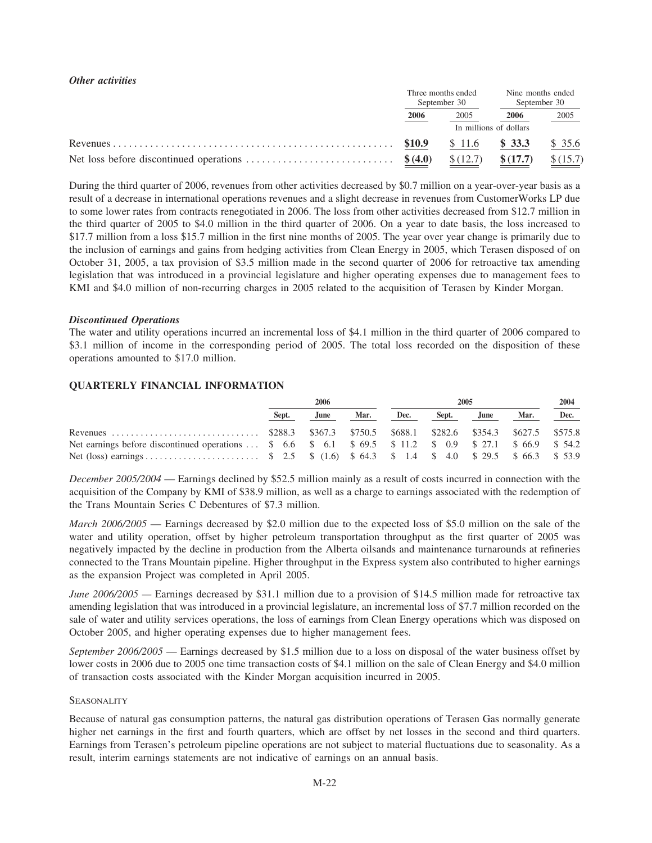# *Other activities*

|                        | Three months ended<br>September 30 | Nine months ended<br>September 30 |          |  |
|------------------------|------------------------------------|-----------------------------------|----------|--|
| 2006                   | 2005                               | 2006                              | $-2005$  |  |
| In millions of dollars |                                    |                                   |          |  |
| \$10.9                 | \$11.6                             | \$33.3                            | \$35.6   |  |
|                        | \$(12.7)                           | \$(17.7)                          | \$(15.7) |  |

During the third quarter of 2006, revenues from other activities decreased by \$0.7 million on a year-over-year basis as a result of a decrease in international operations revenues and a slight decrease in revenues from CustomerWorks LP due to some lower rates from contracts renegotiated in 2006. The loss from other activities decreased from \$12.7 million in the third quarter of 2005 to \$4.0 million in the third quarter of 2006. On a year to date basis, the loss increased to \$17.7 million from a loss \$15.7 million in the first nine months of 2005. The year over year change is primarily due to the inclusion of earnings and gains from hedging activities from Clean Energy in 2005, which Terasen disposed of on October 31, 2005, a tax provision of \$3.5 million made in the second quarter of 2006 for retroactive tax amending legislation that was introduced in a provincial legislature and higher operating expenses due to management fees to KMI and \$4.0 million of non-recurring charges in 2005 related to the acquisition of Terasen by Kinder Morgan.

## *Discontinued Operations*

The water and utility operations incurred an incremental loss of \$4.1 million in the third quarter of 2006 compared to \$3.1 million of income in the corresponding period of 2005. The total loss recorded on the disposition of these operations amounted to \$17.0 million.

# **QUARTERLY FINANCIAL INFORMATION**

|                                                                                                           | 2006  |      |      | 2005 |       |      |      | 2004 |
|-----------------------------------------------------------------------------------------------------------|-------|------|------|------|-------|------|------|------|
|                                                                                                           | Sept. | June | Mar. | Dec. | Sept. | June | Mar. | Dec. |
|                                                                                                           |       |      |      |      |       |      |      |      |
| Net earnings before discontinued operations  \$ 6.6 \$ 6.1 \$ 69.5 \$ 11.2 \$ 0.9 \$ 27.1 \$ 66.9 \$ 54.2 |       |      |      |      |       |      |      |      |
|                                                                                                           |       |      |      |      |       |      |      |      |

*December 2005/2004* — Earnings declined by \$52.5 million mainly as a result of costs incurred in connection with the acquisition of the Company by KMI of \$38.9 million, as well as a charge to earnings associated with the redemption of the Trans Mountain Series C Debentures of \$7.3 million.

*March 2006/2005* — Earnings decreased by \$2.0 million due to the expected loss of \$5.0 million on the sale of the water and utility operation, offset by higher petroleum transportation throughput as the first quarter of 2005 was negatively impacted by the decline in production from the Alberta oilsands and maintenance turnarounds at refineries connected to the Trans Mountain pipeline. Higher throughput in the Express system also contributed to higher earnings as the expansion Project was completed in April 2005.

*June 2006/2005* — Earnings decreased by \$31.1 million due to a provision of \$14.5 million made for retroactive tax amending legislation that was introduced in a provincial legislature, an incremental loss of \$7.7 million recorded on the sale of water and utility services operations, the loss of earnings from Clean Energy operations which was disposed on October 2005, and higher operating expenses due to higher management fees.

*September 2006/2005* — Earnings decreased by \$1.5 million due to a loss on disposal of the water business offset by lower costs in 2006 due to 2005 one time transaction costs of \$4.1 million on the sale of Clean Energy and \$4.0 million of transaction costs associated with the Kinder Morgan acquisition incurred in 2005.

## **SEASONALITY**

Because of natural gas consumption patterns, the natural gas distribution operations of Terasen Gas normally generate higher net earnings in the first and fourth quarters, which are offset by net losses in the second and third quarters. Earnings from Terasen's petroleum pipeline operations are not subject to material fluctuations due to seasonality. As a result, interim earnings statements are not indicative of earnings on an annual basis.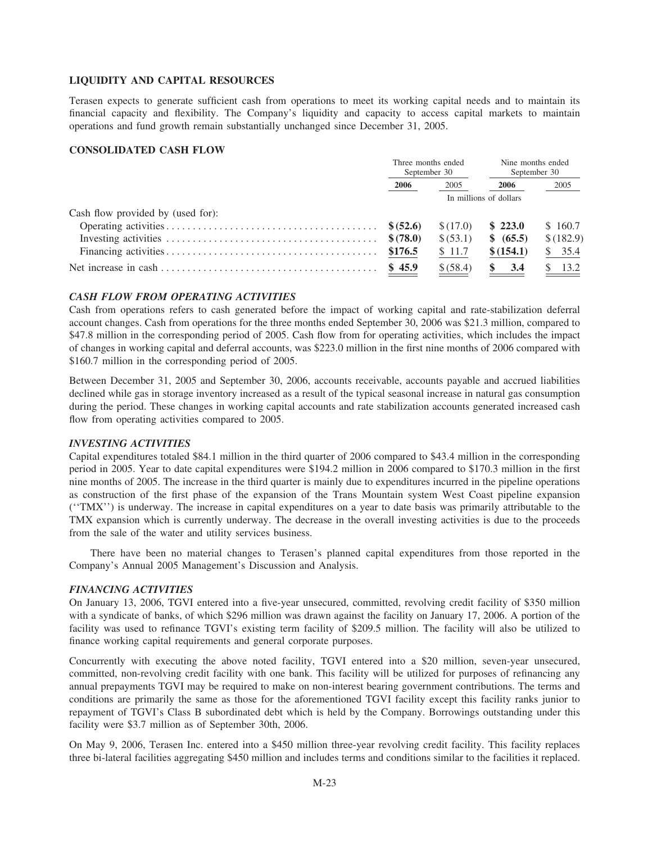## **LIQUIDITY AND CAPITAL RESOURCES**

Terasen expects to generate sufficient cash from operations to meet its working capital needs and to maintain its financial capacity and flexibility. The Company's liquidity and capacity to access capital markets to maintain operations and fund growth remain substantially unchanged since December 31, 2005.

# **CONSOLIDATED CASH FLOW**

|                                   | Three months ended<br>September 30 |           | Nine months ended<br>September 30 |           |
|-----------------------------------|------------------------------------|-----------|-----------------------------------|-----------|
|                                   | 2006                               | 2005      | 2006                              | 2005      |
|                                   | In millions of dollars             |           |                                   |           |
| Cash flow provided by (used for): |                                    |           |                                   |           |
|                                   |                                    | \$(17.0)  | \$223.0                           | \$160.7   |
|                                   |                                    | \$ (53.1) | \$ (65.5)                         | \$(182.9) |
|                                   | \$176.5                            | \$11.7    | \$(154.1)                         | \$35.4    |
|                                   | \$45.9                             | \$ (58.4) | 3.4                               | 13.2      |

#### *CASH FLOW FROM OPERATING ACTIVITIES*

Cash from operations refers to cash generated before the impact of working capital and rate-stabilization deferral account changes. Cash from operations for the three months ended September 30, 2006 was \$21.3 million, compared to \$47.8 million in the corresponding period of 2005. Cash flow from for operating activities, which includes the impact of changes in working capital and deferral accounts, was \$223.0 million in the first nine months of 2006 compared with \$160.7 million in the corresponding period of 2005.

Between December 31, 2005 and September 30, 2006, accounts receivable, accounts payable and accrued liabilities declined while gas in storage inventory increased as a result of the typical seasonal increase in natural gas consumption during the period. These changes in working capital accounts and rate stabilization accounts generated increased cash flow from operating activities compared to 2005.

#### *INVESTING ACTIVITIES*

Capital expenditures totaled \$84.1 million in the third quarter of 2006 compared to \$43.4 million in the corresponding period in 2005. Year to date capital expenditures were \$194.2 million in 2006 compared to \$170.3 million in the first nine months of 2005. The increase in the third quarter is mainly due to expenditures incurred in the pipeline operations as construction of the first phase of the expansion of the Trans Mountain system West Coast pipeline expansion (''TMX'') is underway. The increase in capital expenditures on a year to date basis was primarily attributable to the TMX expansion which is currently underway. The decrease in the overall investing activities is due to the proceeds from the sale of the water and utility services business.

There have been no material changes to Terasen's planned capital expenditures from those reported in the Company's Annual 2005 Management's Discussion and Analysis.

#### *FINANCING ACTIVITIES*

On January 13, 2006, TGVI entered into a five-year unsecured, committed, revolving credit facility of \$350 million with a syndicate of banks, of which \$296 million was drawn against the facility on January 17, 2006. A portion of the facility was used to refinance TGVI's existing term facility of \$209.5 million. The facility will also be utilized to finance working capital requirements and general corporate purposes.

Concurrently with executing the above noted facility, TGVI entered into a \$20 million, seven-year unsecured, committed, non-revolving credit facility with one bank. This facility will be utilized for purposes of refinancing any annual prepayments TGVI may be required to make on non-interest bearing government contributions. The terms and conditions are primarily the same as those for the aforementioned TGVI facility except this facility ranks junior to repayment of TGVI's Class B subordinated debt which is held by the Company. Borrowings outstanding under this facility were \$3.7 million as of September 30th, 2006.

On May 9, 2006, Terasen Inc. entered into a \$450 million three-year revolving credit facility. This facility replaces three bi-lateral facilities aggregating \$450 million and includes terms and conditions similar to the facilities it replaced.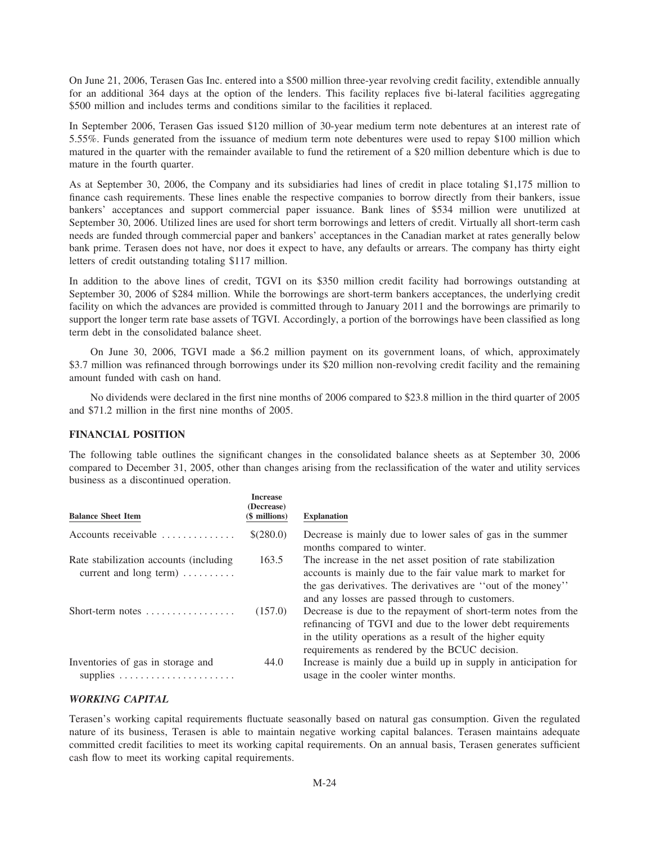On June 21, 2006, Terasen Gas Inc. entered into a \$500 million three-year revolving credit facility, extendible annually for an additional 364 days at the option of the lenders. This facility replaces five bi-lateral facilities aggregating \$500 million and includes terms and conditions similar to the facilities it replaced.

In September 2006, Terasen Gas issued \$120 million of 30-year medium term note debentures at an interest rate of 5.55%. Funds generated from the issuance of medium term note debentures were used to repay \$100 million which matured in the quarter with the remainder available to fund the retirement of a \$20 million debenture which is due to mature in the fourth quarter.

As at September 30, 2006, the Company and its subsidiaries had lines of credit in place totaling \$1,175 million to finance cash requirements. These lines enable the respective companies to borrow directly from their bankers, issue bankers' acceptances and support commercial paper issuance. Bank lines of \$534 million were unutilized at September 30, 2006. Utilized lines are used for short term borrowings and letters of credit. Virtually all short-term cash needs are funded through commercial paper and bankers' acceptances in the Canadian market at rates generally below bank prime. Terasen does not have, nor does it expect to have, any defaults or arrears. The company has thirty eight letters of credit outstanding totaling \$117 million.

In addition to the above lines of credit, TGVI on its \$350 million credit facility had borrowings outstanding at September 30, 2006 of \$284 million. While the borrowings are short-term bankers acceptances, the underlying credit facility on which the advances are provided is committed through to January 2011 and the borrowings are primarily to support the longer term rate base assets of TGVI. Accordingly, a portion of the borrowings have been classified as long term debt in the consolidated balance sheet.

On June 30, 2006, TGVI made a \$6.2 million payment on its government loans, of which, approximately \$3.7 million was refinanced through borrowings under its \$20 million non-revolving credit facility and the remaining amount funded with cash on hand.

No dividends were declared in the first nine months of 2006 compared to \$23.8 million in the third quarter of 2005 and \$71.2 million in the first nine months of 2005.

#### **FINANCIAL POSITION**

The following table outlines the significant changes in the consolidated balance sheets as at September 30, 2006 compared to December 31, 2005, other than changes arising from the reclassification of the water and utility services business as a discontinued operation.

| <b>Balance Sheet Item</b>                                                                 | <b>Increase</b><br>(Decrease)<br>(\$ millions) | <b>Explanation</b>                                                                                                                                                                                                                            |
|-------------------------------------------------------------------------------------------|------------------------------------------------|-----------------------------------------------------------------------------------------------------------------------------------------------------------------------------------------------------------------------------------------------|
| Accounts receivable                                                                       | \$(280.0)                                      | Decrease is mainly due to lower sales of gas in the summer<br>months compared to winter.                                                                                                                                                      |
| Rate stabilization accounts (including<br>current and long term) $\dots \dots$            | 163.5                                          | The increase in the net asset position of rate stabilization<br>accounts is mainly due to the fair value mark to market for<br>the gas derivatives. The derivatives are "out of the money"<br>and any losses are passed through to customers. |
| Short-term notes $\dots\dots\dots\dots\dots\dots$                                         | (157.0)                                        | Decrease is due to the repayment of short-term notes from the<br>refinancing of TGVI and due to the lower debt requirements<br>in the utility operations as a result of the higher equity<br>requirements as rendered by the BCUC decision.   |
| Inventories of gas in storage and<br>supplies $\ldots \ldots \ldots \ldots \ldots \ldots$ | 44.0                                           | Increase is mainly due a build up in supply in anticipation for<br>usage in the cooler winter months.                                                                                                                                         |

## *WORKING CAPITAL*

Terasen's working capital requirements fluctuate seasonally based on natural gas consumption. Given the regulated nature of its business, Terasen is able to maintain negative working capital balances. Terasen maintains adequate committed credit facilities to meet its working capital requirements. On an annual basis, Terasen generates sufficient cash flow to meet its working capital requirements.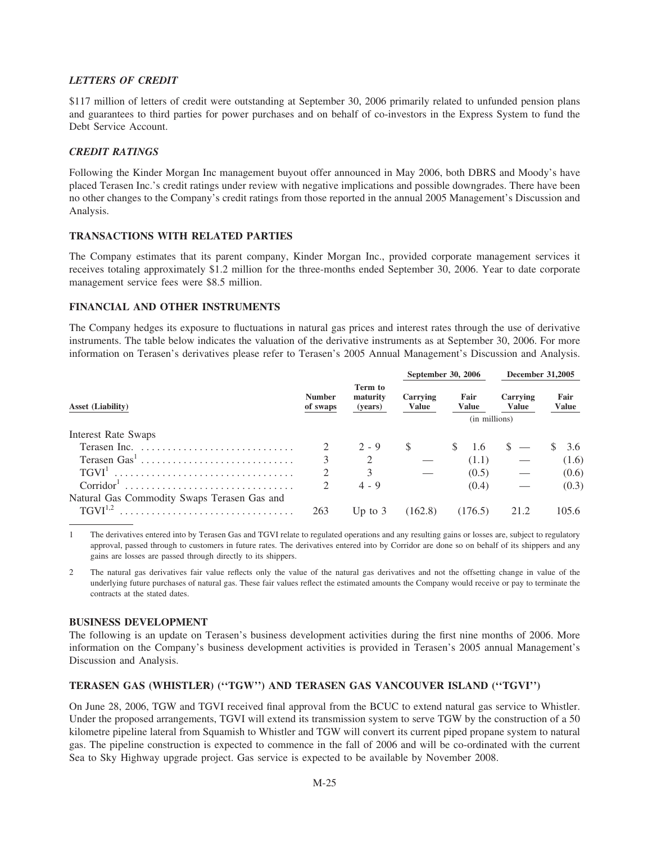# **LETTERS OF CREDIT**

\$117 million of letters of credit were outstanding at September 30, 2006 primarily related to unfunded pension plans and guarantees to third parties for power purchases and on behalf of co-investors in the Express System to fund the Debt Service Account.

# **CREDIT RATINGS**

Following the Kinder Morgan Inc management buyout offer announced in May 2006, both DBRS and Moody's have placed Terasen Inc.'s credit ratings under review with negative implications and possible downgrades. There have been no other changes to the Company's credit ratings from those reported in the annual 2005 Management's Discussion and Analysis.

## **TRANSACTIONS WITH RELATED PARTIES**

The Company estimates that its parent company, Kinder Morgan Inc., provided corporate management services it receives totaling approximately \$1.2 million for the three-months ended September 30, 2006. Year to date corporate management service fees were \$8.5 million.

# FINANCIAL AND OTHER INSTRUMENTS

The Company hedges its exposure to fluctuations in natural gas prices and interest rates through the use of derivative instruments. The table below indicates the valuation of the derivative instruments as at September 30, 2006. For more information on Terasen's derivatives please refer to Terasen's 2005 Annual Management's Discussion and Analysis.

|                                             |                             |                                |                   | September 30, 2006   | <b>December 31,2005</b>  |                      |
|---------------------------------------------|-----------------------------|--------------------------------|-------------------|----------------------|--------------------------|----------------------|
| Asset (Liability)                           | <b>Number</b><br>of swaps   | Term to<br>maturity<br>(years) | Carrying<br>Value | Fair<br><b>Value</b> | Carrying<br><b>Value</b> | Fair<br><b>Value</b> |
|                                             |                             |                                |                   | (in millions)        |                          |                      |
| Interest Rate Swaps                         |                             |                                |                   |                      |                          |                      |
|                                             |                             | $2 - 9$                        | -S                | 1.6                  |                          | 3.6                  |
|                                             | $\mathbf{3}$                |                                |                   | (1.1)                |                          | (1.6)                |
|                                             | $\mathcal{D}_{\mathcal{L}}$ |                                |                   | (0.5)                |                          | (0.6)                |
| $Corridor^1$                                |                             | $4 - 9$                        |                   | (0.4)                |                          | (0.3)                |
| Natural Gas Commodity Swaps Terasen Gas and |                             |                                |                   |                      |                          |                      |
|                                             | 263                         | Up to $3$                      | (162.8)           | (176.5)              | 21.2                     | 105.6                |

 $\mathbf{1}$ The derivatives entered into by Terasen Gas and TGVI relate to regulated operations and any resulting gains or losses are, subject to regulatory approval, passed through to customers in future rates. The derivatives entered into by Corridor are done so on behalf of its shippers and any gains are losses are passed through directly to its shippers.

 $\overline{c}$ The natural gas derivatives fair value reflects only the value of the natural gas derivatives and not the offsetting change in value of the underlying future purchases of natural gas. These fair values reflect the estimated amounts the Company would receive or pay to terminate the contracts at the stated dates.

## **BUSINESS DEVELOPMENT**

The following is an update on Terasen's business development activities during the first nine months of 2006. More information on the Company's business development activities is provided in Terasen's 2005 annual Management's Discussion and Analysis.

## TERASEN GAS (WHISTLER) ("TGW") AND TERASEN GAS VANCOUVER ISLAND ("TGVI")

On June 28, 2006, TGW and TGVI received final approval from the BCUC to extend natural gas service to Whistler. Under the proposed arrangements, TGVI will extend its transmission system to serve TGW by the construction of a 50 kilometre pipeline lateral from Squamish to Whistler and TGW will convert its current piped propane system to natural gas. The pipeline construction is expected to commence in the fall of 2006 and will be co-ordinated with the current Sea to Sky Highway upgrade project. Gas service is expected to be available by November 2008.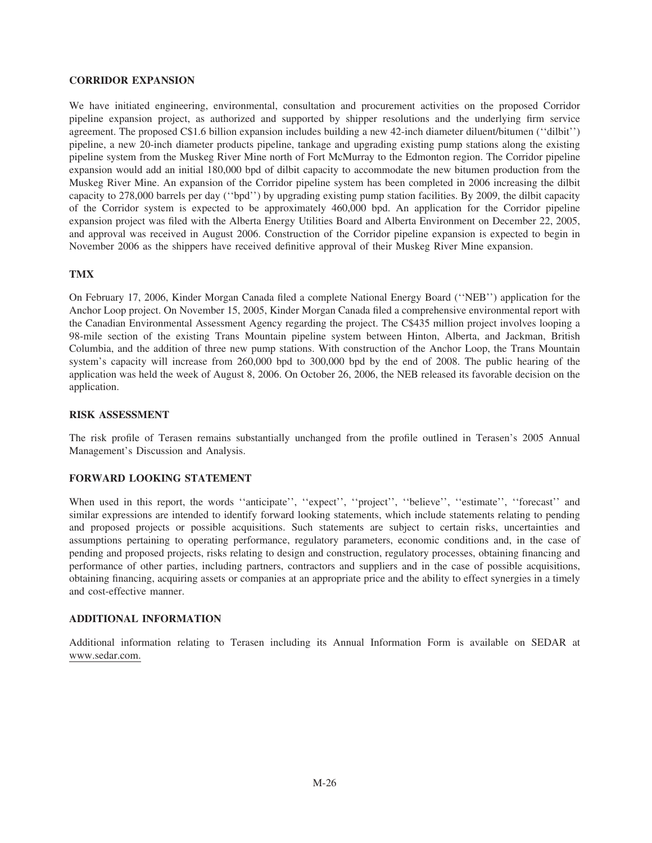## **CORRIDOR EXPANSION**

We have initiated engineering, environmental, consultation and procurement activities on the proposed Corridor pipeline expansion project, as authorized and supported by shipper resolutions and the underlying firm service agreement. The proposed C\$1.6 billion expansion includes building a new 42-inch diameter diluent/bitumen (''dilbit'') pipeline, a new 20-inch diameter products pipeline, tankage and upgrading existing pump stations along the existing pipeline system from the Muskeg River Mine north of Fort McMurray to the Edmonton region. The Corridor pipeline expansion would add an initial 180,000 bpd of dilbit capacity to accommodate the new bitumen production from the Muskeg River Mine. An expansion of the Corridor pipeline system has been completed in 2006 increasing the dilbit capacity to 278,000 barrels per day (''bpd'') by upgrading existing pump station facilities. By 2009, the dilbit capacity of the Corridor system is expected to be approximately 460,000 bpd. An application for the Corridor pipeline expansion project was filed with the Alberta Energy Utilities Board and Alberta Environment on December 22, 2005, and approval was received in August 2006. Construction of the Corridor pipeline expansion is expected to begin in November 2006 as the shippers have received definitive approval of their Muskeg River Mine expansion.

# **TMX**

On February 17, 2006, Kinder Morgan Canada filed a complete National Energy Board (''NEB'') application for the Anchor Loop project. On November 15, 2005, Kinder Morgan Canada filed a comprehensive environmental report with the Canadian Environmental Assessment Agency regarding the project. The C\$435 million project involves looping a 98-mile section of the existing Trans Mountain pipeline system between Hinton, Alberta, and Jackman, British Columbia, and the addition of three new pump stations. With construction of the Anchor Loop, the Trans Mountain system's capacity will increase from 260,000 bpd to 300,000 bpd by the end of 2008. The public hearing of the application was held the week of August 8, 2006. On October 26, 2006, the NEB released its favorable decision on the application.

## **RISK ASSESSMENT**

The risk profile of Terasen remains substantially unchanged from the profile outlined in Terasen's 2005 Annual Management's Discussion and Analysis.

## **FORWARD LOOKING STATEMENT**

When used in this report, the words "anticipate", "expect", "project", "believe", "estimate", "forecast" and similar expressions are intended to identify forward looking statements, which include statements relating to pending and proposed projects or possible acquisitions. Such statements are subject to certain risks, uncertainties and assumptions pertaining to operating performance, regulatory parameters, economic conditions and, in the case of pending and proposed projects, risks relating to design and construction, regulatory processes, obtaining financing and performance of other parties, including partners, contractors and suppliers and in the case of possible acquisitions, obtaining financing, acquiring assets or companies at an appropriate price and the ability to effect synergies in a timely and cost-effective manner.

#### **ADDITIONAL INFORMATION**

Additional information relating to Terasen including its Annual Information Form is available on SEDAR at www.sedar.com.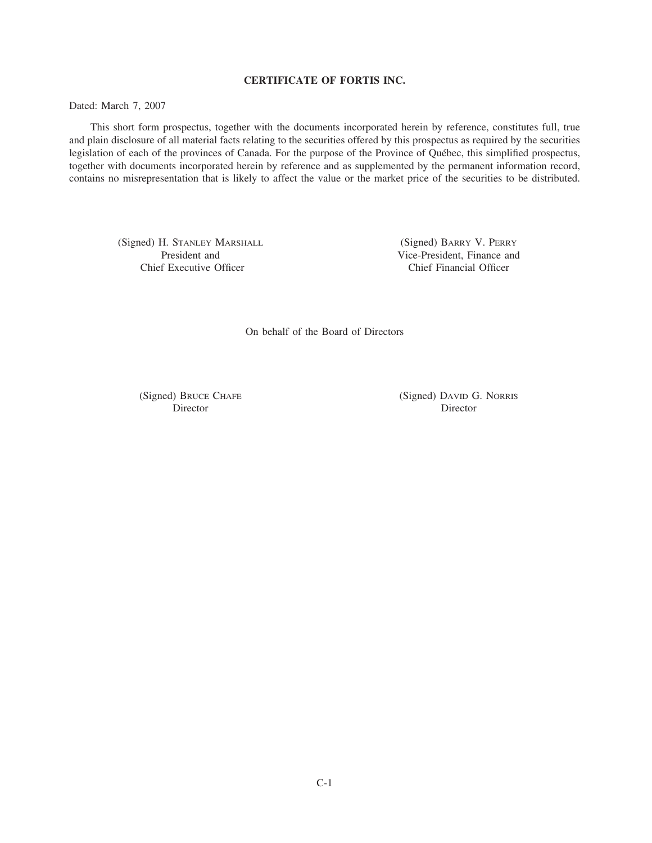# **CERTIFICATE OF FORTIS INC.**

Dated: March 7, 2007

This short form prospectus, together with the documents incorporated herein by reference, constitutes full, true and plain disclosure of all material facts relating to the securities offered by this prospectus as required by the securities legislation of each of the provinces of Canada. For the purpose of the Province of Québec, this simplified prospectus, together with documents incorporated herein by reference and as supplemented by the permanent information record, contains no misrepresentation that is likely to affect the value or the market price of the securities to be distributed.

(Signed) H. STANLEY MARSHALL (Signed) BARRY V. PERRY Chief Executive Officer Chief Financial Officer

President and Vice-President, Finance and

On behalf of the Board of Directors

(Signed) BRUCE CHAFE (Signed) DAVID G. NORRIS Director Director Director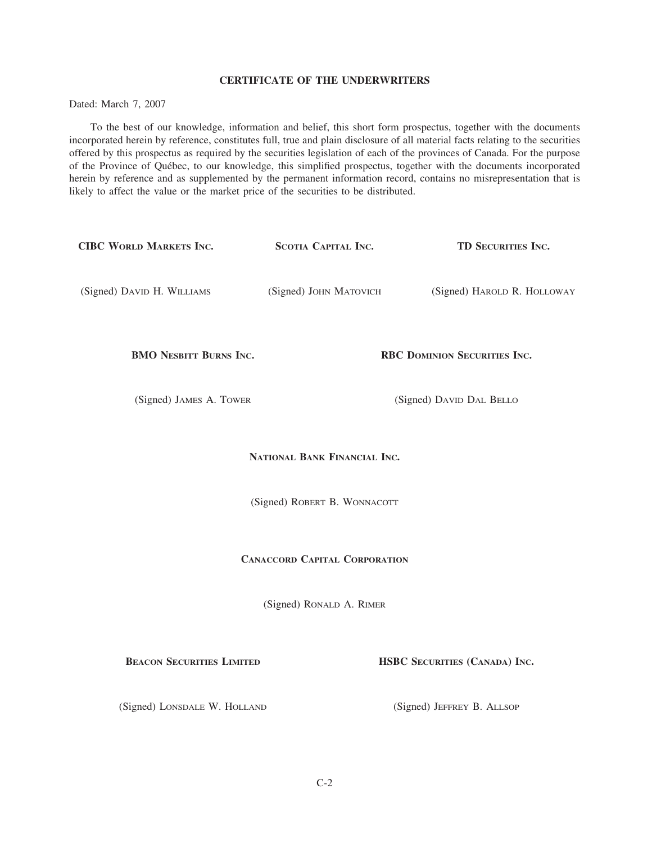## **CERTIFICATE OF THE UNDERWRITERS**

Dated: March 7, 2007

To the best of our knowledge, information and belief, this short form prospectus, together with the documents incorporated herein by reference, constitutes full, true and plain disclosure of all material facts relating to the securities offered by this prospectus as required by the securities legislation of each of the provinces of Canada. For the purpose of the Province of Qu´ebec, to our knowledge, this simplified prospectus, together with the documents incorporated herein by reference and as supplemented by the permanent information record, contains no misrepresentation that is likely to affect the value or the market price of the securities to be distributed.

| <b>CIBC WORLD MARKETS INC.</b>       | SCOTIA CAPITAL INC.      | TD SECURITIES INC.            |  |  |  |  |
|--------------------------------------|--------------------------|-------------------------------|--|--|--|--|
| (Signed) DAVID H. WILLIAMS           | (Signed) JOHN MATOVICH   | (Signed) HAROLD R. HOLLOWAY   |  |  |  |  |
| <b>BMO NESBITT BURNS INC.</b>        |                          | RBC DOMINION SECURITIES INC.  |  |  |  |  |
| (Signed) JAMES A. TOWER              | (Signed) DAVID DAL BELLO |                               |  |  |  |  |
| NATIONAL BANK FINANCIAL INC.         |                          |                               |  |  |  |  |
| (Signed) ROBERT B. WONNACOTT         |                          |                               |  |  |  |  |
| <b>CANACCORD CAPITAL CORPORATION</b> |                          |                               |  |  |  |  |
| (Signed) RONALD A. RIMER             |                          |                               |  |  |  |  |
| <b>BEACON SECURITIES LIMITED</b>     |                          | HSBC SECURITIES (CANADA) INC. |  |  |  |  |
| (Signed) LONSDALE W. HOLLAND         |                          | (Signed) JEFFREY B. ALLSOP    |  |  |  |  |